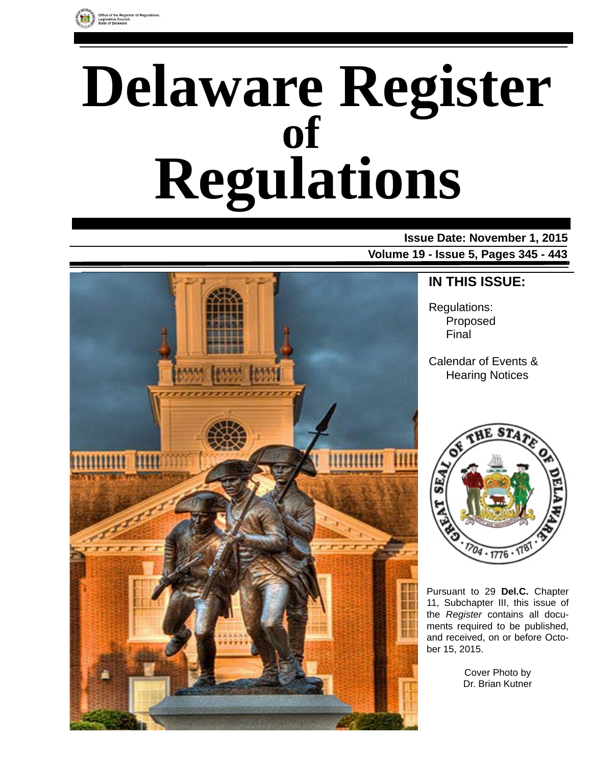

# **Delaware Register Regulations of**

### **Issue Date: November 1, 2015 Volume 19 - Issue 5, Pages 345 - 443**



### **IN THIS ISSUE:**

Regulations: Proposed Final

Calendar of Events & Hearing Notices



Pursuant to 29 **Del.C.** Chapter 11, Subchapter III, this issue of the *Register* contains all documents required to be published, and received, on or before October 15, 2015.

> Cover Photo by Dr. Brian Kutner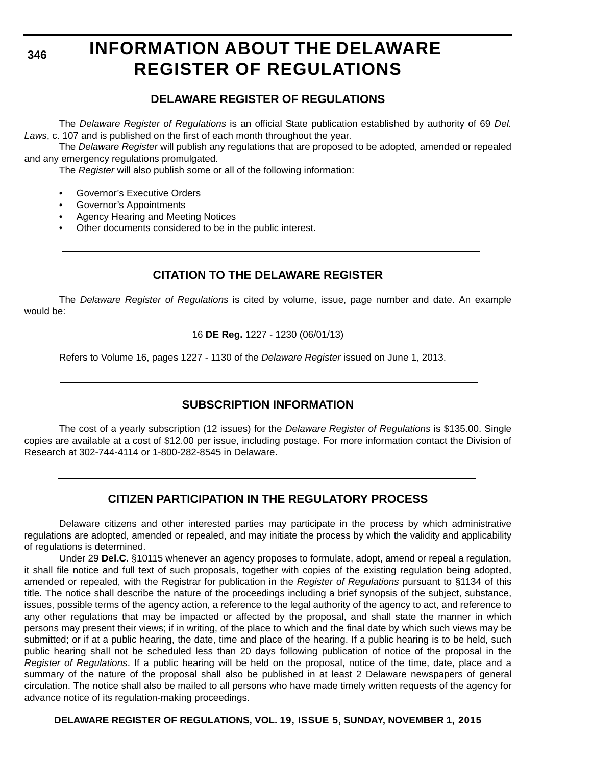**346**

# **INFORMATION ABOUT THE DELAWARE REGISTER OF REGULATIONS**

### **DELAWARE REGISTER OF REGULATIONS**

The *Delaware Register of Regulations* is an official State publication established by authority of 69 *Del. Laws*, c. 107 and is published on the first of each month throughout the year.

The *Delaware Register* will publish any regulations that are proposed to be adopted, amended or repealed and any emergency regulations promulgated.

The *Register* will also publish some or all of the following information:

- Governor's Executive Orders
- Governor's Appointments
- Agency Hearing and Meeting Notices
- Other documents considered to be in the public interest.

### **CITATION TO THE DELAWARE REGISTER**

The *Delaware Register of Regulations* is cited by volume, issue, page number and date. An example would be:

16 **DE Reg.** 1227 - 1230 (06/01/13)

Refers to Volume 16, pages 1227 - 1130 of the *Delaware Register* issued on June 1, 2013.

### **SUBSCRIPTION INFORMATION**

The cost of a yearly subscription (12 issues) for the *Delaware Register of Regulations* is \$135.00. Single copies are available at a cost of \$12.00 per issue, including postage. For more information contact the Division of Research at 302-744-4114 or 1-800-282-8545 in Delaware.

### **CITIZEN PARTICIPATION IN THE REGULATORY PROCESS**

Delaware citizens and other interested parties may participate in the process by which administrative regulations are adopted, amended or repealed, and may initiate the process by which the validity and applicability of regulations is determined.

Under 29 **Del.C.** §10115 whenever an agency proposes to formulate, adopt, amend or repeal a regulation, it shall file notice and full text of such proposals, together with copies of the existing regulation being adopted, amended or repealed, with the Registrar for publication in the *Register of Regulations* pursuant to §1134 of this title. The notice shall describe the nature of the proceedings including a brief synopsis of the subject, substance, issues, possible terms of the agency action, a reference to the legal authority of the agency to act, and reference to any other regulations that may be impacted or affected by the proposal, and shall state the manner in which persons may present their views; if in writing, of the place to which and the final date by which such views may be submitted; or if at a public hearing, the date, time and place of the hearing. If a public hearing is to be held, such public hearing shall not be scheduled less than 20 days following publication of notice of the proposal in the *Register of Regulations*. If a public hearing will be held on the proposal, notice of the time, date, place and a summary of the nature of the proposal shall also be published in at least 2 Delaware newspapers of general circulation. The notice shall also be mailed to all persons who have made timely written requests of the agency for advance notice of its regulation-making proceedings.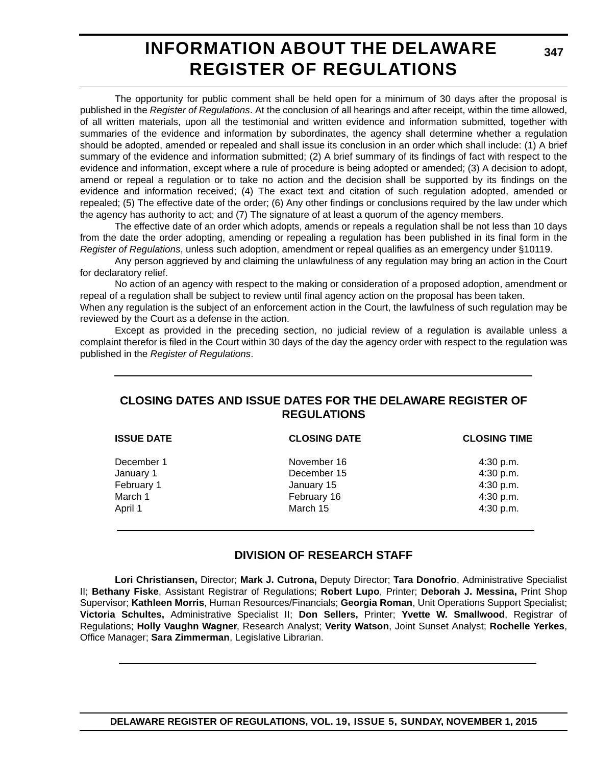### **INFORMATION ABOUT THE DELAWARE REGISTER OF REGULATIONS**

The opportunity for public comment shall be held open for a minimum of 30 days after the proposal is published in the *Register of Regulations*. At the conclusion of all hearings and after receipt, within the time allowed, of all written materials, upon all the testimonial and written evidence and information submitted, together with summaries of the evidence and information by subordinates, the agency shall determine whether a regulation should be adopted, amended or repealed and shall issue its conclusion in an order which shall include: (1) A brief summary of the evidence and information submitted; (2) A brief summary of its findings of fact with respect to the evidence and information, except where a rule of procedure is being adopted or amended; (3) A decision to adopt, amend or repeal a regulation or to take no action and the decision shall be supported by its findings on the evidence and information received; (4) The exact text and citation of such regulation adopted, amended or repealed; (5) The effective date of the order; (6) Any other findings or conclusions required by the law under which the agency has authority to act; and (7) The signature of at least a quorum of the agency members.

The effective date of an order which adopts, amends or repeals a regulation shall be not less than 10 days from the date the order adopting, amending or repealing a regulation has been published in its final form in the *Register of Regulations*, unless such adoption, amendment or repeal qualifies as an emergency under §10119.

Any person aggrieved by and claiming the unlawfulness of any regulation may bring an action in the Court for declaratory relief.

No action of an agency with respect to the making or consideration of a proposed adoption, amendment or repeal of a regulation shall be subject to review until final agency action on the proposal has been taken.

When any regulation is the subject of an enforcement action in the Court, the lawfulness of such regulation may be reviewed by the Court as a defense in the action.

Except as provided in the preceding section, no judicial review of a regulation is available unless a complaint therefor is filed in the Court within 30 days of the day the agency order with respect to the regulation was published in the *Register of Regulations*.

### **CLOSING DATES AND ISSUE DATES FOR THE DELAWARE REGISTER OF REGULATIONS**

| <b>ISSUE DATE</b> | <b>CLOSING DATE</b> | <b>CLOSING TIME</b> |  |
|-------------------|---------------------|---------------------|--|
| December 1        | November 16         | 4:30 p.m.           |  |
| January 1         | December 15         | 4:30 p.m.           |  |
| February 1        | January 15          | 4:30 p.m.           |  |
| March 1           | February 16         | 4:30 p.m.           |  |
| April 1           | March 15            | 4:30 p.m.           |  |
|                   |                     |                     |  |

### **DIVISION OF RESEARCH STAFF**

**Lori Christiansen,** Director; **Mark J. Cutrona,** Deputy Director; **Tara Donofrio**, Administrative Specialist II; **Bethany Fiske**, Assistant Registrar of Regulations; **Robert Lupo**, Printer; **Deborah J. Messina,** Print Shop Supervisor; **Kathleen Morris**, Human Resources/Financials; **Georgia Roman**, Unit Operations Support Specialist; **Victoria Schultes,** Administrative Specialist II; **Don Sellers,** Printer; **Yvette W. Smallwood**, Registrar of Regulations; **Holly Vaughn Wagner**, Research Analyst; **Verity Watson**, Joint Sunset Analyst; **Rochelle Yerkes**, Office Manager; **Sara Zimmerman**, Legislative Librarian.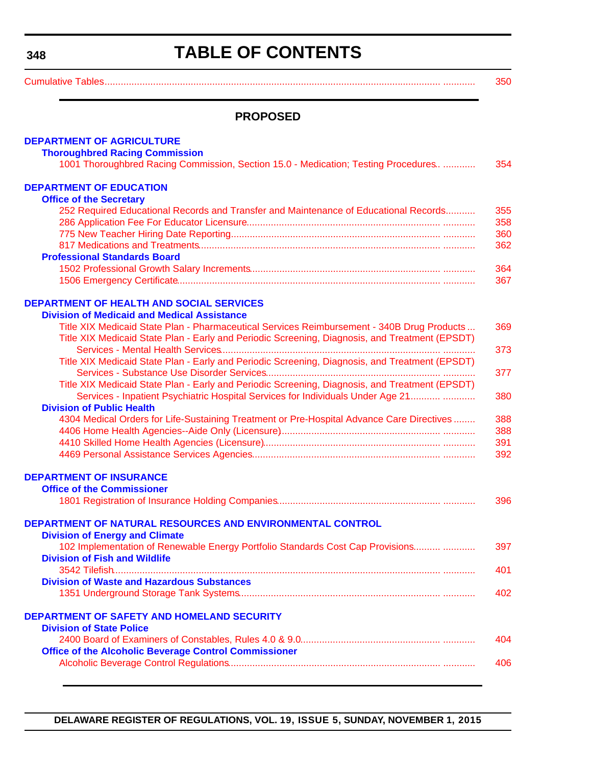# **TABLE OF CONTENTS**

<span id="page-3-0"></span>

[Cumulative Tables............................................................................................................................. ............ 350](#page-5-0)

### **PROPOSED**

| <b>DEPARTMENT OF AGRICULTURE</b>                                                               |     |
|------------------------------------------------------------------------------------------------|-----|
| <b>Thoroughbred Racing Commission</b>                                                          |     |
| 1001 Thoroughbred Racing Commission, Section 15.0 - Medication; Testing Procedures             | 354 |
| <b>DEPARTMENT OF EDUCATION</b>                                                                 |     |
|                                                                                                |     |
| <b>Office of the Secretary</b>                                                                 | 355 |
| 252 Required Educational Records and Transfer and Maintenance of Educational Records           |     |
|                                                                                                | 358 |
|                                                                                                | 360 |
|                                                                                                | 362 |
| <b>Professional Standards Board</b>                                                            |     |
|                                                                                                | 364 |
|                                                                                                | 367 |
| <b>DEPARTMENT OF HEALTH AND SOCIAL SERVICES</b>                                                |     |
| <b>Division of Medicaid and Medical Assistance</b>                                             |     |
| Title XIX Medicaid State Plan - Pharmaceutical Services Reimbursement - 340B Drug Products     | 369 |
| Title XIX Medicaid State Plan - Early and Periodic Screening, Diagnosis, and Treatment (EPSDT) | 373 |
|                                                                                                |     |
| Title XIX Medicaid State Plan - Early and Periodic Screening, Diagnosis, and Treatment (EPSDT) |     |
|                                                                                                | 377 |
| Title XIX Medicaid State Plan - Early and Periodic Screening, Diagnosis, and Treatment (EPSDT) |     |
| Services - Inpatient Psychiatric Hospital Services for Individuals Under Age 21                | 380 |
| <b>Division of Public Health</b>                                                               |     |
| 4304 Medical Orders for Life-Sustaining Treatment or Pre-Hospital Advance Care Directives      | 388 |
|                                                                                                | 388 |
|                                                                                                | 391 |
|                                                                                                | 392 |
| <b>DEPARTMENT OF INSURANCE</b>                                                                 |     |
| <b>Office of the Commissioner</b>                                                              |     |
|                                                                                                |     |
|                                                                                                | 396 |
| DEPARTMENT OF NATURAL RESOURCES AND ENVIRONMENTAL CONTROL                                      |     |
| <b>Division of Energy and Climate</b>                                                          |     |
| 102 Implementation of Renewable Energy Portfolio Standards Cost Cap Provisions                 | 397 |
| <b>Division of Fish and Wildlife</b>                                                           |     |
| 3542 Tilefish                                                                                  | 401 |
| <b>Division of Waste and Hazardous Substances</b>                                              |     |
|                                                                                                | 402 |
|                                                                                                |     |
| <b>DEPARTMENT OF SAFETY AND HOMELAND SECURITY</b>                                              |     |
| <b>Division of State Police</b>                                                                |     |
|                                                                                                | 404 |
| <b>Office of the Alcoholic Beverage Control Commissioner</b>                                   |     |
|                                                                                                | 406 |
|                                                                                                |     |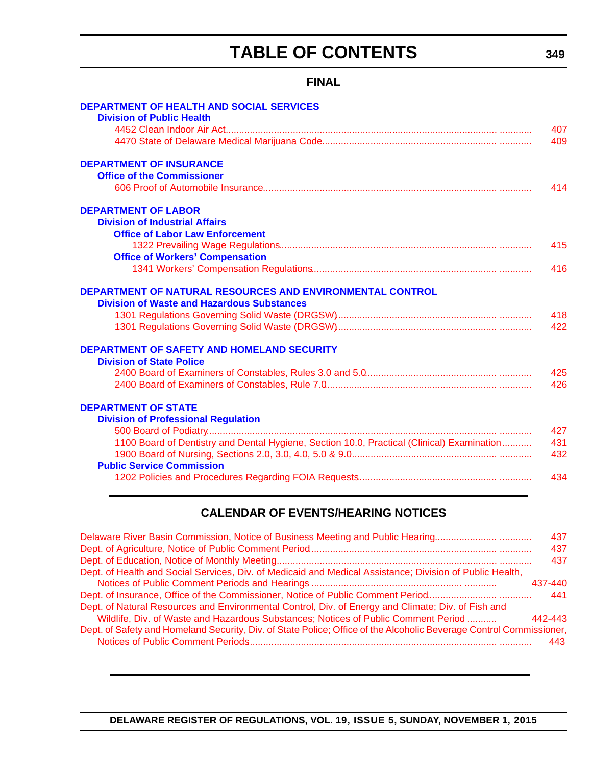# **TABLE OF CONTENTS**

### **FINAL**

| <b>DEPARTMENT OF HEALTH AND SOCIAL SERVICES</b>                                                                |     |
|----------------------------------------------------------------------------------------------------------------|-----|
| <b>Division of Public Health</b>                                                                               |     |
|                                                                                                                | 407 |
|                                                                                                                | 409 |
| <b>DEPARTMENT OF INSURANCE</b>                                                                                 |     |
| <b>Office of the Commissioner</b>                                                                              |     |
|                                                                                                                | 414 |
| <b>DEPARTMENT OF LABOR</b>                                                                                     |     |
| <b>Division of Industrial Affairs</b>                                                                          |     |
| <b>Office of Labor Law Enforcement</b>                                                                         |     |
|                                                                                                                | 415 |
| <b>Office of Workers' Compensation</b>                                                                         |     |
|                                                                                                                | 416 |
| DEPARTMENT OF NATURAL RESOURCES AND ENVIRONMENTAL CONTROL<br><b>Division of Waste and Hazardous Substances</b> |     |
|                                                                                                                | 418 |
|                                                                                                                | 422 |
| DEPARTMENT OF SAFETY AND HOMELAND SECURITY                                                                     |     |
| <b>Division of State Police</b>                                                                                |     |
|                                                                                                                | 425 |
|                                                                                                                | 426 |
|                                                                                                                |     |
| <b>DEPARTMENT OF STATE</b>                                                                                     |     |
| <b>Division of Professional Regulation</b>                                                                     |     |
|                                                                                                                | 427 |
| 1100 Board of Dentistry and Dental Hygiene, Section 10.0, Practical (Clinical) Examination                     | 431 |
|                                                                                                                | 432 |
| <b>Public Service Commission</b>                                                                               |     |
|                                                                                                                | 434 |
|                                                                                                                |     |

### **CALENDAR OF EVENTS/HEARING NOTICES**

| Delaware River Basin Commission, Notice of Business Meeting and Public Hearing                                      | 437     |
|---------------------------------------------------------------------------------------------------------------------|---------|
|                                                                                                                     | 437     |
|                                                                                                                     | 437     |
| Dept. of Health and Social Services, Div. of Medicaid and Medical Assistance; Division of Public Health,            |         |
|                                                                                                                     | 437-440 |
|                                                                                                                     | 441     |
| Dept. of Natural Resources and Environmental Control, Div. of Energy and Climate; Div. of Fish and                  |         |
| Wildlife, Div. of Waste and Hazardous Substances; Notices of Public Comment Period                                  | 442-443 |
| Dept. of Safety and Homeland Security, Div. of State Police; Office of the Alcoholic Beverage Control Commissioner, |         |
|                                                                                                                     | 443     |
|                                                                                                                     |         |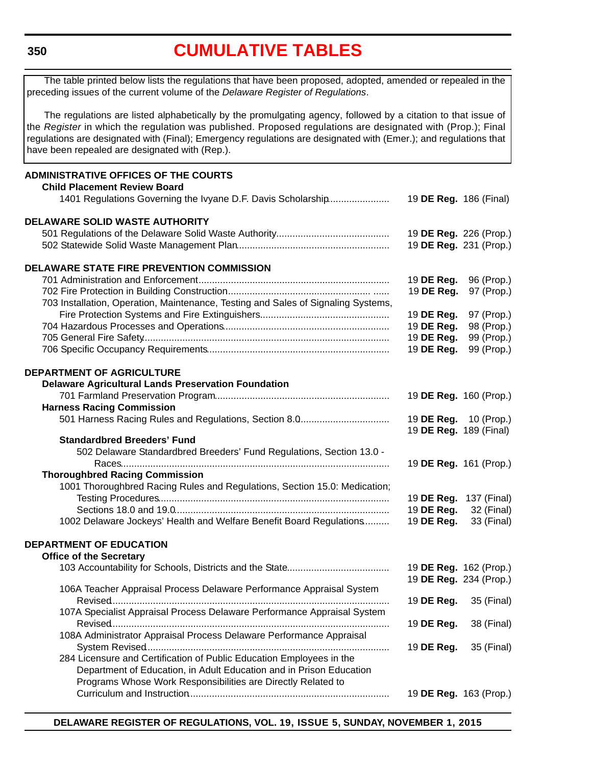#### <span id="page-5-0"></span>**350**

### **[CUMULATIVE TABLES](#page-3-0)**

**ADMINISTRATIVE OFFICES OF THE COURTS Child Placement Review Board** 1401 Regulations Governing the Ivyane D.F. Davis Scholarship....................... 19 **DE Reg.** 186 (Final) **DELAWARE SOLID WASTE AUTHORITY** 501 Regulations of the Delaware Solid Waste Authority.......................................... 19 **DE Reg.** 226 (Prop.) 502 Statewide Solid Waste Management Plan......................................................... 19 **DE Reg.** 231 (Prop.) **DELAWARE STATE FIRE PREVENTION COMMISSION** 701 Administration and Enforcement ....................................................................... 19 **DE Reg.** 96 (Prop.) 702 Fire Protection in Building Construction...................................................... ...... 19 **DE Reg.** 97 (Prop.) 703 Installation, Operation, Maintenance, Testing and Sales of Signaling Systems, Fire Protection Systems and Fire Extinguishers................................................ 19 **DE Reg.** 97 (Prop.) 704 Hazardous Processes and Operations.............................................................. 19 **DE Reg.** 98 (Prop.) 705 General Fire Safety............................................................................................ 19 **DE Reg.** 99 (Prop.) 706 Specific Occupancy Requirements.................................................................... 19 **DE Reg.** 99 (Prop.) **DEPARTMENT OF AGRICULTURE Delaware Agricultural Lands Preservation Foundation** 701 Farmland Preservation Program................................................................. 19 **DE Reg.** 160 (Prop.) **Harness Racing Commission** 501 Harness Racing Rules and Regulations, Section 8.0.................................. 19 **DE Reg.** 10 (Prop.) 19 **DE Reg.** 189 (Final) **Standardbred Breeders' Fund** 502 Delaware Standardbred Breeders' Fund Regulations, Section 13.0 - Races.................................................................................................... 19 **DE Reg.** 161 (Prop.) **Thoroughbred Racing Commission** 1001 Thoroughbred Racing Rules and Regulations, Section 15.0: Medication; Testing Procedures...................................................................................... 19 **DE Reg.** 137 (Final) Sections 18.0 and 19.0................................................................................ 19 **DE Reg.** 32 (Final) 1002 Delaware Jockeys' Health and Welfare Benefit Board Regulations.......... 19 **DE Reg.** 33 (Final) The table printed below lists the regulations that have been proposed, adopted, amended or repealed in the preceding issues of the current volume of the *Delaware Register of Regulations*. The regulations are listed alphabetically by the promulgating agency, followed by a citation to that issue of the *Register* in which the regulation was published. Proposed regulations are designated with (Prop.); Final regulations are designated with (Final); Emergency regulations are designated with (Emer.); and regulations that have been repealed are designated with (Rep.).

#### **DEPARTMENT OF EDUCATION Office of the Secretary**

| $\frac{1}{100}$ of the occidialy                                        |                                                  |
|-------------------------------------------------------------------------|--------------------------------------------------|
|                                                                         | 19 DE Reg. 162 (Prop.)<br>19 DE Reg. 234 (Prop.) |
| 106A Teacher Appraisal Process Delaware Performance Appraisal System    |                                                  |
|                                                                         | 19 <b>DE Reg.</b> 35 (Final)                     |
| 107A Specialist Appraisal Process Delaware Performance Appraisal System | 19 <b>DE Reg.</b> 38 (Final)                     |
| 108A Administrator Appraisal Process Delaware Performance Appraisal     |                                                  |
|                                                                         | 19 <b>DE Reg.</b> 35 (Final)                     |
| 284 Licensure and Certification of Public Education Employees in the    |                                                  |
| Department of Education, in Adult Education and in Prison Education     |                                                  |
| Programs Whose Work Responsibilities are Directly Related to            |                                                  |
|                                                                         | 19 <b>DE Reg.</b> 163 (Prop.)                    |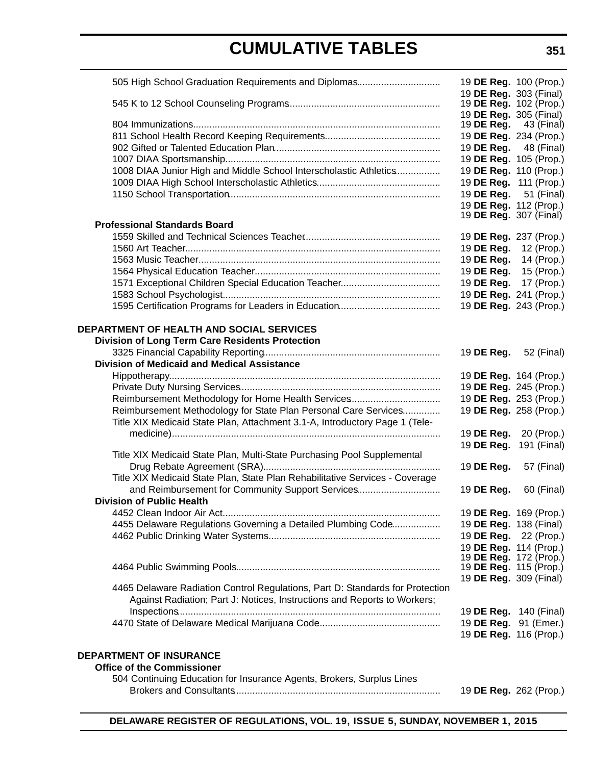# **CUMULATIVE TABLES**

| 505 High School Graduation Requirements and Diplomas                                                                                                      | 19 DE Reg. 100 (Prop.)                                  |                               |
|-----------------------------------------------------------------------------------------------------------------------------------------------------------|---------------------------------------------------------|-------------------------------|
|                                                                                                                                                           | 19 DE Reg. 303 (Final)<br>19 <b>DE Reg.</b> 102 (Prop.) |                               |
|                                                                                                                                                           | 19 DE Reg. 305 (Final)                                  |                               |
|                                                                                                                                                           | 19 DE Reg.                                              | 43 (Final)                    |
|                                                                                                                                                           | 19 DE Reg. 234 (Prop.)                                  |                               |
|                                                                                                                                                           | 19 DE Reg.                                              | 48 (Final)                    |
|                                                                                                                                                           |                                                         | 19 DE Reg. 105 (Prop.)        |
| 1008 DIAA Junior High and Middle School Interscholastic Athletics                                                                                         | 19 DE Reg. 110 (Prop.)                                  |                               |
|                                                                                                                                                           | 19 DE Reg. 111 (Prop.)                                  |                               |
|                                                                                                                                                           | 19 DE Reg.                                              | 51 (Final)                    |
|                                                                                                                                                           | 19 DE Reg. 112 (Prop.)                                  |                               |
| <b>Professional Standards Board</b>                                                                                                                       | 19 <b>DE Reg.</b> 307 (Final)                           |                               |
|                                                                                                                                                           | 19 DE Reg. 237 (Prop.)                                  |                               |
|                                                                                                                                                           | 19 DE Reg.                                              | 12 (Prop.)                    |
|                                                                                                                                                           | 19 DE Reg.                                              | 14 (Prop.)                    |
|                                                                                                                                                           | 19 DE Reg.                                              | 15 (Prop.)                    |
|                                                                                                                                                           | 19 DE Reg.                                              | 17 (Prop.)                    |
|                                                                                                                                                           | 19 DE Reg. 241 (Prop.)                                  |                               |
|                                                                                                                                                           | 19 DE Reg. 243 (Prop.)                                  |                               |
| DEPARTMENT OF HEALTH AND SOCIAL SERVICES                                                                                                                  |                                                         |                               |
| <b>Division of Long Term Care Residents Protection</b>                                                                                                    |                                                         |                               |
|                                                                                                                                                           | 19 DE Reg.                                              | 52 (Final)                    |
| <b>Division of Medicaid and Medical Assistance</b>                                                                                                        |                                                         |                               |
|                                                                                                                                                           | 19 DE Reg. 164 (Prop.)                                  |                               |
|                                                                                                                                                           |                                                         | 19 DE Reg. 245 (Prop.)        |
| Reimbursement Methodology for Home Health Services                                                                                                        | 19 DE Reg. 253 (Prop.)                                  |                               |
| Reimbursement Methodology for State Plan Personal Care Services                                                                                           | 19 DE Reg. 258 (Prop.)                                  |                               |
| Title XIX Medicaid State Plan, Attachment 3.1-A, Introductory Page 1 (Tele-                                                                               |                                                         |                               |
|                                                                                                                                                           | 19 DE Reg.                                              | 20 (Prop.)                    |
| Title XIX Medicaid State Plan, Multi-State Purchasing Pool Supplemental                                                                                   | 19 DE Reg.                                              | 191 (Final)                   |
|                                                                                                                                                           | 19 DE Reg.                                              | 57 (Final)                    |
| Title XIX Medicaid State Plan, State Plan Rehabilitative Services - Coverage                                                                              |                                                         |                               |
| and Reimbursement for Community Support Services                                                                                                          | 19 DE Reg.                                              | 60 (Final)                    |
| <b>Division of Public Health</b>                                                                                                                          |                                                         |                               |
|                                                                                                                                                           | 19 DE Reg. 169 (Prop.)                                  |                               |
| 4455 Delaware Regulations Governing a Detailed Plumbing Code                                                                                              | 19 DE Reg. 138 (Final)                                  |                               |
|                                                                                                                                                           |                                                         | 19 DE Reg. 22 (Prop.)         |
|                                                                                                                                                           | 19 DE Reg. 114 (Prop.)                                  |                               |
|                                                                                                                                                           |                                                         | 19 <b>DE Reg.</b> 172 (Prop.) |
|                                                                                                                                                           | 19 <b>DE Reg.</b> 115 (Prop.)                           |                               |
|                                                                                                                                                           | 19 DE Reg. 309 (Final)                                  |                               |
| 4465 Delaware Radiation Control Regulations, Part D: Standards for Protection<br>Against Radiation; Part J: Notices, Instructions and Reports to Workers; |                                                         |                               |
|                                                                                                                                                           | 19 <b>DE Reg.</b> 140 (Final)                           |                               |
|                                                                                                                                                           | 19 DE Reg. 91 (Emer.)                                   |                               |
|                                                                                                                                                           |                                                         | 19 DE Reg. 116 (Prop.)        |
|                                                                                                                                                           |                                                         |                               |
| <b>DEPARTMENT OF INSURANCE</b>                                                                                                                            |                                                         |                               |
| <b>Office of the Commissioner</b>                                                                                                                         |                                                         |                               |
| 504 Continuing Education for Insurance Agents, Brokers, Surplus Lines                                                                                     |                                                         |                               |
|                                                                                                                                                           |                                                         | 19 DE Reg. 262 (Prop.)        |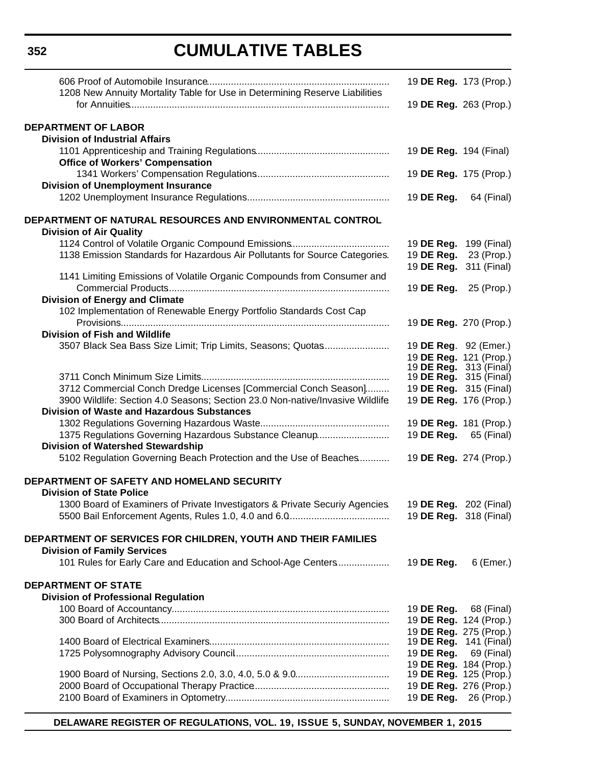# **CUMULATIVE TABLES**

| 1208 New Annuity Mortality Table for Use in Determining Reserve Liabilities<br>19 DE Reg. 263 (Prop.)<br><b>DEPARTMENT OF LABOR</b><br><b>Division of Industrial Affairs</b><br>19 DE Reg. 194 (Final)<br><b>Office of Workers' Compensation</b><br>19 DE Reg. 175 (Prop.)<br><b>Division of Unemployment Insurance</b><br>19 DE Reg.<br>64 (Final)<br>DEPARTMENT OF NATURAL RESOURCES AND ENVIRONMENTAL CONTROL<br><b>Division of Air Quality</b><br>19 DE Reg. 199 (Final)<br>1138 Emission Standards for Hazardous Air Pollutants for Source Categories.<br>19 DE Reg.<br>23 (Prop.)<br>19 DE Reg. 311 (Final)<br>1141 Limiting Emissions of Volatile Organic Compounds from Consumer and<br>19 DE Reg.<br>25 (Prop.)<br><b>Division of Energy and Climate</b><br>102 Implementation of Renewable Energy Portfolio Standards Cost Cap<br>19 DE Reg. 270 (Prop.)<br><b>Division of Fish and Wildlife</b><br>3507 Black Sea Bass Size Limit; Trip Limits, Seasons; Quotas<br>19 DE Reg. 92 (Emer.)<br>19 DE Reg. 121 (Prop.)<br>19 <b>DE Reg.</b> 313 (Final)<br>19 <b>DE Reg.</b> 315 (Final)<br>3712 Commercial Conch Dredge Licenses [Commercial Conch Season]<br>19 <b>DE Reg.</b> 315 (Final)<br>3900 Wildlife: Section 4.0 Seasons; Section 23.0 Non-native/Invasive Wildlife<br>19 DE Reg. 176 (Prop.)<br><b>Division of Waste and Hazardous Substances</b><br>19 DE Reg. 181 (Prop.)<br>1375 Regulations Governing Hazardous Substance Cleanup<br>19 <b>DE Reg.</b> 65 (Final)<br><b>Division of Watershed Stewardship</b><br>5102 Regulation Governing Beach Protection and the Use of Beaches<br>19 DE Reg. 274 (Prop.)<br>DEPARTMENT OF SAFETY AND HOMELAND SECURITY<br><b>Division of State Police</b><br>1300 Board of Examiners of Private Investigators & Private Securiy Agencies.<br>19 <b>DE Reg.</b> 202 (Final)<br>19 <b>DE Reg.</b> 318 (Final)<br>DEPARTMENT OF SERVICES FOR CHILDREN, YOUTH AND THEIR FAMILIES<br><b>Division of Family Services</b><br>101 Rules for Early Care and Education and School-Age Centers<br>19 DE Reg.<br>6 (Emer.)<br><b>DEPARTMENT OF STATE</b><br><b>Division of Professional Regulation</b><br>19 <b>DE Reg.</b> 68 (Final)<br>19 DE Reg. 124 (Prop.)<br>19 DE Reg. 275 (Prop.)<br>19 <b>DE Reg.</b> 141 (Final)<br>19 <b>DE Reg.</b> 69 (Final)<br>19 DE Reg. 184 (Prop.)<br>19 DE Reg. 125 (Prop.)<br>19 DE Reg. 276 (Prop.)<br>19 <b>DE Reg.</b> 26 (Prop.) |  | 19 DE Reg. 173 (Prop.) |
|-------------------------------------------------------------------------------------------------------------------------------------------------------------------------------------------------------------------------------------------------------------------------------------------------------------------------------------------------------------------------------------------------------------------------------------------------------------------------------------------------------------------------------------------------------------------------------------------------------------------------------------------------------------------------------------------------------------------------------------------------------------------------------------------------------------------------------------------------------------------------------------------------------------------------------------------------------------------------------------------------------------------------------------------------------------------------------------------------------------------------------------------------------------------------------------------------------------------------------------------------------------------------------------------------------------------------------------------------------------------------------------------------------------------------------------------------------------------------------------------------------------------------------------------------------------------------------------------------------------------------------------------------------------------------------------------------------------------------------------------------------------------------------------------------------------------------------------------------------------------------------------------------------------------------------------------------------------------------------------------------------------------------------------------------------------------------------------------------------------------------------------------------------------------------------------------------------------------------------------------------------------------------------------------------------------------------------------------------------------------------------------------------------------------------|--|------------------------|
|                                                                                                                                                                                                                                                                                                                                                                                                                                                                                                                                                                                                                                                                                                                                                                                                                                                                                                                                                                                                                                                                                                                                                                                                                                                                                                                                                                                                                                                                                                                                                                                                                                                                                                                                                                                                                                                                                                                                                                                                                                                                                                                                                                                                                                                                                                                                                                                                                         |  |                        |
|                                                                                                                                                                                                                                                                                                                                                                                                                                                                                                                                                                                                                                                                                                                                                                                                                                                                                                                                                                                                                                                                                                                                                                                                                                                                                                                                                                                                                                                                                                                                                                                                                                                                                                                                                                                                                                                                                                                                                                                                                                                                                                                                                                                                                                                                                                                                                                                                                         |  |                        |
|                                                                                                                                                                                                                                                                                                                                                                                                                                                                                                                                                                                                                                                                                                                                                                                                                                                                                                                                                                                                                                                                                                                                                                                                                                                                                                                                                                                                                                                                                                                                                                                                                                                                                                                                                                                                                                                                                                                                                                                                                                                                                                                                                                                                                                                                                                                                                                                                                         |  |                        |
|                                                                                                                                                                                                                                                                                                                                                                                                                                                                                                                                                                                                                                                                                                                                                                                                                                                                                                                                                                                                                                                                                                                                                                                                                                                                                                                                                                                                                                                                                                                                                                                                                                                                                                                                                                                                                                                                                                                                                                                                                                                                                                                                                                                                                                                                                                                                                                                                                         |  |                        |
|                                                                                                                                                                                                                                                                                                                                                                                                                                                                                                                                                                                                                                                                                                                                                                                                                                                                                                                                                                                                                                                                                                                                                                                                                                                                                                                                                                                                                                                                                                                                                                                                                                                                                                                                                                                                                                                                                                                                                                                                                                                                                                                                                                                                                                                                                                                                                                                                                         |  |                        |
|                                                                                                                                                                                                                                                                                                                                                                                                                                                                                                                                                                                                                                                                                                                                                                                                                                                                                                                                                                                                                                                                                                                                                                                                                                                                                                                                                                                                                                                                                                                                                                                                                                                                                                                                                                                                                                                                                                                                                                                                                                                                                                                                                                                                                                                                                                                                                                                                                         |  |                        |
|                                                                                                                                                                                                                                                                                                                                                                                                                                                                                                                                                                                                                                                                                                                                                                                                                                                                                                                                                                                                                                                                                                                                                                                                                                                                                                                                                                                                                                                                                                                                                                                                                                                                                                                                                                                                                                                                                                                                                                                                                                                                                                                                                                                                                                                                                                                                                                                                                         |  |                        |
|                                                                                                                                                                                                                                                                                                                                                                                                                                                                                                                                                                                                                                                                                                                                                                                                                                                                                                                                                                                                                                                                                                                                                                                                                                                                                                                                                                                                                                                                                                                                                                                                                                                                                                                                                                                                                                                                                                                                                                                                                                                                                                                                                                                                                                                                                                                                                                                                                         |  |                        |
|                                                                                                                                                                                                                                                                                                                                                                                                                                                                                                                                                                                                                                                                                                                                                                                                                                                                                                                                                                                                                                                                                                                                                                                                                                                                                                                                                                                                                                                                                                                                                                                                                                                                                                                                                                                                                                                                                                                                                                                                                                                                                                                                                                                                                                                                                                                                                                                                                         |  |                        |
|                                                                                                                                                                                                                                                                                                                                                                                                                                                                                                                                                                                                                                                                                                                                                                                                                                                                                                                                                                                                                                                                                                                                                                                                                                                                                                                                                                                                                                                                                                                                                                                                                                                                                                                                                                                                                                                                                                                                                                                                                                                                                                                                                                                                                                                                                                                                                                                                                         |  |                        |
|                                                                                                                                                                                                                                                                                                                                                                                                                                                                                                                                                                                                                                                                                                                                                                                                                                                                                                                                                                                                                                                                                                                                                                                                                                                                                                                                                                                                                                                                                                                                                                                                                                                                                                                                                                                                                                                                                                                                                                                                                                                                                                                                                                                                                                                                                                                                                                                                                         |  |                        |
|                                                                                                                                                                                                                                                                                                                                                                                                                                                                                                                                                                                                                                                                                                                                                                                                                                                                                                                                                                                                                                                                                                                                                                                                                                                                                                                                                                                                                                                                                                                                                                                                                                                                                                                                                                                                                                                                                                                                                                                                                                                                                                                                                                                                                                                                                                                                                                                                                         |  |                        |
|                                                                                                                                                                                                                                                                                                                                                                                                                                                                                                                                                                                                                                                                                                                                                                                                                                                                                                                                                                                                                                                                                                                                                                                                                                                                                                                                                                                                                                                                                                                                                                                                                                                                                                                                                                                                                                                                                                                                                                                                                                                                                                                                                                                                                                                                                                                                                                                                                         |  |                        |
|                                                                                                                                                                                                                                                                                                                                                                                                                                                                                                                                                                                                                                                                                                                                                                                                                                                                                                                                                                                                                                                                                                                                                                                                                                                                                                                                                                                                                                                                                                                                                                                                                                                                                                                                                                                                                                                                                                                                                                                                                                                                                                                                                                                                                                                                                                                                                                                                                         |  |                        |
|                                                                                                                                                                                                                                                                                                                                                                                                                                                                                                                                                                                                                                                                                                                                                                                                                                                                                                                                                                                                                                                                                                                                                                                                                                                                                                                                                                                                                                                                                                                                                                                                                                                                                                                                                                                                                                                                                                                                                                                                                                                                                                                                                                                                                                                                                                                                                                                                                         |  |                        |
|                                                                                                                                                                                                                                                                                                                                                                                                                                                                                                                                                                                                                                                                                                                                                                                                                                                                                                                                                                                                                                                                                                                                                                                                                                                                                                                                                                                                                                                                                                                                                                                                                                                                                                                                                                                                                                                                                                                                                                                                                                                                                                                                                                                                                                                                                                                                                                                                                         |  |                        |
|                                                                                                                                                                                                                                                                                                                                                                                                                                                                                                                                                                                                                                                                                                                                                                                                                                                                                                                                                                                                                                                                                                                                                                                                                                                                                                                                                                                                                                                                                                                                                                                                                                                                                                                                                                                                                                                                                                                                                                                                                                                                                                                                                                                                                                                                                                                                                                                                                         |  |                        |
|                                                                                                                                                                                                                                                                                                                                                                                                                                                                                                                                                                                                                                                                                                                                                                                                                                                                                                                                                                                                                                                                                                                                                                                                                                                                                                                                                                                                                                                                                                                                                                                                                                                                                                                                                                                                                                                                                                                                                                                                                                                                                                                                                                                                                                                                                                                                                                                                                         |  |                        |
|                                                                                                                                                                                                                                                                                                                                                                                                                                                                                                                                                                                                                                                                                                                                                                                                                                                                                                                                                                                                                                                                                                                                                                                                                                                                                                                                                                                                                                                                                                                                                                                                                                                                                                                                                                                                                                                                                                                                                                                                                                                                                                                                                                                                                                                                                                                                                                                                                         |  |                        |
|                                                                                                                                                                                                                                                                                                                                                                                                                                                                                                                                                                                                                                                                                                                                                                                                                                                                                                                                                                                                                                                                                                                                                                                                                                                                                                                                                                                                                                                                                                                                                                                                                                                                                                                                                                                                                                                                                                                                                                                                                                                                                                                                                                                                                                                                                                                                                                                                                         |  |                        |
|                                                                                                                                                                                                                                                                                                                                                                                                                                                                                                                                                                                                                                                                                                                                                                                                                                                                                                                                                                                                                                                                                                                                                                                                                                                                                                                                                                                                                                                                                                                                                                                                                                                                                                                                                                                                                                                                                                                                                                                                                                                                                                                                                                                                                                                                                                                                                                                                                         |  |                        |
|                                                                                                                                                                                                                                                                                                                                                                                                                                                                                                                                                                                                                                                                                                                                                                                                                                                                                                                                                                                                                                                                                                                                                                                                                                                                                                                                                                                                                                                                                                                                                                                                                                                                                                                                                                                                                                                                                                                                                                                                                                                                                                                                                                                                                                                                                                                                                                                                                         |  |                        |
|                                                                                                                                                                                                                                                                                                                                                                                                                                                                                                                                                                                                                                                                                                                                                                                                                                                                                                                                                                                                                                                                                                                                                                                                                                                                                                                                                                                                                                                                                                                                                                                                                                                                                                                                                                                                                                                                                                                                                                                                                                                                                                                                                                                                                                                                                                                                                                                                                         |  |                        |
|                                                                                                                                                                                                                                                                                                                                                                                                                                                                                                                                                                                                                                                                                                                                                                                                                                                                                                                                                                                                                                                                                                                                                                                                                                                                                                                                                                                                                                                                                                                                                                                                                                                                                                                                                                                                                                                                                                                                                                                                                                                                                                                                                                                                                                                                                                                                                                                                                         |  |                        |
|                                                                                                                                                                                                                                                                                                                                                                                                                                                                                                                                                                                                                                                                                                                                                                                                                                                                                                                                                                                                                                                                                                                                                                                                                                                                                                                                                                                                                                                                                                                                                                                                                                                                                                                                                                                                                                                                                                                                                                                                                                                                                                                                                                                                                                                                                                                                                                                                                         |  |                        |
|                                                                                                                                                                                                                                                                                                                                                                                                                                                                                                                                                                                                                                                                                                                                                                                                                                                                                                                                                                                                                                                                                                                                                                                                                                                                                                                                                                                                                                                                                                                                                                                                                                                                                                                                                                                                                                                                                                                                                                                                                                                                                                                                                                                                                                                                                                                                                                                                                         |  |                        |
|                                                                                                                                                                                                                                                                                                                                                                                                                                                                                                                                                                                                                                                                                                                                                                                                                                                                                                                                                                                                                                                                                                                                                                                                                                                                                                                                                                                                                                                                                                                                                                                                                                                                                                                                                                                                                                                                                                                                                                                                                                                                                                                                                                                                                                                                                                                                                                                                                         |  |                        |
|                                                                                                                                                                                                                                                                                                                                                                                                                                                                                                                                                                                                                                                                                                                                                                                                                                                                                                                                                                                                                                                                                                                                                                                                                                                                                                                                                                                                                                                                                                                                                                                                                                                                                                                                                                                                                                                                                                                                                                                                                                                                                                                                                                                                                                                                                                                                                                                                                         |  |                        |
|                                                                                                                                                                                                                                                                                                                                                                                                                                                                                                                                                                                                                                                                                                                                                                                                                                                                                                                                                                                                                                                                                                                                                                                                                                                                                                                                                                                                                                                                                                                                                                                                                                                                                                                                                                                                                                                                                                                                                                                                                                                                                                                                                                                                                                                                                                                                                                                                                         |  |                        |
|                                                                                                                                                                                                                                                                                                                                                                                                                                                                                                                                                                                                                                                                                                                                                                                                                                                                                                                                                                                                                                                                                                                                                                                                                                                                                                                                                                                                                                                                                                                                                                                                                                                                                                                                                                                                                                                                                                                                                                                                                                                                                                                                                                                                                                                                                                                                                                                                                         |  |                        |
|                                                                                                                                                                                                                                                                                                                                                                                                                                                                                                                                                                                                                                                                                                                                                                                                                                                                                                                                                                                                                                                                                                                                                                                                                                                                                                                                                                                                                                                                                                                                                                                                                                                                                                                                                                                                                                                                                                                                                                                                                                                                                                                                                                                                                                                                                                                                                                                                                         |  |                        |
|                                                                                                                                                                                                                                                                                                                                                                                                                                                                                                                                                                                                                                                                                                                                                                                                                                                                                                                                                                                                                                                                                                                                                                                                                                                                                                                                                                                                                                                                                                                                                                                                                                                                                                                                                                                                                                                                                                                                                                                                                                                                                                                                                                                                                                                                                                                                                                                                                         |  |                        |
|                                                                                                                                                                                                                                                                                                                                                                                                                                                                                                                                                                                                                                                                                                                                                                                                                                                                                                                                                                                                                                                                                                                                                                                                                                                                                                                                                                                                                                                                                                                                                                                                                                                                                                                                                                                                                                                                                                                                                                                                                                                                                                                                                                                                                                                                                                                                                                                                                         |  |                        |
|                                                                                                                                                                                                                                                                                                                                                                                                                                                                                                                                                                                                                                                                                                                                                                                                                                                                                                                                                                                                                                                                                                                                                                                                                                                                                                                                                                                                                                                                                                                                                                                                                                                                                                                                                                                                                                                                                                                                                                                                                                                                                                                                                                                                                                                                                                                                                                                                                         |  |                        |
|                                                                                                                                                                                                                                                                                                                                                                                                                                                                                                                                                                                                                                                                                                                                                                                                                                                                                                                                                                                                                                                                                                                                                                                                                                                                                                                                                                                                                                                                                                                                                                                                                                                                                                                                                                                                                                                                                                                                                                                                                                                                                                                                                                                                                                                                                                                                                                                                                         |  |                        |
|                                                                                                                                                                                                                                                                                                                                                                                                                                                                                                                                                                                                                                                                                                                                                                                                                                                                                                                                                                                                                                                                                                                                                                                                                                                                                                                                                                                                                                                                                                                                                                                                                                                                                                                                                                                                                                                                                                                                                                                                                                                                                                                                                                                                                                                                                                                                                                                                                         |  |                        |
|                                                                                                                                                                                                                                                                                                                                                                                                                                                                                                                                                                                                                                                                                                                                                                                                                                                                                                                                                                                                                                                                                                                                                                                                                                                                                                                                                                                                                                                                                                                                                                                                                                                                                                                                                                                                                                                                                                                                                                                                                                                                                                                                                                                                                                                                                                                                                                                                                         |  |                        |
|                                                                                                                                                                                                                                                                                                                                                                                                                                                                                                                                                                                                                                                                                                                                                                                                                                                                                                                                                                                                                                                                                                                                                                                                                                                                                                                                                                                                                                                                                                                                                                                                                                                                                                                                                                                                                                                                                                                                                                                                                                                                                                                                                                                                                                                                                                                                                                                                                         |  |                        |
|                                                                                                                                                                                                                                                                                                                                                                                                                                                                                                                                                                                                                                                                                                                                                                                                                                                                                                                                                                                                                                                                                                                                                                                                                                                                                                                                                                                                                                                                                                                                                                                                                                                                                                                                                                                                                                                                                                                                                                                                                                                                                                                                                                                                                                                                                                                                                                                                                         |  |                        |
|                                                                                                                                                                                                                                                                                                                                                                                                                                                                                                                                                                                                                                                                                                                                                                                                                                                                                                                                                                                                                                                                                                                                                                                                                                                                                                                                                                                                                                                                                                                                                                                                                                                                                                                                                                                                                                                                                                                                                                                                                                                                                                                                                                                                                                                                                                                                                                                                                         |  |                        |
|                                                                                                                                                                                                                                                                                                                                                                                                                                                                                                                                                                                                                                                                                                                                                                                                                                                                                                                                                                                                                                                                                                                                                                                                                                                                                                                                                                                                                                                                                                                                                                                                                                                                                                                                                                                                                                                                                                                                                                                                                                                                                                                                                                                                                                                                                                                                                                                                                         |  |                        |
|                                                                                                                                                                                                                                                                                                                                                                                                                                                                                                                                                                                                                                                                                                                                                                                                                                                                                                                                                                                                                                                                                                                                                                                                                                                                                                                                                                                                                                                                                                                                                                                                                                                                                                                                                                                                                                                                                                                                                                                                                                                                                                                                                                                                                                                                                                                                                                                                                         |  |                        |
|                                                                                                                                                                                                                                                                                                                                                                                                                                                                                                                                                                                                                                                                                                                                                                                                                                                                                                                                                                                                                                                                                                                                                                                                                                                                                                                                                                                                                                                                                                                                                                                                                                                                                                                                                                                                                                                                                                                                                                                                                                                                                                                                                                                                                                                                                                                                                                                                                         |  |                        |
|                                                                                                                                                                                                                                                                                                                                                                                                                                                                                                                                                                                                                                                                                                                                                                                                                                                                                                                                                                                                                                                                                                                                                                                                                                                                                                                                                                                                                                                                                                                                                                                                                                                                                                                                                                                                                                                                                                                                                                                                                                                                                                                                                                                                                                                                                                                                                                                                                         |  |                        |
|                                                                                                                                                                                                                                                                                                                                                                                                                                                                                                                                                                                                                                                                                                                                                                                                                                                                                                                                                                                                                                                                                                                                                                                                                                                                                                                                                                                                                                                                                                                                                                                                                                                                                                                                                                                                                                                                                                                                                                                                                                                                                                                                                                                                                                                                                                                                                                                                                         |  |                        |
|                                                                                                                                                                                                                                                                                                                                                                                                                                                                                                                                                                                                                                                                                                                                                                                                                                                                                                                                                                                                                                                                                                                                                                                                                                                                                                                                                                                                                                                                                                                                                                                                                                                                                                                                                                                                                                                                                                                                                                                                                                                                                                                                                                                                                                                                                                                                                                                                                         |  |                        |
|                                                                                                                                                                                                                                                                                                                                                                                                                                                                                                                                                                                                                                                                                                                                                                                                                                                                                                                                                                                                                                                                                                                                                                                                                                                                                                                                                                                                                                                                                                                                                                                                                                                                                                                                                                                                                                                                                                                                                                                                                                                                                                                                                                                                                                                                                                                                                                                                                         |  |                        |
|                                                                                                                                                                                                                                                                                                                                                                                                                                                                                                                                                                                                                                                                                                                                                                                                                                                                                                                                                                                                                                                                                                                                                                                                                                                                                                                                                                                                                                                                                                                                                                                                                                                                                                                                                                                                                                                                                                                                                                                                                                                                                                                                                                                                                                                                                                                                                                                                                         |  |                        |
|                                                                                                                                                                                                                                                                                                                                                                                                                                                                                                                                                                                                                                                                                                                                                                                                                                                                                                                                                                                                                                                                                                                                                                                                                                                                                                                                                                                                                                                                                                                                                                                                                                                                                                                                                                                                                                                                                                                                                                                                                                                                                                                                                                                                                                                                                                                                                                                                                         |  |                        |
|                                                                                                                                                                                                                                                                                                                                                                                                                                                                                                                                                                                                                                                                                                                                                                                                                                                                                                                                                                                                                                                                                                                                                                                                                                                                                                                                                                                                                                                                                                                                                                                                                                                                                                                                                                                                                                                                                                                                                                                                                                                                                                                                                                                                                                                                                                                                                                                                                         |  |                        |
|                                                                                                                                                                                                                                                                                                                                                                                                                                                                                                                                                                                                                                                                                                                                                                                                                                                                                                                                                                                                                                                                                                                                                                                                                                                                                                                                                                                                                                                                                                                                                                                                                                                                                                                                                                                                                                                                                                                                                                                                                                                                                                                                                                                                                                                                                                                                                                                                                         |  |                        |
|                                                                                                                                                                                                                                                                                                                                                                                                                                                                                                                                                                                                                                                                                                                                                                                                                                                                                                                                                                                                                                                                                                                                                                                                                                                                                                                                                                                                                                                                                                                                                                                                                                                                                                                                                                                                                                                                                                                                                                                                                                                                                                                                                                                                                                                                                                                                                                                                                         |  |                        |
|                                                                                                                                                                                                                                                                                                                                                                                                                                                                                                                                                                                                                                                                                                                                                                                                                                                                                                                                                                                                                                                                                                                                                                                                                                                                                                                                                                                                                                                                                                                                                                                                                                                                                                                                                                                                                                                                                                                                                                                                                                                                                                                                                                                                                                                                                                                                                                                                                         |  |                        |

**DELAWARE REGISTER OF REGULATIONS, VOL. 19, ISSUE 5, SUNDAY, NOVEMBER 1, 2015**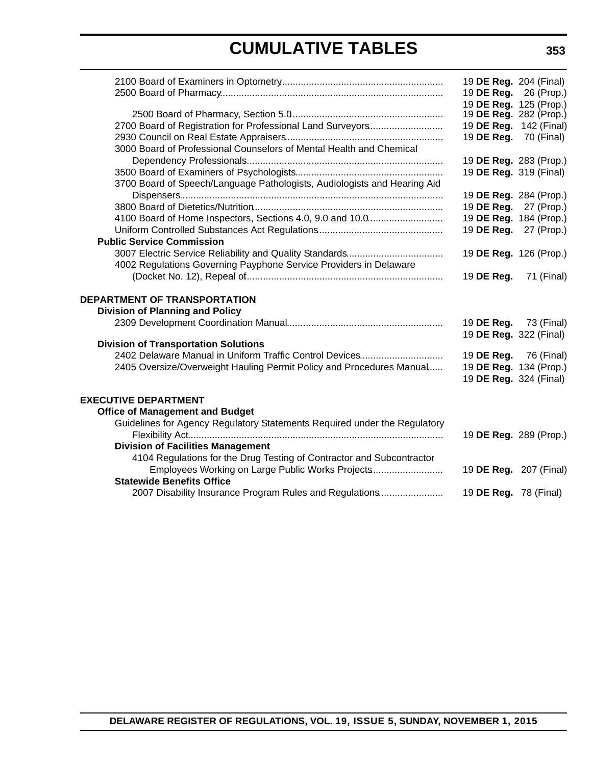# **CUMULATIVE TABLES**

|                                                                           | 19 DE Reg. 204 (Final)       |            |
|---------------------------------------------------------------------------|------------------------------|------------|
|                                                                           | 19 DE Reg.                   | 26 (Prop.) |
|                                                                           | 19 DE Reg. 125 (Prop.)       |            |
|                                                                           | 19 DE Reg. 282 (Prop.)       |            |
| 2700 Board of Registration for Professional Land Surveyors                | 19 DE Reg. 142 (Final)       |            |
|                                                                           | 19 <b>DE Reg.</b> 70 (Final) |            |
| 3000 Board of Professional Counselors of Mental Health and Chemical       |                              |            |
|                                                                           | 19 DE Reg. 283 (Prop.)       |            |
|                                                                           | 19 DE Reg. 319 (Final)       |            |
| 3700 Board of Speech/Language Pathologists, Audiologists and Hearing Aid  |                              |            |
|                                                                           | 19 DE Reg. 284 (Prop.)       |            |
|                                                                           | 19 DE Reg.                   | 27 (Prop.) |
| 4100 Board of Home Inspectors, Sections 4.0, 9.0 and 10.0                 | 19 DE Reg. 184 (Prop.)       |            |
|                                                                           | 19 DE Reg. 27 (Prop.)        |            |
| <b>Public Service Commission</b>                                          |                              |            |
|                                                                           | 19 DE Reg. 126 (Prop.)       |            |
| 4002 Regulations Governing Payphone Service Providers in Delaware         |                              |            |
|                                                                           | 19 DE Reg.                   | 71 (Final) |
| DEPARTMENT OF TRANSPORTATION                                              |                              |            |
| <b>Division of Planning and Policy</b>                                    |                              |            |
|                                                                           | 19 <b>DE Reg.</b> 73 (Final) |            |
|                                                                           | 19 DE Reg. 322 (Final)       |            |
| <b>Division of Transportation Solutions</b>                               |                              |            |
| 2402 Delaware Manual in Uniform Traffic Control Devices                   | 19 <b>DE Reg.</b> 76 (Final) |            |
| 2405 Oversize/Overweight Hauling Permit Policy and Procedures Manual      | 19 DE Reg. 134 (Prop.)       |            |
|                                                                           | 19 DE Reg. 324 (Final)       |            |
|                                                                           |                              |            |
| <b>EXECUTIVE DEPARTMENT</b>                                               |                              |            |
| <b>Office of Management and Budget</b>                                    |                              |            |
| Guidelines for Agency Regulatory Statements Required under the Regulatory |                              |            |
|                                                                           | 19 DE Reg. 289 (Prop.)       |            |
| <b>Division of Facilities Management</b>                                  |                              |            |
| 4104 Regulations for the Drug Testing of Contractor and Subcontractor     |                              |            |
| Employees Working on Large Public Works Projects                          | 19 DE Reg. 207 (Final)       |            |
| <b>Statewide Benefits Office</b>                                          |                              |            |
| 2007 Disability Insurance Program Rules and Regulations                   | 19 <b>DE Reg.</b> 78 (Final) |            |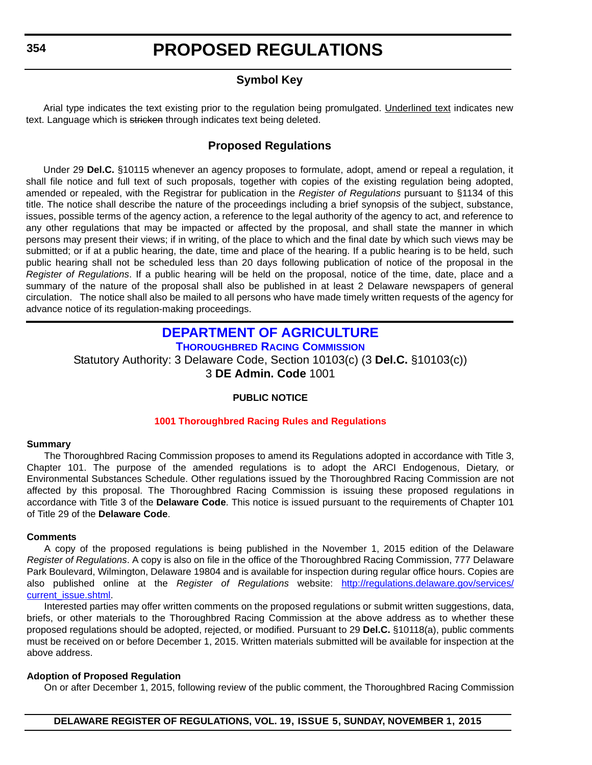### **Symbol Key**

<span id="page-9-0"></span>Arial type indicates the text existing prior to the regulation being promulgated. Underlined text indicates new text. Language which is stricken through indicates text being deleted.

### **Proposed Regulations**

Under 29 **Del.C.** §10115 whenever an agency proposes to formulate, adopt, amend or repeal a regulation, it shall file notice and full text of such proposals, together with copies of the existing regulation being adopted, amended or repealed, with the Registrar for publication in the *Register of Regulations* pursuant to §1134 of this title. The notice shall describe the nature of the proceedings including a brief synopsis of the subject, substance, issues, possible terms of the agency action, a reference to the legal authority of the agency to act, and reference to any other regulations that may be impacted or affected by the proposal, and shall state the manner in which persons may present their views; if in writing, of the place to which and the final date by which such views may be submitted; or if at a public hearing, the date, time and place of the hearing. If a public hearing is to be held, such public hearing shall not be scheduled less than 20 days following publication of notice of the proposal in the *Register of Regulations*. If a public hearing will be held on the proposal, notice of the time, date, place and a summary of the nature of the proposal shall also be published in at least 2 Delaware newspapers of general circulation. The notice shall also be mailed to all persons who have made timely written requests of the agency for advance notice of its regulation-making proceedings.

### **[DEPARTMENT OF AGRICULTURE](http://dda.delaware.gov/thoroughbred/index.shtml)**

**THOROUGHBRED RACING COMMISSION**

Statutory Authority: 3 Delaware Code, Section 10103(c) (3 **Del.C.** §10103(c))

3 **DE Admin. Code** 1001

### **PUBLIC NOTICE**

### **[1001 Thoroughbred Racing Rules and Regulations](#page-3-0)**

### **Summary**

The Thoroughbred Racing Commission proposes to amend its Regulations adopted in accordance with Title 3, Chapter 101. The purpose of the amended regulations is to adopt the ARCI Endogenous, Dietary, or Environmental Substances Schedule. Other regulations issued by the Thoroughbred Racing Commission are not affected by this proposal. The Thoroughbred Racing Commission is issuing these proposed regulations in accordance with Title 3 of the **Delaware Code**. This notice is issued pursuant to the requirements of Chapter 101 of Title 29 of the **Delaware Code**.

### **Comments**

A copy of the proposed regulations is being published in the November 1, 2015 edition of the Delaware *Register of Regulations*. A copy is also on file in the office of the Thoroughbred Racing Commission, 777 Delaware Park Boulevard, Wilmington, Delaware 19804 and is available for inspection during regular office hours. Copies are also published online at the *Register of Regulations* website: [http://regulations.delaware.gov/services/](http://regulations.delaware.gov/services/current_issue.shtml) [current\\_issue.shtml](http://regulations.delaware.gov/services/current_issue.shtml).

Interested parties may offer written comments on the proposed regulations or submit written suggestions, data, briefs, or other materials to the Thoroughbred Racing Commission at the above address as to whether these proposed regulations should be adopted, rejected, or modified. Pursuant to 29 **Del.C.** §10118(a), public comments must be received on or before December 1, 2015. Written materials submitted will be available for inspection at the above address.

### **Adoption of Proposed Regulation**

On or after December 1, 2015, following review of the public comment, the Thoroughbred Racing Commission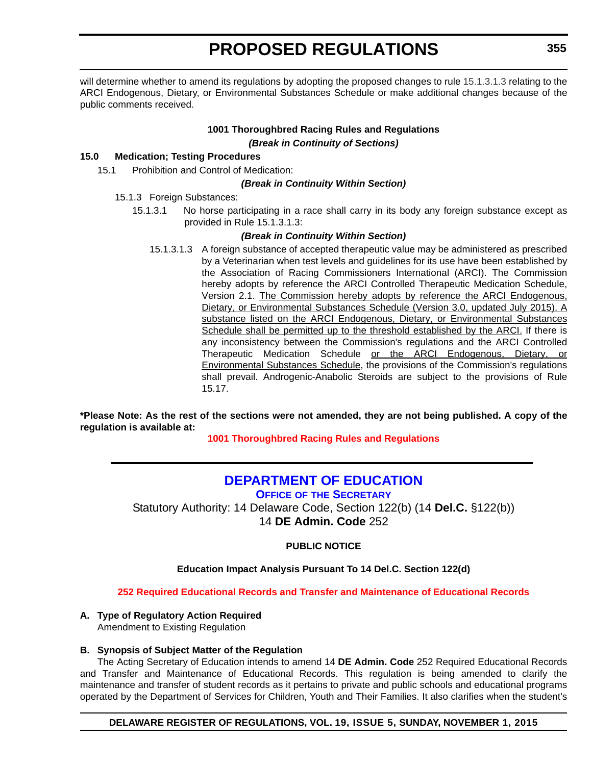<span id="page-10-0"></span>will determine whether to amend its regulations by adopting the proposed changes to rule 15.1.3.1.3 relating to the ARCI Endogenous, Dietary, or Environmental Substances Schedule or make additional changes because of the public comments received.

### **1001 Thoroughbred Racing Rules and Regulations** *(Break in Continuity of Sections)*

### **15.0 Medication; Testing Procedures**

15.1 Prohibition and Control of Medication:

### *(Break in Continuity Within Section)*

- 15.1.3 Foreign Substances:
	- 15.1.3.1 No horse participating in a race shall carry in its body any foreign substance except as provided in Rule 15.1.3.1.3:

### *(Break in Continuity Within Section)*

15.1.3.1.3 A foreign substance of accepted therapeutic value may be administered as prescribed by a Veterinarian when test levels and guidelines for its use have been established by the Association of Racing Commissioners International (ARCI). The Commission hereby adopts by reference the ARCI Controlled Therapeutic Medication Schedule, Version 2.1. The Commission hereby adopts by reference the ARCI Endogenous, Dietary, or Environmental Substances Schedule (Version 3.0, updated July 2015). A substance listed on the ARCI Endogenous, Dietary, or Environmental Substances Schedule shall be permitted up to the threshold established by the ARCI. If there is any inconsistency between the Commission's regulations and the ARCI Controlled Therapeutic Medication Schedule or the ARCI Endogenous, Dietary, or Environmental Substances Schedule, the provisions of the Commission's regulations shall prevail. Androgenic-Anabolic Steroids are subject to the provisions of Rule 15.17.

**\*Please Note: As the rest of the sections were not amended, they are not being published. A copy of the regulation is available at:**

**[1001 Thoroughbred Racing Rules and Regulations](http://regulations.delaware.gov/register/november2015/proposed/19 DE Reg 354 11-01-15.htm)**

### **[DEPARTMENT OF EDUCATION](http://www.doe.k12.de.us/site/default.aspx?PageID=1)**

**OFFICE OF THE SECRETARY** Statutory Authority: 14 Delaware Code, Section 122(b) (14 **Del.C.** §122(b)) 14 **DE Admin. Code** 252

### **PUBLIC NOTICE**

### **Education Impact Analysis Pursuant To 14 Del.C. Section 122(d)**

**[252 Required Educational Records and Transfer and Maintenance of Educational Records](#page-3-0)**

### **A. Type of Regulatory Action Required**

Amendment to Existing Regulation

### **B. Synopsis of Subject Matter of the Regulation**

The Acting Secretary of Education intends to amend 14 **DE Admin. Code** 252 Required Educational Records and Transfer and Maintenance of Educational Records. This regulation is being amended to clarify the maintenance and transfer of student records as it pertains to private and public schools and educational programs operated by the Department of Services for Children, Youth and Their Families. It also clarifies when the student's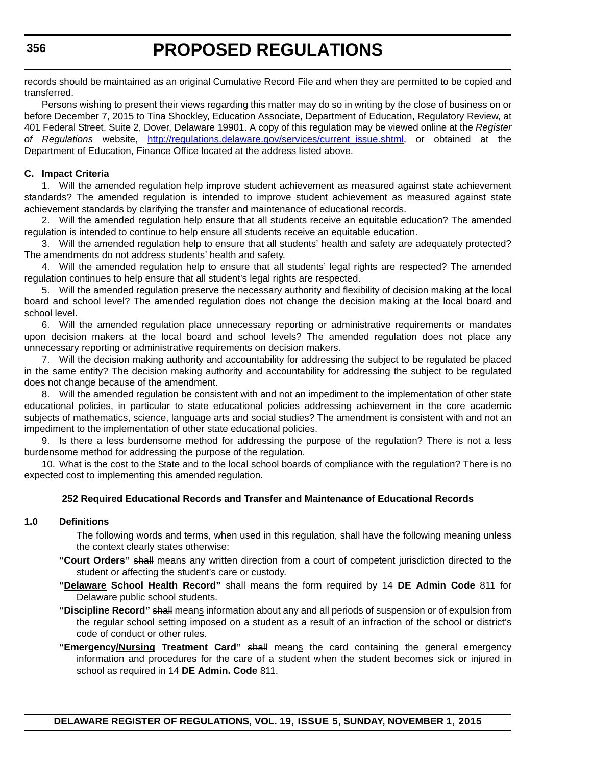records should be maintained as an original Cumulative Record File and when they are permitted to be copied and transferred.

Persons wishing to present their views regarding this matter may do so in writing by the close of business on or before December 7, 2015 to Tina Shockley, Education Associate, Department of Education, Regulatory Review, at 401 Federal Street, Suite 2, Dover, Delaware 19901. A copy of this regulation may be viewed online at the *Register of Regulations* website, [http://regulations.delaware.gov/services/current\\_issue.shtml,](http://regulations.delaware.gov/services/current_issue.shtml) or obtained at the Department of Education, Finance Office located at the address listed above.

### **C. Impact Criteria**

1. Will the amended regulation help improve student achievement as measured against state achievement standards? The amended regulation is intended to improve student achievement as measured against state achievement standards by clarifying the transfer and maintenance of educational records.

2. Will the amended regulation help ensure that all students receive an equitable education? The amended regulation is intended to continue to help ensure all students receive an equitable education.

3. Will the amended regulation help to ensure that all students' health and safety are adequately protected? The amendments do not address students' health and safety.

4. Will the amended regulation help to ensure that all students' legal rights are respected? The amended regulation continues to help ensure that all student's legal rights are respected.

5. Will the amended regulation preserve the necessary authority and flexibility of decision making at the local board and school level? The amended regulation does not change the decision making at the local board and school level.

6. Will the amended regulation place unnecessary reporting or administrative requirements or mandates upon decision makers at the local board and school levels? The amended regulation does not place any unnecessary reporting or administrative requirements on decision makers.

7. Will the decision making authority and accountability for addressing the subject to be regulated be placed in the same entity? The decision making authority and accountability for addressing the subject to be regulated does not change because of the amendment.

8. Will the amended regulation be consistent with and not an impediment to the implementation of other state educational policies, in particular to state educational policies addressing achievement in the core academic subjects of mathematics, science, language arts and social studies? The amendment is consistent with and not an impediment to the implementation of other state educational policies.

9. Is there a less burdensome method for addressing the purpose of the regulation? There is not a less burdensome method for addressing the purpose of the regulation.

10. What is the cost to the State and to the local school boards of compliance with the regulation? There is no expected cost to implementing this amended regulation.

### **252 Required Educational Records and Transfer and Maintenance of Educational Records**

### **1.0 Definitions**

The following words and terms, when used in this regulation, shall have the following meaning unless the context clearly states otherwise:

- **"Court Orders"** shall means any written direction from a court of competent jurisdiction directed to the student or affecting the student's care or custody.
- **"Delaware School Health Record"** shall means the form required by 14 **DE Admin Code** 811 for Delaware public school students.
- **"Discipline Record"** shall means information about any and all periods of suspension or of expulsion from the regular school setting imposed on a student as a result of an infraction of the school or district's code of conduct or other rules.
- **"Emergency/Nursing Treatment Card"** shall means the card containing the general emergency information and procedures for the care of a student when the student becomes sick or injured in school as required in 14 **DE Admin. Code** 811.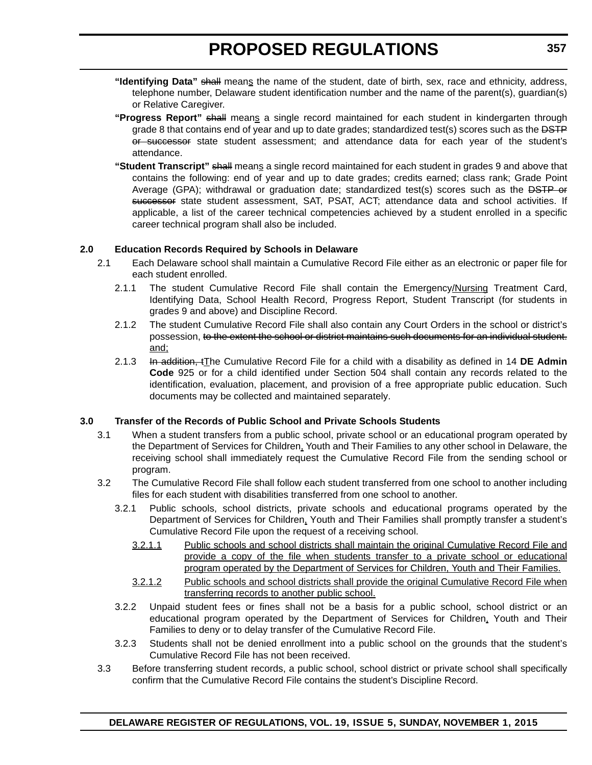- **"Identifying Data"** shall means the name of the student, date of birth, sex, race and ethnicity, address, telephone number, Delaware student identification number and the name of the parent(s), guardian(s) or Relative Caregiver.
- **"Progress Report"** shall means a single record maintained for each student in kindergarten through grade 8 that contains end of year and up to date grades; standardized test(s) scores such as the **DSTP** or successor state student assessment; and attendance data for each year of the student's attendance.
- **"Student Transcript"** shall means a single record maintained for each student in grades 9 and above that contains the following: end of year and up to date grades; credits earned; class rank; Grade Point Average (GPA); withdrawal or graduation date; standardized test(s) scores such as the DSTP or successor state student assessment, SAT, PSAT, ACT; attendance data and school activities. If applicable, a list of the career technical competencies achieved by a student enrolled in a specific career technical program shall also be included.

### **2.0 Education Records Required by Schools in Delaware**

- 2.1 Each Delaware school shall maintain a Cumulative Record File either as an electronic or paper file for each student enrolled.
	- 2.1.1 The student Cumulative Record File shall contain the Emergency/Nursing Treatment Card, Identifying Data, School Health Record, Progress Report, Student Transcript (for students in grades 9 and above) and Discipline Record.
	- 2.1.2 The student Cumulative Record File shall also contain any Court Orders in the school or district's possession, to the extent the school or district maintains such documents for an individual student. and;
	- 2.1.3 In addition, tThe Cumulative Record File for a child with a disability as defined in 14 DE Admin **Code** 925 or for a child identified under Section 504 shall contain any records related to the identification, evaluation, placement, and provision of a free appropriate public education. Such documents may be collected and maintained separately.

### **3.0 Transfer of the Records of Public School and Private Schools Students**

- 3.1 When a student transfers from a public school, private school or an educational program operated by the Department of Services for Children, Youth and Their Families to any other school in Delaware, the receiving school shall immediately request the Cumulative Record File from the sending school or program.
- 3.2 The Cumulative Record File shall follow each student transferred from one school to another including files for each student with disabilities transferred from one school to another.
	- 3.2.1 Public schools, school districts, private schools and educational programs operated by the Department of Services for Children, Youth and Their Families shall promptly transfer a student's Cumulative Record File upon the request of a receiving school.
		- 3.2.1.1 Public schools and school districts shall maintain the original Cumulative Record File and provide a copy of the file when students transfer to a private school or educational program operated by the Department of Services for Children, Youth and Their Families.
		- 3.2.1.2 Public schools and school districts shall provide the original Cumulative Record File when transferring records to another public school.
	- 3.2.2 Unpaid student fees or fines shall not be a basis for a public school, school district or an educational program operated by the Department of Services for Children, Youth and Their Families to deny or to delay transfer of the Cumulative Record File.
	- 3.2.3 Students shall not be denied enrollment into a public school on the grounds that the student's Cumulative Record File has not been received.
- 3.3 Before transferring student records, a public school, school district or private school shall specifically confirm that the Cumulative Record File contains the student's Discipline Record.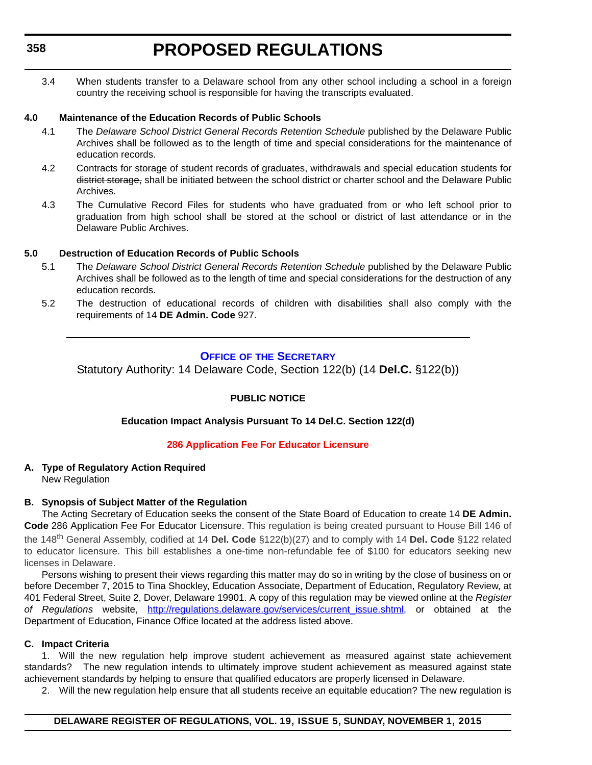<span id="page-13-0"></span>3.4 When students transfer to a Delaware school from any other school including a school in a foreign country the receiving school is responsible for having the transcripts evaluated.

### **4.0 Maintenance of the Education Records of Public Schools**

- 4.1 The *Delaware School District General Records Retention Schedule* published by the Delaware Public Archives shall be followed as to the length of time and special considerations for the maintenance of education records.
- 4.2 Contracts for storage of student records of graduates, withdrawals and special education students for district storage, shall be initiated between the school district or charter school and the Delaware Public Archives.
- 4.3 The Cumulative Record Files for students who have graduated from or who left school prior to graduation from high school shall be stored at the school or district of last attendance or in the Delaware Public Archives.

### **5.0 Destruction of Education Records of Public Schools**

- 5.1 The *Delaware School District General Records Retention Schedule* published by the Delaware Public Archives shall be followed as to the length of time and special considerations for the destruction of any education records.
- 5.2 The destruction of educational records of children with disabilities shall also comply with the requirements of 14 **DE Admin. Code** 927.

### **OFFICE OF [THE SECRETARY](http://www.doe.k12.de.us/site/default.aspx?PageID=1)**

Statutory Authority: 14 Delaware Code, Section 122(b) (14 **Del.C.** §122(b))

### **PUBLIC NOTICE**

### **Education Impact Analysis Pursuant To 14 Del.C. Section 122(d)**

### **[286 Application Fee For Educator Licensure](#page-3-0)**

#### **A. Type of Regulatory Action Required** New Regulation

### **B. Synopsis of Subject Matter of the Regulation**

The Acting Secretary of Education seeks the consent of the State Board of Education to create 14 **DE Admin. Code** 286 Application Fee For Educator Licensure. This regulation is being created pursuant to House Bill 146 of the 148th General Assembly, codified at 14 **Del. Code** §122(b)(27) and to comply with 14 **Del. Code** §122 related to educator licensure. This bill establishes a one-time non-refundable fee of \$100 for educators seeking new licenses in Delaware.

Persons wishing to present their views regarding this matter may do so in writing by the close of business on or before December 7, 2015 to Tina Shockley, Education Associate, Department of Education, Regulatory Review, at 401 Federal Street, Suite 2, Dover, Delaware 19901. A copy of this regulation may be viewed online at the *Register* of Regulations website, [http://regulations.delaware.gov/services/current\\_issue.shtml,](http://regulations.delaware.gov/services/current_issue.shtml) or obtained at the Department of Education, Finance Office located at the address listed above.

### **C. Impact Criteria**

1. Will the new regulation help improve student achievement as measured against state achievement standards? The new regulation intends to ultimately improve student achievement as measured against state achievement standards by helping to ensure that qualified educators are properly licensed in Delaware.

2. Will the new regulation help ensure that all students receive an equitable education? The new regulation is

### **DELAWARE REGISTER OF REGULATIONS, VOL. 19, ISSUE 5, SUNDAY, NOVEMBER 1, 2015**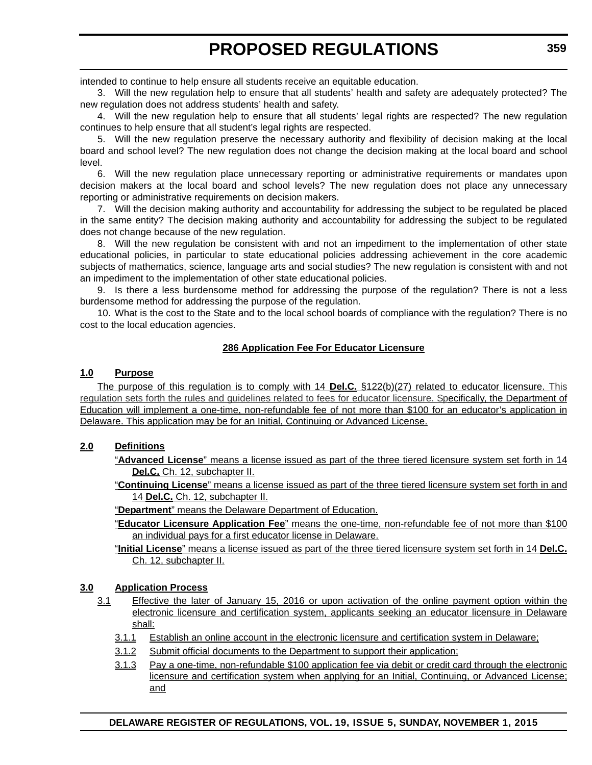intended to continue to help ensure all students receive an equitable education.

3. Will the new regulation help to ensure that all students' health and safety are adequately protected? The new regulation does not address students' health and safety.

4. Will the new regulation help to ensure that all students' legal rights are respected? The new regulation continues to help ensure that all student's legal rights are respected.

5. Will the new regulation preserve the necessary authority and flexibility of decision making at the local board and school level? The new regulation does not change the decision making at the local board and school level.

6. Will the new regulation place unnecessary reporting or administrative requirements or mandates upon decision makers at the local board and school levels? The new regulation does not place any unnecessary reporting or administrative requirements on decision makers.

7. Will the decision making authority and accountability for addressing the subject to be regulated be placed in the same entity? The decision making authority and accountability for addressing the subject to be regulated does not change because of the new regulation.

8. Will the new regulation be consistent with and not an impediment to the implementation of other state educational policies, in particular to state educational policies addressing achievement in the core academic subjects of mathematics, science, language arts and social studies? The new regulation is consistent with and not an impediment to the implementation of other state educational policies.

9. Is there a less burdensome method for addressing the purpose of the regulation? There is not a less burdensome method for addressing the purpose of the regulation.

10. What is the cost to the State and to the local school boards of compliance with the regulation? There is no cost to the local education agencies.

### **286 Application Fee For Educator Licensure**

### **1.0 Purpose**

The purpose of this regulation is to comply with 14 **Del.C.** §122(b)(27) related to educator licensure. This regulation sets forth the rules and guidelines related to fees for educator licensure. Specifically, the Department of Education will implement a one-time, non-refundable fee of not more than \$100 for an educator's application in Delaware. This application may be for an Initial, Continuing or Advanced License.

### **2.0 Definitions**

- "**Advanced License**" means a license issued as part of the three tiered licensure system set forth in 14 **Del.C.** Ch. 12, subchapter II.
- "**Continuing License**" means a license issued as part of the three tiered licensure system set forth in and 14 **Del.C.** Ch. 12, subchapter II.

"**Department**" means the Delaware Department of Education.

- "**Educator Licensure Application Fee**" means the one-time, non-refundable fee of not more than \$100 an individual pays for a first educator license in Delaware.
- "**Initial License**" means a license issued as part of the three tiered licensure system set forth in 14 **Del.C.** Ch. 12, subchapter II.

### **3.0 Application Process**

- 3.1 Effective the later of January 15, 2016 or upon activation of the online payment option within the electronic licensure and certification system, applicants seeking an educator licensure in Delaware shall:
	- 3.1.1 Establish an online account in the electronic licensure and certification system in Delaware;
	- 3.1.2 Submit official documents to the Department to support their application;
	- 3.1.3 Pay a one-time, non-refundable \$100 application fee via debit or credit card through the electronic licensure and certification system when applying for an Initial, Continuing, or Advanced License; and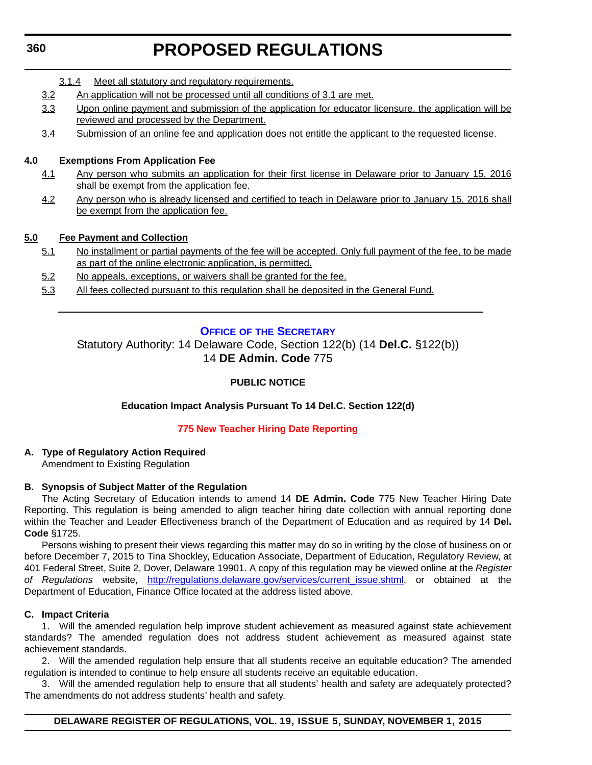- <span id="page-15-0"></span>3.1.4 Meet all statutory and regulatory requirements.
- 3.2 An application will not be processed until all conditions of 3.1 are met.
- 3.3 Upon online payment and submission of the application for educator licensure, the application will be reviewed and processed by the Department.
- 3.4 Submission of an online fee and application does not entitle the applicant to the requested license.

### **4.0 Exemptions From Application Fee**

- 4.1 Any person who submits an application for their first license in Delaware prior to January 15, 2016 shall be exempt from the application fee.
- 4.2 Any person who is already licensed and certified to teach in Delaware prior to January 15, 2016 shall be exempt from the application fee.

### **5.0 Fee Payment and Collection**

- 5.1 No installment or partial payments of the fee will be accepted. Only full payment of the fee, to be made as part of the online electronic application, is permitted.
- 5.2 No appeals, exceptions, or waivers shall be granted for the fee.
- 5.3 All fees collected pursuant to this regulation shall be deposited in the General Fund.

### **OFFICE OF [THE SECRETARY](http://www.doe.k12.de.us/site/default.aspx?PageID=1)**

Statutory Authority: 14 Delaware Code, Section 122(b) (14 **Del.C.** §122(b)) 14 **DE Admin. Code** 775

### **PUBLIC NOTICE**

### **Education Impact Analysis Pursuant To 14 Del.C. Section 122(d)**

### **[775 New Teacher Hiring Date Reporting](#page-3-0)**

### **A. Type of Regulatory Action Required**

Amendment to Existing Regulation

### **B. Synopsis of Subject Matter of the Regulation**

The Acting Secretary of Education intends to amend 14 **DE Admin. Code** 775 New Teacher Hiring Date Reporting. This regulation is being amended to align teacher hiring date collection with annual reporting done within the Teacher and Leader Effectiveness branch of the Department of Education and as required by 14 **Del. Code** §1725.

Persons wishing to present their views regarding this matter may do so in writing by the close of business on or before December 7, 2015 to Tina Shockley, Education Associate, Department of Education, Regulatory Review, at 401 Federal Street, Suite 2, Dover, Delaware 19901. A copy of this regulation may be viewed online at the *Register of Regulations* website, [http://regulations.delaware.gov/services/current\\_issue.shtml,](http://regulations.delaware.gov/services/current_issue.shtml) or obtained at the Department of Education, Finance Office located at the address listed above.

### **C. Impact Criteria**

1. Will the amended regulation help improve student achievement as measured against state achievement standards? The amended regulation does not address student achievement as measured against state achievement standards.

2. Will the amended regulation help ensure that all students receive an equitable education? The amended regulation is intended to continue to help ensure all students receive an equitable education.

3. Will the amended regulation help to ensure that all students' health and safety are adequately protected? The amendments do not address students' health and safety.

### **DELAWARE REGISTER OF REGULATIONS, VOL. 19, ISSUE 5, SUNDAY, NOVEMBER 1, 2015**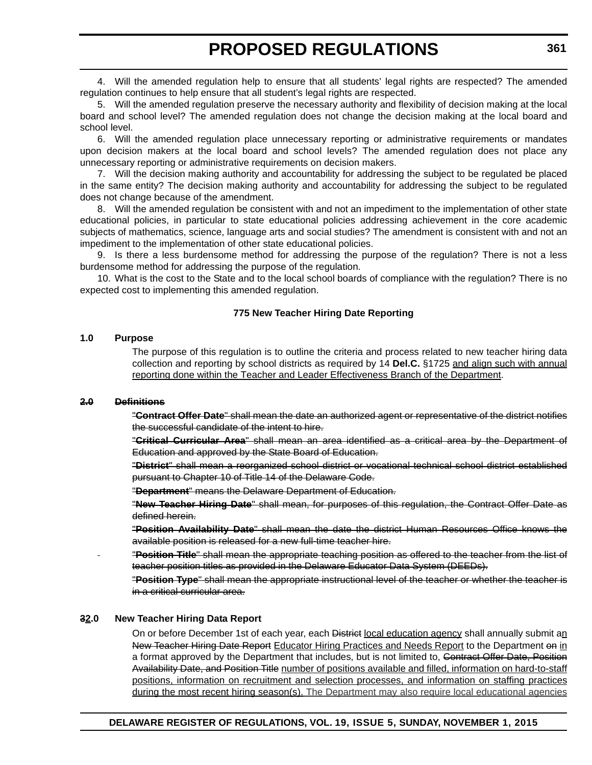4. Will the amended regulation help to ensure that all students' legal rights are respected? The amended regulation continues to help ensure that all student's legal rights are respected.

5. Will the amended regulation preserve the necessary authority and flexibility of decision making at the local board and school level? The amended regulation does not change the decision making at the local board and school level.

6. Will the amended regulation place unnecessary reporting or administrative requirements or mandates upon decision makers at the local board and school levels? The amended regulation does not place any unnecessary reporting or administrative requirements on decision makers.

7. Will the decision making authority and accountability for addressing the subject to be regulated be placed in the same entity? The decision making authority and accountability for addressing the subject to be regulated does not change because of the amendment.

8. Will the amended regulation be consistent with and not an impediment to the implementation of other state educational policies, in particular to state educational policies addressing achievement in the core academic subjects of mathematics, science, language arts and social studies? The amendment is consistent with and not an impediment to the implementation of other state educational policies.

9. Is there a less burdensome method for addressing the purpose of the regulation? There is not a less burdensome method for addressing the purpose of the regulation.

10. What is the cost to the State and to the local school boards of compliance with the regulation? There is no expected cost to implementing this amended regulation.

### **775 New Teacher Hiring Date Reporting**

#### **1.0 Purpose**

The purpose of this regulation is to outline the criteria and process related to new teacher hiring data collection and reporting by school districts as required by 14 **Del.C.** §1725 and align such with annual reporting done within the Teacher and Leader Effectiveness Branch of the Department.

### **2.0 Definitions**

"**Contract Offer Date**" shall mean the date an authorized agent or representative of the district notifies the successful candidate of the intent to hire.

"**Critical Curricular Area**" shall mean an area identified as a critical area by the Department of Education and approved by the State Board of Education.

"**District**" shall mean a reorganized school district or vocational technical school district established pursuant to Chapter 10 of Title 14 of the Delaware Code.

"**Department**" means the Delaware Department of Education.

"**New Teacher Hiring Date**" shall mean, for purposes of this regulation, the Contract Offer Date as defined herein.

"**Position Availability Date**" shall mean the date the district Human Resources Office knows the available position is released for a new full-time teacher hire.

"**Position Title**" shall mean the appropriate teaching position as offered to the teacher from the list of teacher position titles as provided in the Delaware Educator Data System (DEEDs).

"**Position Type**" shall mean the appropriate instructional level of the teacher or whether the teacher is in a critical curricular area.

### **32.0 New Teacher Hiring Data Report**

On or before December 1st of each year, each District local education agency shall annually submit an New Teacher Hiring Date Report Educator Hiring Practices and Needs Report to the Department on in a format approved by the Department that includes, but is not limited to, Contract Offer Date, Position Availability Date, and Position Title number of positions available and filled, information on hard-to-staff positions, information on recruitment and selection processes, and information on staffing practices during the most recent hiring season(s). The Department may also require local educational agencies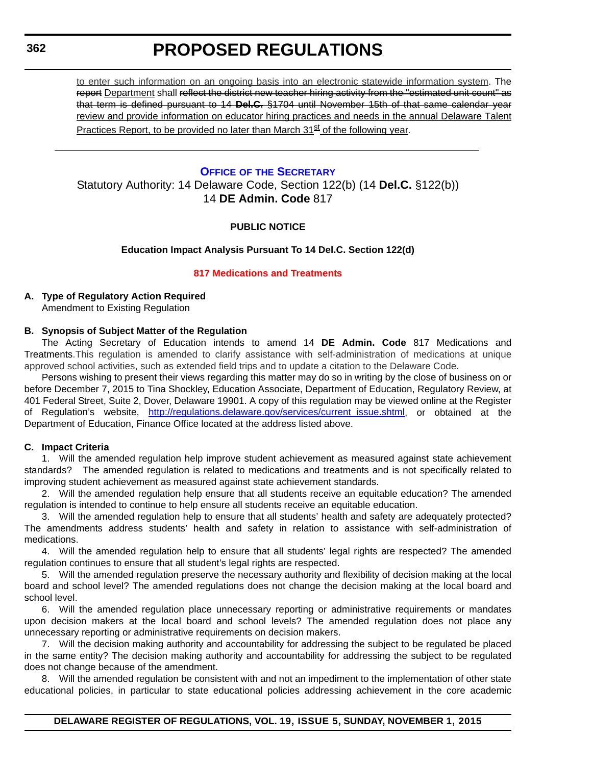<span id="page-17-0"></span>to enter such information on an ongoing basis into an electronic statewide information system. The report Department shall reflect the district new teacher hiring activity from the "estimated unit count" as that term is defined pursuant to 14 **Del.C.** §1704 until November 15th of that same calendar year review and provide information on educator hiring practices and needs in the annual Delaware Talent Practices Report, to be provided no later than March  $31<sup>st</sup>$  of the following year.

### **OFFICE OF [THE SECRETARY](http://www.doe.k12.de.us/site/default.aspx?PageID=1)**

Statutory Authority: 14 Delaware Code, Section 122(b) (14 **Del.C.** §122(b)) 14 **DE Admin. Code** 817

### **PUBLIC NOTICE**

### **Education Impact Analysis Pursuant To 14 Del.C. Section 122(d)**

### **[817 Medications and Treatments](#page-3-0)**

### **A. Type of Regulatory Action Required**

Amendment to Existing Regulation

### **B. Synopsis of Subject Matter of the Regulation**

The Acting Secretary of Education intends to amend 14 **DE Admin. Code** 817 Medications and Treatments.This regulation is amended to clarify assistance with self-administration of medications at unique approved school activities, such as extended field trips and to update a citation to the Delaware Code.

Persons wishing to present their views regarding this matter may do so in writing by the close of business on or before December 7, 2015 to Tina Shockley, Education Associate, Department of Education, Regulatory Review, at 401 Federal Street, Suite 2, Dover, Delaware 19901. A copy of this regulation may be viewed online at the Register of Regulation's website, [http://regulations.delaware.gov/services/current\\_issue.shtml,](http://regulations.delaware.gov/services/current_issue.shtml) or obtained at the Department of Education, Finance Office located at the address listed above.

### **C. Impact Criteria**

1. Will the amended regulation help improve student achievement as measured against state achievement standards? The amended regulation is related to medications and treatments and is not specifically related to improving student achievement as measured against state achievement standards.

2. Will the amended regulation help ensure that all students receive an equitable education? The amended regulation is intended to continue to help ensure all students receive an equitable education.

3. Will the amended regulation help to ensure that all students' health and safety are adequately protected? The amendments address students' health and safety in relation to assistance with self-administration of medications.

4. Will the amended regulation help to ensure that all students' legal rights are respected? The amended regulation continues to ensure that all student's legal rights are respected.

5. Will the amended regulation preserve the necessary authority and flexibility of decision making at the local board and school level? The amended regulations does not change the decision making at the local board and school level.

6. Will the amended regulation place unnecessary reporting or administrative requirements or mandates upon decision makers at the local board and school levels? The amended regulation does not place any unnecessary reporting or administrative requirements on decision makers.

7. Will the decision making authority and accountability for addressing the subject to be regulated be placed in the same entity? The decision making authority and accountability for addressing the subject to be regulated does not change because of the amendment.

8. Will the amended regulation be consistent with and not an impediment to the implementation of other state educational policies, in particular to state educational policies addressing achievement in the core academic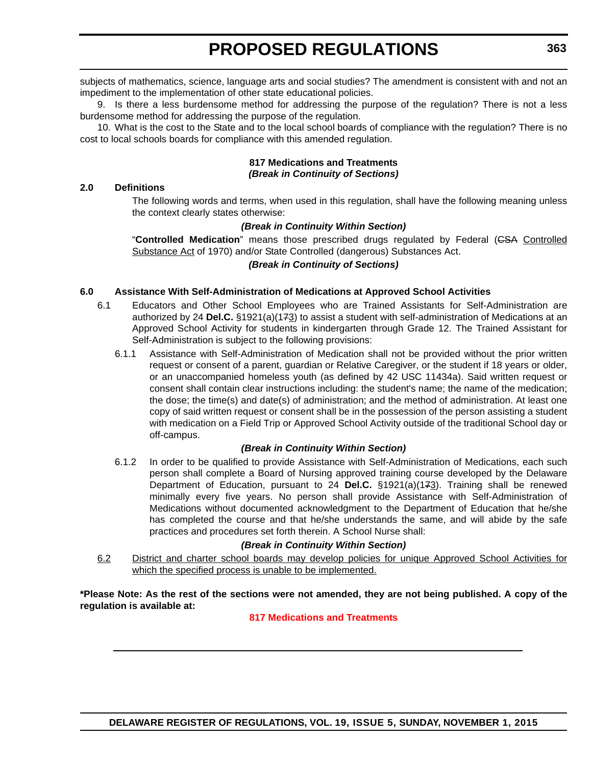subjects of mathematics, science, language arts and social studies? The amendment is consistent with and not an impediment to the implementation of other state educational policies.

9. Is there a less burdensome method for addressing the purpose of the regulation? There is not a less burdensome method for addressing the purpose of the regulation.

10. What is the cost to the State and to the local school boards of compliance with the regulation? There is no cost to local schools boards for compliance with this amended regulation.

### **817 Medications and Treatments** *(Break in Continuity of Sections)*

### **2.0 Definitions**

The following words and terms, when used in this regulation, shall have the following meaning unless the context clearly states otherwise:

### *(Break in Continuity Within Section)*

"**Controlled Medication**" means those prescribed drugs regulated by Federal (CSA Controlled Substance Act of 1970) and/or State Controlled (dangerous) Substances Act.

### *(Break in Continuity of Sections)*

### **6.0 Assistance With Self-Administration of Medications at Approved School Activities**

- 6.1 Educators and Other School Employees who are Trained Assistants for Self-Administration are authorized by 24 **Del.C.** §1921(a)(173) to assist a student with self-administration of Medications at an Approved School Activity for students in kindergarten through Grade 12. The Trained Assistant for Self-Administration is subject to the following provisions:
	- 6.1.1 Assistance with Self-Administration of Medication shall not be provided without the prior written request or consent of a parent, guardian or Relative Caregiver, or the student if 18 years or older, or an unaccompanied homeless youth (as defined by 42 USC 11434a). Said written request or consent shall contain clear instructions including: the student's name; the name of the medication; the dose; the time(s) and date(s) of administration; and the method of administration. At least one copy of said written request or consent shall be in the possession of the person assisting a student with medication on a Field Trip or Approved School Activity outside of the traditional School day or off-campus.

### *(Break in Continuity Within Section)*

6.1.2 In order to be qualified to provide Assistance with Self-Administration of Medications, each such person shall complete a Board of Nursing approved training course developed by the Delaware Department of Education, pursuant to 24 **Del.C.** §1921(a)(173). Training shall be renewed minimally every five years. No person shall provide Assistance with Self-Administration of Medications without documented acknowledgment to the Department of Education that he/she has completed the course and that he/she understands the same, and will abide by the safe practices and procedures set forth therein. A School Nurse shall:

### *(Break in Continuity Within Section)*

6.2 District and charter school boards may develop policies for unique Approved School Activities for which the specified process is unable to be implemented.

**\*Please Note: As the rest of the sections were not amended, they are not being published. A copy of the regulation is available at:**

### **[817 Medications and Treatments](http://regulations.delaware.gov/register/november2015/proposed/19 DE Reg 362 11-01-15.htm)**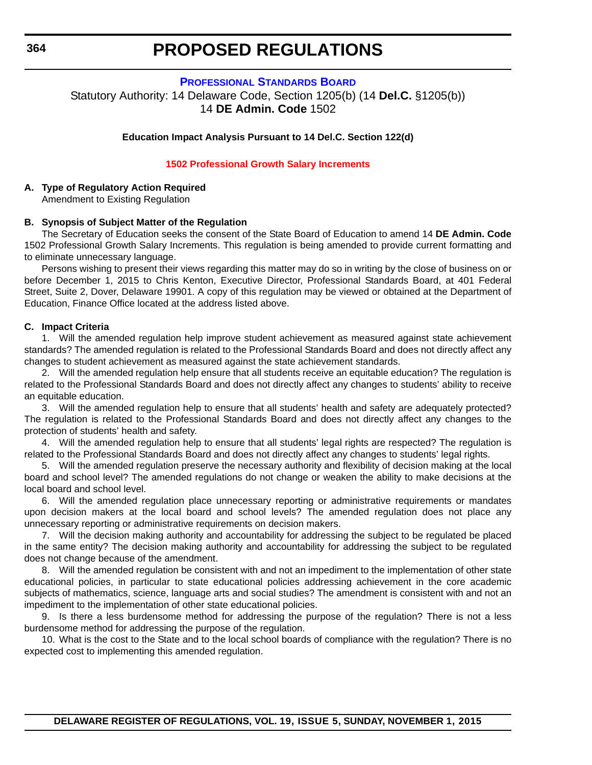### **[PROFESSIONAL STANDARDS BOARD](http://www.doe.k12.de.us/domain/172)**

<span id="page-19-0"></span>Statutory Authority: 14 Delaware Code, Section 1205(b) (14 **Del.C.** §1205(b)) 14 **DE Admin. Code** 1502

#### **Education Impact Analysis Pursuant to 14 Del.C. Section 122(d)**

#### **[1502 Professional Growth Salary Increments](#page-3-0)**

### **A. Type of Regulatory Action Required**

Amendment to Existing Regulation

### **B. Synopsis of Subject Matter of the Regulation**

The Secretary of Education seeks the consent of the State Board of Education to amend 14 **DE Admin. Code** 1502 Professional Growth Salary Increments. This regulation is being amended to provide current formatting and to eliminate unnecessary language.

Persons wishing to present their views regarding this matter may do so in writing by the close of business on or before December 1, 2015 to Chris Kenton, Executive Director, Professional Standards Board, at 401 Federal Street, Suite 2, Dover, Delaware 19901. A copy of this regulation may be viewed or obtained at the Department of Education, Finance Office located at the address listed above.

### **C. Impact Criteria**

1. Will the amended regulation help improve student achievement as measured against state achievement standards? The amended regulation is related to the Professional Standards Board and does not directly affect any changes to student achievement as measured against the state achievement standards.

2. Will the amended regulation help ensure that all students receive an equitable education? The regulation is related to the Professional Standards Board and does not directly affect any changes to students' ability to receive an equitable education.

3. Will the amended regulation help to ensure that all students' health and safety are adequately protected? The regulation is related to the Professional Standards Board and does not directly affect any changes to the protection of students' health and safety.

4. Will the amended regulation help to ensure that all students' legal rights are respected? The regulation is related to the Professional Standards Board and does not directly affect any changes to students' legal rights.

5. Will the amended regulation preserve the necessary authority and flexibility of decision making at the local board and school level? The amended regulations do not change or weaken the ability to make decisions at the local board and school level.

6. Will the amended regulation place unnecessary reporting or administrative requirements or mandates upon decision makers at the local board and school levels? The amended regulation does not place any unnecessary reporting or administrative requirements on decision makers.

7. Will the decision making authority and accountability for addressing the subject to be regulated be placed in the same entity? The decision making authority and accountability for addressing the subject to be regulated does not change because of the amendment.

8. Will the amended regulation be consistent with and not an impediment to the implementation of other state educational policies, in particular to state educational policies addressing achievement in the core academic subjects of mathematics, science, language arts and social studies? The amendment is consistent with and not an impediment to the implementation of other state educational policies.

9. Is there a less burdensome method for addressing the purpose of the regulation? There is not a less burdensome method for addressing the purpose of the regulation.

10. What is the cost to the State and to the local school boards of compliance with the regulation? There is no expected cost to implementing this amended regulation.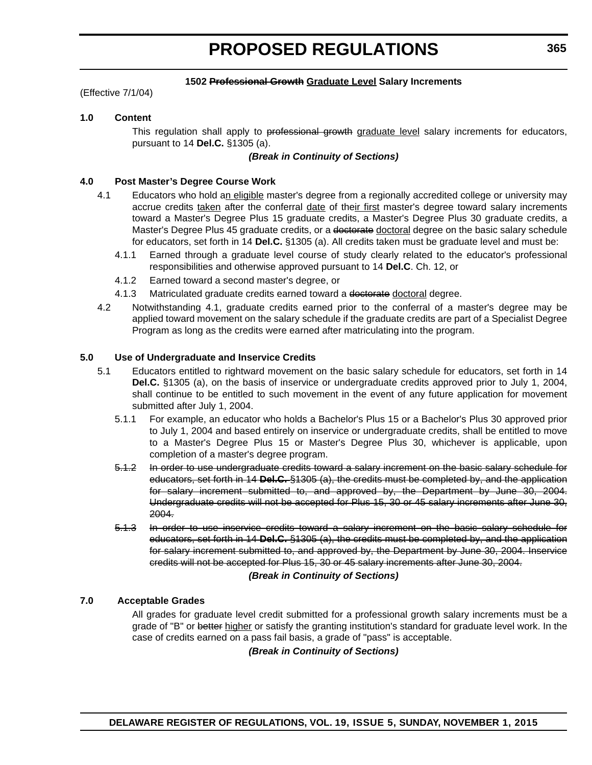### **1502 Professional Growth Graduate Level Salary Increments**

(Effective 7/1/04)

### **1.0 Content**

This regulation shall apply to professional growth graduate level salary increments for educators, pursuant to 14 **Del.C.** §1305 (a).

### *(Break in Continuity of Sections)*

### **4.0 Post Master's Degree Course Work**

- 4.1 Educators who hold an eligible master's degree from a regionally accredited college or university may accrue credits taken after the conferral date of their first master's degree toward salary increments toward a Master's Degree Plus 15 graduate credits, a Master's Degree Plus 30 graduate credits, a Master's Degree Plus 45 graduate credits, or a doctorate doctoral degree on the basic salary schedule for educators, set forth in 14 **Del.C.** §1305 (a). All credits taken must be graduate level and must be:
	- 4.1.1 Earned through a graduate level course of study clearly related to the educator's professional responsibilities and otherwise approved pursuant to 14 **Del.C**. Ch. 12, or
	- 4.1.2 Earned toward a second master's degree, or
	- 4.1.3 Matriculated graduate credits earned toward a doctorate doctoral degree.
- 4.2 Notwithstanding 4.1, graduate credits earned prior to the conferral of a master's degree may be applied toward movement on the salary schedule if the graduate credits are part of a Specialist Degree Program as long as the credits were earned after matriculating into the program.

### **5.0 Use of Undergraduate and Inservice Credits**

- 5.1 Educators entitled to rightward movement on the basic salary schedule for educators, set forth in 14 **Del.C.** §1305 (a), on the basis of inservice or undergraduate credits approved prior to July 1, 2004, shall continue to be entitled to such movement in the event of any future application for movement submitted after July 1, 2004.
	- 5.1.1 For example, an educator who holds a Bachelor's Plus 15 or a Bachelor's Plus 30 approved prior to July 1, 2004 and based entirely on inservice or undergraduate credits, shall be entitled to move to a Master's Degree Plus 15 or Master's Degree Plus 30, whichever is applicable, upon completion of a master's degree program.
	- 5.1.2 In order to use undergraduate credits toward a salary increment on the basic salary schedule for educators, set forth in 14 **Del.C.** §1305 (a), the credits must be completed by, and the application for salary increment submitted to, and approved by, the Department by June 30, 2004. Undergraduate credits will not be accepted for Plus 15, 30 or 45 salary increments after June 30, 2004.
	- 5.1.3 In order to use inservice credits toward a salary increment on the basic salary schedule for educators, set forth in 14 **Del.C.** §1305 (a), the credits must be completed by, and the application for salary increment submitted to, and approved by, the Department by June 30, 2004. Inservice credits will not be accepted for Plus 15, 30 or 45 salary increments after June 30, 2004.

### *(Break in Continuity of Sections)*

### **7.0 Acceptable Grades**

All grades for graduate level credit submitted for a professional growth salary increments must be a grade of "B" or better higher or satisfy the granting institution's standard for graduate level work. In the case of credits earned on a pass fail basis, a grade of "pass" is acceptable.

*(Break in Continuity of Sections)*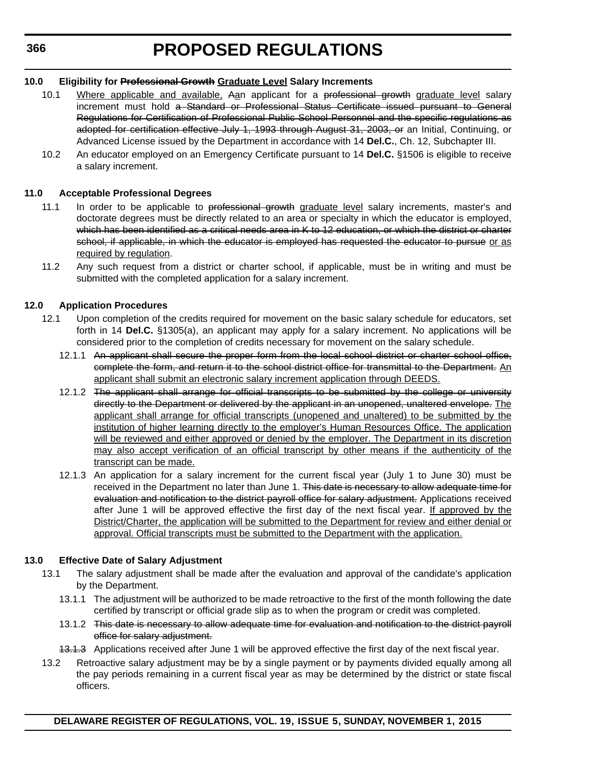### **10.0 Eligibility for Professional Growth Graduate Level Salary Increments**

- 10.1 Where applicable and available. Aan applicant for a professional growth graduate level salary increment must hold a Standard or Professional Status Certificate issued pursuant to General Regulations for Certification of Professional Public School Personnel and the specific regulations as adopted for certification effective July 1, 1993 through August 31, 2003, or an Initial, Continuing, or Advanced License issued by the Department in accordance with 14 **Del.C.**, Ch. 12, Subchapter III.
- 10.2 An educator employed on an Emergency Certificate pursuant to 14 **Del.C.** §1506 is eligible to receive a salary increment.

### **11.0 Acceptable Professional Degrees**

- 11.1 In order to be applicable to professional growth graduate level salary increments, master's and doctorate degrees must be directly related to an area or specialty in which the educator is employed, which has been identified as a critical needs area in K to 12 education, or which the district or charter school, if applicable, in which the educator is employed has requested the educator to pursue or as required by regulation.
- 11.2 Any such request from a district or charter school, if applicable, must be in writing and must be submitted with the completed application for a salary increment.

### **12.0 Application Procedures**

- 12.1 Upon completion of the credits required for movement on the basic salary schedule for educators, set forth in 14 **Del.C.** §1305(a), an applicant may apply for a salary increment. No applications will be considered prior to the completion of credits necessary for movement on the salary schedule.
	- 12.1.1 An applicant shall secure the proper form from the local school district or charter school office, complete the form, and return it to the school district office for transmittal to the Department. An applicant shall submit an electronic salary increment application through DEEDS.
	- 12.1.2 The applicant shall arrange for official transcripts to be submitted by the college or university directly to the Department or delivered by the applicant in an unopened, unaltered envelope. The applicant shall arrange for official transcripts (unopened and unaltered) to be submitted by the institution of higher learning directly to the employer's Human Resources Office. The application will be reviewed and either approved or denied by the employer. The Department in its discretion may also accept verification of an official transcript by other means if the authenticity of the transcript can be made.
	- 12.1.3 An application for a salary increment for the current fiscal year (July 1 to June 30) must be received in the Department no later than June 1. This date is necessary to allow adequate time for evaluation and notification to the district payroll office for salary adjustment. Applications received after June 1 will be approved effective the first day of the next fiscal year. If approved by the District/Charter, the application will be submitted to the Department for review and either denial or approval. Official transcripts must be submitted to the Department with the application.

### **13.0 Effective Date of Salary Adjustment**

- 13.1 The salary adjustment shall be made after the evaluation and approval of the candidate's application by the Department.
	- 13.1.1 The adjustment will be authorized to be made retroactive to the first of the month following the date certified by transcript or official grade slip as to when the program or credit was completed.
	- 13.1.2 This date is necessary to allow adequate time for evaluation and notification to the district payroll office for salary adjustment.
	- 13.1.3 Applications received after June 1 will be approved effective the first day of the next fiscal year.
- 13.2 Retroactive salary adjustment may be by a single payment or by payments divided equally among all the pay periods remaining in a current fiscal year as may be determined by the district or state fiscal officers.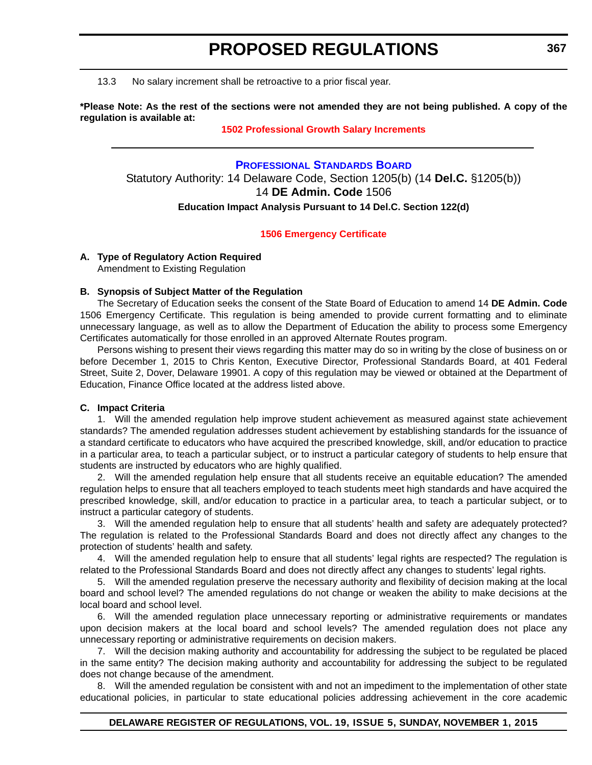<span id="page-22-0"></span>13.3 No salary increment shall be retroactive to a prior fiscal year.

**\*Please Note: As the rest of the sections were not amended they are not being published. A copy of the regulation is available at:**

### **[1502 Professional Growth Salary Increments](http://regulations.delaware.gov/register/november2015/proposed/19 DE Reg 364 11-01-15.htm)**

**[PROFESSIONAL STANDARDS BOARD](http://www.doe.k12.de.us/domain/172)** Statutory Authority: 14 Delaware Code, Section 1205(b) (14 **Del.C.** §1205(b)) 14 **DE Admin. Code** 1506 **Education Impact Analysis Pursuant to 14 Del.C. Section 122(d)**

### **[1506 Emergency Certificate](#page-3-0)**

### **A. Type of Regulatory Action Required**

Amendment to Existing Regulation

### **B. Synopsis of Subject Matter of the Regulation**

The Secretary of Education seeks the consent of the State Board of Education to amend 14 **DE Admin. Code** 1506 Emergency Certificate. This regulation is being amended to provide current formatting and to eliminate unnecessary language, as well as to allow the Department of Education the ability to process some Emergency Certificates automatically for those enrolled in an approved Alternate Routes program.

Persons wishing to present their views regarding this matter may do so in writing by the close of business on or before December 1, 2015 to Chris Kenton, Executive Director, Professional Standards Board, at 401 Federal Street, Suite 2, Dover, Delaware 19901. A copy of this regulation may be viewed or obtained at the Department of Education, Finance Office located at the address listed above.

### **C. Impact Criteria**

1. Will the amended regulation help improve student achievement as measured against state achievement standards? The amended regulation addresses student achievement by establishing standards for the issuance of a standard certificate to educators who have acquired the prescribed knowledge, skill, and/or education to practice in a particular area, to teach a particular subject, or to instruct a particular category of students to help ensure that students are instructed by educators who are highly qualified.

2. Will the amended regulation help ensure that all students receive an equitable education? The amended regulation helps to ensure that all teachers employed to teach students meet high standards and have acquired the prescribed knowledge, skill, and/or education to practice in a particular area, to teach a particular subject, or to instruct a particular category of students.

3. Will the amended regulation help to ensure that all students' health and safety are adequately protected? The regulation is related to the Professional Standards Board and does not directly affect any changes to the protection of students' health and safety.

4. Will the amended regulation help to ensure that all students' legal rights are respected? The regulation is related to the Professional Standards Board and does not directly affect any changes to students' legal rights.

5. Will the amended regulation preserve the necessary authority and flexibility of decision making at the local board and school level? The amended regulations do not change or weaken the ability to make decisions at the local board and school level.

6. Will the amended regulation place unnecessary reporting or administrative requirements or mandates upon decision makers at the local board and school levels? The amended regulation does not place any unnecessary reporting or administrative requirements on decision makers.

7. Will the decision making authority and accountability for addressing the subject to be regulated be placed in the same entity? The decision making authority and accountability for addressing the subject to be regulated does not change because of the amendment.

8. Will the amended regulation be consistent with and not an impediment to the implementation of other state educational policies, in particular to state educational policies addressing achievement in the core academic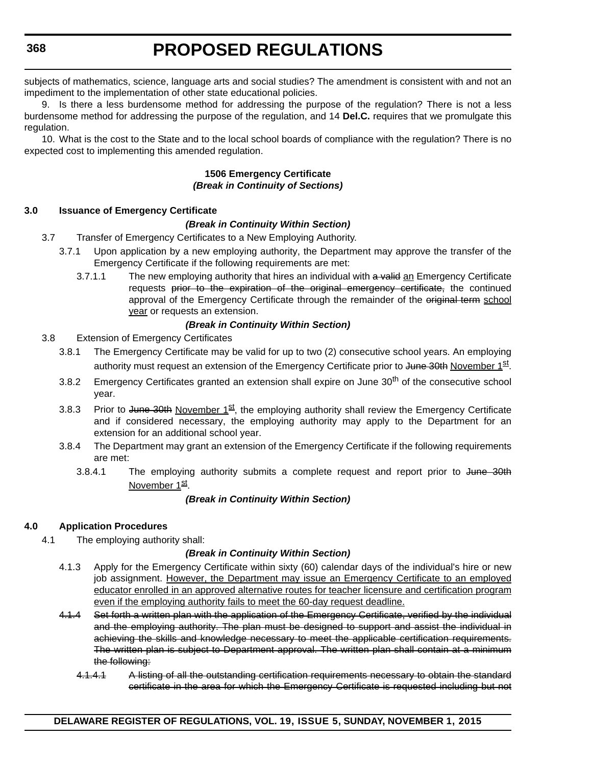subjects of mathematics, science, language arts and social studies? The amendment is consistent with and not an impediment to the implementation of other state educational policies.

9. Is there a less burdensome method for addressing the purpose of the regulation? There is not a less burdensome method for addressing the purpose of the regulation, and 14 **Del.C.** requires that we promulgate this regulation.

10. What is the cost to the State and to the local school boards of compliance with the regulation? There is no expected cost to implementing this amended regulation.

### **1506 Emergency Certificate** *(Break in Continuity of Sections)*

### **3.0 Issuance of Emergency Certificate**

### *(Break in Continuity Within Section)*

- 3.7 Transfer of Emergency Certificates to a New Employing Authority.
	- 3.7.1 Upon application by a new employing authority, the Department may approve the transfer of the Emergency Certificate if the following requirements are met:
		- 3.7.1.1 The new employing authority that hires an individual with a valid an Emergency Certificate requests prior to the expiration of the original emergency certificate, the continued approval of the Emergency Certificate through the remainder of the original term school year or requests an extension.

### *(Break in Continuity Within Section)*

- 3.8 Extension of Emergency Certificates
	- 3.8.1 The Emergency Certificate may be valid for up to two (2) consecutive school years. An employing authority must request an extension of the Emergency Certificate prior to June 30th November 1st.
	- 3.8.2 Emergency Certificates granted an extension shall expire on June 30<sup>th</sup> of the consecutive school year.
	- 3.8.3 Prior to June 30th November  $1^{st}$ , the employing authority shall review the Emergency Certificate and if considered necessary, the employing authority may apply to the Department for an extension for an additional school year.
	- 3.8.4 The Department may grant an extension of the Emergency Certificate if the following requirements are met:
		- 3.8.4.1 The employing authority submits a complete request and report prior to June 30th November 1st.

### *(Break in Continuity Within Section)*

### **4.0 Application Procedures**

4.1 The employing authority shall:

### *(Break in Continuity Within Section)*

- 4.1.3 Apply for the Emergency Certificate within sixty (60) calendar days of the individual's hire or new job assignment. However, the Department may issue an Emergency Certificate to an employed educator enrolled in an approved alternative routes for teacher licensure and certification program even if the employing authority fails to meet the 60-day request deadline.
- 4.1.4 Set forth a written plan with the application of the Emergency Certificate, verified by the individual and the employing authority. The plan must be designed to support and assist the individual in achieving the skills and knowledge necessary to meet the applicable certification requirements. The written plan is subject to Department approval. The written plan shall contain at a minimum the following:
	- 4.1.4.1 A listing of all the outstanding certification requirements necessary to obtain the standard certificate in the area for which the Emergency Certificate is requested including but not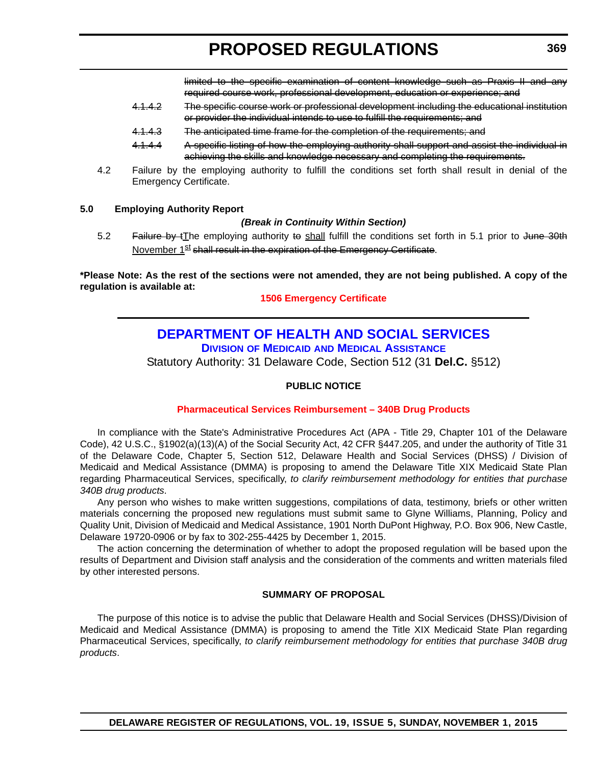limited to the specific examination of content knowledge such as Praxis II and any required course work, professional development, education or experience; and

- <span id="page-24-0"></span>4.1.4.2 The specific course work or professional development including the educational institution or provider the individual intends to use to fulfill the requirements; and
- 4.1.4.3 The anticipated time frame for the completion of the requirements; and
- 4.1.4.4 A specific listing of how the employing authority shall support and assist the individual in achieving the skills and knowledge necessary and completing the requirements.
- 4.2 Failure by the employing authority to fulfill the conditions set forth shall result in denial of the Emergency Certificate.

### **5.0 Employing Authority Report**

### *(Break in Continuity Within Section)*

5.2 Failure by tThe employing authority to shall fulfill the conditions set forth in 5.1 prior to June 30th November 1<sup>st</sup> shall result in the expiration of the Emergency Certificate.

**\*Please Note: As the rest of the sections were not amended, they are not being published. A copy of the regulation is available at:**

**[1506 Emergency Certificate](http://regulations.delaware.gov/register/november2015/proposed/19 DE Reg 367 11-01-15.htm)**

### **[DEPARTMENT OF HEALTH AND SOCIAL SERVICES](http://www.dhss.delaware.gov/dhss/dmma/)**

**DIVISION OF MEDICAID AND MEDICAL ASSISTANCE**

Statutory Authority: 31 Delaware Code, Section 512 (31 **Del.C.** §512)

### **PUBLIC NOTICE**

### **[Pharmaceutical Services Reimbursement – 340B Drug Products](#page-3-0)**

In compliance with the State's Administrative Procedures Act (APA - Title 29, Chapter 101 of the Delaware Code), 42 U.S.C., §1902(a)(13)(A) of the Social Security Act, 42 CFR §447.205, and under the authority of Title 31 of the Delaware Code, Chapter 5, Section 512, Delaware Health and Social Services (DHSS) / Division of Medicaid and Medical Assistance (DMMA) is proposing to amend the Delaware Title XIX Medicaid State Plan regarding Pharmaceutical Services, specifically, *to clarify reimbursement methodology for entities that purchase 340B drug products*.

Any person who wishes to make written suggestions, compilations of data, testimony, briefs or other written materials concerning the proposed new regulations must submit same to Glyne Williams, Planning, Policy and Quality Unit, Division of Medicaid and Medical Assistance, 1901 North DuPont Highway, P.O. Box 906, New Castle, Delaware 19720-0906 or by fax to 302-255-4425 by December 1, 2015.

The action concerning the determination of whether to adopt the proposed regulation will be based upon the results of Department and Division staff analysis and the consideration of the comments and written materials filed by other interested persons.

### **SUMMARY OF PROPOSAL**

The purpose of this notice is to advise the public that Delaware Health and Social Services (DHSS)/Division of Medicaid and Medical Assistance (DMMA) is proposing to amend the Title XIX Medicaid State Plan regarding Pharmaceutical Services, specifically, *to clarify reimbursement methodology for entities that purchase 340B drug products*.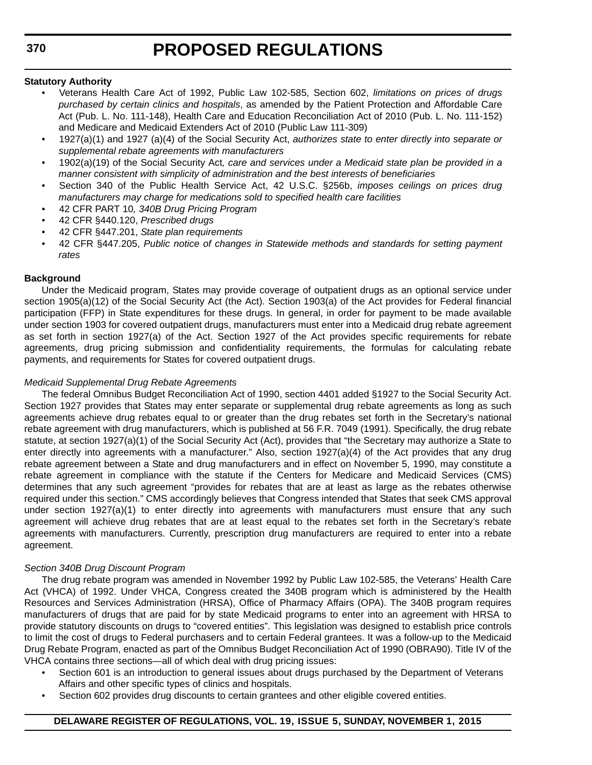### **Statutory Authority**

- Veterans Health Care Act of 1992, Public Law 102-585, Section 602, *limitations on prices of drugs purchased by certain clinics and hospitals*, as amended by the Patient Protection and Affordable Care Act (Pub. L. No. 111-148), Health Care and Education Reconciliation Act of 2010 (Pub. L. No. 111-152) and Medicare and Medicaid Extenders Act of 2010 (Public Law 111-309)
- 1927(a)(1) and 1927 (a)(4) of the Social Security Act, *authorizes state to enter directly into separate or supplemental rebate agreements with manufacturers*
- 1902(a)(19) of the Social Security Act*, care and services under a Medicaid state plan be provided in a manner consistent with simplicity of administration and the best interests of beneficiaries*
- Section 340 of the Public Health Service Act, 42 U.S.C. §256b, *imposes ceilings on prices drug manufacturers may charge for medications sold to specified health care facilities*
- 42 CFR PART 10*, 340B Drug Pricing Program*
- 42 CFR §440.120, *Prescribed drugs*
- 42 CFR §447.201, *State plan requirements*
- 42 CFR §447.205, *Public notice of changes in Statewide methods and standards for setting payment rates*

### **Background**

Under the Medicaid program, States may provide coverage of outpatient drugs as an optional service under section 1905(a)(12) of the Social Security Act (the Act). Section 1903(a) of the Act provides for Federal financial participation (FFP) in State expenditures for these drugs. In general, in order for payment to be made available under section 1903 for covered outpatient drugs, manufacturers must enter into a Medicaid drug rebate agreement as set forth in section 1927(a) of the Act. Section 1927 of the Act provides specific requirements for rebate agreements, drug pricing submission and confidentiality requirements, the formulas for calculating rebate payments, and requirements for States for covered outpatient drugs.

### *Medicaid Supplemental Drug Rebate Agreements*

The federal Omnibus Budget Reconciliation Act of 1990, section 4401 added §1927 to the Social Security Act. Section 1927 provides that States may enter separate or supplemental drug rebate agreements as long as such agreements achieve drug rebates equal to or greater than the drug rebates set forth in the Secretary's national rebate agreement with drug manufacturers, which is published at 56 F.R. 7049 (1991). Specifically, the drug rebate statute, at section 1927(a)(1) of the Social Security Act (Act), provides that "the Secretary may authorize a State to enter directly into agreements with a manufacturer." Also, section 1927(a)(4) of the Act provides that any drug rebate agreement between a State and drug manufacturers and in effect on November 5, 1990, may constitute a rebate agreement in compliance with the statute if the Centers for Medicare and Medicaid Services (CMS) determines that any such agreement "provides for rebates that are at least as large as the rebates otherwise required under this section." CMS accordingly believes that Congress intended that States that seek CMS approval under section 1927(a)(1) to enter directly into agreements with manufacturers must ensure that any such agreement will achieve drug rebates that are at least equal to the rebates set forth in the Secretary's rebate agreements with manufacturers. Currently, prescription drug manufacturers are required to enter into a rebate agreement.

### *Section 340B Drug Discount Program*

The drug rebate program was amended in November 1992 by Public Law 102-585, the Veterans' Health Care Act (VHCA) of 1992. Under VHCA, Congress created the 340B program which is administered by the Health Resources and Services Administration (HRSA), Office of Pharmacy Affairs (OPA). The 340B program requires manufacturers of drugs that are paid for by state Medicaid programs to enter into an agreement with HRSA to provide statutory discounts on drugs to "covered entities". This legislation was designed to establish price controls to limit the cost of drugs to Federal purchasers and to certain Federal grantees. It was a follow-up to the Medicaid Drug Rebate Program, enacted as part of the Omnibus Budget Reconciliation Act of 1990 (OBRA90). Title IV of the VHCA contains three sections—all of which deal with drug pricing issues:

- Section 601 is an introduction to general issues about drugs purchased by the Department of Veterans Affairs and other specific types of clinics and hospitals.
- Section 602 provides drug discounts to certain grantees and other eligible covered entities.

### **DELAWARE REGISTER OF REGULATIONS, VOL. 19, ISSUE 5, SUNDAY, NOVEMBER 1, 2015**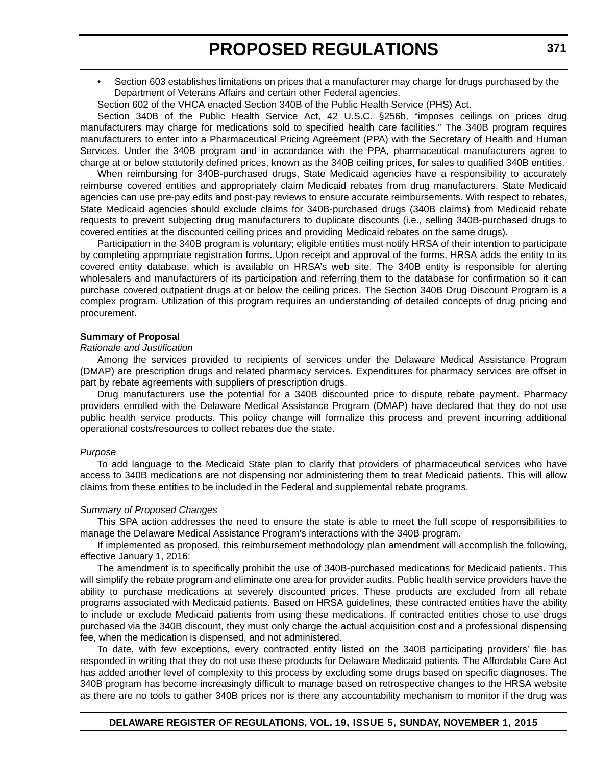• Section 603 establishes limitations on prices that a manufacturer may charge for drugs purchased by the Department of Veterans Affairs and certain other Federal agencies.

Section 602 of the VHCA enacted Section 340B of the Public Health Service (PHS) Act.

Section 340B of the Public Health Service Act, 42 U.S.C. §256b, "imposes ceilings on prices drug manufacturers may charge for medications sold to specified health care facilities." The 340B program requires manufacturers to enter into a Pharmaceutical Pricing Agreement (PPA) with the Secretary of Health and Human Services. Under the 340B program and in accordance with the PPA, pharmaceutical manufacturers agree to charge at or below statutorily defined prices, known as the 340B ceiling prices, for sales to qualified 340B entities.

When reimbursing for 340B-purchased drugs, State Medicaid agencies have a responsibility to accurately reimburse covered entities and appropriately claim Medicaid rebates from drug manufacturers. State Medicaid agencies can use pre-pay edits and post-pay reviews to ensure accurate reimbursements. With respect to rebates, State Medicaid agencies should exclude claims for 340B-purchased drugs (340B claims) from Medicaid rebate requests to prevent subjecting drug manufacturers to duplicate discounts (i.e., selling 340B-purchased drugs to covered entities at the discounted ceiling prices and providing Medicaid rebates on the same drugs).

Participation in the 340B program is voluntary; eligible entities must notify HRSA of their intention to participate by completing appropriate registration forms. Upon receipt and approval of the forms, HRSA adds the entity to its covered entity database, which is available on HRSA's web site. The 340B entity is responsible for alerting wholesalers and manufacturers of its participation and referring them to the database for confirmation so it can purchase covered outpatient drugs at or below the ceiling prices. The Section 340B Drug Discount Program is a complex program. Utilization of this program requires an understanding of detailed concepts of drug pricing and procurement.

### **Summary of Proposal**

#### *Rationale and Justification*

Among the services provided to recipients of services under the Delaware Medical Assistance Program (DMAP) are prescription drugs and related pharmacy services. Expenditures for pharmacy services are offset in part by rebate agreements with suppliers of prescription drugs.

Drug manufacturers use the potential for a 340B discounted price to dispute rebate payment. Pharmacy providers enrolled with the Delaware Medical Assistance Program (DMAP) have declared that they do not use public health service products. This policy change will formalize this process and prevent incurring additional operational costs/resources to collect rebates due the state.

#### *Purpose*

To add language to the Medicaid State plan to clarify that providers of pharmaceutical services who have access to 340B medications are not dispensing nor administering them to treat Medicaid patients. This will allow claims from these entities to be included in the Federal and supplemental rebate programs.

#### *Summary of Proposed Changes*

This SPA action addresses the need to ensure the state is able to meet the full scope of responsibilities to manage the Delaware Medical Assistance Program's interactions with the 340B program.

If implemented as proposed, this reimbursement methodology plan amendment will accomplish the following, effective January 1, 2016:

The amendment is to specifically prohibit the use of 340B-purchased medications for Medicaid patients. This will simplify the rebate program and eliminate one area for provider audits. Public health service providers have the ability to purchase medications at severely discounted prices. These products are excluded from all rebate programs associated with Medicaid patients. Based on HRSA guidelines, these contracted entities have the ability to include or exclude Medicaid patients from using these medications. If contracted entities chose to use drugs purchased via the 340B discount, they must only charge the actual acquisition cost and a professional dispensing fee, when the medication is dispensed, and not administered.

To date, with few exceptions, every contracted entity listed on the 340B participating providers' file has responded in writing that they do not use these products for Delaware Medicaid patients. The Affordable Care Act has added another level of complexity to this process by excluding some drugs based on specific diagnoses. The 340B program has become increasingly difficult to manage based on retrospective changes to the HRSA website as there are no tools to gather 340B prices nor is there any accountability mechanism to monitor if the drug was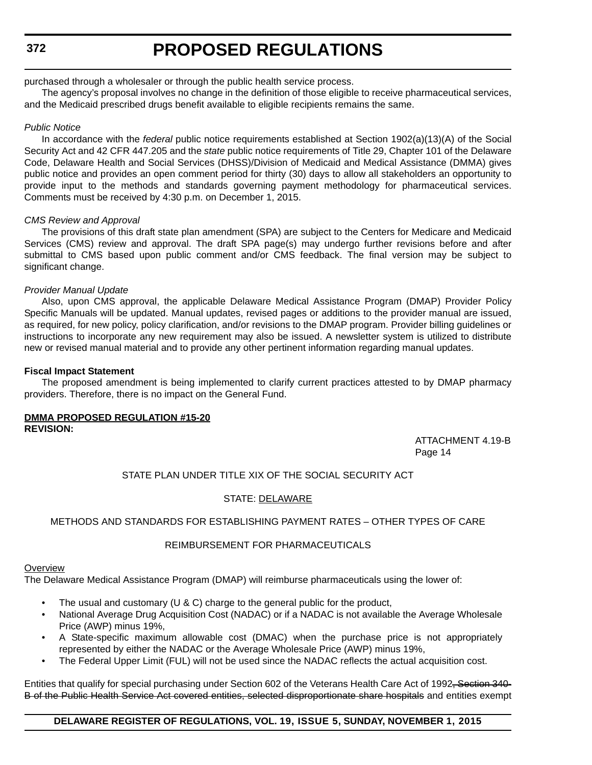**372**

# **PROPOSED REGULATIONS**

### purchased through a wholesaler or through the public health service process.

The agency's proposal involves no change in the definition of those eligible to receive pharmaceutical services, and the Medicaid prescribed drugs benefit available to eligible recipients remains the same.

### *Public Notice*

In accordance with the *federal* public notice requirements established at Section 1902(a)(13)(A) of the Social Security Act and 42 CFR 447.205 and the *state* public notice requirements of Title 29, Chapter 101 of the Delaware Code, Delaware Health and Social Services (DHSS)/Division of Medicaid and Medical Assistance (DMMA) gives public notice and provides an open comment period for thirty (30) days to allow all stakeholders an opportunity to provide input to the methods and standards governing payment methodology for pharmaceutical services. Comments must be received by 4:30 p.m. on December 1, 2015.

### *CMS Review and Approval*

The provisions of this draft state plan amendment (SPA) are subject to the Centers for Medicare and Medicaid Services (CMS) review and approval. The draft SPA page(s) may undergo further revisions before and after submittal to CMS based upon public comment and/or CMS feedback. The final version may be subject to significant change.

### *Provider Manual Update*

Also, upon CMS approval, the applicable Delaware Medical Assistance Program (DMAP) Provider Policy Specific Manuals will be updated. Manual updates, revised pages or additions to the provider manual are issued, as required, for new policy, policy clarification, and/or revisions to the DMAP program. Provider billing guidelines or instructions to incorporate any new requirement may also be issued. A newsletter system is utilized to distribute new or revised manual material and to provide any other pertinent information regarding manual updates.

### **Fiscal Impact Statement**

The proposed amendment is being implemented to clarify current practices attested to by DMAP pharmacy providers. Therefore, there is no impact on the General Fund.

#### **DMMA PROPOSED REGULATION #15-20 REVISION:**

 ATTACHMENT 4.19-B Page 14

### STATE PLAN UNDER TITLE XIX OF THE SOCIAL SECURITY ACT

### STATE: DELAWARE

### METHODS AND STANDARDS FOR ESTABLISHING PAYMENT RATES – OTHER TYPES OF CARE

### REIMBURSEMENT FOR PHARMACEUTICALS

### **Overview**

The Delaware Medical Assistance Program (DMAP) will reimburse pharmaceuticals using the lower of:

- The usual and customary (U & C) charge to the general public for the product,
- National Average Drug Acquisition Cost (NADAC) or if a NADAC is not available the Average Wholesale Price (AWP) minus 19%,
- A State-specific maximum allowable cost (DMAC) when the purchase price is not appropriately represented by either the NADAC or the Average Wholesale Price (AWP) minus 19%,
- The Federal Upper Limit (FUL) will not be used since the NADAC reflects the actual acquisition cost.

Entities that qualify for special purchasing under Section 602 of the Veterans Health Care Act of 1992<del>, Section 340-</del> B of the Public Health Service Act covered entities, selected disproportionate share hospitals and entities exempt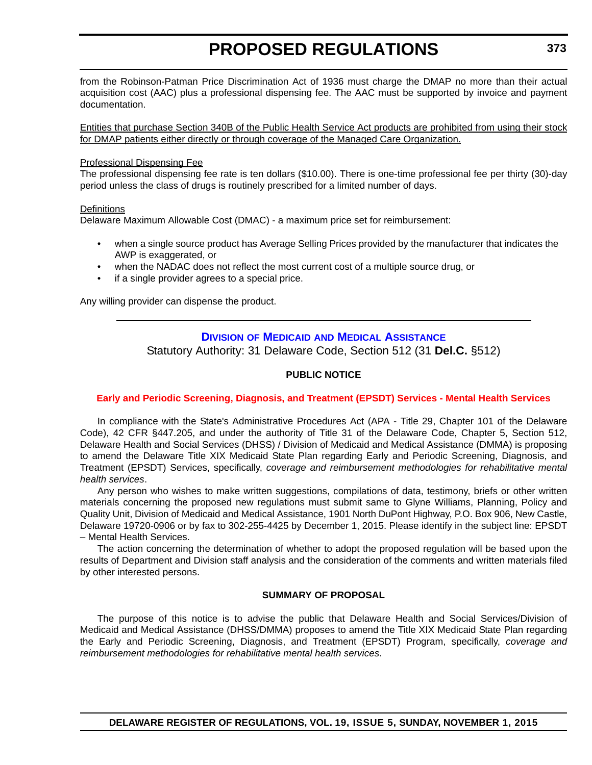<span id="page-28-0"></span>from the Robinson-Patman Price Discrimination Act of 1936 must charge the DMAP no more than their actual acquisition cost (AAC) plus a professional dispensing fee. The AAC must be supported by invoice and payment documentation.

Entities that purchase Section 340B of the Public Health Service Act products are prohibited from using their stock for DMAP patients either directly or through coverage of the Managed Care Organization.

### Professional Dispensing Fee

The professional dispensing fee rate is ten dollars (\$10.00). There is one-time professional fee per thirty (30)-day period unless the class of drugs is routinely prescribed for a limited number of days.

### **Definitions**

Delaware Maximum Allowable Cost (DMAC) - a maximum price set for reimbursement:

- when a single source product has Average Selling Prices provided by the manufacturer that indicates the AWP is exaggerated, or
- when the NADAC does not reflect the most current cost of a multiple source drug, or
- if a single provider agrees to a special price.

Any willing provider can dispense the product.

### **DIVISION OF MEDICAID [AND MEDICAL ASSISTANCE](http://www.dhss.delaware.gov/dhss/dmma/)** Statutory Authority: 31 Delaware Code, Section 512 (31 **Del.C.** §512)

### **PUBLIC NOTICE**

### **[Early and Periodic Screening, Diagnosis, and Treatment \(EPSDT\) Services - Mental Health Services](#page-3-0)**

In compliance with the State's Administrative Procedures Act (APA - Title 29, Chapter 101 of the Delaware Code), 42 CFR §447.205, and under the authority of Title 31 of the Delaware Code, Chapter 5, Section 512, Delaware Health and Social Services (DHSS) / Division of Medicaid and Medical Assistance (DMMA) is proposing to amend the Delaware Title XIX Medicaid State Plan regarding Early and Periodic Screening, Diagnosis, and Treatment (EPSDT) Services, specifically, *coverage and reimbursement methodologies for rehabilitative mental health services*.

Any person who wishes to make written suggestions, compilations of data, testimony, briefs or other written materials concerning the proposed new regulations must submit same to Glyne Williams, Planning, Policy and Quality Unit, Division of Medicaid and Medical Assistance, 1901 North DuPont Highway, P.O. Box 906, New Castle, Delaware 19720-0906 or by fax to 302-255-4425 by December 1, 2015. Please identify in the subject line: EPSDT – Mental Health Services.

The action concerning the determination of whether to adopt the proposed regulation will be based upon the results of Department and Division staff analysis and the consideration of the comments and written materials filed by other interested persons.

### **SUMMARY OF PROPOSAL**

The purpose of this notice is to advise the public that Delaware Health and Social Services/Division of Medicaid and Medical Assistance (DHSS/DMMA) proposes to amend the Title XIX Medicaid State Plan regarding the Early and Periodic Screening, Diagnosis, and Treatment (EPSDT) Program, specifically, *coverage and reimbursement methodologies for rehabilitative mental health services*.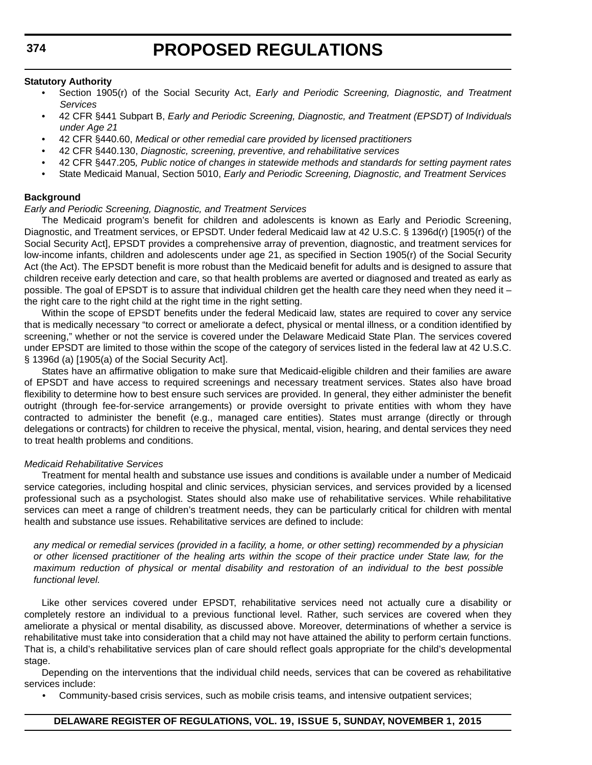#### **Statutory Authority**

- Section 1905(r) of the Social Security Act, *Early and Periodic Screening, Diagnostic, and Treatment Services*
- 42 CFR §441 Subpart B, *Early and Periodic Screening, Diagnostic, and Treatment (EPSDT) of Individuals under Age 21*
- 42 CFR §440.60, *Medical or other remedial care provided by licensed practitioners*
- 42 CFR §440.130, *Diagnostic, screening, preventive, and rehabilitative services*
- 42 CFR §447.205*, Public notice of changes in statewide methods and standards for setting payment rates*
- State Medicaid Manual, Section 5010, *Early and Periodic Screening, Diagnostic, and Treatment Services*

### **Background**

### *Early and Periodic Screening, Diagnostic, and Treatment Services*

The Medicaid program's benefit for children and adolescents is known as Early and Periodic Screening, Diagnostic, and Treatment services, or EPSDT. Under federal Medicaid law at 42 U.S.C. § 1396d(r) [1905(r) of the Social Security Act], EPSDT provides a comprehensive array of prevention, diagnostic, and treatment services for low-income infants, children and adolescents under age 21, as specified in Section 1905(r) of the Social Security Act (the Act). The EPSDT benefit is more robust than the Medicaid benefit for adults and is designed to assure that children receive early detection and care, so that health problems are averted or diagnosed and treated as early as possible. The goal of EPSDT is to assure that individual children get the health care they need when they need it – the right care to the right child at the right time in the right setting.

Within the scope of EPSDT benefits under the federal Medicaid law, states are required to cover any service that is medically necessary "to correct or ameliorate a defect, physical or mental illness, or a condition identified by screening," whether or not the service is covered under the Delaware Medicaid State Plan. The services covered under EPSDT are limited to those within the scope of the category of services listed in the federal law at 42 U.S.C. § 1396d (a) [1905(a) of the Social Security Act].

States have an affirmative obligation to make sure that Medicaid-eligible children and their families are aware of EPSDT and have access to required screenings and necessary treatment services. States also have broad flexibility to determine how to best ensure such services are provided. In general, they either administer the benefit outright (through fee-for-service arrangements) or provide oversight to private entities with whom they have contracted to administer the benefit (e.g., managed care entities). States must arrange (directly or through delegations or contracts) for children to receive the physical, mental, vision, hearing, and dental services they need to treat health problems and conditions.

### *Medicaid Rehabilitative Services*

Treatment for mental health and substance use issues and conditions is available under a number of Medicaid service categories, including hospital and clinic services, physician services, and services provided by a licensed professional such as a psychologist. States should also make use of rehabilitative services. While rehabilitative services can meet a range of children's treatment needs, they can be particularly critical for children with mental health and substance use issues. Rehabilitative services are defined to include:

*any medical or remedial services (provided in a facility, a home, or other setting) recommended by a physician or other licensed practitioner of the healing arts within the scope of their practice under State law, for the maximum reduction of physical or mental disability and restoration of an individual to the best possible functional level.*

Like other services covered under EPSDT, rehabilitative services need not actually cure a disability or completely restore an individual to a previous functional level. Rather, such services are covered when they ameliorate a physical or mental disability, as discussed above. Moreover, determinations of whether a service is rehabilitative must take into consideration that a child may not have attained the ability to perform certain functions. That is, a child's rehabilitative services plan of care should reflect goals appropriate for the child's developmental stage.

Depending on the interventions that the individual child needs, services that can be covered as rehabilitative services include:

• Community-based crisis services, such as mobile crisis teams, and intensive outpatient services;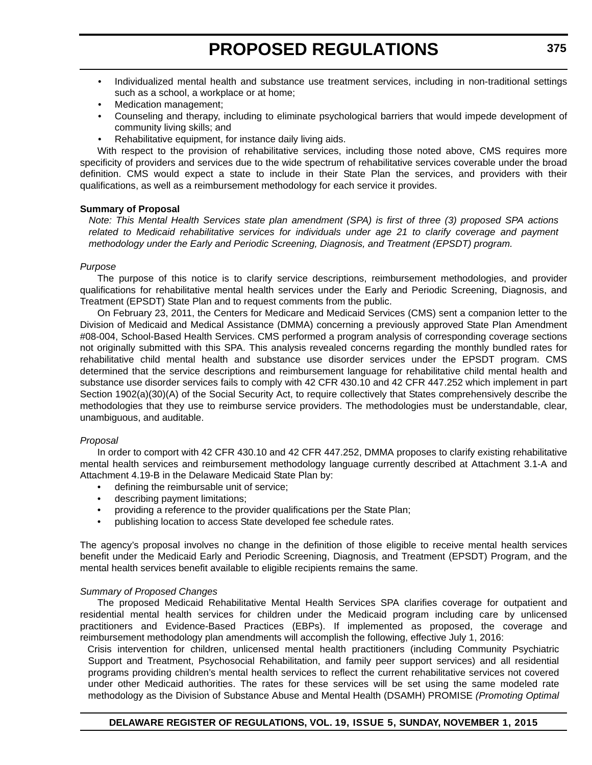- Individualized mental health and substance use treatment services, including in non-traditional settings such as a school, a workplace or at home;
- Medication management;
- Counseling and therapy, including to eliminate psychological barriers that would impede development of community living skills; and
- Rehabilitative equipment, for instance daily living aids.

With respect to the provision of rehabilitative services, including those noted above, CMS requires more specificity of providers and services due to the wide spectrum of rehabilitative services coverable under the broad definition. CMS would expect a state to include in their State Plan the services, and providers with their qualifications, as well as a reimbursement methodology for each service it provides.

### **Summary of Proposal**

*Note: This Mental Health Services state plan amendment (SPA) is first of three (3) proposed SPA actions related to Medicaid rehabilitative services for individuals under age 21 to clarify coverage and payment methodology under the Early and Periodic Screening, Diagnosis, and Treatment (EPSDT) program.*

### *Purpose*

The purpose of this notice is to clarify service descriptions, reimbursement methodologies, and provider qualifications for rehabilitative mental health services under the Early and Periodic Screening, Diagnosis, and Treatment (EPSDT) State Plan and to request comments from the public.

On February 23, 2011, the Centers for Medicare and Medicaid Services (CMS) sent a companion letter to the Division of Medicaid and Medical Assistance (DMMA) concerning a previously approved State Plan Amendment #08-004, School-Based Health Services. CMS performed a program analysis of corresponding coverage sections not originally submitted with this SPA. This analysis revealed concerns regarding the monthly bundled rates for rehabilitative child mental health and substance use disorder services under the EPSDT program. CMS determined that the service descriptions and reimbursement language for rehabilitative child mental health and substance use disorder services fails to comply with 42 CFR 430.10 and 42 CFR 447.252 which implement in part Section 1902(a)(30)(A) of the Social Security Act, to require collectively that States comprehensively describe the methodologies that they use to reimburse service providers. The methodologies must be understandable, clear, unambiguous, and auditable.

### *Proposal*

In order to comport with 42 CFR 430.10 and 42 CFR 447.252, DMMA proposes to clarify existing rehabilitative mental health services and reimbursement methodology language currently described at Attachment 3.1-A and Attachment 4.19-B in the Delaware Medicaid State Plan by:

- defining the reimbursable unit of service;
- describing payment limitations;
- providing a reference to the provider qualifications per the State Plan;
- publishing location to access State developed fee schedule rates.

The agency's proposal involves no change in the definition of those eligible to receive mental health services benefit under the Medicaid Early and Periodic Screening, Diagnosis, and Treatment (EPSDT) Program, and the mental health services benefit available to eligible recipients remains the same.

### *Summary of Proposed Changes*

The proposed Medicaid Rehabilitative Mental Health Services SPA clarifies coverage for outpatient and residential mental health services for children under the Medicaid program including care by unlicensed practitioners and Evidence-Based Practices (EBPs). If implemented as proposed, the coverage and reimbursement methodology plan amendments will accomplish the following, effective July 1, 2016:

Crisis intervention for children, unlicensed mental health practitioners (including Community Psychiatric Support and Treatment, Psychosocial Rehabilitation, and family peer support services) and all residential programs providing children's mental health services to reflect the current rehabilitative services not covered under other Medicaid authorities. The rates for these services will be set using the same modeled rate methodology as the Division of Substance Abuse and Mental Health (DSAMH) PROMISE *(Promoting Optimal*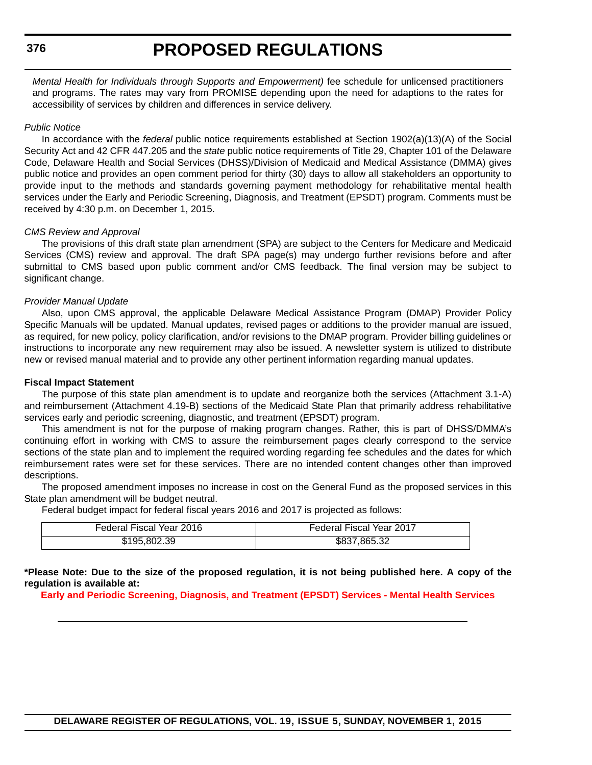*Mental Health for Individuals through Supports and Empowerment)* fee schedule for unlicensed practitioners and programs. The rates may vary from PROMISE depending upon the need for adaptions to the rates for accessibility of services by children and differences in service delivery.

### *Public Notice*

In accordance with the *federal* public notice requirements established at Section 1902(a)(13)(A) of the Social Security Act and 42 CFR 447.205 and the *state* public notice requirements of Title 29, Chapter 101 of the Delaware Code, Delaware Health and Social Services (DHSS)/Division of Medicaid and Medical Assistance (DMMA) gives public notice and provides an open comment period for thirty (30) days to allow all stakeholders an opportunity to provide input to the methods and standards governing payment methodology for rehabilitative mental health services under the Early and Periodic Screening, Diagnosis, and Treatment (EPSDT) program. Comments must be received by 4:30 p.m. on December 1, 2015.

### *CMS Review and Approval*

The provisions of this draft state plan amendment (SPA) are subject to the Centers for Medicare and Medicaid Services (CMS) review and approval. The draft SPA page(s) may undergo further revisions before and after submittal to CMS based upon public comment and/or CMS feedback. The final version may be subject to significant change.

### *Provider Manual Update*

Also, upon CMS approval, the applicable Delaware Medical Assistance Program (DMAP) Provider Policy Specific Manuals will be updated. Manual updates, revised pages or additions to the provider manual are issued, as required, for new policy, policy clarification, and/or revisions to the DMAP program. Provider billing guidelines or instructions to incorporate any new requirement may also be issued. A newsletter system is utilized to distribute new or revised manual material and to provide any other pertinent information regarding manual updates.

### **Fiscal Impact Statement**

The purpose of this state plan amendment is to update and reorganize both the services (Attachment 3.1-A) and reimbursement (Attachment 4.19-B) sections of the Medicaid State Plan that primarily address rehabilitative services early and periodic screening, diagnostic, and treatment (EPSDT) program.

This amendment is not for the purpose of making program changes. Rather, this is part of DHSS/DMMA's continuing effort in working with CMS to assure the reimbursement pages clearly correspond to the service sections of the state plan and to implement the required wording regarding fee schedules and the dates for which reimbursement rates were set for these services. There are no intended content changes other than improved descriptions.

The proposed amendment imposes no increase in cost on the General Fund as the proposed services in this State plan amendment will be budget neutral.

Federal budget impact for federal fiscal years 2016 and 2017 is projected as follows:

| Federal Fiscal Year 2016 | Federal Fiscal Year 2017 |
|--------------------------|--------------------------|
| \$195,802,39             | \$837,865,32             |

**\*Please Note: Due to the size of the proposed regulation, it is not being published here. A copy of the regulation is available at:**

**[Early and Periodic Screening, Diagnosis, and Treatment \(EPSDT\) Services - Mental Health Services](http://regulations.delaware.gov/register/november2015/proposed/19 DE Reg 373 11-01-15.htm)**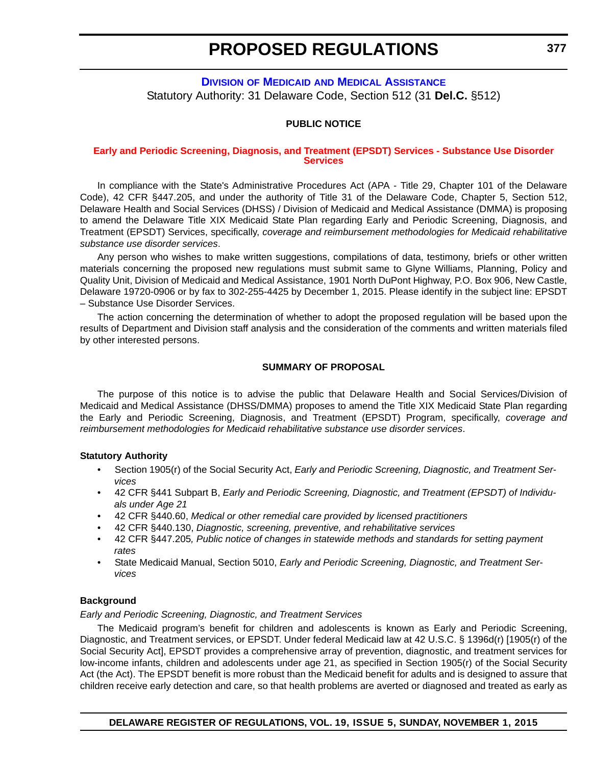### <span id="page-32-0"></span>**DIVISION OF MEDICAID [AND MEDICAL ASSISTANCE](http://www.dhss.delaware.gov/dhss/dmma/)** Statutory Authority: 31 Delaware Code, Section 512 (31 **Del.C.** §512)

### **PUBLIC NOTICE**

#### **[Early and Periodic Screening, Diagnosis, and Treatment \(EPSDT\) Services - Substance Use Disorder](#page-3-0)  Services**

In compliance with the State's Administrative Procedures Act (APA - Title 29, Chapter 101 of the Delaware Code), 42 CFR §447.205, and under the authority of Title 31 of the Delaware Code, Chapter 5, Section 512, Delaware Health and Social Services (DHSS) / Division of Medicaid and Medical Assistance (DMMA) is proposing to amend the Delaware Title XIX Medicaid State Plan regarding Early and Periodic Screening, Diagnosis, and Treatment (EPSDT) Services, specifically, *coverage and reimbursement methodologies for Medicaid rehabilitative substance use disorder services*.

Any person who wishes to make written suggestions, compilations of data, testimony, briefs or other written materials concerning the proposed new regulations must submit same to Glyne Williams, Planning, Policy and Quality Unit, Division of Medicaid and Medical Assistance, 1901 North DuPont Highway, P.O. Box 906, New Castle, Delaware 19720-0906 or by fax to 302-255-4425 by December 1, 2015. Please identify in the subject line: EPSDT – Substance Use Disorder Services.

The action concerning the determination of whether to adopt the proposed regulation will be based upon the results of Department and Division staff analysis and the consideration of the comments and written materials filed by other interested persons.

### **SUMMARY OF PROPOSAL**

The purpose of this notice is to advise the public that Delaware Health and Social Services/Division of Medicaid and Medical Assistance (DHSS/DMMA) proposes to amend the Title XIX Medicaid State Plan regarding the Early and Periodic Screening, Diagnosis, and Treatment (EPSDT) Program, specifically, *coverage and reimbursement methodologies for Medicaid rehabilitative substance use disorder services*.

### **Statutory Authority**

- Section 1905(r) of the Social Security Act, *Early and Periodic Screening, Diagnostic, and Treatment Services*
- 42 CFR §441 Subpart B, *Early and Periodic Screening, Diagnostic, and Treatment (EPSDT) of Individuals under Age 21*
- 42 CFR §440.60, *Medical or other remedial care provided by licensed practitioners*
- 42 CFR §440.130, *Diagnostic, screening, preventive, and rehabilitative services*
- 42 CFR §447.205*, Public notice of changes in statewide methods and standards for setting payment rates*
- State Medicaid Manual, Section 5010, *Early and Periodic Screening, Diagnostic, and Treatment Services*

### **Background**

#### *Early and Periodic Screening, Diagnostic, and Treatment Services*

The Medicaid program's benefit for children and adolescents is known as Early and Periodic Screening, Diagnostic, and Treatment services, or EPSDT. Under federal Medicaid law at 42 U.S.C. § 1396d(r) [1905(r) of the Social Security Act], EPSDT provides a comprehensive array of prevention, diagnostic, and treatment services for low-income infants, children and adolescents under age 21, as specified in Section 1905(r) of the Social Security Act (the Act). The EPSDT benefit is more robust than the Medicaid benefit for adults and is designed to assure that children receive early detection and care, so that health problems are averted or diagnosed and treated as early as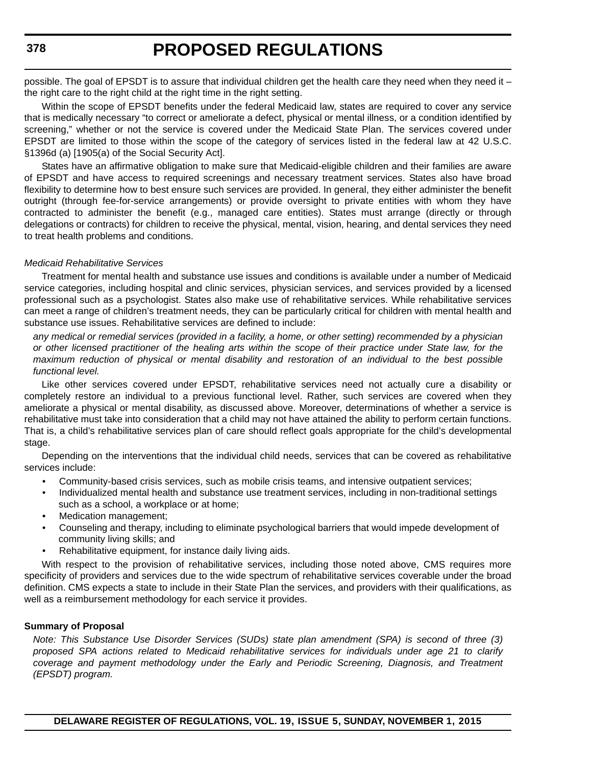possible. The goal of EPSDT is to assure that individual children get the health care they need when they need it – the right care to the right child at the right time in the right setting.

Within the scope of EPSDT benefits under the federal Medicaid law, states are required to cover any service that is medically necessary "to correct or ameliorate a defect, physical or mental illness, or a condition identified by screening," whether or not the service is covered under the Medicaid State Plan. The services covered under EPSDT are limited to those within the scope of the category of services listed in the federal law at 42 U.S.C. §1396d (a) [1905(a) of the Social Security Act].

States have an affirmative obligation to make sure that Medicaid-eligible children and their families are aware of EPSDT and have access to required screenings and necessary treatment services. States also have broad flexibility to determine how to best ensure such services are provided. In general, they either administer the benefit outright (through fee-for-service arrangements) or provide oversight to private entities with whom they have contracted to administer the benefit (e.g., managed care entities). States must arrange (directly or through delegations or contracts) for children to receive the physical, mental, vision, hearing, and dental services they need to treat health problems and conditions.

### *Medicaid Rehabilitative Services*

Treatment for mental health and substance use issues and conditions is available under a number of Medicaid service categories, including hospital and clinic services, physician services, and services provided by a licensed professional such as a psychologist. States also make use of rehabilitative services. While rehabilitative services can meet a range of children's treatment needs, they can be particularly critical for children with mental health and substance use issues. Rehabilitative services are defined to include:

*any medical or remedial services (provided in a facility, a home, or other setting) recommended by a physician or other licensed practitioner of the healing arts within the scope of their practice under State law, for the maximum reduction of physical or mental disability and restoration of an individual to the best possible functional level.*

Like other services covered under EPSDT, rehabilitative services need not actually cure a disability or completely restore an individual to a previous functional level. Rather, such services are covered when they ameliorate a physical or mental disability, as discussed above. Moreover, determinations of whether a service is rehabilitative must take into consideration that a child may not have attained the ability to perform certain functions. That is, a child's rehabilitative services plan of care should reflect goals appropriate for the child's developmental stage.

Depending on the interventions that the individual child needs, services that can be covered as rehabilitative services include:

- Community-based crisis services, such as mobile crisis teams, and intensive outpatient services;
- Individualized mental health and substance use treatment services, including in non-traditional settings such as a school, a workplace or at home;
- Medication management;
- Counseling and therapy, including to eliminate psychological barriers that would impede development of community living skills; and
- Rehabilitative equipment, for instance daily living aids.

With respect to the provision of rehabilitative services, including those noted above, CMS requires more specificity of providers and services due to the wide spectrum of rehabilitative services coverable under the broad definition. CMS expects a state to include in their State Plan the services, and providers with their qualifications, as well as a reimbursement methodology for each service it provides.

### **Summary of Proposal**

*Note: This Substance Use Disorder Services (SUDs) state plan amendment (SPA) is second of three (3) proposed SPA actions related to Medicaid rehabilitative services for individuals under age 21 to clarify coverage and payment methodology under the Early and Periodic Screening, Diagnosis, and Treatment (EPSDT) program.*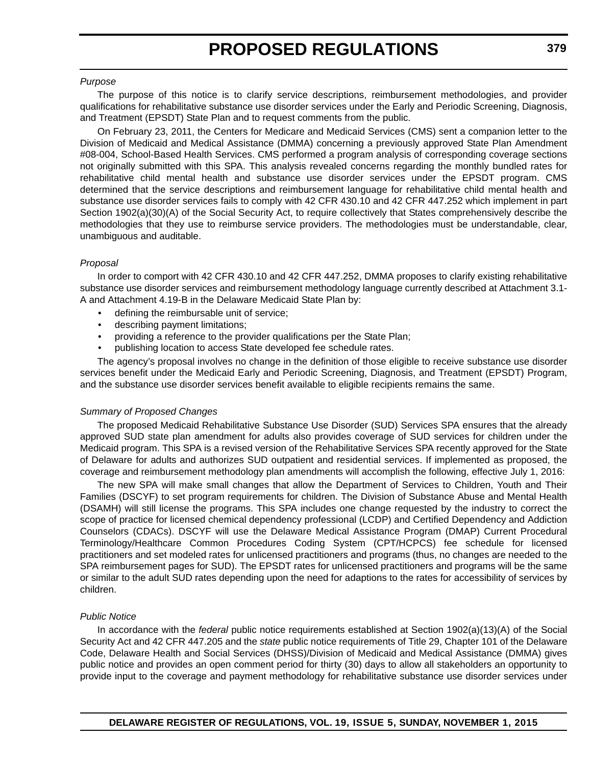#### *Purpose*

The purpose of this notice is to clarify service descriptions, reimbursement methodologies, and provider qualifications for rehabilitative substance use disorder services under the Early and Periodic Screening, Diagnosis, and Treatment (EPSDT) State Plan and to request comments from the public.

On February 23, 2011, the Centers for Medicare and Medicaid Services (CMS) sent a companion letter to the Division of Medicaid and Medical Assistance (DMMA) concerning a previously approved State Plan Amendment #08-004, School-Based Health Services. CMS performed a program analysis of corresponding coverage sections not originally submitted with this SPA. This analysis revealed concerns regarding the monthly bundled rates for rehabilitative child mental health and substance use disorder services under the EPSDT program. CMS determined that the service descriptions and reimbursement language for rehabilitative child mental health and substance use disorder services fails to comply with 42 CFR 430.10 and 42 CFR 447.252 which implement in part Section 1902(a)(30)(A) of the Social Security Act, to require collectively that States comprehensively describe the methodologies that they use to reimburse service providers. The methodologies must be understandable, clear, unambiguous and auditable.

### *Proposal*

In order to comport with 42 CFR 430.10 and 42 CFR 447.252, DMMA proposes to clarify existing rehabilitative substance use disorder services and reimbursement methodology language currently described at Attachment 3.1- A and Attachment 4.19-B in the Delaware Medicaid State Plan by:

- defining the reimbursable unit of service;
- describing payment limitations;
- providing a reference to the provider qualifications per the State Plan;
- publishing location to access State developed fee schedule rates.

The agency's proposal involves no change in the definition of those eligible to receive substance use disorder services benefit under the Medicaid Early and Periodic Screening, Diagnosis, and Treatment (EPSDT) Program, and the substance use disorder services benefit available to eligible recipients remains the same.

### *Summary of Proposed Changes*

The proposed Medicaid Rehabilitative Substance Use Disorder (SUD) Services SPA ensures that the already approved SUD state plan amendment for adults also provides coverage of SUD services for children under the Medicaid program. This SPA is a revised version of the Rehabilitative Services SPA recently approved for the State of Delaware for adults and authorizes SUD outpatient and residential services. If implemented as proposed, the coverage and reimbursement methodology plan amendments will accomplish the following, effective July 1, 2016:

The new SPA will make small changes that allow the Department of Services to Children, Youth and Their Families (DSCYF) to set program requirements for children. The Division of Substance Abuse and Mental Health (DSAMH) will still license the programs. This SPA includes one change requested by the industry to correct the scope of practice for licensed chemical dependency professional (LCDP) and Certified Dependency and Addiction Counselors (CDACs). DSCYF will use the Delaware Medical Assistance Program (DMAP) Current Procedural Terminology/Healthcare Common Procedures Coding System (CPT/HCPCS) fee schedule for licensed practitioners and set modeled rates for unlicensed practitioners and programs (thus, no changes are needed to the SPA reimbursement pages for SUD). The EPSDT rates for unlicensed practitioners and programs will be the same or similar to the adult SUD rates depending upon the need for adaptions to the rates for accessibility of services by children.

### *Public Notice*

In accordance with the *federal* public notice requirements established at Section 1902(a)(13)(A) of the Social Security Act and 42 CFR 447.205 and the *state* public notice requirements of Title 29, Chapter 101 of the Delaware Code, Delaware Health and Social Services (DHSS)/Division of Medicaid and Medical Assistance (DMMA) gives public notice and provides an open comment period for thirty (30) days to allow all stakeholders an opportunity to provide input to the coverage and payment methodology for rehabilitative substance use disorder services under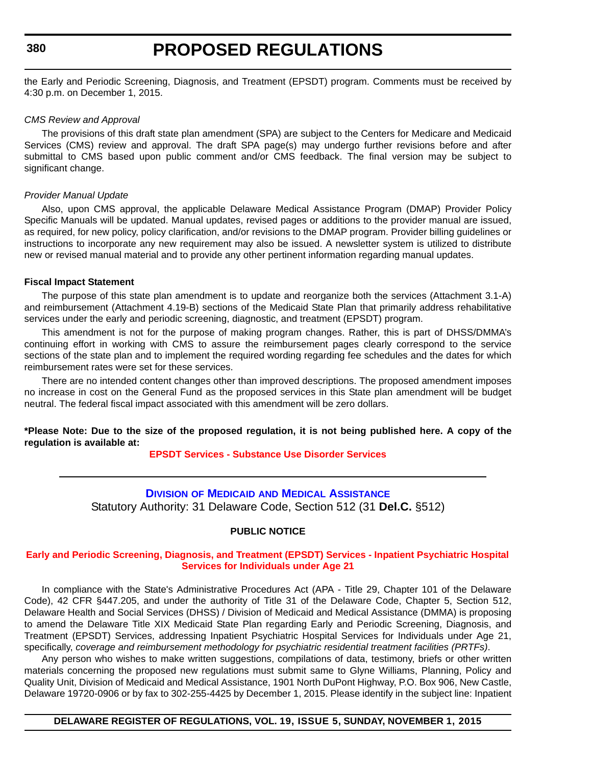<span id="page-35-0"></span>**380**

### **PROPOSED REGULATIONS**

the Early and Periodic Screening, Diagnosis, and Treatment (EPSDT) program. Comments must be received by 4:30 p.m. on December 1, 2015.

### *CMS Review and Approval*

The provisions of this draft state plan amendment (SPA) are subject to the Centers for Medicare and Medicaid Services (CMS) review and approval. The draft SPA page(s) may undergo further revisions before and after submittal to CMS based upon public comment and/or CMS feedback. The final version may be subject to significant change.

### *Provider Manual Update*

Also, upon CMS approval, the applicable Delaware Medical Assistance Program (DMAP) Provider Policy Specific Manuals will be updated. Manual updates, revised pages or additions to the provider manual are issued, as required, for new policy, policy clarification, and/or revisions to the DMAP program. Provider billing guidelines or instructions to incorporate any new requirement may also be issued. A newsletter system is utilized to distribute new or revised manual material and to provide any other pertinent information regarding manual updates.

#### **Fiscal Impact Statement**

The purpose of this state plan amendment is to update and reorganize both the services (Attachment 3.1-A) and reimbursement (Attachment 4.19-B) sections of the Medicaid State Plan that primarily address rehabilitative services under the early and periodic screening, diagnostic, and treatment (EPSDT) program.

This amendment is not for the purpose of making program changes. Rather, this is part of DHSS/DMMA's continuing effort in working with CMS to assure the reimbursement pages clearly correspond to the service sections of the state plan and to implement the required wording regarding fee schedules and the dates for which reimbursement rates were set for these services.

There are no intended content changes other than improved descriptions. The proposed amendment imposes no increase in cost on the General Fund as the proposed services in this State plan amendment will be budget neutral. The federal fiscal impact associated with this amendment will be zero dollars.

**\*Please Note: Due to the size of the proposed regulation, it is not being published here. A copy of the regulation is available at:**

### **[EPSDT Services - Substance Use Disorder Services](http://regulations.delaware.gov/register/november2015/proposed/19 DE Reg 377 11-01-15.htm)**

### **DIVISION OF MEDICAID [AND MEDICAL ASSISTANCE](http://www.dhss.delaware.gov/dhss/dmma/)**

Statutory Authority: 31 Delaware Code, Section 512 (31 **Del.C.** §512)

### **PUBLIC NOTICE**

### **[Early and Periodic Screening, Diagnosis, and Treatment \(EPSDT\) Services - Inpatient Psychiatric Hospital](#page-3-0)  Services for Individuals under Age 21**

In compliance with the State's Administrative Procedures Act (APA - Title 29, Chapter 101 of the Delaware Code), 42 CFR §447.205, and under the authority of Title 31 of the Delaware Code, Chapter 5, Section 512, Delaware Health and Social Services (DHSS) / Division of Medicaid and Medical Assistance (DMMA) is proposing to amend the Delaware Title XIX Medicaid State Plan regarding Early and Periodic Screening, Diagnosis, and Treatment (EPSDT) Services, addressing Inpatient Psychiatric Hospital Services for Individuals under Age 21, specifically, *coverage and reimbursement methodology for psychiatric residential treatment facilities (PRTFs)*.

Any person who wishes to make written suggestions, compilations of data, testimony, briefs or other written materials concerning the proposed new regulations must submit same to Glyne Williams, Planning, Policy and Quality Unit, Division of Medicaid and Medical Assistance, 1901 North DuPont Highway, P.O. Box 906, New Castle, Delaware 19720-0906 or by fax to 302-255-4425 by December 1, 2015. Please identify in the subject line: Inpatient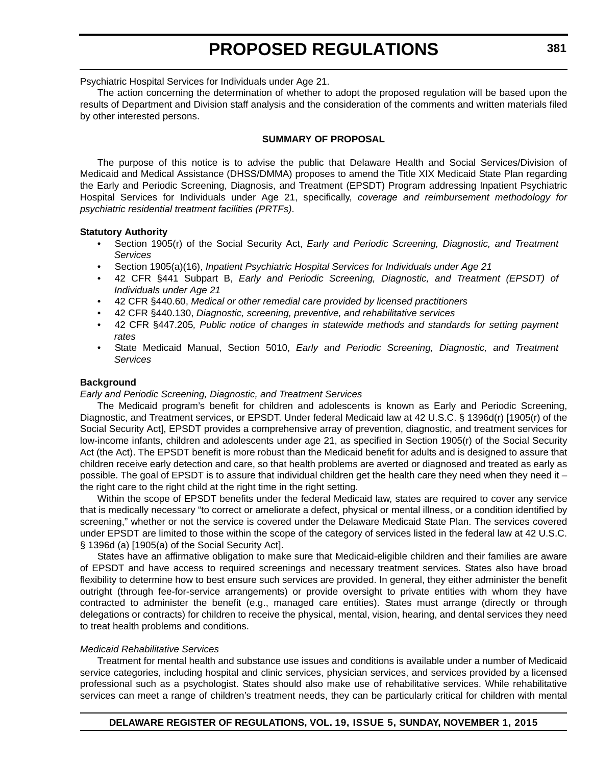Psychiatric Hospital Services for Individuals under Age 21.

The action concerning the determination of whether to adopt the proposed regulation will be based upon the results of Department and Division staff analysis and the consideration of the comments and written materials filed by other interested persons.

#### **SUMMARY OF PROPOSAL**

The purpose of this notice is to advise the public that Delaware Health and Social Services/Division of Medicaid and Medical Assistance (DHSS/DMMA) proposes to amend the Title XIX Medicaid State Plan regarding the Early and Periodic Screening, Diagnosis, and Treatment (EPSDT) Program addressing Inpatient Psychiatric Hospital Services for Individuals under Age 21, specifically, *coverage and reimbursement methodology for psychiatric residential treatment facilities (PRTFs)*.

### **Statutory Authority**

- Section 1905(r) of the Social Security Act, *Early and Periodic Screening, Diagnostic, and Treatment Services*
- Section 1905(a)(16), *Inpatient Psychiatric Hospital Services for Individuals under Age 21*
- 42 CFR §441 Subpart B, *Early and Periodic Screening, Diagnostic, and Treatment (EPSDT) of Individuals under Age 21*
- 42 CFR §440.60, *Medical or other remedial care provided by licensed practitioners*
- 42 CFR §440.130, *Diagnostic, screening, preventive, and rehabilitative services*
- 42 CFR §447.205*, Public notice of changes in statewide methods and standards for setting payment rates*
- State Medicaid Manual, Section 5010, *Early and Periodic Screening, Diagnostic, and Treatment Services*

#### **Background**

#### *Early and Periodic Screening, Diagnostic, and Treatment Services*

The Medicaid program's benefit for children and adolescents is known as Early and Periodic Screening, Diagnostic, and Treatment services, or EPSDT. Under federal Medicaid law at 42 U.S.C. § 1396d(r) [1905(r) of the Social Security Act], EPSDT provides a comprehensive array of prevention, diagnostic, and treatment services for low-income infants, children and adolescents under age 21, as specified in Section 1905(r) of the Social Security Act (the Act). The EPSDT benefit is more robust than the Medicaid benefit for adults and is designed to assure that children receive early detection and care, so that health problems are averted or diagnosed and treated as early as possible. The goal of EPSDT is to assure that individual children get the health care they need when they need it – the right care to the right child at the right time in the right setting.

Within the scope of EPSDT benefits under the federal Medicaid law, states are required to cover any service that is medically necessary "to correct or ameliorate a defect, physical or mental illness, or a condition identified by screening," whether or not the service is covered under the Delaware Medicaid State Plan. The services covered under EPSDT are limited to those within the scope of the category of services listed in the federal law at 42 U.S.C. § 1396d (a) [1905(a) of the Social Security Act].

States have an affirmative obligation to make sure that Medicaid-eligible children and their families are aware of EPSDT and have access to required screenings and necessary treatment services. States also have broad flexibility to determine how to best ensure such services are provided. In general, they either administer the benefit outright (through fee-for-service arrangements) or provide oversight to private entities with whom they have contracted to administer the benefit (e.g., managed care entities). States must arrange (directly or through delegations or contracts) for children to receive the physical, mental, vision, hearing, and dental services they need to treat health problems and conditions.

#### *Medicaid Rehabilitative Services*

Treatment for mental health and substance use issues and conditions is available under a number of Medicaid service categories, including hospital and clinic services, physician services, and services provided by a licensed professional such as a psychologist. States should also make use of rehabilitative services. While rehabilitative services can meet a range of children's treatment needs, they can be particularly critical for children with mental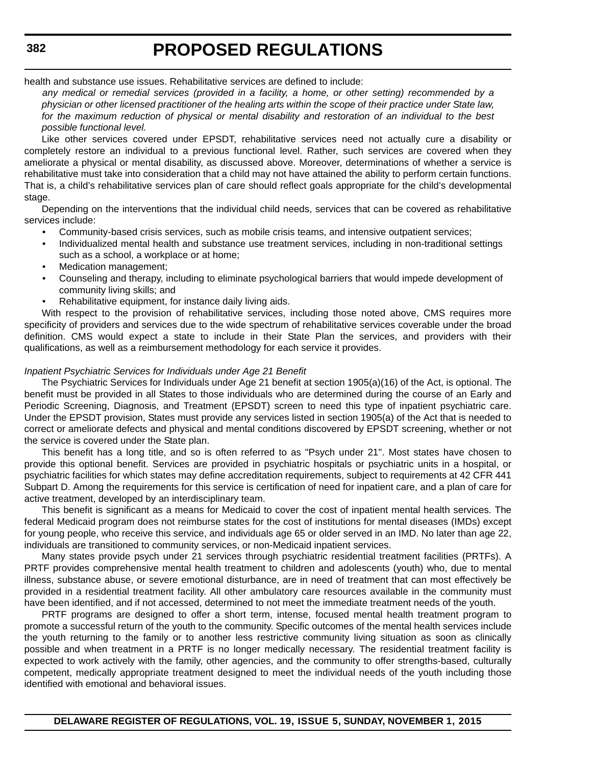health and substance use issues. Rehabilitative services are defined to include:

*any medical or remedial services (provided in a facility, a home, or other setting) recommended by a physician or other licensed practitioner of the healing arts within the scope of their practice under State law, for the maximum reduction of physical or mental disability and restoration of an individual to the best possible functional level.*

Like other services covered under EPSDT, rehabilitative services need not actually cure a disability or completely restore an individual to a previous functional level. Rather, such services are covered when they ameliorate a physical or mental disability, as discussed above. Moreover, determinations of whether a service is rehabilitative must take into consideration that a child may not have attained the ability to perform certain functions. That is, a child's rehabilitative services plan of care should reflect goals appropriate for the child's developmental stage.

Depending on the interventions that the individual child needs, services that can be covered as rehabilitative services include:

- Community-based crisis services, such as mobile crisis teams, and intensive outpatient services;
- Individualized mental health and substance use treatment services, including in non-traditional settings such as a school, a workplace or at home;
- Medication management;
- Counseling and therapy, including to eliminate psychological barriers that would impede development of community living skills; and
- Rehabilitative equipment, for instance daily living aids.

With respect to the provision of rehabilitative services, including those noted above, CMS requires more specificity of providers and services due to the wide spectrum of rehabilitative services coverable under the broad definition. CMS would expect a state to include in their State Plan the services, and providers with their qualifications, as well as a reimbursement methodology for each service it provides.

### *Inpatient Psychiatric Services for Individuals under Age 21 Benefit*

The Psychiatric Services for Individuals under Age 21 benefit at section 1905(a)(16) of the Act, is optional. The benefit must be provided in all States to those individuals who are determined during the course of an Early and Periodic Screening, Diagnosis, and Treatment (EPSDT) screen to need this type of inpatient psychiatric care. Under the EPSDT provision, States must provide any services listed in section 1905(a) of the Act that is needed to correct or ameliorate defects and physical and mental conditions discovered by EPSDT screening, whether or not the service is covered under the State plan.

This benefit has a long title, and so is often referred to as "Psych under 21". Most states have chosen to provide this optional benefit. Services are provided in psychiatric hospitals or psychiatric units in a hospital, or psychiatric facilities for which states may define accreditation requirements, subject to requirements at 42 CFR 441 Subpart D. Among the requirements for this service is certification of need for inpatient care, and a plan of care for active treatment, developed by an interdisciplinary team.

This benefit is significant as a means for Medicaid to cover the cost of inpatient mental health services. The federal Medicaid program does not reimburse states for the cost of institutions for mental diseases (IMDs) except for young people, who receive this service, and individuals age 65 or older served in an IMD. No later than age 22, individuals are transitioned to community services, or non-Medicaid inpatient services.

Many states provide psych under 21 services through psychiatric residential treatment facilities (PRTFs). A PRTF provides comprehensive mental health treatment to children and adolescents (youth) who, due to mental illness, substance abuse, or severe emotional disturbance, are in need of treatment that can most effectively be provided in a residential treatment facility. All other ambulatory care resources available in the community must have been identified, and if not accessed, determined to not meet the immediate treatment needs of the youth.

PRTF programs are designed to offer a short term, intense, focused mental health treatment program to promote a successful return of the youth to the community. Specific outcomes of the mental health services include the youth returning to the family or to another less restrictive community living situation as soon as clinically possible and when treatment in a PRTF is no longer medically necessary. The residential treatment facility is expected to work actively with the family, other agencies, and the community to offer strengths-based, culturally competent, medically appropriate treatment designed to meet the individual needs of the youth including those identified with emotional and behavioral issues.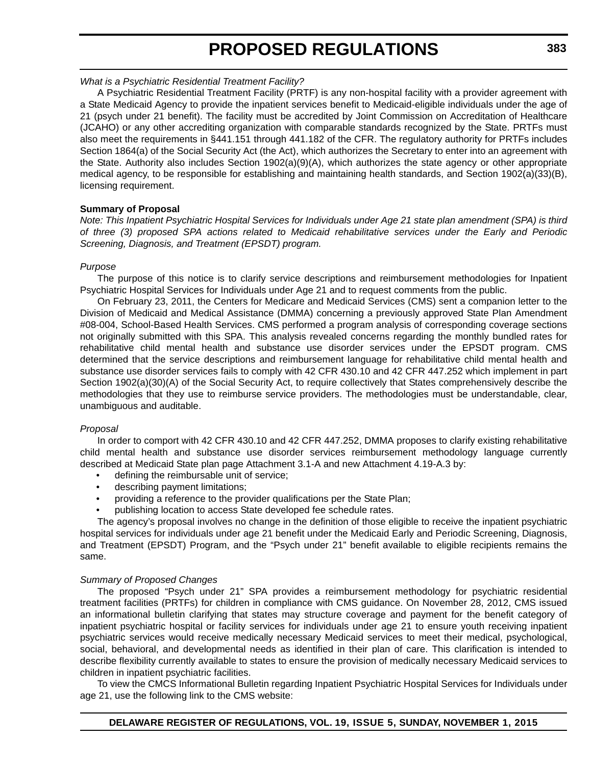## *What is a Psychiatric Residential Treatment Facility?*

A Psychiatric Residential Treatment Facility (PRTF) is any non-hospital facility with a provider agreement with a State Medicaid Agency to provide the inpatient services benefit to Medicaid-eligible individuals under the age of 21 (psych under 21 benefit). The facility must be accredited by Joint Commission on Accreditation of Healthcare (JCAHO) or any other accrediting organization with comparable standards recognized by the State. PRTFs must also meet the requirements in §441.151 through 441.182 of the CFR. The regulatory authority for PRTFs includes Section 1864(a) of the Social Security Act (the Act), which authorizes the Secretary to enter into an agreement with the State. Authority also includes Section 1902(a)(9)(A), which authorizes the state agency or other appropriate medical agency, to be responsible for establishing and maintaining health standards, and Section 1902(a)(33)(B), licensing requirement.

## **Summary of Proposal**

*Note: This Inpatient Psychiatric Hospital Services for Individuals under Age 21 state plan amendment (SPA) is third of three (3) proposed SPA actions related to Medicaid rehabilitative services under the Early and Periodic Screening, Diagnosis, and Treatment (EPSDT) program.*

### *Purpose*

The purpose of this notice is to clarify service descriptions and reimbursement methodologies for Inpatient Psychiatric Hospital Services for Individuals under Age 21 and to request comments from the public.

On February 23, 2011, the Centers for Medicare and Medicaid Services (CMS) sent a companion letter to the Division of Medicaid and Medical Assistance (DMMA) concerning a previously approved State Plan Amendment #08-004, School-Based Health Services. CMS performed a program analysis of corresponding coverage sections not originally submitted with this SPA. This analysis revealed concerns regarding the monthly bundled rates for rehabilitative child mental health and substance use disorder services under the EPSDT program. CMS determined that the service descriptions and reimbursement language for rehabilitative child mental health and substance use disorder services fails to comply with 42 CFR 430.10 and 42 CFR 447.252 which implement in part Section 1902(a)(30)(A) of the Social Security Act, to require collectively that States comprehensively describe the methodologies that they use to reimburse service providers. The methodologies must be understandable, clear, unambiguous and auditable.

## *Proposal*

In order to comport with 42 CFR 430.10 and 42 CFR 447.252, DMMA proposes to clarify existing rehabilitative child mental health and substance use disorder services reimbursement methodology language currently described at Medicaid State plan page Attachment 3.1-A and new Attachment 4.19-A.3 by:

- defining the reimbursable unit of service;
- describing payment limitations;
- providing a reference to the provider qualifications per the State Plan;
- publishing location to access State developed fee schedule rates.

The agency's proposal involves no change in the definition of those eligible to receive the inpatient psychiatric hospital services for individuals under age 21 benefit under the Medicaid Early and Periodic Screening, Diagnosis, and Treatment (EPSDT) Program, and the "Psych under 21" benefit available to eligible recipients remains the same.

## *Summary of Proposed Changes*

The proposed "Psych under 21" SPA provides a reimbursement methodology for psychiatric residential treatment facilities (PRTFs) for children in compliance with CMS guidance. On November 28, 2012, CMS issued an informational bulletin clarifying that states may structure coverage and payment for the benefit category of inpatient psychiatric hospital or facility services for individuals under age 21 to ensure youth receiving inpatient psychiatric services would receive medically necessary Medicaid services to meet their medical, psychological, social, behavioral, and developmental needs as identified in their plan of care. This clarification is intended to describe flexibility currently available to states to ensure the provision of medically necessary Medicaid services to children in inpatient psychiatric facilities.

To view the CMCS Informational Bulletin regarding Inpatient Psychiatric Hospital Services for Individuals under age 21, use the following link to the CMS website: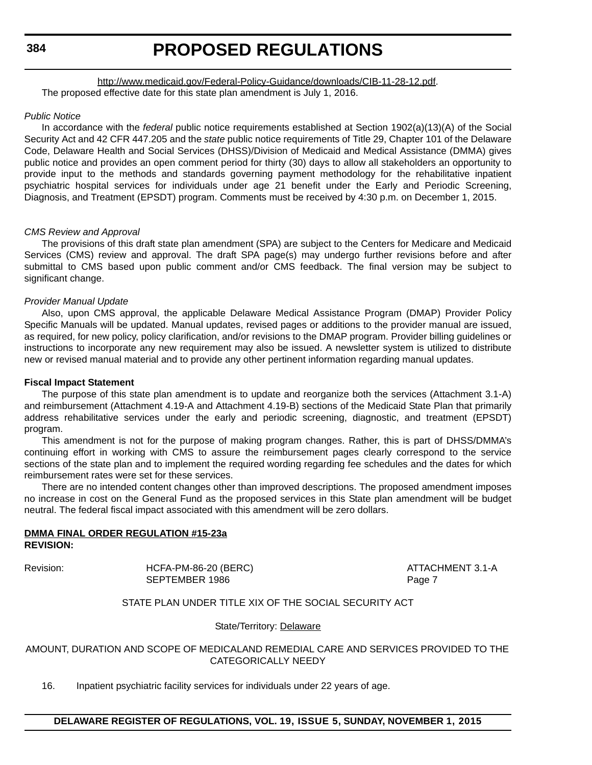## [http://www.medicaid.gov/Federal-Policy-Guidance/downloads/CIB-11-28-12.pdf.](http://www.medicaid.gov/Federal-Policy-Guidance/downloads/CIB-11-28-12.pdf) The proposed effective date for this state plan amendment is July 1, 2016.

#### *Public Notice*

In accordance with the *federal* public notice requirements established at Section 1902(a)(13)(A) of the Social Security Act and 42 CFR 447.205 and the *state* public notice requirements of Title 29, Chapter 101 of the Delaware Code, Delaware Health and Social Services (DHSS)/Division of Medicaid and Medical Assistance (DMMA) gives public notice and provides an open comment period for thirty (30) days to allow all stakeholders an opportunity to provide input to the methods and standards governing payment methodology for the rehabilitative inpatient psychiatric hospital services for individuals under age 21 benefit under the Early and Periodic Screening, Diagnosis, and Treatment (EPSDT) program. Comments must be received by 4:30 p.m. on December 1, 2015.

### *CMS Review and Approval*

The provisions of this draft state plan amendment (SPA) are subject to the Centers for Medicare and Medicaid Services (CMS) review and approval. The draft SPA page(s) may undergo further revisions before and after submittal to CMS based upon public comment and/or CMS feedback. The final version may be subject to significant change.

### *Provider Manual Update*

Also, upon CMS approval, the applicable Delaware Medical Assistance Program (DMAP) Provider Policy Specific Manuals will be updated. Manual updates, revised pages or additions to the provider manual are issued, as required, for new policy, policy clarification, and/or revisions to the DMAP program. Provider billing guidelines or instructions to incorporate any new requirement may also be issued. A newsletter system is utilized to distribute new or revised manual material and to provide any other pertinent information regarding manual updates.

#### **Fiscal Impact Statement**

The purpose of this state plan amendment is to update and reorganize both the services (Attachment 3.1-A) and reimbursement (Attachment 4.19-A and Attachment 4.19-B) sections of the Medicaid State Plan that primarily address rehabilitative services under the early and periodic screening, diagnostic, and treatment (EPSDT) program.

This amendment is not for the purpose of making program changes. Rather, this is part of DHSS/DMMA's continuing effort in working with CMS to assure the reimbursement pages clearly correspond to the service sections of the state plan and to implement the required wording regarding fee schedules and the dates for which reimbursement rates were set for these services.

There are no intended content changes other than improved descriptions. The proposed amendment imposes no increase in cost on the General Fund as the proposed services in this State plan amendment will be budget neutral. The federal fiscal impact associated with this amendment will be zero dollars.

#### **DMMA FINAL ORDER REGULATION #15-23a REVISION:**

Revision: HCFA-PM-86-20 (BERC) ATTACHMENT 3.1-A SEPTEMBER 1986 Page 7

## STATE PLAN UNDER TITLE XIX OF THE SOCIAL SECURITY ACT

State/Territory: Delaware

## AMOUNT, DURATION AND SCOPE OF MEDICALAND REMEDIAL CARE AND SERVICES PROVIDED TO THE CATEGORICALLY NEEDY

16. Inpatient psychiatric facility services for individuals under 22 years of age.

## **DELAWARE REGISTER OF REGULATIONS, VOL. 19, ISSUE 5, SUNDAY, NOVEMBER 1, 2015**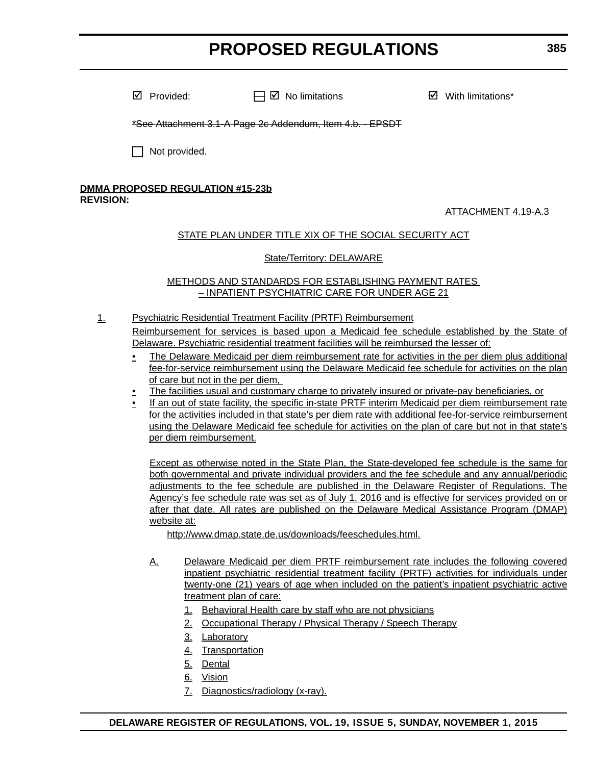$\boxtimes$  Provided:  $\Box$   $\Box$  No limitations  $\Box$  With limitations\*

\*See Attachment 3.1-A Page 2c Addendum, Item 4.b. - EPSDT

 $\Box$  Not provided.

#### **DMMA PROPOSED REGULATION #15-23b REVISION:**

## ATTACHMENT 4.19-A.3

## STATE PLAN UNDER TITLE XIX OF THE SOCIAL SECURITY ACT

## State/Territory: DELAWARE

## METHODS AND STANDARDS FOR ESTABLISHING PAYMENT RATES – INPATIENT PSYCHIATRIC CARE FOR UNDER AGE 21

- 1. Psychiatric Residential Treatment Facility (PRTF) Reimbursement Reimbursement for services is based upon a Medicaid fee schedule established by the State of Delaware. Psychiatric residential treatment facilities will be reimbursed the lesser of:
	- The Delaware Medicaid per diem reimbursement rate for activities in the per diem plus additional fee-for-service reimbursement using the Delaware Medicaid fee schedule for activities on the plan of care but not in the per diem,
	- The facilities usual and customary charge to privately insured or private-pay beneficiaries, or
	- If an out of state facility, the specific in-state PRTF interim Medicaid per diem reimbursement rate for the activities included in that state's per diem rate with additional fee-for-service reimbursement using the Delaware Medicaid fee schedule for activities on the plan of care but not in that state's per diem reimbursement.

Except as otherwise noted in the State Plan, the State-developed fee schedule is the same for both governmental and private individual providers and the fee schedule and any annual/periodic adjustments to the fee schedule are published in the Delaware Register of Regulations. The Agency's fee schedule rate was set as of July 1, 2016 and is effective for services provided on or after that date. All rates are published on the Delaware Medical Assistance Program (DMAP) website at:

http://www.dmap.state.de.us/downloads/feeschedules.html.

- A. Delaware Medicaid per diem PRTF reimbursement rate includes the following covered inpatient psychiatric residential treatment facility (PRTF) activities for individuals under twenty-one (21) years of age when included on the patient's inpatient psychiatric active treatment plan of care:
	- 1. Behavioral Health care by staff who are not physicians
	- 2. Occupational Therapy / Physical Therapy / Speech Therapy
	- 3. Laboratory
	- 4. Transportation
	- 5. Dental
	- 6. Vision
	- 7. Diagnostics/radiology (x-ray).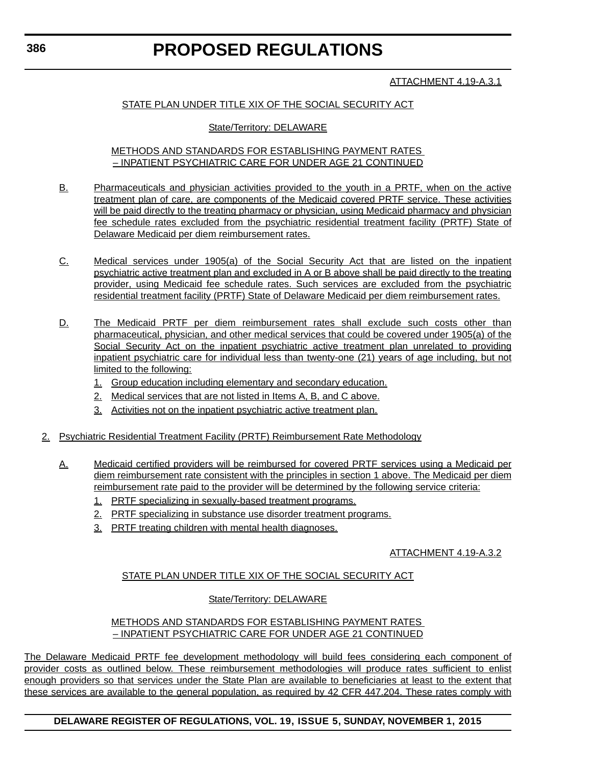## ATTACHMENT 4.19-A.3.1

## STATE PLAN UNDER TITLE XIX OF THE SOCIAL SECURITY ACT

## State/Territory: DELAWARE

#### METHODS AND STANDARDS FOR ESTABLISHING PAYMENT RATES – INPATIENT PSYCHIATRIC CARE FOR UNDER AGE 21 CONTINUED

- B. Pharmaceuticals and physician activities provided to the youth in a PRTF, when on the active treatment plan of care, are components of the Medicaid covered PRTF service. These activities will be paid directly to the treating pharmacy or physician, using Medicaid pharmacy and physician fee schedule rates excluded from the psychiatric residential treatment facility (PRTF) State of Delaware Medicaid per diem reimbursement rates.
- C. Medical services under 1905(a) of the Social Security Act that are listed on the inpatient psychiatric active treatment plan and excluded in A or B above shall be paid directly to the treating provider, using Medicaid fee schedule rates. Such services are excluded from the psychiatric residential treatment facility (PRTF) State of Delaware Medicaid per diem reimbursement rates.
- D. The Medicaid PRTF per diem reimbursement rates shall exclude such costs other than pharmaceutical, physician, and other medical services that could be covered under 1905(a) of the Social Security Act on the inpatient psychiatric active treatment plan unrelated to providing inpatient psychiatric care for individual less than twenty-one (21) years of age including, but not limited to the following:
	- 1. Group education including elementary and secondary education.
	- 2. Medical services that are not listed in Items A, B, and C above.
	- 3. Activities not on the inpatient psychiatric active treatment plan.
- 2. Psychiatric Residential Treatment Facility (PRTF) Reimbursement Rate Methodology
	- A. Medicaid certified providers will be reimbursed for covered PRTF services using a Medicaid per diem reimbursement rate consistent with the principles in section 1 above. The Medicaid per diem reimbursement rate paid to the provider will be determined by the following service criteria:
		- 1. PRTF specializing in sexually-based treatment programs.
		- 2. PRTF specializing in substance use disorder treatment programs.
		- 3. PRTF treating children with mental health diagnoses.

## ATTACHMENT 4.19-A.3.2

## STATE PLAN UNDER TITLE XIX OF THE SOCIAL SECURITY ACT

## State/Territory: DELAWARE

## METHODS AND STANDARDS FOR ESTABLISHING PAYMENT RATES – INPATIENT PSYCHIATRIC CARE FOR UNDER AGE 21 CONTINUED

The Delaware Medicaid PRTF fee development methodology will build fees considering each component of provider costs as outlined below. These reimbursement methodologies will produce rates sufficient to enlist enough providers so that services under the State Plan are available to beneficiaries at least to the extent that these services are available to the general population, as required by 42 CFR 447.204. These rates comply with

## **DELAWARE REGISTER OF REGULATIONS, VOL. 19, ISSUE 5, SUNDAY, NOVEMBER 1, 2015**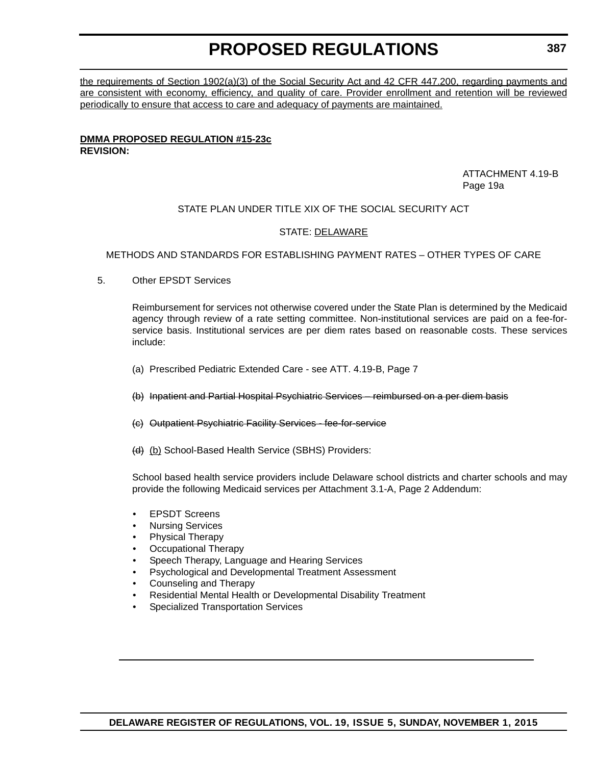the requirements of Section 1902(a)(3) of the Social Security Act and 42 CFR 447.200, regarding payments and are consistent with economy, efficiency, and quality of care. Provider enrollment and retention will be reviewed periodically to ensure that access to care and adequacy of payments are maintained.

#### **DMMA PROPOSED REGULATION #15-23c REVISION:**

ATTACHMENT 4.19-B Page 19a

## STATE PLAN UNDER TITLE XIX OF THE SOCIAL SECURITY ACT

## STATE: DELAWARE

METHODS AND STANDARDS FOR ESTABLISHING PAYMENT RATES – OTHER TYPES OF CARE

5. Other EPSDT Services

Reimbursement for services not otherwise covered under the State Plan is determined by the Medicaid agency through review of a rate setting committee. Non-institutional services are paid on a fee-forservice basis. Institutional services are per diem rates based on reasonable costs. These services include:

- (a) Prescribed Pediatric Extended Care see ATT. 4.19-B, Page 7
- (b) Inpatient and Partial Hospital Psychiatric Services reimbursed on a per diem basis
- (c) Outpatient Psychiatric Facility Services fee-for-service
- (d) (b) School-Based Health Service (SBHS) Providers:

School based health service providers include Delaware school districts and charter schools and may provide the following Medicaid services per Attachment 3.1-A, Page 2 Addendum:

- **EPSDT Screens**
- Nursing Services
- Physical Therapy
- Occupational Therapy
- Speech Therapy, Language and Hearing Services
- Psychological and Developmental Treatment Assessment
- Counseling and Therapy
- Residential Mental Health or Developmental Disability Treatment
- Specialized Transportation Services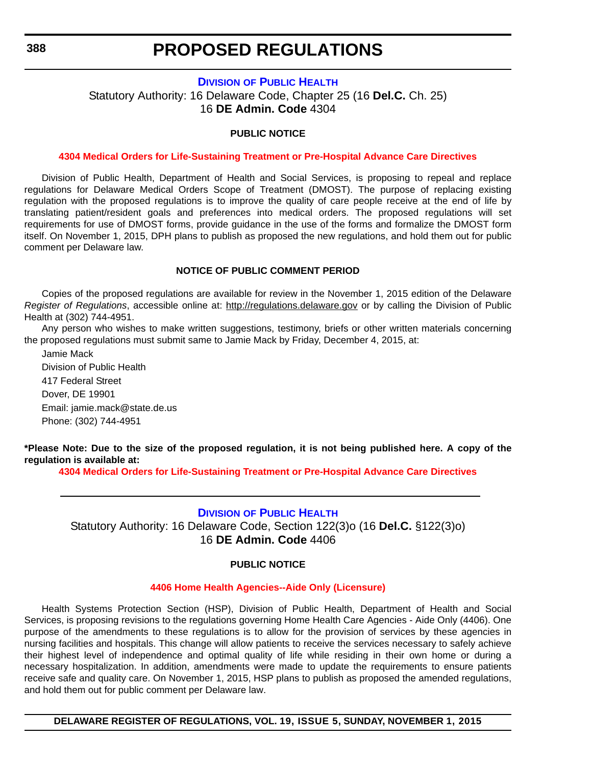## **DIVISION [OF PUBLIC HEALTH](http://www.dhss.delaware.gov/dhss/dph/index.html)**

Statutory Authority: 16 Delaware Code, Chapter 25 (16 **Del.C.** Ch. 25) 16 **DE Admin. Code** 4304

## **PUBLIC NOTICE**

### **[4304 Medical Orders for Life-Sustaining Treatment or Pre-Hospital Advance Care Directives](#page-3-0)**

Division of Public Health, Department of Health and Social Services, is proposing to repeal and replace regulations for Delaware Medical Orders Scope of Treatment (DMOST). The purpose of replacing existing regulation with the proposed regulations is to improve the quality of care people receive at the end of life by translating patient/resident goals and preferences into medical orders. The proposed regulations will set requirements for use of DMOST forms, provide guidance in the use of the forms and formalize the DMOST form itself. On November 1, 2015, DPH plans to publish as proposed the new regulations, and hold them out for public comment per Delaware law.

## **NOTICE OF PUBLIC COMMENT PERIOD**

Copies of the proposed regulations are available for review in the November 1, 2015 edition of the Delaware *Register of Regulations*, accessible online at: <http://regulations.delaware.gov> or by calling the Division of Public Health at (302) 744-4951.

Any person who wishes to make written suggestions, testimony, briefs or other written materials concerning the proposed regulations must submit same to Jamie Mack by Friday, December 4, 2015, at:

Jamie Mack Division of Public Health 417 Federal Street Dover, DE 19901 Email: jamie.mack@state.de.us Phone: (302) 744-4951

**\*Please Note: Due to the size of the proposed regulation, it is not being published here. A copy of the regulation is available at:**

**[4304 Medical Orders for Life-Sustaining Treatment or Pre-Hospital Advance Care Directives](http://regulations.delaware.gov/register/november2015/proposed/19 DE Reg 388 11-01-15.htm)**

## **DIVISION [OF PUBLIC HEALTH](http://www.dhss.delaware.gov/dhss/dph/index.html)**

Statutory Authority: 16 Delaware Code, Section 122(3)o (16 **Del.C.** §122(3)o) 16 **DE Admin. Code** 4406

## **PUBLIC NOTICE**

#### **[4406 Home Health Agencies--Aide Only \(Licensure\)](#page-3-0)**

Health Systems Protection Section (HSP), Division of Public Health, Department of Health and Social Services, is proposing revisions to the regulations governing Home Health Care Agencies - Aide Only (4406). One purpose of the amendments to these regulations is to allow for the provision of services by these agencies in nursing facilities and hospitals. This change will allow patients to receive the services necessary to safely achieve their highest level of independence and optimal quality of life while residing in their own home or during a necessary hospitalization. In addition, amendments were made to update the requirements to ensure patients receive safe and quality care. On November 1, 2015, HSP plans to publish as proposed the amended regulations, and hold them out for public comment per Delaware law.

**DELAWARE REGISTER OF REGULATIONS, VOL. 19, ISSUE 5, SUNDAY, NOVEMBER 1, 2015**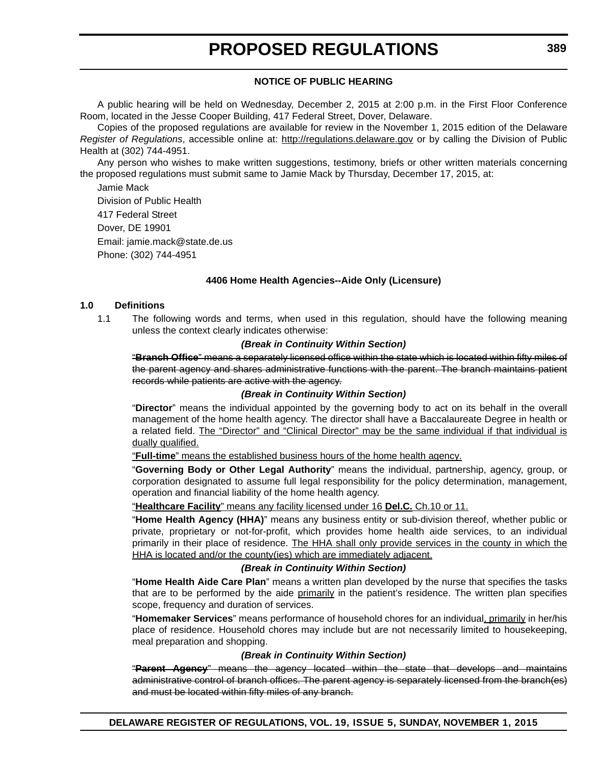## **NOTICE OF PUBLIC HEARING**

A public hearing will be held on Wednesday, December 2, 2015 at 2:00 p.m. in the First Floor Conference Room, located in the Jesse Cooper Building, 417 Federal Street, Dover, Delaware.

Copies of the proposed regulations are available for review in the November 1, 2015 edition of the Delaware *Register of Regulations*, accessible online at: <http://regulations.delaware.gov>or by calling the Division of Public Health at (302) 744-4951.

Any person who wishes to make written suggestions, testimony, briefs or other written materials concerning the proposed regulations must submit same to Jamie Mack by Thursday, December 17, 2015, at:

Jamie Mack Division of Public Health 417 Federal Street Dover, DE 19901 Email: jamie.mack@state.de.us Phone: (302) 744-4951

### **4406 Home Health Agencies--Aide Only (Licensure)**

#### **1.0 Definitions**

1.1 The following words and terms, when used in this regulation, should have the following meaning unless the context clearly indicates otherwise:

#### *(Break in Continuity Within Section)*

"**Branch Office**" means a separately licensed office within the state which is located within fifty miles of the parent agency and shares administrative functions with the parent. The branch maintains patient records while patients are active with the agency.

#### *(Break in Continuity Within Section)*

"**Director**" means the individual appointed by the governing body to act on its behalf in the overall management of the home health agency. The director shall have a Baccalaureate Degree in health or a related field. The "Director" and "Clinical Director" may be the same individual if that individual is dually qualified.

"**Full-time**" means the established business hours of the home health agency.

"**Governing Body or Other Legal Authority**" means the individual, partnership, agency, group, or corporation designated to assume full legal responsibility for the policy determination, management, operation and financial liability of the home health agency.

"**Healthcare Facility**" means any facility licensed under 16 **Del.C.** Ch.10 or 11.

"**Home Health Agency (HHA)**" means any business entity or sub-division thereof, whether public or private, proprietary or not-for-profit, which provides home health aide services, to an individual primarily in their place of residence. The HHA shall only provide services in the county in which the HHA is located and/or the county(ies) which are immediately adjacent.

#### *(Break in Continuity Within Section)*

"**Home Health Aide Care Plan**" means a written plan developed by the nurse that specifies the tasks that are to be performed by the aide primarily in the patient's residence. The written plan specifies scope, frequency and duration of services.

"**Homemaker Services**" means performance of household chores for an individual, primarily in her/his place of residence. Household chores may include but are not necessarily limited to housekeeping, meal preparation and shopping.

#### *(Break in Continuity Within Section)*

"**Parent Agency**" means the agency located within the state that develops and maintains administrative control of branch offices. The parent agency is separately licensed from the branch(es) and must be located within fifty miles of any branch.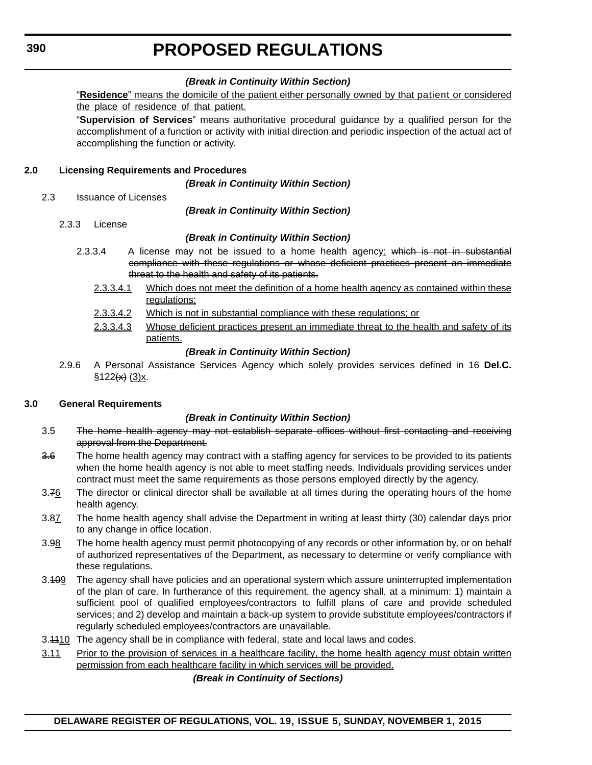## *(Break in Continuity Within Section)*

"**Residence**" means the domicile of the patient either personally owned by that patient or considered the place of residence of that patient.

"**Supervision of Services**" means authoritative procedural guidance by a qualified person for the accomplishment of a function or activity with initial direction and periodic inspection of the actual act of accomplishing the function or activity.

## **2.0 Licensing Requirements and Procedures**

*(Break in Continuity Within Section)*

2.3 Issuance of Licenses

*(Break in Continuity Within Section)*

2.3.3 License

## *(Break in Continuity Within Section)*

- 2.3.3.4 A license may not be issued to a home health agency: which is not in substantial compliance with these regulations or whose deficient practices present an immediate threat to the health and safety of its patients.
	- 2.3.3.4.1 Which does not meet the definition of a home health agency as contained within these regulations;
	- 2.3.3.4.2 Which is not in substantial compliance with these regulations; or
	- 2.3.3.4.3 Whose deficient practices present an immediate threat to the health and safety of its patients.

## *(Break in Continuity Within Section)*

2.9.6 A Personal Assistance Services Agency which solely provides services defined in 16 **Del.C.**  $$122(x)(3)x$ .

## **3.0 General Requirements**

## *(Break in Continuity Within Section)*

- 3.5 The home health agency may not establish separate offices without first contacting and receiving approval from the Department.
- 3.6 The home health agency may contract with a staffing agency for services to be provided to its patients when the home health agency is not able to meet staffing needs. Individuals providing services under contract must meet the same requirements as those persons employed directly by the agency.
- 3.76 The director or clinical director shall be available at all times during the operating hours of the home health agency.
- 3.87 The home health agency shall advise the Department in writing at least thirty (30) calendar days prior to any change in office location.
- 3.98 The home health agency must permit photocopying of any records or other information by, or on behalf of authorized representatives of the Department, as necessary to determine or verify compliance with these regulations.
- 3.109 The agency shall have policies and an operational system which assure uninterrupted implementation of the plan of care. In furtherance of this requirement, the agency shall, at a minimum: 1) maintain a sufficient pool of qualified employees/contractors to fulfill plans of care and provide scheduled services; and 2) develop and maintain a back-up system to provide substitute employees/contractors if regularly scheduled employees/contractors are unavailable.
- 3.4410 The agency shall be in compliance with federal, state and local laws and codes.
- 3.11 Prior to the provision of services in a healthcare facility, the home health agency must obtain written permission from each healthcare facility in which services will be provided.

## *(Break in Continuity of Sections)*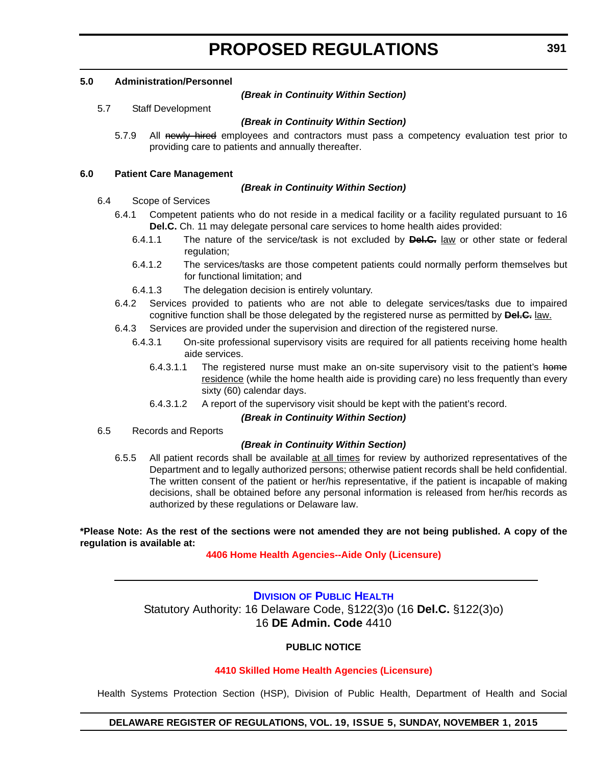### **5.0 Administration/Personnel**

### *(Break in Continuity Within Section)*

5.7 Staff Development

## *(Break in Continuity Within Section)*

5.7.9 All newly hired employees and contractors must pass a competency evaluation test prior to providing care to patients and annually thereafter.

## **6.0 Patient Care Management**

## *(Break in Continuity Within Section)*

- 6.4 Scope of Services
	- 6.4.1 Competent patients who do not reside in a medical facility or a facility regulated pursuant to 16 **Del.C.** Ch. 11 may delegate personal care services to home health aides provided:
		- 6.4.1.1 The nature of the service/task is not excluded by **Del.C.** law or other state or federal regulation;
		- 6.4.1.2 The services/tasks are those competent patients could normally perform themselves but for functional limitation; and
		- 6.4.1.3 The delegation decision is entirely voluntary.
	- 6.4.2 Services provided to patients who are not able to delegate services/tasks due to impaired cognitive function shall be those delegated by the registered nurse as permitted by **Del.C.** law.
	- 6.4.3 Services are provided under the supervision and direction of the registered nurse.
		- 6.4.3.1 On-site professional supervisory visits are required for all patients receiving home health aide services.
			- 6.4.3.1.1 The registered nurse must make an on-site supervisory visit to the patient's home residence (while the home health aide is providing care) no less frequently than every sixty (60) calendar days.
			- 6.4.3.1.2 A report of the supervisory visit should be kept with the patient's record.

## *(Break in Continuity Within Section)*

6.5 Records and Reports

## *(Break in Continuity Within Section)*

6.5.5 All patient records shall be available at all times for review by authorized representatives of the Department and to legally authorized persons; otherwise patient records shall be held confidential. The written consent of the patient or her/his representative, if the patient is incapable of making decisions, shall be obtained before any personal information is released from her/his records as authorized by these regulations or Delaware law.

### **\*Please Note: As the rest of the sections were not amended they are not being published. A copy of the regulation is available at:**

## **[4406 Home Health Agencies--Aide Only \(Licensure\)](http://regulations.delaware.gov/register/november2015/proposed/19 DE Reg 388a 11-01-15.htm)**

## **DIVISION [OF PUBLIC HEALTH](http://www.dhss.delaware.gov/dhss/dph/index.html)** Statutory Authority: 16 Delaware Code, §122(3)o (16 **Del.C.** §122(3)o) 16 **DE Admin. Code** 4410

## **PUBLIC NOTICE**

## **[4410 Skilled Home Health Agencies \(Licensure\)](#page-3-0)**

Health Systems Protection Section (HSP), Division of Public Health, Department of Health and Social

## **DELAWARE REGISTER OF REGULATIONS, VOL. 19, ISSUE 5, SUNDAY, NOVEMBER 1, 2015**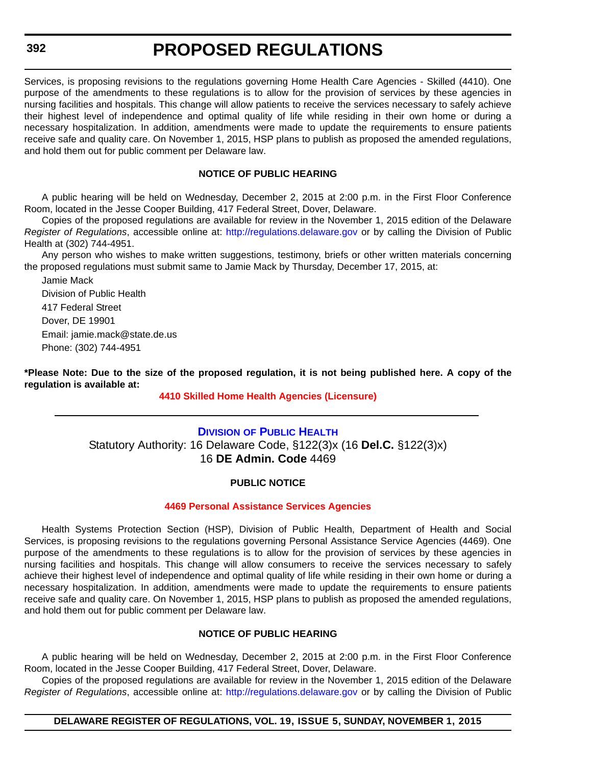Services, is proposing revisions to the regulations governing Home Health Care Agencies - Skilled (4410). One purpose of the amendments to these regulations is to allow for the provision of services by these agencies in nursing facilities and hospitals. This change will allow patients to receive the services necessary to safely achieve their highest level of independence and optimal quality of life while residing in their own home or during a necessary hospitalization. In addition, amendments were made to update the requirements to ensure patients receive safe and quality care. On November 1, 2015, HSP plans to publish as proposed the amended regulations, and hold them out for public comment per Delaware law.

## **NOTICE OF PUBLIC HEARING**

A public hearing will be held on Wednesday, December 2, 2015 at 2:00 p.m. in the First Floor Conference Room, located in the Jesse Cooper Building, 417 Federal Street, Dover, Delaware.

Copies of the proposed regulations are available for review in the November 1, 2015 edition of the Delaware *Register of Regulations*, accessible online at: <http://regulations.delaware.gov> or by calling the Division of Public Health at (302) 744-4951.

Any person who wishes to make written suggestions, testimony, briefs or other written materials concerning the proposed regulations must submit same to Jamie Mack by Thursday, December 17, 2015, at:

Jamie Mack Division of Public Health 417 Federal Street Dover, DE 19901 Email: jamie.mack@state.de.us Phone: (302) 744-4951

**\*Please Note: Due to the size of the proposed regulation, it is not being published here. A copy of the regulation is available at:**

### **[4410 Skilled Home Health Agencies \(Licensure\)](http://regulations.delaware.gov/register/november2015/proposed/19 DE Reg 391 11-01-15.htm)**

## **DIVISION [OF PUBLIC HEALTH](http://www.dhss.delaware.gov/dhss/dph/index.html)** Statutory Authority: 16 Delaware Code, §122(3)x (16 **Del.C.** §122(3)x) 16 **DE Admin. Code** 4469

## **PUBLIC NOTICE**

#### **[4469 Personal Assistance Services Agencies](#page-3-0)**

Health Systems Protection Section (HSP), Division of Public Health, Department of Health and Social Services, is proposing revisions to the regulations governing Personal Assistance Service Agencies (4469). One purpose of the amendments to these regulations is to allow for the provision of services by these agencies in nursing facilities and hospitals. This change will allow consumers to receive the services necessary to safely achieve their highest level of independence and optimal quality of life while residing in their own home or during a necessary hospitalization. In addition, amendments were made to update the requirements to ensure patients receive safe and quality care. On November 1, 2015, HSP plans to publish as proposed the amended regulations, and hold them out for public comment per Delaware law.

## **NOTICE OF PUBLIC HEARING**

A public hearing will be held on Wednesday, December 2, 2015 at 2:00 p.m. in the First Floor Conference Room, located in the Jesse Cooper Building, 417 Federal Street, Dover, Delaware.

Copies of the proposed regulations are available for review in the November 1, 2015 edition of the Delaware *Register of Regulations*, accessible online at: <http://regulations.delaware.gov> or by calling the Division of Public

### **DELAWARE REGISTER OF REGULATIONS, VOL. 19, ISSUE 5, SUNDAY, NOVEMBER 1, 2015**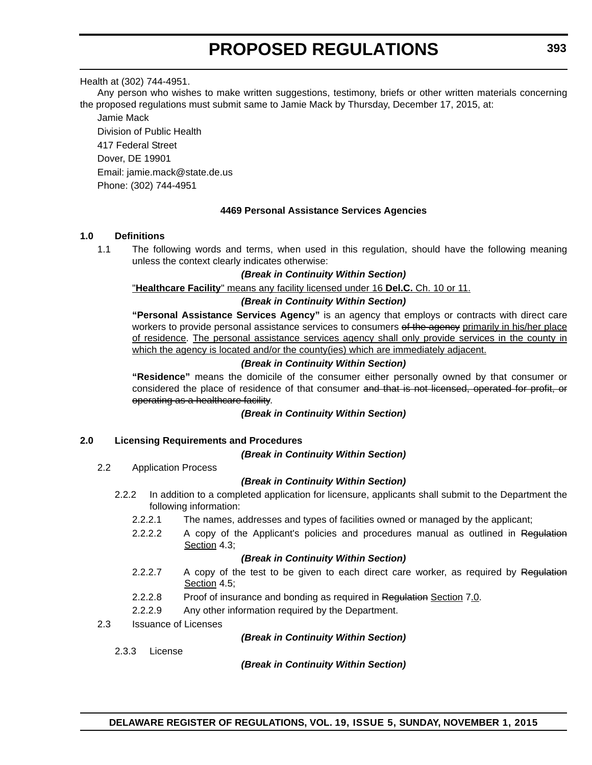### Health at (302) 744-4951.

Any person who wishes to make written suggestions, testimony, briefs or other written materials concerning the proposed regulations must submit same to Jamie Mack by Thursday, December 17, 2015, at:

Jamie Mack Division of Public Health 417 Federal Street Dover, DE 19901 Email: jamie.mack@state.de.us

Phone: (302) 744-4951

### **4469 Personal Assistance Services Agencies**

### **1.0 Definitions**

1.1 The following words and terms, when used in this regulation, should have the following meaning unless the context clearly indicates otherwise:

#### *(Break in Continuity Within Section)*

#### "**Healthcare Facility**" means any facility licensed under 16 **Del.C.** Ch. 10 or 11.

#### *(Break in Continuity Within Section)*

**"Personal Assistance Services Agency"** is an agency that employs or contracts with direct care workers to provide personal assistance services to consumers of the agency primarily in his/her place of residence. The personal assistance services agency shall only provide services in the county in which the agency is located and/or the county(ies) which are immediately adjacent.

#### *(Break in Continuity Within Section)*

**"Residence"** means the domicile of the consumer either personally owned by that consumer or considered the place of residence of that consumer and that is not licensed, operated for profit, or operating as a healthcare facility.

#### *(Break in Continuity Within Section)*

#### **2.0 Licensing Requirements and Procedures**

#### *(Break in Continuity Within Section)*

2.2 Application Process

#### *(Break in Continuity Within Section)*

- 2.2.2 In addition to a completed application for licensure, applicants shall submit to the Department the following information:
	- 2.2.2.1 The names, addresses and types of facilities owned or managed by the applicant;
	- 2.2.2.2 A copy of the Applicant's policies and procedures manual as outlined in Regulation Section 4.3;

#### *(Break in Continuity Within Section)*

- 2.2.2.7 A copy of the test to be given to each direct care worker, as required by Regulation Section 4.5;
- 2.2.2.8 Proof of insurance and bonding as required in Regulation Section 7.0.
- 2.2.2.9 Any other information required by the Department.
- 2.3 Issuance of Licenses

#### *(Break in Continuity Within Section)*

2.3.3 License

*(Break in Continuity Within Section)*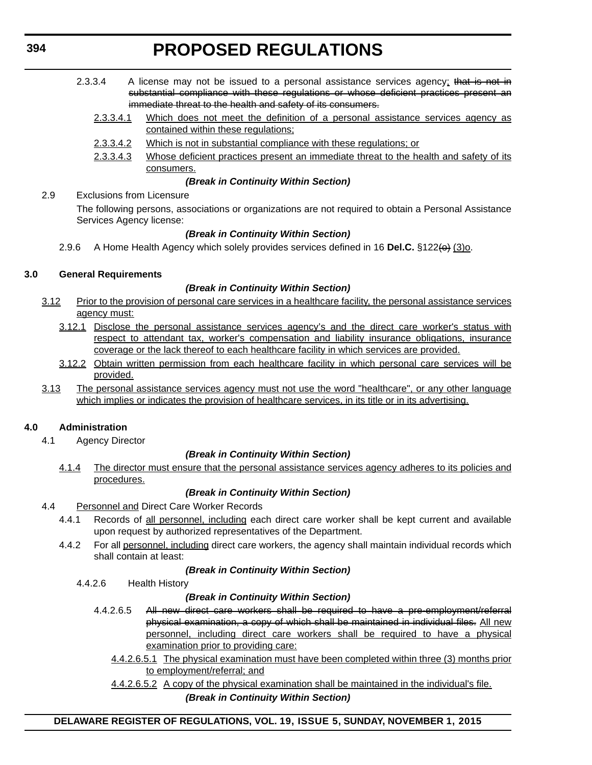- 2.3.3.4 A license may not be issued to a personal assistance services agency; that is not in substantial compliance with these regulations or whose deficient practices present an immediate threat to the health and safety of its consumers.
	- 2.3.3.4.1 Which does not meet the definition of a personal assistance services agency as contained within these regulations;
	- 2.3.3.4.2 Which is not in substantial compliance with these regulations; or
	- 2.3.3.4.3 Whose deficient practices present an immediate threat to the health and safety of its consumers.

## *(Break in Continuity Within Section)*

2.9 Exclusions from Licensure

The following persons, associations or organizations are not required to obtain a Personal Assistance Services Agency license:

## *(Break in Continuity Within Section)*

2.9.6 A Home Health Agency which solely provides services defined in 16 **Del.C.** §122( $\Theta$ ) (3) o.

## **3.0 General Requirements**

## *(Break in Continuity Within Section)*

- 3.12 Prior to the provision of personal care services in a healthcare facility, the personal assistance services agency must:
	- 3.12.1 Disclose the personal assistance services agency's and the direct care worker's status with respect to attendant tax, worker's compensation and liability insurance obligations, insurance coverage or the lack thereof to each healthcare facility in which services are provided.
	- 3.12.2 Obtain written permission from each healthcare facility in which personal care services will be provided.
- 3.13 The personal assistance services agency must not use the word "healthcare", or any other language which implies or indicates the provision of healthcare services, in its title or in its advertising.

## **4.0 Administration**

4.1 Agency Director

## *(Break in Continuity Within Section)*

4.1.4 The director must ensure that the personal assistance services agency adheres to its policies and procedures.

## *(Break in Continuity Within Section)*

## 4.4 Personnel and Direct Care Worker Records

- 4.4.1 Records of all personnel, including each direct care worker shall be kept current and available upon request by authorized representatives of the Department.
- 4.4.2 For all personnel, including direct care workers, the agency shall maintain individual records which shall contain at least:

## *(Break in Continuity Within Section)*

4.4.2.6 Health History

## *(Break in Continuity Within Section)*

- 4.4.2.6.5 All new direct care workers shall be required to have a pre-employment/referral physical examination, a copy of which shall be maintained in individual files. All new personnel, including direct care workers shall be required to have a physical examination prior to providing care:
	- 4.4.2.6.5.1 The physical examination must have been completed within three (3) months prior to employment/referral; and
	- 4.4.2.6.5.2 A copy of the physical examination shall be maintained in the individual's file.

## *(Break in Continuity Within Section)*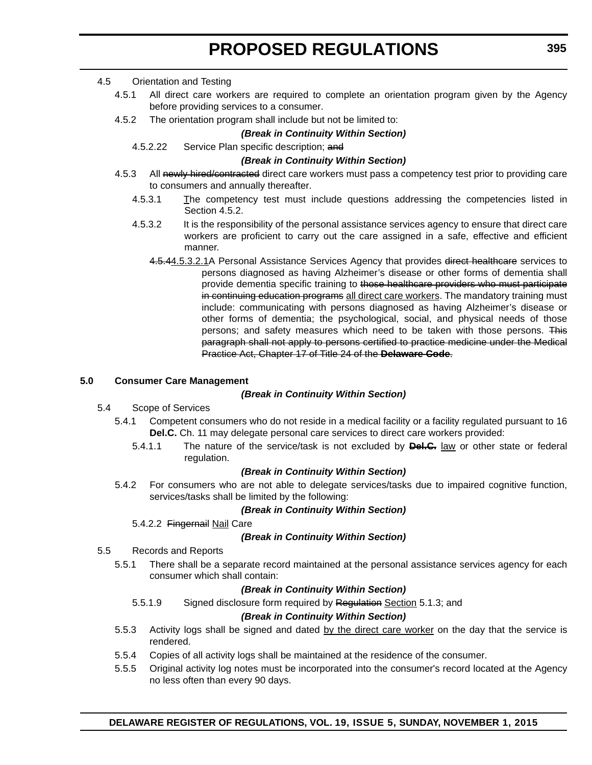## 4.5 Orientation and Testing

- 4.5.1 All direct care workers are required to complete an orientation program given by the Agency before providing services to a consumer.
- 4.5.2 The orientation program shall include but not be limited to:

## *(Break in Continuity Within Section)*

4.5.2.22 Service Plan specific description; and

## *(Break in Continuity Within Section)*

- 4.5.3 All newly hired/contracted direct care workers must pass a competency test prior to providing care to consumers and annually thereafter.
	- 4.5.3.1 The competency test must include questions addressing the competencies listed in Section 4.5.2.
	- 4.5.3.2 It is the responsibility of the personal assistance services agency to ensure that direct care workers are proficient to carry out the care assigned in a safe, effective and efficient manner.
		- 4.5.44.5.3.2.1A Personal Assistance Services Agency that provides direct healthcare services to persons diagnosed as having Alzheimer's disease or other forms of dementia shall provide dementia specific training to those healthcare providers who must participate in continuing education programs all direct care workers. The mandatory training must include: communicating with persons diagnosed as having Alzheimer's disease or other forms of dementia; the psychological, social, and physical needs of those persons; and safety measures which need to be taken with those persons. This paragraph shall not apply to persons certified to practice medicine under the Medical Practice Act, Chapter 17 of Title 24 of the **Delaware Code**.

## **5.0 Consumer Care Management**

## *(Break in Continuity Within Section)*

- 5.4 Scope of Services
	- 5.4.1 Competent consumers who do not reside in a medical facility or a facility regulated pursuant to 16 **Del.C.** Ch. 11 may delegate personal care services to direct care workers provided:
		- 5.4.1.1 The nature of the service/task is not excluded by **Del.C.** law or other state or federal regulation.

## *(Break in Continuity Within Section)*

5.4.2 For consumers who are not able to delegate services/tasks due to impaired cognitive function, services/tasks shall be limited by the following:

## *(Break in Continuity Within Section)*

5.4.2.2 Fingernail Nail Care

## *(Break in Continuity Within Section)*

- 5.5 Records and Reports
	- 5.5.1 There shall be a separate record maintained at the personal assistance services agency for each consumer which shall contain:

## *(Break in Continuity Within Section)*

5.5.1.9 Signed disclosure form required by Regulation Section 5.1.3; and

## *(Break in Continuity Within Section)*

- 5.5.3 Activity logs shall be signed and dated by the direct care worker on the day that the service is rendered.
- 5.5.4 Copies of all activity logs shall be maintained at the residence of the consumer.
- 5.5.5 Original activity log notes must be incorporated into the consumer's record located at the Agency no less often than every 90 days.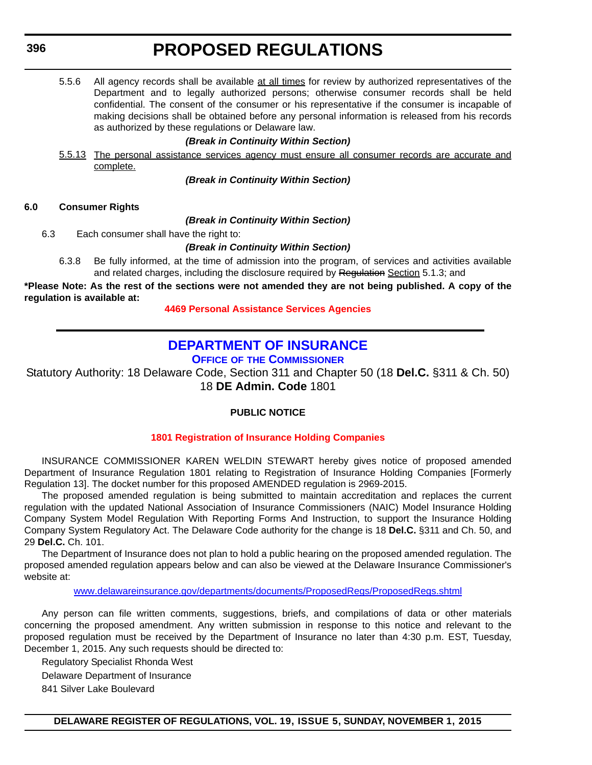5.5.6 All agency records shall be available at all times for review by authorized representatives of the Department and to legally authorized persons; otherwise consumer records shall be held confidential. The consent of the consumer or his representative if the consumer is incapable of making decisions shall be obtained before any personal information is released from his records as authorized by these regulations or Delaware law.

### *(Break in Continuity Within Section)*

5.5.13 The personal assistance services agency must ensure all consumer records are accurate and complete.

*(Break in Continuity Within Section)*

### **6.0 Consumer Rights**

*(Break in Continuity Within Section)*

6.3 Each consumer shall have the right to:

### *(Break in Continuity Within Section)*

6.3.8 Be fully informed, at the time of admission into the program, of services and activities available and related charges, including the disclosure required by Regulation Section 5.1.3; and

**\*Please Note: As the rest of the sections were not amended they are not being published. A copy of the regulation is available at:**

**[4469 Personal Assistance Services Agencies](http://regulations.delaware.gov/register/november2015/proposed/19 DE Reg 392 11-01-15.htm)**

## **[DEPARTMENT OF INSURANCE](http://www.delawareinsurance.gov/)**

**OFFICE OF THE COMMISSIONER**

Statutory Authority: 18 Delaware Code, Section 311 and Chapter 50 (18 **Del.C.** §311 & Ch. 50) 18 **DE Admin. Code** 1801

## **PUBLIC NOTICE**

## **[1801 Registration of Insurance Holding Companies](#page-3-0)**

INSURANCE COMMISSIONER KAREN WELDIN STEWART hereby gives notice of proposed amended Department of Insurance Regulation 1801 relating to Registration of Insurance Holding Companies [Formerly Regulation 13]. The docket number for this proposed AMENDED regulation is 2969-2015.

The proposed amended regulation is being submitted to maintain accreditation and replaces the current regulation with the updated National Association of Insurance Commissioners (NAIC) Model Insurance Holding Company System Model Regulation With Reporting Forms And Instruction, to support the Insurance Holding Company System Regulatory Act. The Delaware Code authority for the change is 18 **Del.C.** §311 and Ch. 50, and 29 **Del.C.** Ch. 101.

The Department of Insurance does not plan to hold a public hearing on the proposed amended regulation. The proposed amended regulation appears below and can also be viewed at the Delaware Insurance Commissioner's website at:

w[ww.delawareinsurance.gov/departments/documents/ProposedRegs/ProposedRegs.shtml](http://www.delawareinsurance.gov/departments/documents/ProposedRegs/ProposedRegs.shtml)

Any person can file written comments, suggestions, briefs, and compilations of data or other materials concerning the proposed amendment. Any written submission in response to this notice and relevant to the proposed regulation must be received by the Department of Insurance no later than 4:30 p.m. EST, Tuesday, December 1, 2015. Any such requests should be directed to:

Regulatory Specialist Rhonda West

Delaware Department of Insurance

841 Silver Lake Boulevard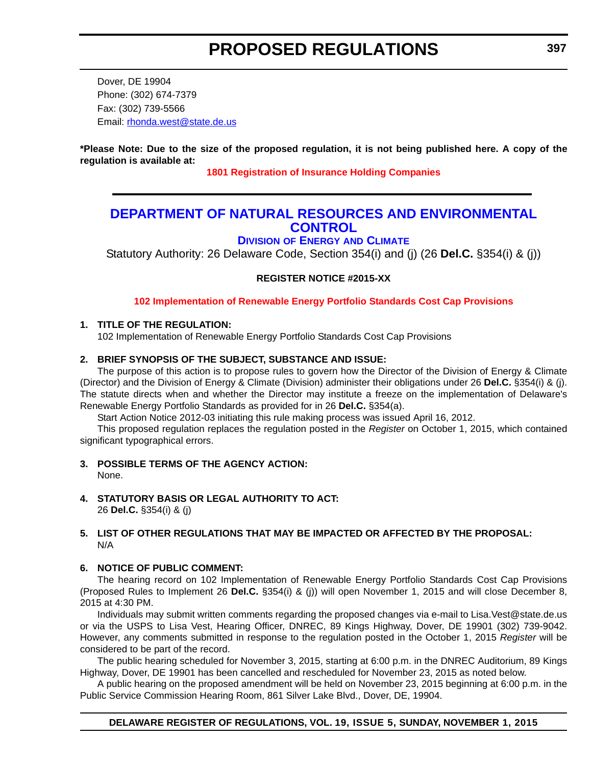Dover, DE 19904 Phone: (302) 674-7379 Fax: (302) 739-5566 Email: r[honda.west@state.de.us](mailto:rhonda.west@state.de.us)

**\*Please Note: Due to the size of the proposed regulation, it is not being published here. A copy of the regulation is available at:**

**[1801 Registration of Insurance Holding Companies](http://regulations.delaware.gov/register/november2015/proposed/19 DE Reg 396 11-01-15.htm)**

## **[DEPARTMENT OF NATURAL RESOURCES AND ENVIRONMENTAL](http://www.dnrec.delaware.gov/energy/Pages/portal.aspx)  CONTROL**

**DIVISION OF ENERGY AND CLIMATE**

Statutory Authority: 26 Delaware Code, Section 354(i) and (j) (26 **Del.C.** §354(i) & (j))

**REGISTER NOTICE #2015-XX**

**[102 Implementation of Renewable Energy Portfolio Standards Cost Cap Provisions](#page-3-0)**

## **1. TITLE OF THE REGULATION:**

102 Implementation of Renewable Energy Portfolio Standards Cost Cap Provisions

## **2. BRIEF SYNOPSIS OF THE SUBJECT, SUBSTANCE AND ISSUE:**

The purpose of this action is to propose rules to govern how the Director of the Division of Energy & Climate (Director) and the Division of Energy & Climate (Division) administer their obligations under 26 **Del.C.** §354(i) & (j). The statute directs when and whether the Director may institute a freeze on the implementation of Delaware's Renewable Energy Portfolio Standards as provided for in 26 **Del.C.** §354(a).

Start Action Notice 2012-03 initiating this rule making process was issued April 16, 2012.

This proposed regulation replaces the regulation posted in the *Register* on October 1, 2015, which contained significant typographical errors.

- **3. POSSIBLE TERMS OF THE AGENCY ACTION:** None.
- **4. STATUTORY BASIS OR LEGAL AUTHORITY TO ACT:**  26 **Del.C.** §354(i) & (j)

## **5. LIST OF OTHER REGULATIONS THAT MAY BE IMPACTED OR AFFECTED BY THE PROPOSAL:** N/A

## **6. NOTICE OF PUBLIC COMMENT:**

The hearing record on 102 Implementation of Renewable Energy Portfolio Standards Cost Cap Provisions (Proposed Rules to Implement 26 **Del.C.** §354(i) & (j)) will open November 1, 2015 and will close December 8, 2015 at 4:30 PM.

Individuals may submit written comments regarding the proposed changes via e-mail to Lisa.Vest@state.de.us or via the USPS to Lisa Vest, Hearing Officer, DNREC, 89 Kings Highway, Dover, DE 19901 (302) 739-9042. However, any comments submitted in response to the regulation posted in the October 1, 2015 *Register* will be considered to be part of the record.

The public hearing scheduled for November 3, 2015, starting at 6:00 p.m. in the DNREC Auditorium, 89 Kings Highway, Dover, DE 19901 has been cancelled and rescheduled for November 23, 2015 as noted below.

A public hearing on the proposed amendment will be held on November 23, 2015 beginning at 6:00 p.m. in the Public Service Commission Hearing Room, 861 Silver Lake Blvd., Dover, DE, 19904.

## **DELAWARE REGISTER OF REGULATIONS, VOL. 19, ISSUE 5, SUNDAY, NOVEMBER 1, 2015**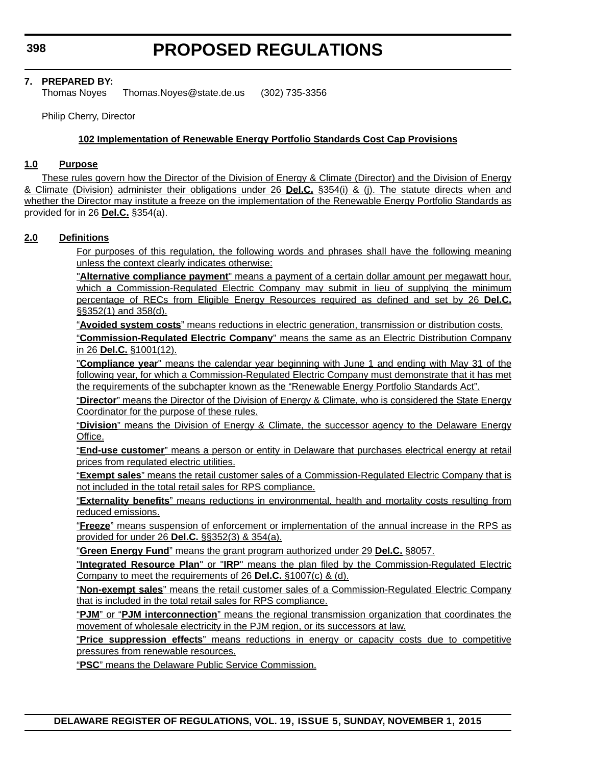## **7. PREPARED BY:**

Thomas Noyes Thomas.Noyes@state.de.us (302) 735-3356

Philip Cherry, Director

## **102 Implementation of Renewable Energy Portfolio Standards Cost Cap Provisions**

#### **1.0 Purpose**

These rules govern how the Director of the Division of Energy & Climate (Director) and the Division of Energy & Climate (Division) administer their obligations under 26 **Del.C.** §354(i) & (j). The statute directs when and whether the Director may institute a freeze on the implementation of the Renewable Energy Portfolio Standards as provided for in 26 **Del.C.** §354(a).

### **2.0 Definitions**

For purposes of this regulation, the following words and phrases shall have the following meaning unless the context clearly indicates otherwise:

"**Alternative compliance payment**" means a payment of a certain dollar amount per megawatt hour, which a Commission-Regulated Electric Company may submit in lieu of supplying the minimum percentage of RECs from Eligible Energy Resources required as defined and set by 26 **Del.C.** §§352(1) and 358(d).

"**Avoided system costs**" means reductions in electric generation, transmission or distribution costs.

"**Commission-Regulated Electric Company**" means the same as an Electric Distribution Company in 26 **Del.C.** §1001(12).

"**Compliance year**" means the calendar year beginning with June 1 and ending with May 31 of the following year, for which a Commission-Regulated Electric Company must demonstrate that it has met the requirements of the subchapter known as the "Renewable Energy Portfolio Standards Act".

"**Director**" means the Director of the Division of Energy & Climate, who is considered the State Energy Coordinator for the purpose of these rules.

"**Division**" means the Division of Energy & Climate, the successor agency to the Delaware Energy Office.

"**End-use customer**" means a person or entity in Delaware that purchases electrical energy at retail prices from regulated electric utilities.

"**Exempt sales**" means the retail customer sales of a Commission-Regulated Electric Company that is not included in the total retail sales for RPS compliance.

"**Externality benefits**" means reductions in environmental, health and mortality costs resulting from reduced emissions.

"**Freeze**" means suspension of enforcement or implementation of the annual increase in the RPS as provided for under 26 **Del.C.** §§352(3) & 354(a).

"**Green Energy Fund**" means the grant program authorized under 29 **Del.C.** §8057.

"**Integrated Resource Plan**" or "**IRP**" means the plan filed by the Commission-Regulated Electric Company to meet the requirements of 26 **Del.C.** §1007(c) & (d).

"**Non-exempt sales**" means the retail customer sales of a Commission-Regulated Electric Company that is included in the total retail sales for RPS compliance.

"**PJM**" or "**PJM interconnection**" means the regional transmission organization that coordinates the movement of wholesale electricity in the PJM region, or its successors at law.

"**Price suppression effects**" means reductions in energy or capacity costs due to competitive pressures from renewable resources.

"**PSC**" means the Delaware Public Service Commission.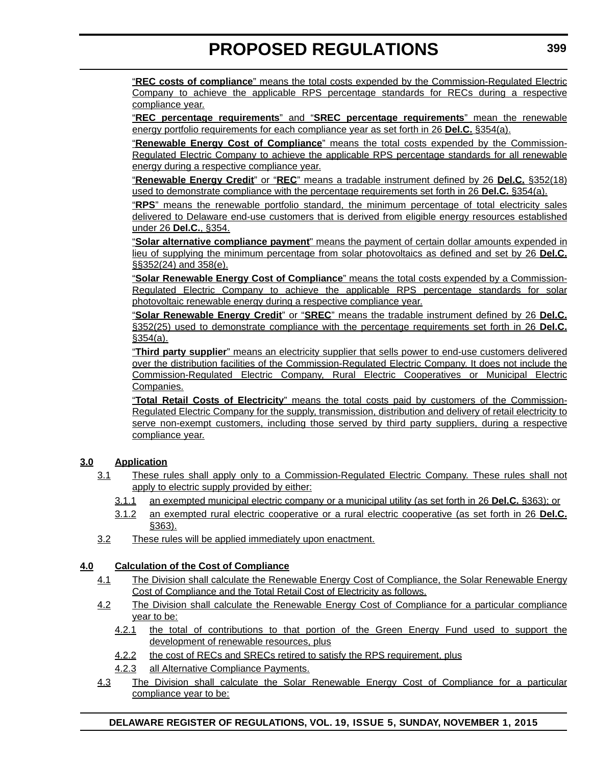"**REC costs of compliance**" means the total costs expended by the Commission-Regulated Electric Company to achieve the applicable RPS percentage standards for RECs during a respective compliance year.

"**REC percentage requirements**" and "**SREC percentage requirements**" mean the renewable energy portfolio requirements for each compliance year as set forth in 26 **Del.C.** §354(a).

"**Renewable Energy Cost of Compliance**" means the total costs expended by the Commission-Regulated Electric Company to achieve the applicable RPS percentage standards for all renewable energy during a respective compliance year.

"**Renewable Energy Credit**" or "**REC**" means a tradable instrument defined by 26 **Del.C.** §352(18) used to demonstrate compliance with the percentage requirements set forth in 26 **Del.C.** §354(a).

"**RPS**" means the renewable portfolio standard, the minimum percentage of total electricity sales delivered to Delaware end-use customers that is derived from eligible energy resources established under 26 **Del.C.**, §354.

"**Solar alternative compliance payment**" means the payment of certain dollar amounts expended in lieu of supplying the minimum percentage from solar photovoltaics as defined and set by 26 **Del.C.** §§352(24) and 358(e).

"**Solar Renewable Energy Cost of Compliance**" means the total costs expended by a Commission-Regulated Electric Company to achieve the applicable RPS percentage standards for solar photovoltaic renewable energy during a respective compliance year.

"**Solar Renewable Energy Credit**" or "**SREC**" means the tradable instrument defined by 26 **Del.C.** §352(25) used to demonstrate compliance with the percentage requirements set forth in 26 **Del.C.**  $$354(a).$ 

"**Third party supplier**" means an electricity supplier that sells power to end-use customers delivered over the distribution facilities of the Commission-Regulated Electric Company. It does not include the Commission-Regulated Electric Company, Rural Electric Cooperatives or Municipal Electric Companies.

"**Total Retail Costs of Electricity**" means the total costs paid by customers of the Commission-Regulated Electric Company for the supply, transmission, distribution and delivery of retail electricity to serve non-exempt customers, including those served by third party suppliers, during a respective compliance year.

## **3.0 Application**

- 3.1 These rules shall apply only to a Commission-Regulated Electric Company. These rules shall not apply to electric supply provided by either:
	- 3.1.1 an exempted municipal electric company or a municipal utility (as set forth in 26 **Del.C.** §363); or
	- 3.1.2 an exempted rural electric cooperative or a rural electric cooperative (as set forth in 26 **Del.C.** §363).
- 3.2 These rules will be applied immediately upon enactment.

## **4.0 Calculation of the Cost of Compliance**

- 4.1 The Division shall calculate the Renewable Energy Cost of Compliance, the Solar Renewable Energy Cost of Compliance and the Total Retail Cost of Electricity as follows.
- 4.2 The Division shall calculate the Renewable Energy Cost of Compliance for a particular compliance year to be:
	- 4.2.1 the total of contributions to that portion of the Green Energy Fund used to support the development of renewable resources, plus
	- 4.2.2 the cost of RECs and SRECs retired to satisfy the RPS requirement, plus
	- 4.2.3 all Alternative Compliance Payments.
- 4.3 The Division shall calculate the Solar Renewable Energy Cost of Compliance for a particular compliance year to be:

## **DELAWARE REGISTER OF REGULATIONS, VOL. 19, ISSUE 5, SUNDAY, NOVEMBER 1, 2015**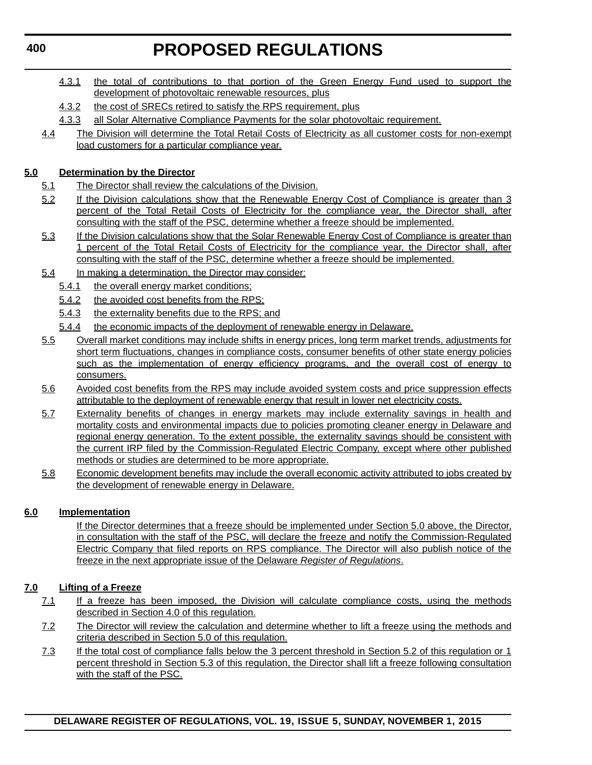- 4.3.1 the total of contributions to that portion of the Green Energy Fund used to support the development of photovoltaic renewable resources, plus
- 4.3.2 the cost of SRECs retired to satisfy the RPS requirement, plus
- 4.3.3 all Solar Alternative Compliance Payments for the solar photovoltaic requirement.
- 4.4 The Division will determine the Total Retail Costs of Electricity as all customer costs for non-exempt load customers for a particular compliance year.

## **5.0 Determination by the Director**

- 5.1 The Director shall review the calculations of the Division.
- 5.2 If the Division calculations show that the Renewable Energy Cost of Compliance is greater than 3 percent of the Total Retail Costs of Electricity for the compliance year, the Director shall, after consulting with the staff of the PSC, determine whether a freeze should be implemented.
- 5.3 If the Division calculations show that the Solar Renewable Energy Cost of Compliance is greater than 1 percent of the Total Retail Costs of Electricity for the compliance year, the Director shall, after consulting with the staff of the PSC, determine whether a freeze should be implemented.
- 5.4 In making a determination, the Director may consider:
	- 5.4.1 the overall energy market conditions;
	- 5.4.2 the avoided cost benefits from the RPS;
	- 5.4.3 the externality benefits due to the RPS; and
	- 5.4.4 the economic impacts of the deployment of renewable energy in Delaware.
- 5.5 Overall market conditions may include shifts in energy prices, long term market trends, adjustments for short term fluctuations, changes in compliance costs, consumer benefits of other state energy policies such as the implementation of energy efficiency programs, and the overall cost of energy to consumers.
- 5.6 Avoided cost benefits from the RPS may include avoided system costs and price suppression effects attributable to the deployment of renewable energy that result in lower net electricity costs.
- 5.7 Externality benefits of changes in energy markets may include externality savings in health and mortality costs and environmental impacts due to policies promoting cleaner energy in Delaware and regional energy generation. To the extent possible, the externality savings should be consistent with the current IRP filed by the Commission-Regulated Electric Company, except where other published methods or studies are determined to be more appropriate.
- 5.8 Economic development benefits may include the overall economic activity attributed to jobs created by the development of renewable energy in Delaware.

## **6.0 Implementation**

If the Director determines that a freeze should be implemented under Section 5.0 above, the Director, in consultation with the staff of the PSC, will declare the freeze and notify the Commission-Regulated Electric Company that filed reports on RPS compliance. The Director will also publish notice of the freeze in the next appropriate issue of the Delaware *Register of Regulations*.

## **7.0 Lifting of a Freeze**

- 7.1 If a freeze has been imposed, the Division will calculate compliance costs, using the methods described in Section 4.0 of this regulation.
- 7.2 The Director will review the calculation and determine whether to lift a freeze using the methods and criteria described in Section 5.0 of this regulation.
- 7.3 If the total cost of compliance falls below the 3 percent threshold in Section 5.2 of this regulation or 1 percent threshold in Section 5.3 of this regulation, the Director shall lift a freeze following consultation with the staff of the PSC.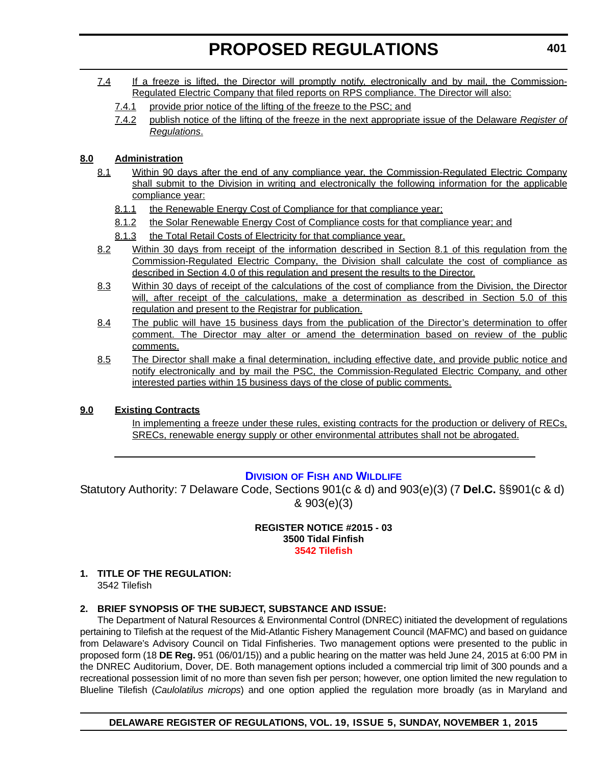- 7.4 If a freeze is lifted, the Director will promptly notify, electronically and by mail, the Commission-Regulated Electric Company that filed reports on RPS compliance. The Director will also:
	- 7.4.1 provide prior notice of the lifting of the freeze to the PSC; and
	- 7.4.2 publish notice of the lifting of the freeze in the next appropriate issue of the Delaware *Register of Regulations*.

## **8.0 Administration**

- 8.1 Within 90 days after the end of any compliance year, the Commission-Regulated Electric Company shall submit to the Division in writing and electronically the following information for the applicable compliance year:
	- 8.1.1 the Renewable Energy Cost of Compliance for that compliance year;
	- 8.1.2 the Solar Renewable Energy Cost of Compliance costs for that compliance year; and
	- 8.1.3 the Total Retail Costs of Electricity for that compliance year.
- 8.2 Within 30 days from receipt of the information described in Section 8.1 of this regulation from the Commission-Regulated Electric Company, the Division shall calculate the cost of compliance as described in Section 4.0 of this regulation and present the results to the Director.
- 8.3 Within 30 days of receipt of the calculations of the cost of compliance from the Division, the Director will, after receipt of the calculations, make a determination as described in Section 5.0 of this regulation and present to the Registrar for publication.
- 8.4 The public will have 15 business days from the publication of the Director's determination to offer comment. The Director may alter or amend the determination based on review of the public comments.
- 8.5 The Director shall make a final determination, including effective date, and provide public notice and notify electronically and by mail the PSC, the Commission-Regulated Electric Company, and other interested parties within 15 business days of the close of public comments.

## **9.0 Existing Contracts**

In implementing a freeze under these rules, existing contracts for the production or delivery of RECs, SRECs, renewable energy supply or other environmental attributes shall not be abrogated.

## **DIVISION OF FISH [AND WILDLIFE](http://www.dnrec.delaware.gov/fw/Pages/DFW-Portal.aspx)**

Statutory Authority: 7 Delaware Code, Sections 901(c & d) and 903(e)(3) (7 **Del.C.** §§901(c & d) & 903(e)(3)

> **REGISTER NOTICE #2015 - 03 3500 Tidal Finfish [3542 Tilefish](#page-3-0)**

## **1. TITLE OF THE REGULATION:**

3542 Tilefish

## **2. BRIEF SYNOPSIS OF THE SUBJECT, SUBSTANCE AND ISSUE:**

The Department of Natural Resources & Environmental Control (DNREC) initiated the development of regulations pertaining to Tilefish at the request of the Mid-Atlantic Fishery Management Council (MAFMC) and based on guidance from Delaware's Advisory Council on Tidal Finfisheries. Two management options were presented to the public in proposed form (18 **DE Reg.** 951 (06/01/15)) and a public hearing on the matter was held June 24, 2015 at 6:00 PM in the DNREC Auditorium, Dover, DE. Both management options included a commercial trip limit of 300 pounds and a recreational possession limit of no more than seven fish per person; however, one option limited the new regulation to Blueline Tilefish (*Caulolatilus microps*) and one option applied the regulation more broadly (as in Maryland and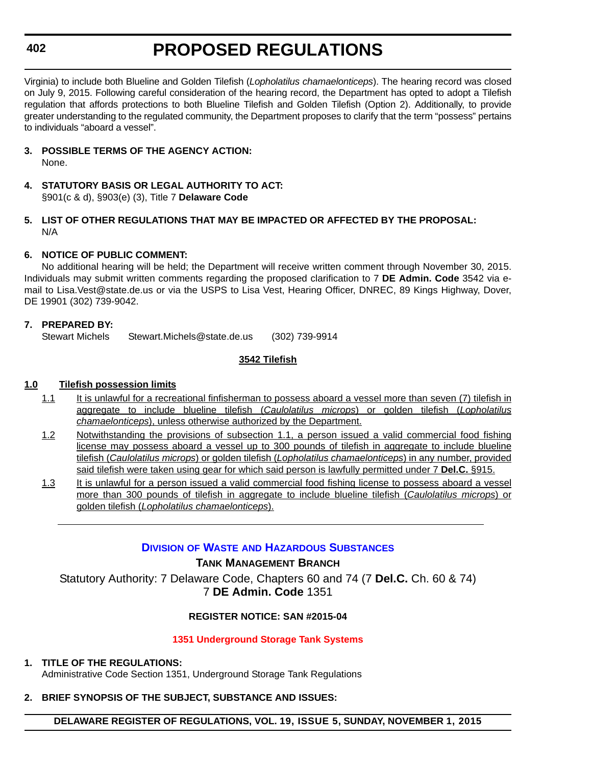**402**

Virginia) to include both Blueline and Golden Tilefish (*Lopholatilus chamaelonticeps*). The hearing record was closed on July 9, 2015. Following careful consideration of the hearing record, the Department has opted to adopt a Tilefish regulation that affords protections to both Blueline Tilefish and Golden Tilefish (Option 2). Additionally, to provide greater understanding to the regulated community, the Department proposes to clarify that the term "possess" pertains to individuals "aboard a vessel".

- **3. POSSIBLE TERMS OF THE AGENCY ACTION:** None.
- **4. STATUTORY BASIS OR LEGAL AUTHORITY TO ACT:** §901(c & d), §903(e) (3), Title 7 **Delaware Code**
- **5. LIST OF OTHER REGULATIONS THAT MAY BE IMPACTED OR AFFECTED BY THE PROPOSAL:** N/A

## **6. NOTICE OF PUBLIC COMMENT:**

No additional hearing will be held; the Department will receive written comment through November 30, 2015. Individuals may submit written comments regarding the proposed clarification to 7 **DE Admin. Code** 3542 via email to Lisa.Vest@state.de.us or via the USPS to Lisa Vest, Hearing Officer, DNREC, 89 Kings Highway, Dover, DE 19901 (302) 739-9042.

## **7. PREPARED BY:**

Stewart Michels Stewart.Michels@state.de.us (302) 739-9914

## **3542 Tilefish**

## **1.0 Tilefish possession limits**

- 1.1 It is unlawful for a recreational finfisherman to possess aboard a vessel more than seven (7) tilefish in aggregate to include blueline tilefish (*Caulolatilus microps*) or golden tilefish (*Lopholatilus chamaelonticeps*), unless otherwise authorized by the Department.
- 1.2 Notwithstanding the provisions of subsection 1.1, a person issued a valid commercial food fishing license may possess aboard a vessel up to 300 pounds of tilefish in aggregate to include blueline tilefish (*Caulolatilus microps*) or golden tilefish (*Lopholatilus chamaelonticeps*) in any number, provided said tilefish were taken using gear for which said person is lawfully permitted under 7 **Del.C.** §915.
- 1.3 It is unlawful for a person issued a valid commercial food fishing license to possess aboard a vessel more than 300 pounds of tilefish in aggregate to include blueline tilefish (*Caulolatilus microps*) or golden tilefish (*Lopholatilus chamaelonticeps*).

## **DIVISION OF WASTE [AND HAZARDOUS SUBSTANCES](http://www.dnrec.delaware.gov/dwhs/Pages/default.aspx)**

## **TANK MANAGEMENT BRANCH**

Statutory Authority: 7 Delaware Code, Chapters 60 and 74 (7 **Del.C.** Ch. 60 & 74) 7 **DE Admin. Code** 1351

## **REGISTER NOTICE: SAN #2015-04**

## **[1351 Underground Storage Tank Systems](#page-3-0)**

## **1. TITLE OF THE REGULATIONS:**

Administrative Code Section 1351, Underground Storage Tank Regulations

## **2. BRIEF SYNOPSIS OF THE SUBJECT, SUBSTANCE AND ISSUES:**

**DELAWARE REGISTER OF REGULATIONS, VOL. 19, ISSUE 5, SUNDAY, NOVEMBER 1, 2015**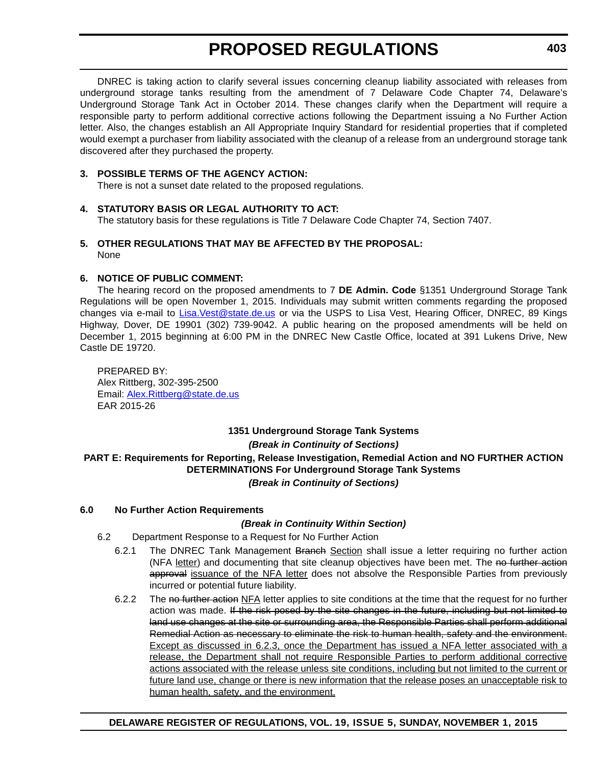DNREC is taking action to clarify several issues concerning cleanup liability associated with releases from underground storage tanks resulting from the amendment of 7 Delaware Code Chapter 74, Delaware's Underground Storage Tank Act in October 2014. These changes clarify when the Department will require a responsible party to perform additional corrective actions following the Department issuing a No Further Action letter. Also, the changes establish an All Appropriate Inquiry Standard for residential properties that if completed would exempt a purchaser from liability associated with the cleanup of a release from an underground storage tank discovered after they purchased the property.

## **3. POSSIBLE TERMS OF THE AGENCY ACTION:**

There is not a sunset date related to the proposed regulations.

## **4. STATUTORY BASIS OR LEGAL AUTHORITY TO ACT:**

The statutory basis for these regulations is Title 7 Delaware Code Chapter 74, Section 7407.

## **5. OTHER REGULATIONS THAT MAY BE AFFECTED BY THE PROPOSAL:** None

## **6. NOTICE OF PUBLIC COMMENT:**

The hearing record on the proposed amendments to 7 **DE Admin. Code** §1351 Underground Storage Tank Regulations will be open November 1, 2015. Individuals may submit written comments regarding the proposed changes via e-mail to [Lisa.Vest@state.de.us](mailto:Lisa.Vest@state.de.us) or via the USPS to Lisa Vest, Hearing Officer, DNREC, 89 Kings Highway, Dover, DE 19901 (302) 739-9042. A public hearing on the proposed amendments will be held on December 1, 2015 beginning at 6:00 PM in the DNREC New Castle Office, located at 391 Lukens Drive, New Castle DE 19720.

PREPARED BY: Alex Rittberg, 302-395-2500 Email: [Alex.Rittberg@state.de.us](mailto:Alex.Rittberg@state.de.us) EAR 2015-26

## **1351 Underground Storage Tank Systems** *(Break in Continuity of Sections)* **PART E: Requirements for Reporting, Release Investigation, Remedial Action and NO FURTHER ACTION DETERMINATIONS For Underground Storage Tank Systems** *(Break in Continuity of Sections)*

## **6.0 No Further Action Requirements**

## *(Break in Continuity Within Section)*

- 6.2 Department Response to a Request for No Further Action
	- 6.2.1 The DNREC Tank Management Branch Section shall issue a letter requiring no further action (NFA letter) and documenting that site cleanup objectives have been met. The no further action approval issuance of the NFA letter does not absolve the Responsible Parties from previously incurred or potential future liability.
	- 6.2.2 The no further action NFA letter applies to site conditions at the time that the request for no further action was made. If the risk posed by the site changes in the future, including but not limited to land use changes at the site or surrounding area, the Responsible Parties shall perform additional Remedial Action as necessary to eliminate the risk to human health, safety and the environment. Except as discussed in 6.2.3, once the Department has issued a NFA letter associated with a release, the Department shall not require Responsible Parties to perform additional corrective actions associated with the release unless site conditions, including but not limited to the current or future land use, change or there is new information that the release poses an unacceptable risk to human health, safety, and the environment.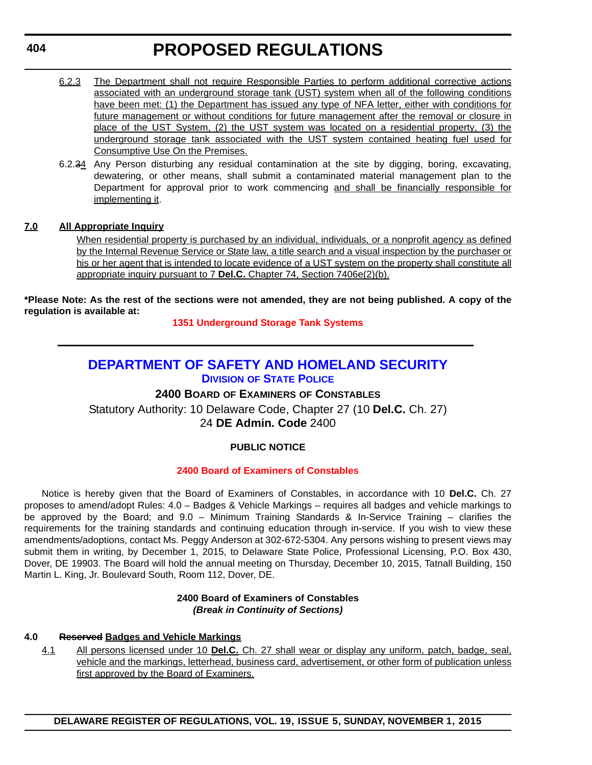- 6.2.3 The Department shall not require Responsible Parties to perform additional corrective actions associated with an underground storage tank (UST) system when all of the following conditions have been met: (1) the Department has issued any type of NFA letter, either with conditions for future management or without conditions for future management after the removal or closure in place of the UST System, (2) the UST system was located on a residential property, (3) the underground storage tank associated with the UST system contained heating fuel used for Consumptive Use On the Premises.
- 6.2.34 Any Person disturbing any residual contamination at the site by digging, boring, excavating, dewatering, or other means, shall submit a contaminated material management plan to the Department for approval prior to work commencing and shall be financially responsible for implementing it.

## **7.0 All Appropriate Inquiry**

When residential property is purchased by an individual, individuals, or a nonprofit agency as defined by the Internal Revenue Service or State law, a title search and a visual inspection by the purchaser or his or her agent that is intended to locate evidence of a UST system on the property shall constitute all appropriate inquiry pursuant to 7 **Del.C.** Chapter 74, Section 7406e(2)(b).

**\*Please Note: As the rest of the sections were not amended, they are not being published. A copy of the regulation is available at:**

**[1351 Underground Storage Tank Systems](http://regulations.delaware.gov/register/november2015/proposed/19 DE Reg 402 11-01-15.htm)**

## **[DEPARTMENT OF SAFETY AND HOMELAND SECURITY](http://dsp.delaware.gov/) DIVISION OF STATE POLICE**

**2400 BOARD OF EXAMINERS OF CONSTABLES**

Statutory Authority: 10 Delaware Code, Chapter 27 (10 **Del.C.** Ch. 27) 24 **DE Admin. Code** 2400

## **PUBLIC NOTICE**

## **[2400 Board of Examiners of Constables](#page-3-0)**

Notice is hereby given that the Board of Examiners of Constables, in accordance with 10 **Del.C.** Ch. 27 proposes to amend/adopt Rules: 4.0 – Badges & Vehicle Markings – requires all badges and vehicle markings to be approved by the Board; and 9.0 – Minimum Training Standards & In-Service Training – clarifies the requirements for the training standards and continuing education through in-service. If you wish to view these amendments/adoptions, contact Ms. Peggy Anderson at 302-672-5304. Any persons wishing to present views may submit them in writing, by December 1, 2015, to Delaware State Police, Professional Licensing, P.O. Box 430, Dover, DE 19903. The Board will hold the annual meeting on Thursday, December 10, 2015, Tatnall Building, 150 Martin L. King, Jr. Boulevard South, Room 112, Dover, DE.

## **2400 Board of Examiners of Constables** *(Break in Continuity of Sections)*

## **4.0 Reserved Badges and Vehicle Markings**

4.1 All persons licensed under 10 **Del.C.** Ch. 27 shall wear or display any uniform, patch, badge, seal, vehicle and the markings, letterhead, business card, advertisement, or other form of publication unless first approved by the Board of Examiners.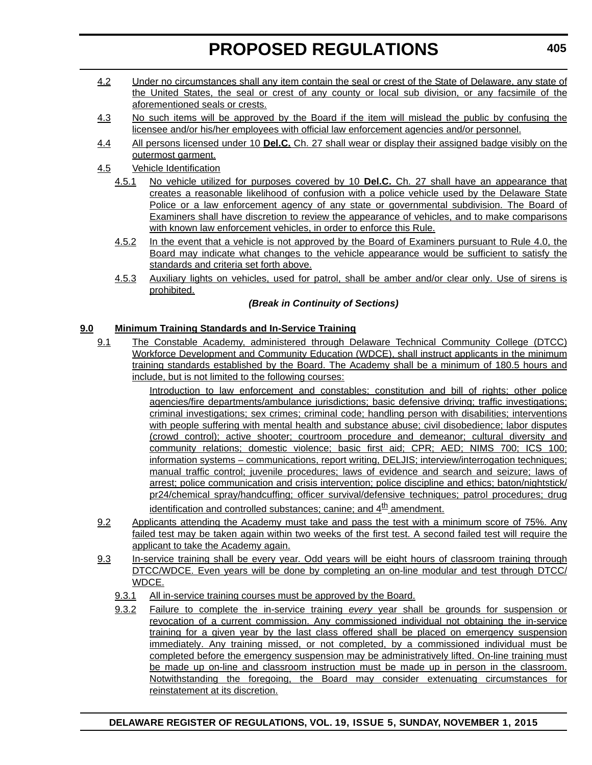- 4.2 Under no circumstances shall any item contain the seal or crest of the State of Delaware, any state of the United States, the seal or crest of any county or local sub division, or any facsimile of the aforementioned seals or crests.
- 4.3 No such items will be approved by the Board if the item will mislead the public by confusing the licensee and/or his/her employees with official law enforcement agencies and/or personnel.
- 4.4 All persons licensed under 10 **Del.C.** Ch. 27 shall wear or display their assigned badge visibly on the outermost garment.
- 4.5 Vehicle Identification
	- 4.5.1 No vehicle utilized for purposes covered by 10 **Del.C.** Ch. 27 shall have an appearance that creates a reasonable likelihood of confusion with a police vehicle used by the Delaware State Police or a law enforcement agency of any state or governmental subdivision. The Board of Examiners shall have discretion to review the appearance of vehicles, and to make comparisons with known law enforcement vehicles, in order to enforce this Rule.
	- 4.5.2 In the event that a vehicle is not approved by the Board of Examiners pursuant to Rule 4.0, the Board may indicate what changes to the vehicle appearance would be sufficient to satisfy the standards and criteria set forth above.
	- 4.5.3 Auxiliary lights on vehicles, used for patrol, shall be amber and/or clear only. Use of sirens is prohibited.

## *(Break in Continuity of Sections)*

## **9.0 Minimum Training Standards and In-Service Training**

9.1 The Constable Academy, administered through Delaware Technical Community College (DTCC) Workforce Development and Community Education (WDCE), shall instruct applicants in the minimum training standards established by the Board. The Academy shall be a minimum of 180.5 hours and include, but is not limited to the following courses:

> Introduction to law enforcement and constables; constitution and bill of rights; other police agencies/fire departments/ambulance jurisdictions; basic defensive driving; traffic investigations; criminal investigations; sex crimes; criminal code; handling person with disabilities; interventions with people suffering with mental health and substance abuse; civil disobedience; labor disputes (crowd control); active shooter; courtroom procedure and demeanor; cultural diversity and community relations; domestic violence; basic first aid; CPR; AED; NIMS 700; ICS 100; information systems – communications, report writing, DELJIS; interview/interrogation techniques; manual traffic control; juvenile procedures; laws of evidence and search and seizure; laws of arrest; police communication and crisis intervention; police discipline and ethics; baton/nightstick/ pr24/chemical spray/handcuffing; officer survival/defensive techniques; patrol procedures; drug  $id$ entification and controlled substances; canine; and  $4<sup>th</sup>$  amendment.

- 9.2 Applicants attending the Academy must take and pass the test with a minimum score of 75%. Any failed test may be taken again within two weeks of the first test. A second failed test will require the applicant to take the Academy again.
- 9.3 In-service training shall be every year. Odd years will be eight hours of classroom training through DTCC/WDCE. Even years will be done by completing an on-line modular and test through DTCC/ WDCE.
	- 9.3.1 All in-service training courses must be approved by the Board.
	- 9.3.2 Failure to complete the in-service training *every* year shall be grounds for suspension or revocation of a current commission. Any commissioned individual not obtaining the in-service training for a given year by the last class offered shall be placed on emergency suspension immediately. Any training missed, or not completed, by a commissioned individual must be completed before the emergency suspension may be administratively lifted. On-line training must be made up on-line and classroom instruction must be made up in person in the classroom. Notwithstanding the foregoing, the Board may consider extenuating circumstances for reinstatement at its discretion.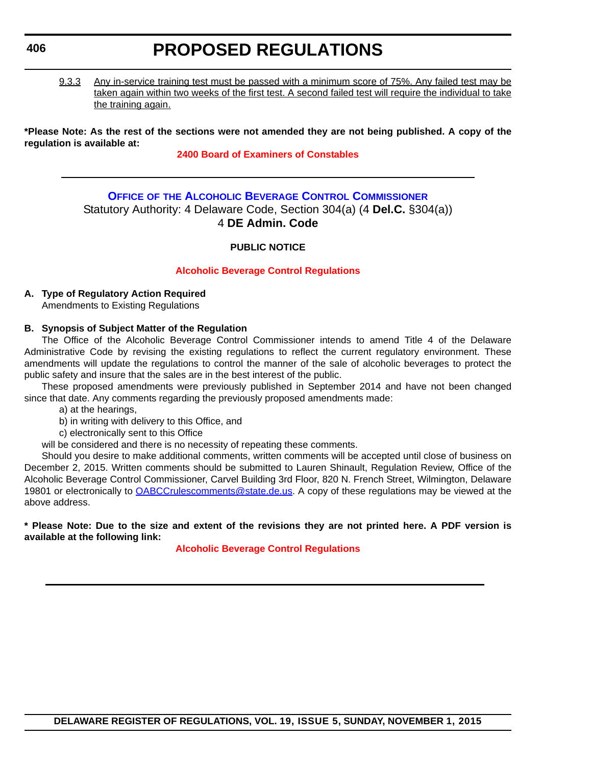## **406**

## **PROPOSED REGULATIONS**

9.3.3 Any in-service training test must be passed with a minimum score of 75%. Any failed test may be taken again within two weeks of the first test. A second failed test will require the individual to take the training again.

**\*Please Note: As the rest of the sections were not amended they are not being published. A copy of the regulation is available at:**

## **[2400 Board of Examiners of Constables](http://regulations.delaware.gov/register/november2015/proposed/19 DE Reg 404 11-01-15.htm)**

## **OFFICE OF [THE ALCOHOLIC BEVERAGE CONTROL COMMISSIONER](http://date.delaware.gov/OABCC/index.shtml)** Statutory Authority: 4 Delaware Code, Section 304(a) (4 **Del.C.** §304(a)) 4 **DE Admin. Code**

## **PUBLIC NOTICE**

## **[Alcoholic Beverage Control Regulations](#page-3-0)**

## **A. Type of Regulatory Action Required**

Amendments to Existing Regulations

## **B. Synopsis of Subject Matter of the Regulation**

The Office of the Alcoholic Beverage Control Commissioner intends to amend Title 4 of the Delaware Administrative Code by revising the existing regulations to reflect the current regulatory environment. These amendments will update the regulations to control the manner of the sale of alcoholic beverages to protect the public safety and insure that the sales are in the best interest of the public.

These proposed amendments were previously published in September 2014 and have not been changed since that date. Any comments regarding the previously proposed amendments made:

a) at the hearings,

b) in writing with delivery to this Office, and

c) electronically sent to this Office

will be considered and there is no necessity of repeating these comments.

Should you desire to make additional comments, written comments will be accepted until close of business on December 2, 2015. Written comments should be submitted to Lauren Shinault, Regulation Review, Office of the Alcoholic Beverage Control Commissioner, Carvel Building 3rd Floor, 820 N. French Street, Wilmington, Delaware 19801 or electronically to [OABCCrulescomments@state.de.us](mailto:OABCCrulescomments@state.de.us). A copy of these regulations may be viewed at the above address.

**\* Please Note: Due to the size and extent of the revisions they are not printed here. A PDF version is available at the following link:**

**[Alcoholic Beverage Control Regulations](http://regulations.delaware.gov/register/november2015/proposed/AlcoholicBeverageRegulations.pdf)**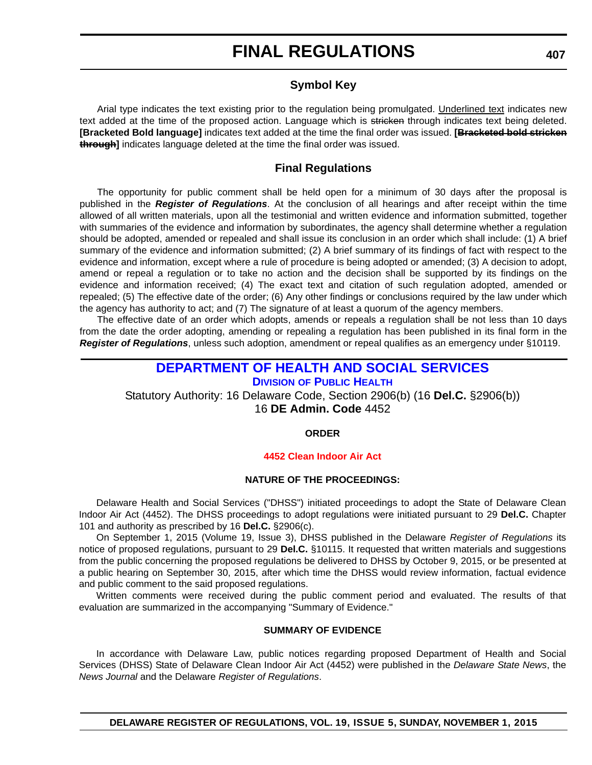## **Symbol Key**

Arial type indicates the text existing prior to the regulation being promulgated. Underlined text indicates new text added at the time of the proposed action. Language which is stricken through indicates text being deleted. **[Bracketed Bold language]** indicates text added at the time the final order was issued. **[Bracketed bold stricken through]** indicates language deleted at the time the final order was issued.

## **Final Regulations**

The opportunity for public comment shall be held open for a minimum of 30 days after the proposal is published in the *Register of Regulations*. At the conclusion of all hearings and after receipt within the time allowed of all written materials, upon all the testimonial and written evidence and information submitted, together with summaries of the evidence and information by subordinates, the agency shall determine whether a regulation should be adopted, amended or repealed and shall issue its conclusion in an order which shall include: (1) A brief summary of the evidence and information submitted; (2) A brief summary of its findings of fact with respect to the evidence and information, except where a rule of procedure is being adopted or amended; (3) A decision to adopt, amend or repeal a regulation or to take no action and the decision shall be supported by its findings on the evidence and information received; (4) The exact text and citation of such regulation adopted, amended or repealed; (5) The effective date of the order; (6) Any other findings or conclusions required by the law under which the agency has authority to act; and (7) The signature of at least a quorum of the agency members.

The effective date of an order which adopts, amends or repeals a regulation shall be not less than 10 days from the date the order adopting, amending or repealing a regulation has been published in its final form in the *Register of Regulations*, unless such adoption, amendment or repeal qualifies as an emergency under §10119.

## **[DEPARTMENT OF HEALTH AND SOCIAL SERVICES](http://www.dhss.delaware.gov/dhss/dph/index.html) DIVISION OF PUBLIC HEALTH**

Statutory Authority: 16 Delaware Code, Section 2906(b) (16 **Del.C.** §2906(b)) 16 **DE Admin. Code** 4452

**ORDER**

#### **[4452 Clean Indoor Air Act](#page-4-0)**

#### **NATURE OF THE PROCEEDINGS:**

Delaware Health and Social Services ("DHSS") initiated proceedings to adopt the State of Delaware Clean Indoor Air Act (4452). The DHSS proceedings to adopt regulations were initiated pursuant to 29 **Del.C.** Chapter 101 and authority as prescribed by 16 **Del.C.** §2906(c).

On September 1, 2015 (Volume 19, Issue 3), DHSS published in the Delaware *Register of Regulations* its notice of proposed regulations, pursuant to 29 **Del.C.** §10115. It requested that written materials and suggestions from the public concerning the proposed regulations be delivered to DHSS by October 9, 2015, or be presented at a public hearing on September 30, 2015, after which time the DHSS would review information, factual evidence and public comment to the said proposed regulations.

Written comments were received during the public comment period and evaluated. The results of that evaluation are summarized in the accompanying "Summary of Evidence."

#### **SUMMARY OF EVIDENCE**

In accordance with Delaware Law, public notices regarding proposed Department of Health and Social Services (DHSS) State of Delaware Clean Indoor Air Act (4452) were published in the *Delaware State News*, the *News Journal* and the Delaware *Register of Regulations*.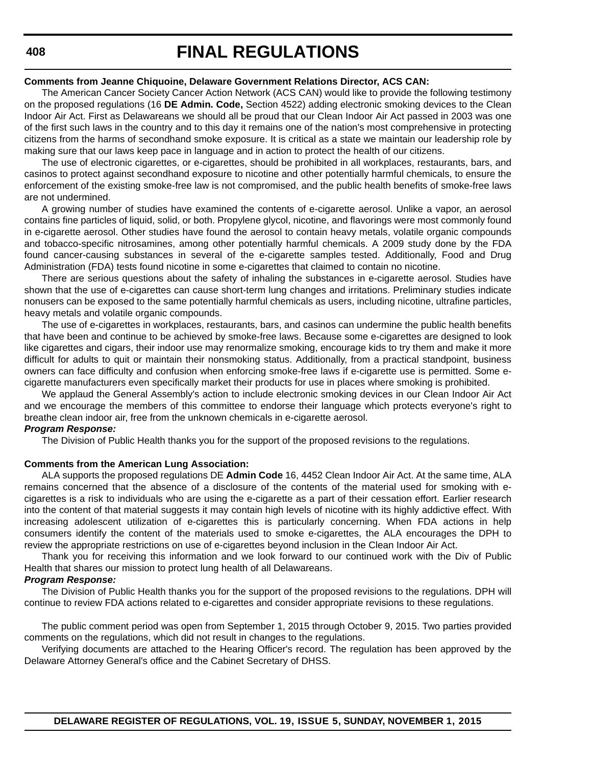#### **Comments from Jeanne Chiquoine, Delaware Government Relations Director, ACS CAN:**

The American Cancer Society Cancer Action Network (ACS CAN) would like to provide the following testimony on the proposed regulations (16 **DE Admin. Code,** Section 4522) adding electronic smoking devices to the Clean Indoor Air Act. First as Delawareans we should all be proud that our Clean Indoor Air Act passed in 2003 was one of the first such laws in the country and to this day it remains one of the nation's most comprehensive in protecting citizens from the harms of secondhand smoke exposure. It is critical as a state we maintain our leadership role by making sure that our laws keep pace in language and in action to protect the health of our citizens.

The use of electronic cigarettes, or e-cigarettes, should be prohibited in all workplaces, restaurants, bars, and casinos to protect against secondhand exposure to nicotine and other potentially harmful chemicals, to ensure the enforcement of the existing smoke-free law is not compromised, and the public health benefits of smoke-free laws are not undermined.

A growing number of studies have examined the contents of e-cigarette aerosol. Unlike a vapor, an aerosol contains fine particles of liquid, solid, or both. Propylene glycol, nicotine, and flavorings were most commonly found in e-cigarette aerosol. Other studies have found the aerosol to contain heavy metals, volatile organic compounds and tobacco-specific nitrosamines, among other potentially harmful chemicals. A 2009 study done by the FDA found cancer-causing substances in several of the e-cigarette samples tested. Additionally, Food and Drug Administration (FDA) tests found nicotine in some e-cigarettes that claimed to contain no nicotine.

There are serious questions about the safety of inhaling the substances in e-cigarette aerosol. Studies have shown that the use of e-cigarettes can cause short-term lung changes and irritations. Preliminary studies indicate nonusers can be exposed to the same potentially harmful chemicals as users, including nicotine, ultrafine particles, heavy metals and volatile organic compounds.

The use of e-cigarettes in workplaces, restaurants, bars, and casinos can undermine the public health benefits that have been and continue to be achieved by smoke-free laws. Because some e-cigarettes are designed to look like cigarettes and cigars, their indoor use may renormalize smoking, encourage kids to try them and make it more difficult for adults to quit or maintain their nonsmoking status. Additionally, from a practical standpoint, business owners can face difficulty and confusion when enforcing smoke-free laws if e-cigarette use is permitted. Some ecigarette manufacturers even specifically market their products for use in places where smoking is prohibited.

We applaud the General Assembly's action to include electronic smoking devices in our Clean Indoor Air Act and we encourage the members of this committee to endorse their language which protects everyone's right to breathe clean indoor air, free from the unknown chemicals in e-cigarette aerosol.

## *Program Response:*

The Division of Public Health thanks you for the support of the proposed revisions to the regulations.

#### **Comments from the American Lung Association:**

ALA supports the proposed regulations DE **Admin Code** 16, 4452 Clean Indoor Air Act. At the same time, ALA remains concerned that the absence of a disclosure of the contents of the material used for smoking with ecigarettes is a risk to individuals who are using the e-cigarette as a part of their cessation effort. Earlier research into the content of that material suggests it may contain high levels of nicotine with its highly addictive effect. With increasing adolescent utilization of e-cigarettes this is particularly concerning. When FDA actions in help consumers identify the content of the materials used to smoke e-cigarettes, the ALA encourages the DPH to review the appropriate restrictions on use of e-cigarettes beyond inclusion in the Clean Indoor Air Act.

Thank you for receiving this information and we look forward to our continued work with the Div of Public Health that shares our mission to protect lung health of all Delawareans.

### *Program Response:*

The Division of Public Health thanks you for the support of the proposed revisions to the regulations. DPH will continue to review FDA actions related to e-cigarettes and consider appropriate revisions to these regulations.

The public comment period was open from September 1, 2015 through October 9, 2015. Two parties provided comments on the regulations, which did not result in changes to the regulations.

Verifying documents are attached to the Hearing Officer's record. The regulation has been approved by the Delaware Attorney General's office and the Cabinet Secretary of DHSS.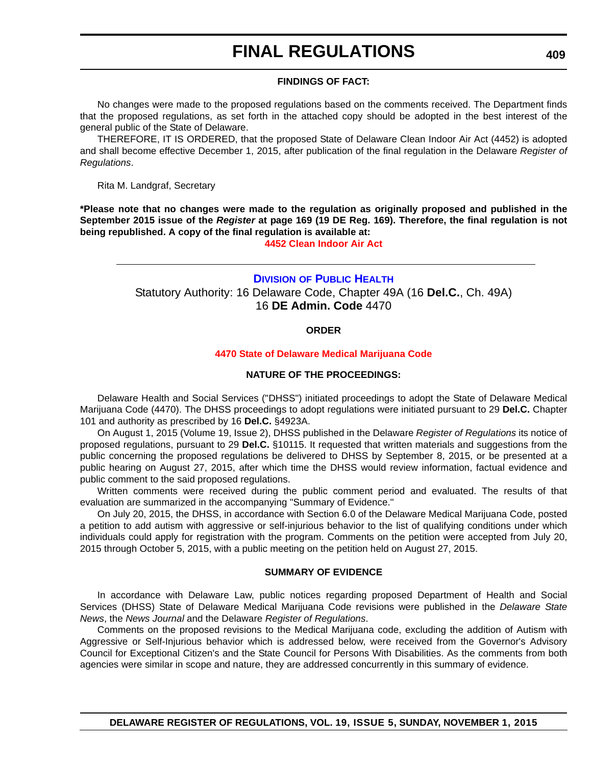#### **FINDINGS OF FACT:**

No changes were made to the proposed regulations based on the comments received. The Department finds that the proposed regulations, as set forth in the attached copy should be adopted in the best interest of the general public of the State of Delaware.

THEREFORE, IT IS ORDERED, that the proposed State of Delaware Clean Indoor Air Act (4452) is adopted and shall become effective December 1, 2015, after publication of the final regulation in the Delaware *Register of Regulations*.

Rita M. Landgraf, Secretary

**\*Please note that no changes were made to the regulation as originally proposed and published in the September 2015 issue of the** *Register* **at page 169 (19 DE Reg. 169). Therefore, the final regulation is not being republished. A copy of the final regulation is available at:**

**[4452 Clean Indoor Air Act](http://regulations.delaware.gov/register/november2015/final/19 DE Reg 407 11-01-15.htm)**

## **DIVISION [OF PUBLIC HEALTH](http://www.dhss.delaware.gov/dhss/dph/index.html)** Statutory Authority: 16 Delaware Code, Chapter 49A (16 **Del.C.**, Ch. 49A) 16 **DE Admin. Code** 4470

#### **ORDER**

#### **[4470 State of Delaware Medical Marijuana Code](#page-4-0)**

#### **NATURE OF THE PROCEEDINGS:**

Delaware Health and Social Services ("DHSS") initiated proceedings to adopt the State of Delaware Medical Marijuana Code (4470). The DHSS proceedings to adopt regulations were initiated pursuant to 29 **Del.C.** Chapter 101 and authority as prescribed by 16 **Del.C.** §4923A.

On August 1, 2015 (Volume 19, Issue 2), DHSS published in the Delaware *Register of Regulations* its notice of proposed regulations, pursuant to 29 **Del.C.** §10115. It requested that written materials and suggestions from the public concerning the proposed regulations be delivered to DHSS by September 8, 2015, or be presented at a public hearing on August 27, 2015, after which time the DHSS would review information, factual evidence and public comment to the said proposed regulations.

Written comments were received during the public comment period and evaluated. The results of that evaluation are summarized in the accompanying "Summary of Evidence."

On July 20, 2015, the DHSS, in accordance with Section 6.0 of the Delaware Medical Marijuana Code, posted a petition to add autism with aggressive or self-injurious behavior to the list of qualifying conditions under which individuals could apply for registration with the program. Comments on the petition were accepted from July 20, 2015 through October 5, 2015, with a public meeting on the petition held on August 27, 2015.

#### **SUMMARY OF EVIDENCE**

In accordance with Delaware Law, public notices regarding proposed Department of Health and Social Services (DHSS) State of Delaware Medical Marijuana Code revisions were published in the *Delaware State News*, the *News Journal* and the Delaware *Register of Regulations*.

Comments on the proposed revisions to the Medical Marijuana code, excluding the addition of Autism with Aggressive or Self-Injurious behavior which is addressed below, were received from the Governor's Advisory Council for Exceptional Citizen's and the State Council for Persons With Disabilities. As the comments from both agencies were similar in scope and nature, they are addressed concurrently in this summary of evidence.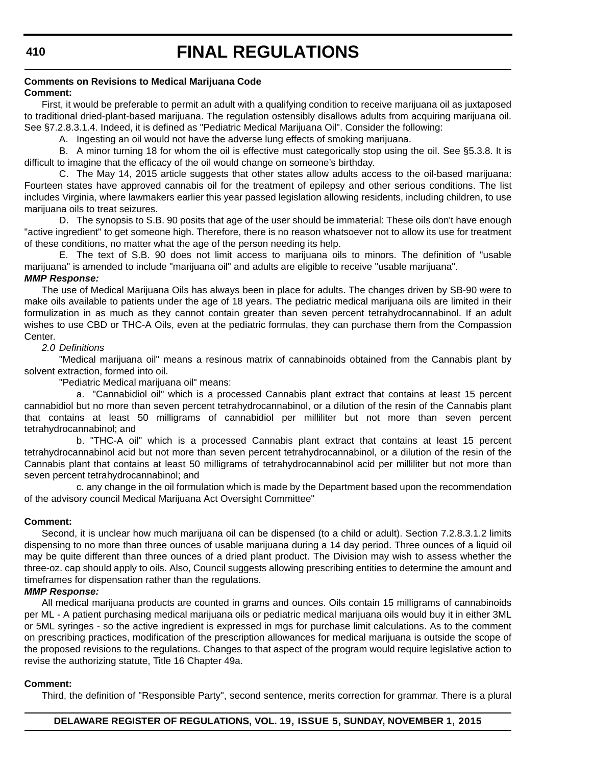#### **Comments on Revisions to Medical Marijuana Code Comment:**

First, it would be preferable to permit an adult with a qualifying condition to receive marijuana oil as juxtaposed to traditional dried-plant-based marijuana. The regulation ostensibly disallows adults from acquiring marijuana oil. See §7.2.8.3.1.4. Indeed, it is defined as "Pediatric Medical Marijuana Oil". Consider the following:

A. Ingesting an oil would not have the adverse lung effects of smoking marijuana.

B. A minor turning 18 for whom the oil is effective must categorically stop using the oil. See §5.3.8. It is difficult to imagine that the efficacy of the oil would change on someone's birthday.

C. The May 14, 2015 article suggests that other states allow adults access to the oil-based marijuana: Fourteen states have approved cannabis oil for the treatment of epilepsy and other serious conditions. The list includes Virginia, where lawmakers earlier this year passed legislation allowing residents, including children, to use marijuana oils to treat seizures.

D. The synopsis to S.B. 90 posits that age of the user should be immaterial: These oils don't have enough "active ingredient" to get someone high. Therefore, there is no reason whatsoever not to allow its use for treatment of these conditions, no matter what the age of the person needing its help.

E. The text of S.B. 90 does not limit access to marijuana oils to minors. The definition of "usable marijuana" is amended to include "marijuana oil" and adults are eligible to receive "usable marijuana". *MMP Response:*

The use of Medical Marijuana Oils has always been in place for adults. The changes driven by SB-90 were to make oils available to patients under the age of 18 years. The pediatric medical marijuana oils are limited in their formulization in as much as they cannot contain greater than seven percent tetrahydrocannabinol. If an adult wishes to use CBD or THC-A Oils, even at the pediatric formulas, they can purchase them from the Compassion Center.

#### *2.0 Definitions*

"Medical marijuana oil" means a resinous matrix of cannabinoids obtained from the Cannabis plant by solvent extraction, formed into oil.

"Pediatric Medical marijuana oil" means:

a. "Cannabidiol oil" which is a processed Cannabis plant extract that contains at least 15 percent cannabidiol but no more than seven percent tetrahydrocannabinol, or a dilution of the resin of the Cannabis plant that contains at least 50 milligrams of cannabidiol per milliliter but not more than seven percent tetrahydrocannabinol; and

b. "THC-A oil" which is a processed Cannabis plant extract that contains at least 15 percent tetrahydrocannabinol acid but not more than seven percent tetrahydrocannabinol, or a dilution of the resin of the Cannabis plant that contains at least 50 milligrams of tetrahydrocannabinol acid per milliliter but not more than seven percent tetrahydrocannabinol; and

c. any change in the oil formulation which is made by the Department based upon the recommendation of the advisory council Medical Marijuana Act Oversight Committee"

#### **Comment:**

Second, it is unclear how much marijuana oil can be dispensed (to a child or adult). Section 7.2.8.3.1.2 limits dispensing to no more than three ounces of usable marijuana during a 14 day period. Three ounces of a liquid oil may be quite different than three ounces of a dried plant product. The Division may wish to assess whether the three-oz. cap should apply to oils. Also, Council suggests allowing prescribing entities to determine the amount and timeframes for dispensation rather than the regulations.

## *MMP Response:*

All medical marijuana products are counted in grams and ounces. Oils contain 15 milligrams of cannabinoids per ML - A patient purchasing medical marijuana oils or pediatric medical marijuana oils would buy it in either 3ML or 5ML syringes - so the active ingredient is expressed in mgs for purchase limit calculations. As to the comment on prescribing practices, modification of the prescription allowances for medical marijuana is outside the scope of the proposed revisions to the regulations. Changes to that aspect of the program would require legislative action to revise the authorizing statute, Title 16 Chapter 49a.

#### **Comment:**

Third, the definition of "Responsible Party", second sentence, merits correction for grammar. There is a plural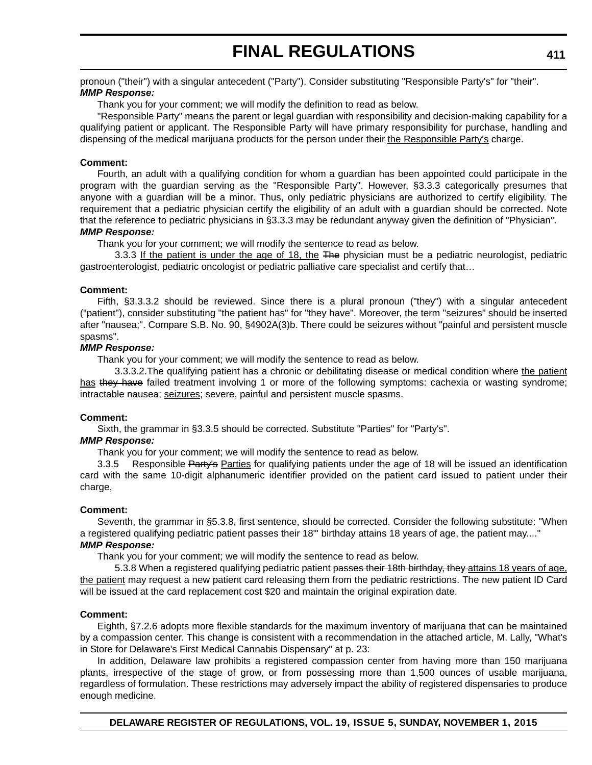pronoun ("their") with a singular antecedent ("Party"). Consider substituting "Responsible Party's" for "their". *MMP Response:*

Thank you for your comment; we will modify the definition to read as below.

"Responsible Party" means the parent or legal guardian with responsibility and decision-making capability for a qualifying patient or applicant. The Responsible Party will have primary responsibility for purchase, handling and dispensing of the medical marijuana products for the person under their the Responsible Party's charge.

#### **Comment:**

Fourth, an adult with a qualifying condition for whom a guardian has been appointed could participate in the program with the guardian serving as the "Responsible Party". However, §3.3.3 categorically presumes that anyone with a guardian will be a minor. Thus, only pediatric physicians are authorized to certify eligibility. The requirement that a pediatric physician certify the eligibility of an adult with a guardian should be corrected. Note that the reference to pediatric physicians in §3.3.3 may be redundant anyway given the definition of "Physician". *MMP Response:*

Thank you for your comment; we will modify the sentence to read as below.

3.3.3 If the patient is under the age of 18, the The physician must be a pediatric neurologist, pediatric gastroenterologist, pediatric oncologist or pediatric palliative care specialist and certify that…

#### **Comment:**

Fifth, §3.3.3.2 should be reviewed. Since there is a plural pronoun ("they") with a singular antecedent ("patient"), consider substituting "the patient has" for "they have". Moreover, the term "seizures" should be inserted after "nausea;". Compare S.B. No. 90, §4902A(3)b. There could be seizures without "painful and persistent muscle spasms".

#### *MMP Response:*

Thank you for your comment; we will modify the sentence to read as below.

3.3.3.2.The qualifying patient has a chronic or debilitating disease or medical condition where the patient has they have failed treatment involving 1 or more of the following symptoms: cachexia or wasting syndrome; intractable nausea; seizures; severe, painful and persistent muscle spasms.

#### **Comment:**

Sixth, the grammar in §3.3.5 should be corrected. Substitute "Parties" for "Party's".

#### *MMP Response:*

Thank you for your comment; we will modify the sentence to read as below.

3.3.5 Responsible Party's Parties for qualifying patients under the age of 18 will be issued an identification card with the same 10-digit alphanumeric identifier provided on the patient card issued to patient under their charge,

#### **Comment:**

Seventh, the grammar in §5.3.8, first sentence, should be corrected. Consider the following substitute: "When a registered qualifying pediatric patient passes their 18"' birthday attains 18 years of age, the patient may...." *MMP Response:*

Thank you for your comment; we will modify the sentence to read as below.

5.3.8 When a registered qualifying pediatric patient <del>passes their 18th birthday, they a</del>ttains 18 years of age, the patient may request a new patient card releasing them from the pediatric restrictions. The new patient ID Card will be issued at the card replacement cost \$20 and maintain the original expiration date.

#### **Comment:**

Eighth, §7.2.6 adopts more flexible standards for the maximum inventory of marijuana that can be maintained by a compassion center. This change is consistent with a recommendation in the attached article, M. Lally, "What's in Store for Delaware's First Medical Cannabis Dispensary" at p. 23:

In addition, Delaware law prohibits a registered compassion center from having more than 150 marijuana plants, irrespective of the stage of grow, or from possessing more than 1,500 ounces of usable marijuana, regardless of formulation. These restrictions may adversely impact the ability of registered dispensaries to produce enough medicine.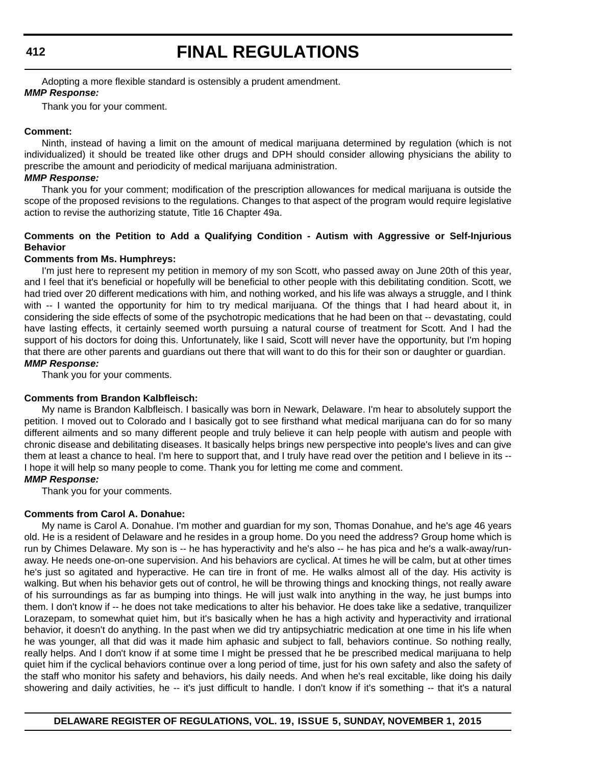Adopting a more flexible standard is ostensibly a prudent amendment.

## *MMP Response:*

Thank you for your comment.

## **Comment:**

Ninth, instead of having a limit on the amount of medical marijuana determined by regulation (which is not individualized) it should be treated like other drugs and DPH should consider allowing physicians the ability to prescribe the amount and periodicity of medical marijuana administration.

## *MMP Response:*

Thank you for your comment; modification of the prescription allowances for medical marijuana is outside the scope of the proposed revisions to the regulations. Changes to that aspect of the program would require legislative action to revise the authorizing statute, Title 16 Chapter 49a.

## **Comments on the Petition to Add a Qualifying Condition - Autism with Aggressive or Self-Injurious Behavior**

## **Comments from Ms. Humphreys:**

I'm just here to represent my petition in memory of my son Scott, who passed away on June 20th of this year, and I feel that it's beneficial or hopefully will be beneficial to other people with this debilitating condition. Scott, we had tried over 20 different medications with him, and nothing worked, and his life was always a struggle, and I think with -- I wanted the opportunity for him to try medical marijuana. Of the things that I had heard about it, in considering the side effects of some of the psychotropic medications that he had been on that -- devastating, could have lasting effects, it certainly seemed worth pursuing a natural course of treatment for Scott. And I had the support of his doctors for doing this. Unfortunately, like I said, Scott will never have the opportunity, but I'm hoping that there are other parents and guardians out there that will want to do this for their son or daughter or guardian. *MMP Response:*

Thank you for your comments.

## **Comments from Brandon Kalbfleisch:**

My name is Brandon Kalbfleisch. I basically was born in Newark, Delaware. I'm hear to absolutely support the petition. I moved out to Colorado and I basically got to see firsthand what medical marijuana can do for so many different ailments and so many different people and truly believe it can help people with autism and people with chronic disease and debilitating diseases. It basically helps brings new perspective into people's lives and can give them at least a chance to heal. I'm here to support that, and I truly have read over the petition and I believe in its -- I hope it will help so many people to come. Thank you for letting me come and comment.

## *MMP Response:*

Thank you for your comments.

## **Comments from Carol A. Donahue:**

My name is Carol A. Donahue. I'm mother and guardian for my son, Thomas Donahue, and he's age 46 years old. He is a resident of Delaware and he resides in a group home. Do you need the address? Group home which is run by Chimes Delaware. My son is -- he has hyperactivity and he's also -- he has pica and he's a walk-away/runaway. He needs one-on-one supervision. And his behaviors are cyclical. At times he will be calm, but at other times he's just so agitated and hyperactive. He can tire in front of me. He walks almost all of the day. His activity is walking. But when his behavior gets out of control, he will be throwing things and knocking things, not really aware of his surroundings as far as bumping into things. He will just walk into anything in the way, he just bumps into them. I don't know if -- he does not take medications to alter his behavior. He does take like a sedative, tranquilizer Lorazepam, to somewhat quiet him, but it's basically when he has a high activity and hyperactivity and irrational behavior, it doesn't do anything. In the past when we did try antipsychiatric medication at one time in his life when he was younger, all that did was it made him aphasic and subject to fall, behaviors continue. So nothing really, really helps. And I don't know if at some time I might be pressed that he be prescribed medical marijuana to help quiet him if the cyclical behaviors continue over a long period of time, just for his own safety and also the safety of the staff who monitor his safety and behaviors, his daily needs. And when he's real excitable, like doing his daily showering and daily activities, he -- it's just difficult to handle. I don't know if it's something -- that it's a natural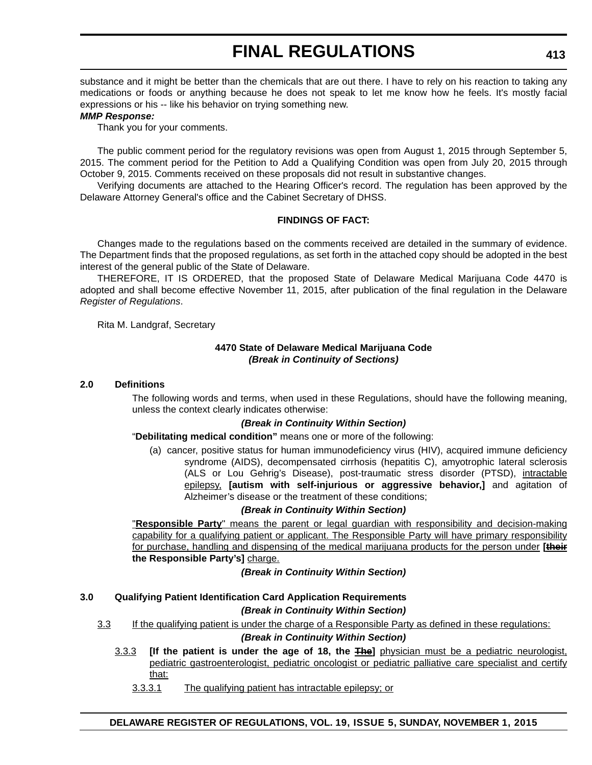substance and it might be better than the chemicals that are out there. I have to rely on his reaction to taking any medications or foods or anything because he does not speak to let me know how he feels. It's mostly facial expressions or his -- like his behavior on trying something new.

### *MMP Response:*

Thank you for your comments.

The public comment period for the regulatory revisions was open from August 1, 2015 through September 5, 2015. The comment period for the Petition to Add a Qualifying Condition was open from July 20, 2015 through October 9, 2015. Comments received on these proposals did not result in substantive changes.

Verifying documents are attached to the Hearing Officer's record. The regulation has been approved by the Delaware Attorney General's office and the Cabinet Secretary of DHSS.

### **FINDINGS OF FACT:**

Changes made to the regulations based on the comments received are detailed in the summary of evidence. The Department finds that the proposed regulations, as set forth in the attached copy should be adopted in the best interest of the general public of the State of Delaware.

THEREFORE, IT IS ORDERED, that the proposed State of Delaware Medical Marijuana Code 4470 is adopted and shall become effective November 11, 2015, after publication of the final regulation in the Delaware *Register of Regulations*.

Rita M. Landgraf, Secretary

## **4470 State of Delaware Medical Marijuana Code** *(Break in Continuity of Sections)*

#### **2.0 Definitions**

The following words and terms, when used in these Regulations, should have the following meaning, unless the context clearly indicates otherwise:

#### *(Break in Continuity Within Section)*

#### "**Debilitating medical condition"** means one or more of the following:

(a) cancer, positive status for human immunodeficiency virus (HIV), acquired immune deficiency syndrome (AIDS), decompensated cirrhosis (hepatitis C), amyotrophic lateral sclerosis (ALS or Lou Gehrig's Disease), post-traumatic stress disorder (PTSD), intractable epilepsy, **[autism with self-injurious or aggressive behavior,]** and agitation of Alzheimer's disease or the treatment of these conditions;

## *(Break in Continuity Within Section)*

"**Responsible Party**" means the parent or legal guardian with responsibility and decision-making capability for a qualifying patient or applicant. The Responsible Party will have primary responsibility for purchase, handling and dispensing of the medical marijuana products for the person under **[their the Responsible Party's]** charge.

*(Break in Continuity Within Section)*

## **3.0 Qualifying Patient Identification Card Application Requirements**

## *(Break in Continuity Within Section)*

3.3 If the qualifying patient is under the charge of a Responsible Party as defined in these regulations:

*(Break in Continuity Within Section)*

- 3.3.3 **[If the patient is under the age of 18, the The]** physician must be a pediatric neurologist, pediatric gastroenterologist, pediatric oncologist or pediatric palliative care specialist and certify that:
	- 3.3.3.1 The qualifying patient has intractable epilepsy; or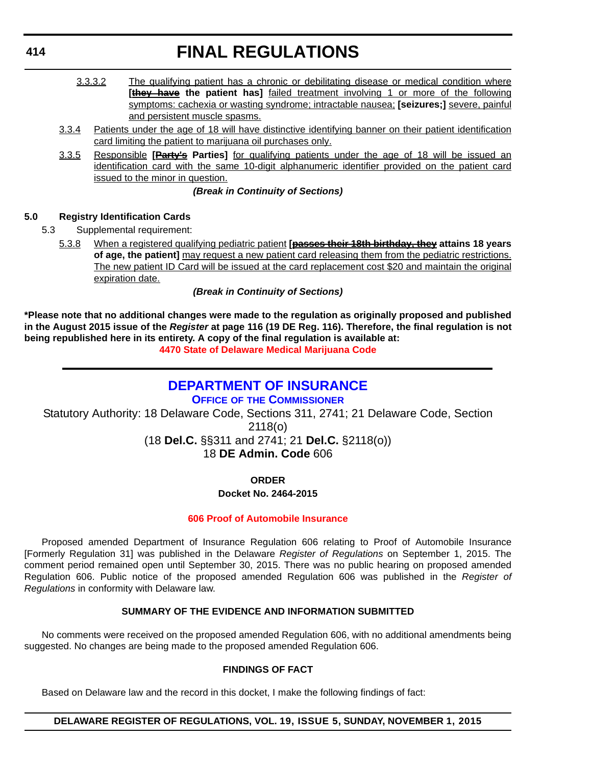- 3.3.3.2 The qualifying patient has a chronic or debilitating disease or medical condition where **[they have** the patient has] failed treatment involving 1 or more of the following symptoms: cachexia or wasting syndrome; intractable nausea; **[seizures;]** severe, painful and persistent muscle spasms.
- 3.3.4 Patients under the age of 18 will have distinctive identifying banner on their patient identification card limiting the patient to marijuana oil purchases only.
- 3.3.5 Responsible **[Party's Parties]** for qualifying patients under the age of 18 will be issued an identification card with the same 10-digit alphanumeric identifier provided on the patient card issued to the minor in question.

## *(Break in Continuity of Sections)*

## **5.0 Registry Identification Cards**

- 5.3 Supplemental requirement:
	- 5.3.8 When a registered qualifying pediatric patient **[passes their 18th birthday, they attains 18 years of age, the patient]** may request a new patient card releasing them from the pediatric restrictions. The new patient ID Card will be issued at the card replacement cost \$20 and maintain the original expiration date.

## *(Break in Continuity of Sections)*

**\*Please note that no additional changes were made to the regulation as originally proposed and published in the August 2015 issue of the** *Register* **at page 116 (19 DE Reg. 116). Therefore, the final regulation is not being republished here in its entirety. A copy of the final regulation is available at:**

**[4470 State of Delaware Medical Marijuana Code](http://regulations.delaware.gov/register/november2015/final/19 DE Reg 409 11-01-15.htm)**

## **[DEPARTMENT OF INSURANCE](http://www.delawareinsurance.gov/)**

**OFFICE OF THE COMMISSIONER**

Statutory Authority: 18 Delaware Code, Sections 311, 2741; 21 Delaware Code, Section 2118(o) (18 **Del.C.** §§311 and 2741; 21 **Del.C.** §2118(o))

18 **DE Admin. Code** 606

**ORDER Docket No. 2464-2015**

**[606 Proof of Automobile Insurance](#page-4-0)**

Proposed amended Department of Insurance Regulation 606 relating to Proof of Automobile Insurance [Formerly Regulation 31] was published in the Delaware *Register of Regulations* on September 1, 2015. The comment period remained open until September 30, 2015. There was no public hearing on proposed amended Regulation 606. Public notice of the proposed amended Regulation 606 was published in the *Register of Regulations* in conformity with Delaware law.

## **SUMMARY OF THE EVIDENCE AND INFORMATION SUBMITTED**

No comments were received on the proposed amended Regulation 606, with no additional amendments being suggested. No changes are being made to the proposed amended Regulation 606.

## **FINDINGS OF FACT**

Based on Delaware law and the record in this docket, I make the following findings of fact:

## **DELAWARE REGISTER OF REGULATIONS, VOL. 19, ISSUE 5, SUNDAY, NOVEMBER 1, 2015**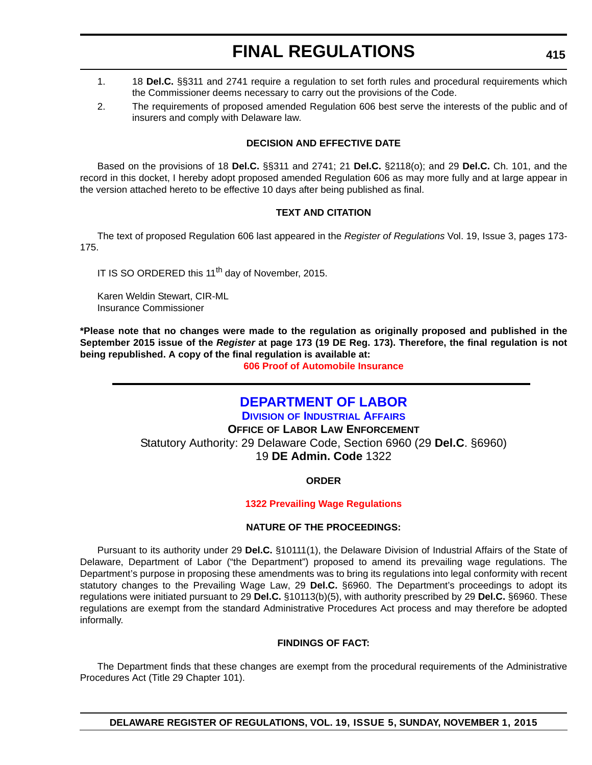- 1. 18 **Del.C.** §§311 and 2741 require a regulation to set forth rules and procedural requirements which the Commissioner deems necessary to carry out the provisions of the Code.
- 2. The requirements of proposed amended Regulation 606 best serve the interests of the public and of insurers and comply with Delaware law.

## **DECISION AND EFFECTIVE DATE**

Based on the provisions of 18 **Del.C.** §§311 and 2741; 21 **Del.C.** §2118(o); and 29 **Del.C.** Ch. 101, and the record in this docket, I hereby adopt proposed amended Regulation 606 as may more fully and at large appear in the version attached hereto to be effective 10 days after being published as final.

## **TEXT AND CITATION**

The text of proposed Regulation 606 last appeared in the *Register of Regulations* Vol. 19, Issue 3, pages 173- 175.

IT IS SO ORDERED this 11<sup>th</sup> day of November, 2015.

Karen Weldin Stewart, CIR-ML Insurance Commissioner

**\*Please note that no changes were made to the regulation as originally proposed and published in the September 2015 issue of the** *Register* **at page 173 (19 DE Reg. 173). Therefore, the final regulation is not being republished. A copy of the final regulation is available at:**

**[606 Proof of Automobile Insurance](http://regulations.delaware.gov/register/november2015/final/19 DE Reg 414 11-01-15.htm)**

## **[DEPARTMENT OF LABOR](http://dia.delawareworks.com/labor-law/)**

**DIVISION OF INDUSTRIAL AFFAIRS OFFICE OF LABOR LAW ENFORCEMENT** Statutory Authority: 29 Delaware Code, Section 6960 (29 **Del.C**. §6960) 19 **DE Admin. Code** 1322

## **ORDER**

## **[1322 Prevailing Wage Regulations](#page-4-0)**

## **NATURE OF THE PROCEEDINGS:**

Pursuant to its authority under 29 **Del.C.** §10111(1), the Delaware Division of Industrial Affairs of the State of Delaware, Department of Labor ("the Department") proposed to amend its prevailing wage regulations. The Department's purpose in proposing these amendments was to bring its regulations into legal conformity with recent statutory changes to the Prevailing Wage Law, 29 **Del.C.** §6960. The Department's proceedings to adopt its regulations were initiated pursuant to 29 **Del.C.** §10113(b)(5), with authority prescribed by 29 **Del.C.** §6960. These regulations are exempt from the standard Administrative Procedures Act process and may therefore be adopted informally.

## **FINDINGS OF FACT:**

The Department finds that these changes are exempt from the procedural requirements of the Administrative Procedures Act (Title 29 Chapter 101).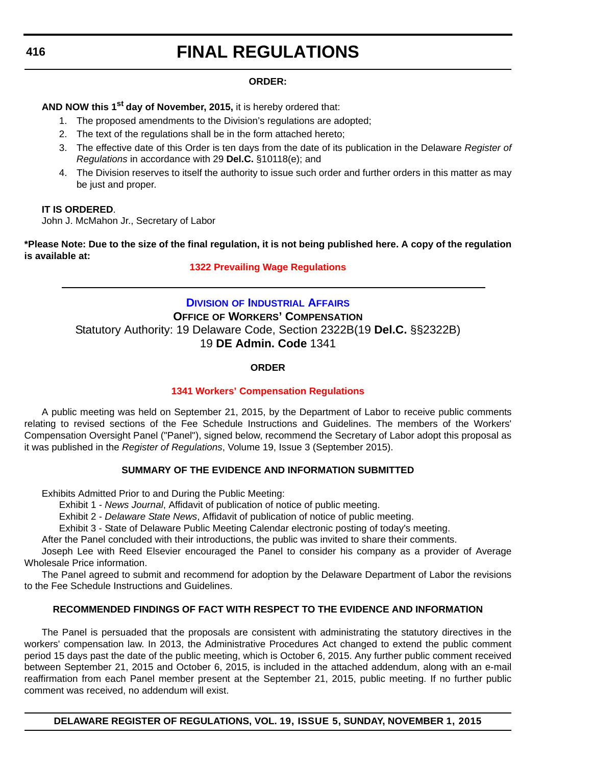## **ORDER:**

**AND NOW this 1st day of November, 2015,** it is hereby ordered that:

- 1. The proposed amendments to the Division's regulations are adopted;
- 2. The text of the regulations shall be in the form attached hereto;
- 3. The effective date of this Order is ten days from the date of its publication in the Delaware *Register of Regulations* in accordance with 29 **Del.C.** §10118(e); and
- 4. The Division reserves to itself the authority to issue such order and further orders in this matter as may be just and proper.

## **IT IS ORDERED**.

John J. McMahon Jr., Secretary of Labor

**\*Please Note: Due to the size of the final regulation, it is not being published here. A copy of the regulation is available at:**

## **[1322 Prevailing Wage Regulations](http://regulations.delaware.gov/register/december2015/final/19 DE Reg 415 11-01-15.htm)**

## **DIVISION [OF INDUSTRIAL AFFAIRS](http://dia.delawareworks.com/workers-comp/) OFFICE OF WORKERS' COMPENSATION** Statutory Authority: 19 Delaware Code, Section 2322B(19 **Del.C.** §§2322B) 19 **DE Admin. Code** 1341

## **ORDER**

## **[1341 Workers' Compensation Regulations](#page-4-0)**

A public meeting was held on September 21, 2015, by the Department of Labor to receive public comments relating to revised sections of the Fee Schedule Instructions and Guidelines. The members of the Workers' Compensation Oversight Panel ("Panel"), signed below, recommend the Secretary of Labor adopt this proposal as it was published in the *Register of Regulations*, Volume 19, Issue 3 (September 2015).

## **SUMMARY OF THE EVIDENCE AND INFORMATION SUBMITTED**

Exhibits Admitted Prior to and During the Public Meeting:

Exhibit 1 - *News Journal*, Affidavit of publication of notice of public meeting.

Exhibit 2 - *Delaware State News*, Affidavit of publication of notice of public meeting.

Exhibit 3 - State of Delaware Public Meeting Calendar electronic posting of today's meeting.

After the Panel concluded with their introductions, the public was invited to share their comments.

Joseph Lee with Reed Elsevier encouraged the Panel to consider his company as a provider of Average Wholesale Price information.

The Panel agreed to submit and recommend for adoption by the Delaware Department of Labor the revisions to the Fee Schedule Instructions and Guidelines.

## **RECOMMENDED FINDINGS OF FACT WITH RESPECT TO THE EVIDENCE AND INFORMATION**

The Panel is persuaded that the proposals are consistent with administrating the statutory directives in the workers' compensation law. In 2013, the Administrative Procedures Act changed to extend the public comment period 15 days past the date of the public meeting, which is October 6, 2015. Any further public comment received between September 21, 2015 and October 6, 2015, is included in the attached addendum, along with an e-mail reaffirmation from each Panel member present at the September 21, 2015, public meeting. If no further public comment was received, no addendum will exist.

**DELAWARE REGISTER OF REGULATIONS, VOL. 19, ISSUE 5, SUNDAY, NOVEMBER 1, 2015**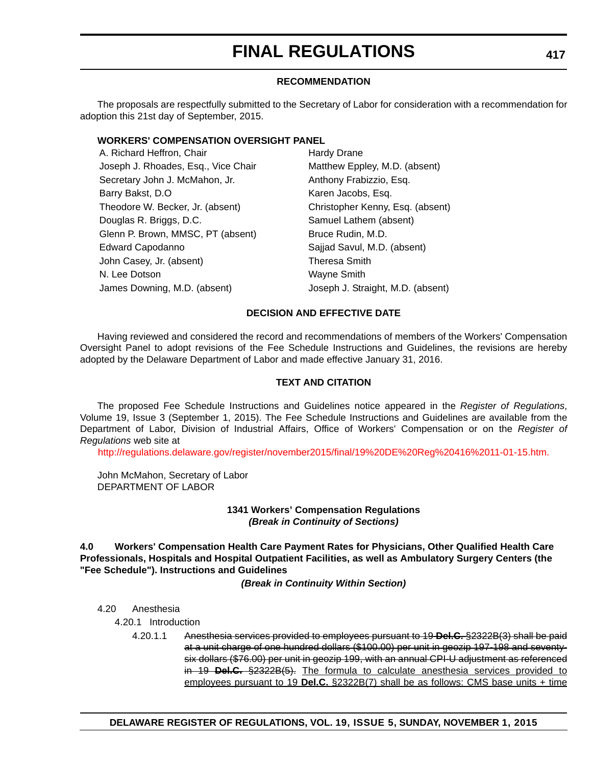#### **RECOMMENDATION**

The proposals are respectfully submitted to the Secretary of Labor for consideration with a recommendation for adoption this 21st day of September, 2015.

#### **WORKERS' COMPENSATION OVERSIGHT PANEL**

| A. Richard Heffron, Chair           | <b>Hardy Drane</b>                |
|-------------------------------------|-----------------------------------|
| Joseph J. Rhoades, Esq., Vice Chair | Matthew Eppley, M.D. (absent)     |
| Secretary John J. McMahon, Jr.      | Anthony Frabizzio, Esq.           |
| Barry Bakst, D.O.                   | Karen Jacobs, Esq.                |
| Theodore W. Becker, Jr. (absent)    | Christopher Kenny, Esq. (absent)  |
| Douglas R. Briggs, D.C.             | Samuel Lathem (absent)            |
| Glenn P. Brown, MMSC, PT (absent)   | Bruce Rudin, M.D.                 |
| <b>Edward Capodanno</b>             | Sajjad Savul, M.D. (absent)       |
| John Casey, Jr. (absent)            | <b>Theresa Smith</b>              |
| N. Lee Dotson                       | Wayne Smith                       |
| James Downing, M.D. (absent)        | Joseph J. Straight, M.D. (absent) |
|                                     |                                   |

#### **DECISION AND EFFECTIVE DATE**

Having reviewed and considered the record and recommendations of members of the Workers' Compensation Oversight Panel to adopt revisions of the Fee Schedule Instructions and Guidelines, the revisions are hereby adopted by the Delaware Department of Labor and made effective January 31, 2016.

#### **TEXT AND CITATION**

The proposed Fee Schedule Instructions and Guidelines notice appeared in the *Register of Regulations*, Volume 19, Issue 3 (September 1, 2015). The Fee Schedule Instructions and Guidelines are available from the Department of Labor, Division of Industrial Affairs, Office of Workers' Compensation or on the *Register of Regulations* web site at

[http://regulations.delaware.gov/register/november2015/final/19%20DE%20Reg%20416%2011-01-15.htm.](http://regulations.delaware.gov/register/november2015/final/19%20DE%20Reg%20416%2011-01-15.htm)

John McMahon, Secretary of Labor DEPARTMENT OF LABOR

> **1341 Workers' Compensation Regulations** *(Break in Continuity of Sections)*

**4.0 Workers' Compensation Health Care Payment Rates for Physicians, Other Qualified Health Care Professionals, Hospitals and Hospital Outpatient Facilities, as well as Ambulatory Surgery Centers (the "Fee Schedule"). Instructions and Guidelines**

*(Break in Continuity Within Section)*

4.20 Anesthesia

4.20.1 Introduction

4.20.1.1 Anesthesia services provided to employees pursuant to 19 **Del.C.** §2322B(3) shall be paid at a unit charge of one hundred dollars (\$100.00) per unit in geozip 197-198 and seventysix dollars (\$76.00) per unit in geozip 199, with an annual CPI-U adjustment as referenced in 19 **Del.C.** §2322B(5). The formula to calculate anesthesia services provided to employees pursuant to 19 **Del.C.** §2322B(7) shall be as follows: CMS base units + time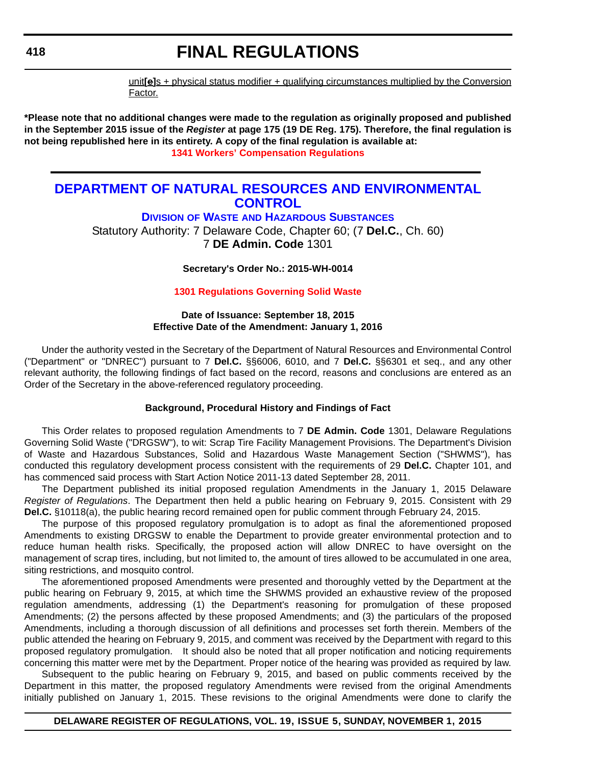unit**[e]**s + physical status modifier + qualifying circumstances multiplied by the Conversion Factor.

**\*Please note that no additional changes were made to the regulation as originally proposed and published in the September 2015 issue of the** *Register* **at page 175 (19 DE Reg. 175). Therefore, the final regulation is not being republished here in its entirety. A copy of the final regulation is available at: [1341 Workers' Compensation Regulations](http://regulations.delaware.gov/register/november2015/final/19 DE Reg 416 11-01-15.htm)**

### **[DEPARTMENT OF NATURAL RESOURCES AND ENVIRONMENTAL](http://www.dnrec.delaware.gov/dwhs/Pages/default.aspx)  CONTROL**

**DIVISION OF WASTE AND HAZARDOUS SUBSTANCES**

Statutory Authority: 7 Delaware Code, Chapter 60; (7 **Del.C.**, Ch. 60) 7 **DE Admin. Code** 1301

**Secretary's Order No.: 2015-WH-0014**

**[1301 Regulations Governing Solid Waste](#page-4-0)**

**Date of Issuance: September 18, 2015 Effective Date of the Amendment: January 1, 2016**

Under the authority vested in the Secretary of the Department of Natural Resources and Environmental Control ("Department" or "DNREC") pursuant to 7 **Del.C.** §§6006, 6010, and 7 **Del.C.** §§6301 et seq., and any other relevant authority, the following findings of fact based on the record, reasons and conclusions are entered as an Order of the Secretary in the above-referenced regulatory proceeding.

#### **Background, Procedural History and Findings of Fact**

This Order relates to proposed regulation Amendments to 7 **DE Admin. Code** 1301, Delaware Regulations Governing Solid Waste ("DRGSW"), to wit: Scrap Tire Facility Management Provisions. The Department's Division of Waste and Hazardous Substances, Solid and Hazardous Waste Management Section ("SHWMS"), has conducted this regulatory development process consistent with the requirements of 29 **Del.C.** Chapter 101, and has commenced said process with Start Action Notice 2011-13 dated September 28, 2011.

The Department published its initial proposed regulation Amendments in the January 1, 2015 Delaware *Register of Regulations*. The Department then held a public hearing on February 9, 2015. Consistent with 29 **Del.C.** §10118(a), the public hearing record remained open for public comment through February 24, 2015.

The purpose of this proposed regulatory promulgation is to adopt as final the aforementioned proposed Amendments to existing DRGSW to enable the Department to provide greater environmental protection and to reduce human health risks. Specifically, the proposed action will allow DNREC to have oversight on the management of scrap tires, including, but not limited to, the amount of tires allowed to be accumulated in one area, siting restrictions, and mosquito control.

The aforementioned proposed Amendments were presented and thoroughly vetted by the Department at the public hearing on February 9, 2015, at which time the SHWMS provided an exhaustive review of the proposed regulation amendments, addressing (1) the Department's reasoning for promulgation of these proposed Amendments; (2) the persons affected by these proposed Amendments; and (3) the particulars of the proposed Amendments, including a thorough discussion of all definitions and processes set forth therein. Members of the public attended the hearing on February 9, 2015, and comment was received by the Department with regard to this proposed regulatory promulgation. It should also be noted that all proper notification and noticing requirements concerning this matter were met by the Department. Proper notice of the hearing was provided as required by law.

Subsequent to the public hearing on February 9, 2015, and based on public comments received by the Department in this matter, the proposed regulatory Amendments were revised from the original Amendments initially published on January 1, 2015. These revisions to the original Amendments were done to clarify the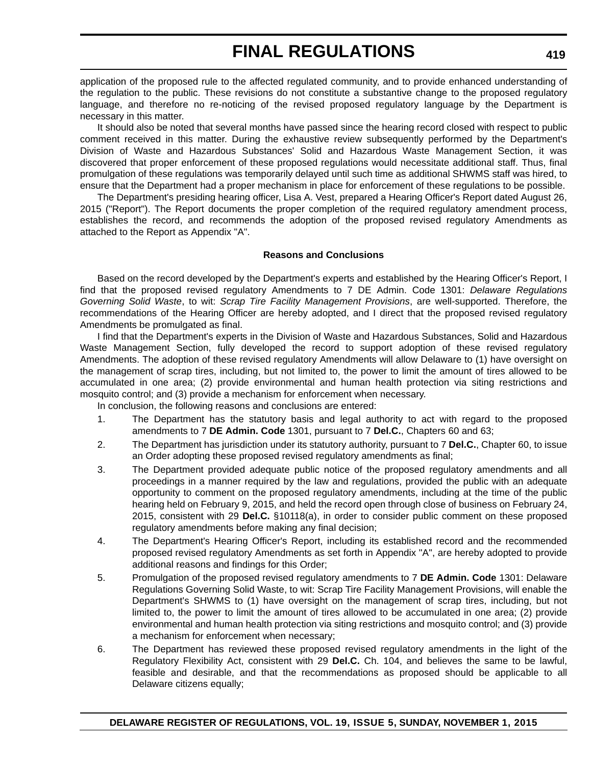application of the proposed rule to the affected regulated community, and to provide enhanced understanding of the regulation to the public. These revisions do not constitute a substantive change to the proposed regulatory language, and therefore no re-noticing of the revised proposed regulatory language by the Department is necessary in this matter.

It should also be noted that several months have passed since the hearing record closed with respect to public comment received in this matter. During the exhaustive review subsequently performed by the Department's Division of Waste and Hazardous Substances' Solid and Hazardous Waste Management Section, it was discovered that proper enforcement of these proposed regulations would necessitate additional staff. Thus, final promulgation of these regulations was temporarily delayed until such time as additional SHWMS staff was hired, to ensure that the Department had a proper mechanism in place for enforcement of these regulations to be possible.

The Department's presiding hearing officer, Lisa A. Vest, prepared a Hearing Officer's Report dated August 26, 2015 ("Report"). The Report documents the proper completion of the required regulatory amendment process, establishes the record, and recommends the adoption of the proposed revised regulatory Amendments as attached to the Report as Appendix "A".

#### **Reasons and Conclusions**

Based on the record developed by the Department's experts and established by the Hearing Officer's Report, I find that the proposed revised regulatory Amendments to 7 DE Admin. Code 1301: *Delaware Regulations Governing Solid Waste*, to wit: *Scrap Tire Facility Management Provisions*, are well-supported. Therefore, the recommendations of the Hearing Officer are hereby adopted, and I direct that the proposed revised regulatory Amendments be promulgated as final.

I find that the Department's experts in the Division of Waste and Hazardous Substances, Solid and Hazardous Waste Management Section, fully developed the record to support adoption of these revised regulatory Amendments. The adoption of these revised regulatory Amendments will allow Delaware to (1) have oversight on the management of scrap tires, including, but not limited to, the power to limit the amount of tires allowed to be accumulated in one area; (2) provide environmental and human health protection via siting restrictions and mosquito control; and (3) provide a mechanism for enforcement when necessary.

In conclusion, the following reasons and conclusions are entered:

- 1. The Department has the statutory basis and legal authority to act with regard to the proposed amendments to 7 **DE Admin. Code** 1301, pursuant to 7 **Del.C.**, Chapters 60 and 63;
- 2. The Department has jurisdiction under its statutory authority, pursuant to 7 **Del.C.**, Chapter 60, to issue an Order adopting these proposed revised regulatory amendments as final;
- 3. The Department provided adequate public notice of the proposed regulatory amendments and all proceedings in a manner required by the law and regulations, provided the public with an adequate opportunity to comment on the proposed regulatory amendments, including at the time of the public hearing held on February 9, 2015, and held the record open through close of business on February 24, 2015, consistent with 29 **Del.C.** §10118(a), in order to consider public comment on these proposed regulatory amendments before making any final decision;
- 4. The Department's Hearing Officer's Report, including its established record and the recommended proposed revised regulatory Amendments as set forth in Appendix "A", are hereby adopted to provide additional reasons and findings for this Order;
- 5. Promulgation of the proposed revised regulatory amendments to 7 **DE Admin. Code** 1301: Delaware Regulations Governing Solid Waste, to wit: Scrap Tire Facility Management Provisions, will enable the Department's SHWMS to (1) have oversight on the management of scrap tires, including, but not limited to, the power to limit the amount of tires allowed to be accumulated in one area; (2) provide environmental and human health protection via siting restrictions and mosquito control; and (3) provide a mechanism for enforcement when necessary;
- 6. The Department has reviewed these proposed revised regulatory amendments in the light of the Regulatory Flexibility Act, consistent with 29 **Del.C.** Ch. 104, and believes the same to be lawful, feasible and desirable, and that the recommendations as proposed should be applicable to all Delaware citizens equally;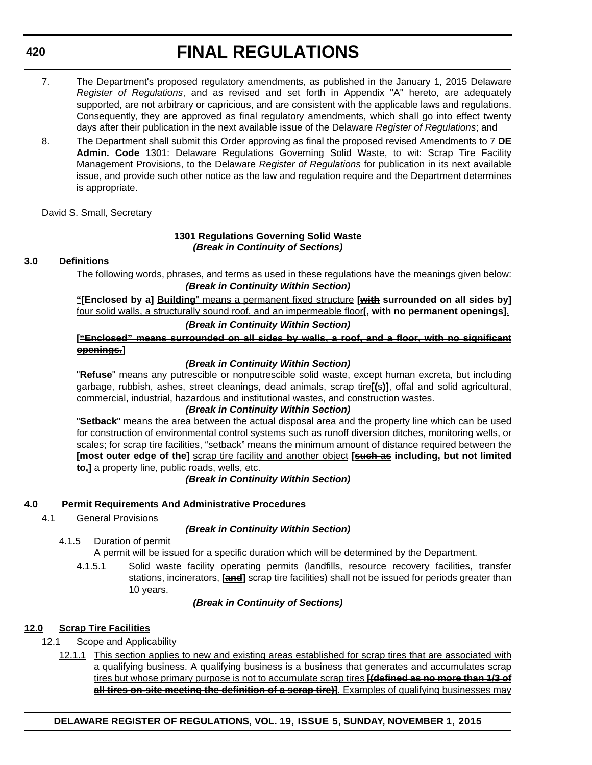- 7. The Department's proposed regulatory amendments, as published in the January 1, 2015 Delaware *Register of Regulations*, and as revised and set forth in Appendix "A" hereto, are adequately supported, are not arbitrary or capricious, and are consistent with the applicable laws and regulations. Consequently, they are approved as final regulatory amendments, which shall go into effect twenty days after their publication in the next available issue of the Delaware *Register of Regulations*; and
- 8. The Department shall submit this Order approving as final the proposed revised Amendments to 7 **DE Admin. Code** 1301: Delaware Regulations Governing Solid Waste, to wit: Scrap Tire Facility Management Provisions, to the Delaware *Register of Regulations* for publication in its next available issue, and provide such other notice as the law and regulation require and the Department determines is appropriate.

David S. Small, Secretary

#### **1301 Regulations Governing Solid Waste** *(Break in Continuity of Sections)*

#### **3.0 Definitions**

**420**

The following words, phrases, and terms as used in these regulations have the meanings given below: *(Break in Continuity Within Section)*

**"[Enclosed by a] Building**" means a permanent fixed structure **[with surrounded on all sides by]** four solid walls, a structurally sound roof, and an impermeable floor**[, with no permanent openings]**.

#### *(Break in Continuity Within Section)*

#### **["Enclosed" means surrounded on all sides by walls, a roof, and a floor, with no significant openings.]**

#### *(Break in Continuity Within Section)*

"**Refuse**" means any putrescible or nonputrescible solid waste, except human excreta, but including garbage, rubbish, ashes, street cleanings, dead animals, scrap tire**[(**s**)]**, offal and solid agricultural, commercial, industrial, hazardous and institutional wastes, and construction wastes.

#### *(Break in Continuity Within Section)*

"**Setback**" means the area between the actual disposal area and the property line which can be used for construction of environmental control systems such as runoff diversion ditches, monitoring wells, or scales; for scrap tire facilities, "setback" means the minimum amount of distance required between the **[most outer edge of the]** scrap tire facility and another object **[such as including, but not limited to,]** a property line, public roads, wells, etc.

*(Break in Continuity Within Section)*

#### **4.0 Permit Requirements And Administrative Procedures**

4.1 General Provisions

#### *(Break in Continuity Within Section)*

4.1.5 Duration of permit

A permit will be issued for a specific duration which will be determined by the Department.

4.1.5.1 Solid waste facility operating permits (landfills, resource recovery facilities, transfer stations, incinerators, **[and]** scrap tire facilities) shall not be issued for periods greater than 10 years.

#### *(Break in Continuity of Sections)*

#### **12.0 Scrap Tire Facilities**

- 12.1 Scope and Applicability
	- 12.1.1 This section applies to new and existing areas established for scrap tires that are associated with a qualifying business. A qualifying business is a business that generates and accumulates scrap tires but whose primary purpose is not to accumulate scrap tires **[(defined as no more than 1/3 of all tires on-site meeting the definition of a serap tire)**. Examples of qualifying businesses may

#### **DELAWARE REGISTER OF REGULATIONS, VOL. 19, ISSUE 5, SUNDAY, NOVEMBER 1, 2015**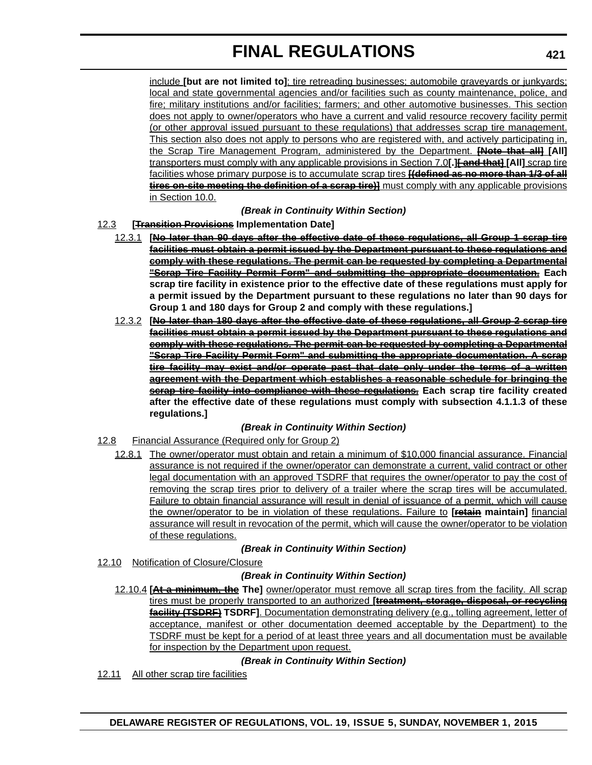include **[but are not limited to]**: tire retreading businesses; automobile graveyards or junkyards; local and state governmental agencies and/or facilities such as county maintenance, police, and fire; military institutions and/or facilities; farmers; and other automotive businesses. This section does not apply to owner/operators who have a current and valid resource recovery facility permit (or other approval issued pursuant to these regulations) that addresses scrap tire management. This section also does not apply to persons who are registered with, and actively participating in, the Scrap Tire Management Program, administered by the Department. **[Note that all] [All]** transporters must comply with any applicable provisions in Section 7.0**[.][ and that] [All]** scrap tire facilities whose primary purpose is to accumulate scrap tires **[(defined as no more than 1/3 of all tires on site meeting the definition of a serap tire)** must comply with any applicable provisions in Section 10.0.

#### *(Break in Continuity Within Section)*

#### 12.3 **[Transition Provisions Implementation Date]**

- 12.3.1 **[No later than 90 days after the effective date of these regulations, all Group 1 scrap tire facilities must obtain a permit issued by the Department pursuant to these regulations and comply with these regulations. The permit can be requested by completing a Departmental "Scrap Tire Facility Permit Form" and submitting the appropriate documentation. Each scrap tire facility in existence prior to the effective date of these regulations must apply for a permit issued by the Department pursuant to these regulations no later than 90 days for Group 1 and 180 days for Group 2 and comply with these regulations.]**
- 12.3.2 **[No later than 180 days after the effective date of these regulations, all Group 2 scrap tire facilities must obtain a permit issued by the Department pursuant to these regulations and comply with these regulations. The permit can be requested by completing a Departmental "Scrap Tire Facility Permit Form" and submitting the appropriate documentation. A scrap tire facility may exist and/or operate past that date only under the terms of a written agreement with the Department which establishes a reasonable schedule for bringing the scrap tire facility into compliance with these regulations. Each scrap tire facility created after the effective date of these regulations must comply with subsection 4.1.1.3 of these regulations.]**

#### *(Break in Continuity Within Section)*

- 12.8 Financial Assurance (Required only for Group 2)
	- 12.8.1 The owner/operator must obtain and retain a minimum of \$10,000 financial assurance. Financial assurance is not required if the owner/operator can demonstrate a current, valid contract or other legal documentation with an approved TSDRF that requires the owner/operator to pay the cost of removing the scrap tires prior to delivery of a trailer where the scrap tires will be accumulated. Failure to obtain financial assurance will result in denial of issuance of a permit, which will cause the owner/operator to be in violation of these regulations. Failure to **[retain maintain]** financial assurance will result in revocation of the permit, which will cause the owner/operator to be violation of these regulations.

#### *(Break in Continuity Within Section)*

12.10 Notification of Closure/Closure

#### *(Break in Continuity Within Section)*

12.10.4 **[At a minimum, the The]** owner/operator must remove all scrap tires from the facility. All scrap tires must be properly transported to an authorized **[treatment, storage, disposal, or recycling facility (TSDRF) TSDRF]**. Documentation demonstrating delivery (e.g., tolling agreement, letter of acceptance, manifest or other documentation deemed acceptable by the Department) to the TSDRF must be kept for a period of at least three years and all documentation must be available for inspection by the Department upon request.

#### *(Break in Continuity Within Section)*

12.11 All other scrap tire facilities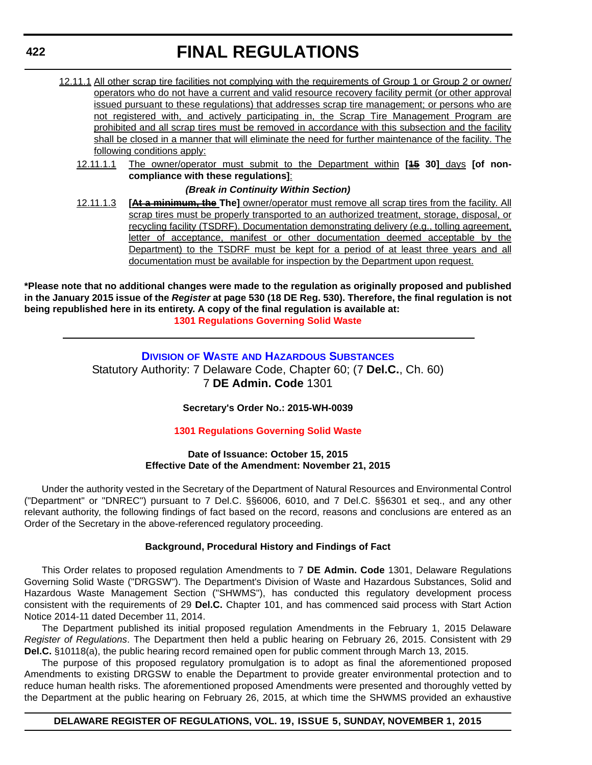- 12.11.1 All other scrap tire facilities not complying with the requirements of Group 1 or Group 2 or owner/ operators who do not have a current and valid resource recovery facility permit (or other approval issued pursuant to these regulations) that addresses scrap tire management; or persons who are not registered with, and actively participating in, the Scrap Tire Management Program are prohibited and all scrap tires must be removed in accordance with this subsection and the facility shall be closed in a manner that will eliminate the need for further maintenance of the facility. The following conditions apply:
	- 12.11.1.1 The owner/operator must submit to the Department within **[15 30]** days **[of noncompliance with these regulations]**:

#### *(Break in Continuity Within Section)*

12.11.1.3 **[At a minimum, the The]** owner/operator must remove all scrap tires from the facility. All scrap tires must be properly transported to an authorized treatment, storage, disposal, or recycling facility (TSDRF). Documentation demonstrating delivery (e.g., tolling agreement, letter of acceptance, manifest or other documentation deemed acceptable by the Department) to the TSDRF must be kept for a period of at least three years and all documentation must be available for inspection by the Department upon request.

**\*Please note that no additional changes were made to the regulation as originally proposed and published in the January 2015 issue of the** *Register* **at page 530 (18 DE Reg. 530). Therefore, the final regulation is not being republished here in its entirety. A copy of the final regulation is available at: [1301 Regulations Governing Solid Waste](http://regulations.delaware.gov/register/november2015/final/19 DE Reg 418 11-01-15.htm)**

> **DIVISION OF WASTE [AND HAZARDOUS SUBSTANCES](http://www.dnrec.delaware.gov/dwhs/Pages/default.aspx)** Statutory Authority: 7 Delaware Code, Chapter 60; (7 **Del.C.**, Ch. 60) 7 **DE Admin. Code** 1301

#### **Secretary's Order No.: 2015-WH-0039**

#### **[1301 Regulations Governing Solid Waste](#page-4-0)**

#### **Date of Issuance: October 15, 2015 Effective Date of the Amendment: November 21, 2015**

Under the authority vested in the Secretary of the Department of Natural Resources and Environmental Control ("Department" or "DNREC") pursuant to 7 Del.C. §§6006, 6010, and 7 Del.C. §§6301 et seq., and any other relevant authority, the following findings of fact based on the record, reasons and conclusions are entered as an Order of the Secretary in the above-referenced regulatory proceeding.

#### **Background, Procedural History and Findings of Fact**

This Order relates to proposed regulation Amendments to 7 **DE Admin. Code** 1301, Delaware Regulations Governing Solid Waste ("DRGSW"). The Department's Division of Waste and Hazardous Substances, Solid and Hazardous Waste Management Section ("SHWMS"), has conducted this regulatory development process consistent with the requirements of 29 **Del.C.** Chapter 101, and has commenced said process with Start Action Notice 2014-11 dated December 11, 2014.

The Department published its initial proposed regulation Amendments in the February 1, 2015 Delaware *Register of Regulations*. The Department then held a public hearing on February 26, 2015. Consistent with 29 **Del.C.** §10118(a), the public hearing record remained open for public comment through March 13, 2015.

The purpose of this proposed regulatory promulgation is to adopt as final the aforementioned proposed Amendments to existing DRGSW to enable the Department to provide greater environmental protection and to reduce human health risks. The aforementioned proposed Amendments were presented and thoroughly vetted by the Department at the public hearing on February 26, 2015, at which time the SHWMS provided an exhaustive

#### **DELAWARE REGISTER OF REGULATIONS, VOL. 19, ISSUE 5, SUNDAY, NOVEMBER 1, 2015**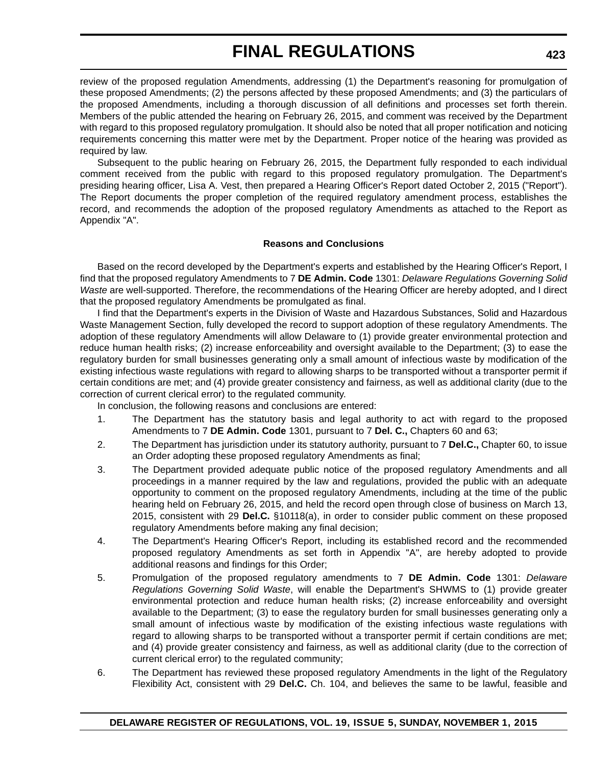review of the proposed regulation Amendments, addressing (1) the Department's reasoning for promulgation of these proposed Amendments; (2) the persons affected by these proposed Amendments; and (3) the particulars of the proposed Amendments, including a thorough discussion of all definitions and processes set forth therein. Members of the public attended the hearing on February 26, 2015, and comment was received by the Department with regard to this proposed regulatory promulgation. It should also be noted that all proper notification and noticing requirements concerning this matter were met by the Department. Proper notice of the hearing was provided as required by law.

Subsequent to the public hearing on February 26, 2015, the Department fully responded to each individual comment received from the public with regard to this proposed regulatory promulgation. The Department's presiding hearing officer, Lisa A. Vest, then prepared a Hearing Officer's Report dated October 2, 2015 ("Report"). The Report documents the proper completion of the required regulatory amendment process, establishes the record, and recommends the adoption of the proposed regulatory Amendments as attached to the Report as Appendix "A".

#### **Reasons and Conclusions**

Based on the record developed by the Department's experts and established by the Hearing Officer's Report, I find that the proposed regulatory Amendments to 7 **DE Admin. Code** 1301: *Delaware Regulations Governing Solid Waste* are well-supported. Therefore, the recommendations of the Hearing Officer are hereby adopted, and I direct that the proposed regulatory Amendments be promulgated as final.

I find that the Department's experts in the Division of Waste and Hazardous Substances, Solid and Hazardous Waste Management Section, fully developed the record to support adoption of these regulatory Amendments. The adoption of these regulatory Amendments will allow Delaware to (1) provide greater environmental protection and reduce human health risks; (2) increase enforceability and oversight available to the Department; (3) to ease the regulatory burden for small businesses generating only a small amount of infectious waste by modification of the existing infectious waste regulations with regard to allowing sharps to be transported without a transporter permit if certain conditions are met; and (4) provide greater consistency and fairness, as well as additional clarity (due to the correction of current clerical error) to the regulated community.

In conclusion, the following reasons and conclusions are entered:

- 1. The Department has the statutory basis and legal authority to act with regard to the proposed Amendments to 7 **DE Admin. Code** 1301, pursuant to 7 **Del. C.,** Chapters 60 and 63;
- 2. The Department has jurisdiction under its statutory authority, pursuant to 7 **Del.C.,** Chapter 60, to issue an Order adopting these proposed regulatory Amendments as final;
- 3. The Department provided adequate public notice of the proposed regulatory Amendments and all proceedings in a manner required by the law and regulations, provided the public with an adequate opportunity to comment on the proposed regulatory Amendments, including at the time of the public hearing held on February 26, 2015, and held the record open through close of business on March 13, 2015, consistent with 29 **Del.C.** §10118(a), in order to consider public comment on these proposed regulatory Amendments before making any final decision;
- 4. The Department's Hearing Officer's Report, including its established record and the recommended proposed regulatory Amendments as set forth in Appendix "A", are hereby adopted to provide additional reasons and findings for this Order;
- 5. Promulgation of the proposed regulatory amendments to 7 **DE Admin. Code** 1301: *Delaware Regulations Governing Solid Waste*, will enable the Department's SHWMS to (1) provide greater environmental protection and reduce human health risks; (2) increase enforceability and oversight available to the Department; (3) to ease the regulatory burden for small businesses generating only a small amount of infectious waste by modification of the existing infectious waste regulations with regard to allowing sharps to be transported without a transporter permit if certain conditions are met; and (4) provide greater consistency and fairness, as well as additional clarity (due to the correction of current clerical error) to the regulated community;
- 6. The Department has reviewed these proposed regulatory Amendments in the light of the Regulatory Flexibility Act, consistent with 29 **Del.C.** Ch. 104, and believes the same to be lawful, feasible and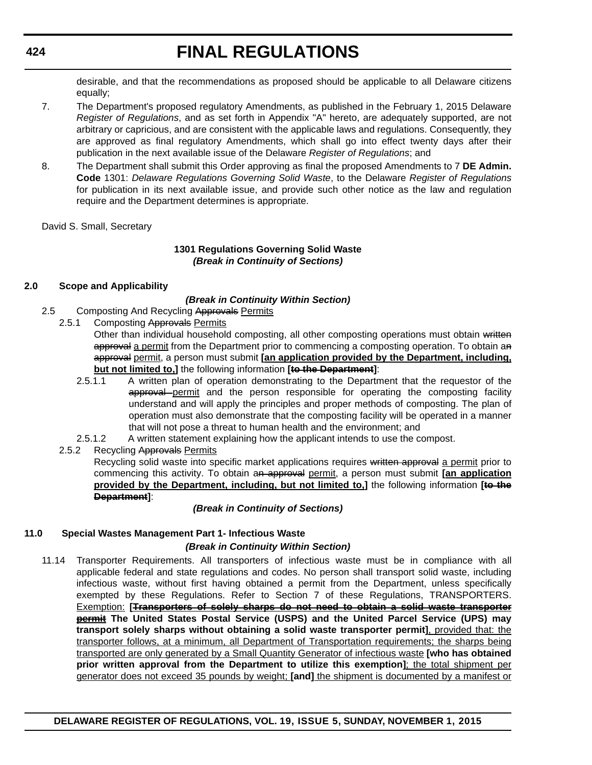desirable, and that the recommendations as proposed should be applicable to all Delaware citizens equally;

- 7. The Department's proposed regulatory Amendments, as published in the February 1, 2015 Delaware *Register of Regulations*, and as set forth in Appendix "A" hereto, are adequately supported, are not arbitrary or capricious, and are consistent with the applicable laws and regulations. Consequently, they are approved as final regulatory Amendments, which shall go into effect twenty days after their publication in the next available issue of the Delaware *Register of Regulations*; and
- 8. The Department shall submit this Order approving as final the proposed Amendments to 7 **DE Admin. Code** 1301: *Delaware Regulations Governing Solid Waste*, to the Delaware *Register of Regulations* for publication in its next available issue, and provide such other notice as the law and regulation require and the Department determines is appropriate.

David S. Small, Secretary

#### **1301 Regulations Governing Solid Waste** *(Break in Continuity of Sections)*

#### **2.0 Scope and Applicability**

#### *(Break in Continuity Within Section)*

- 2.5 Composting And Recycling Approvals Permits
	- 2.5.1 Composting Approvals Permits
		- Other than individual household composting, all other composting operations must obtain written approval a permit from the Department prior to commencing a composting operation. To obtain an approval permit, a person must submit **[an application provided by the Department, including, but not limited to,]** the following information **[to the Department]**:
		- 2.5.1.1 A written plan of operation demonstrating to the Department that the requestor of the approval permit and the person responsible for operating the composting facility understand and will apply the principles and proper methods of composting. The plan of operation must also demonstrate that the composting facility will be operated in a manner that will not pose a threat to human health and the environment; and
		- 2.5.1.2 A written statement explaining how the applicant intends to use the compost.

2.5.2 Recycling Approvals Permits Recycling solid waste into specific market applications requires written approval a permit prior to commencing this activity. To obtain an approval permit, a person must submit **[an application provided by the Department, including, but not limited to,]** the following information **[to the Department]**:

#### *(Break in Continuity of Sections)*

#### **11.0 Special Wastes Management Part 1- Infectious Waste**

#### *(Break in Continuity Within Section)*

11.14 Transporter Requirements. All transporters of infectious waste must be in compliance with all applicable federal and state regulations and codes. No person shall transport solid waste, including infectious waste, without first having obtained a permit from the Department, unless specifically exempted by these Regulations. Refer to Section 7 of these Regulations, TRANSPORTERS. Exemption: **[Transporters of solely sharps do not need to obtain a solid waste transporter permit The United States Postal Service (USPS) and the United Parcel Service (UPS) may transport solely sharps without obtaining a solid waste transporter permit]**, provided that: the transporter follows, at a minimum, all Department of Transportation requirements; the sharps being transported are only generated by a Small Quantity Generator of infectious waste **[who has obtained prior written approval from the Department to utilize this exemption]**; the total shipment per generator does not exceed 35 pounds by weight; **[and]** the shipment is documented by a manifest or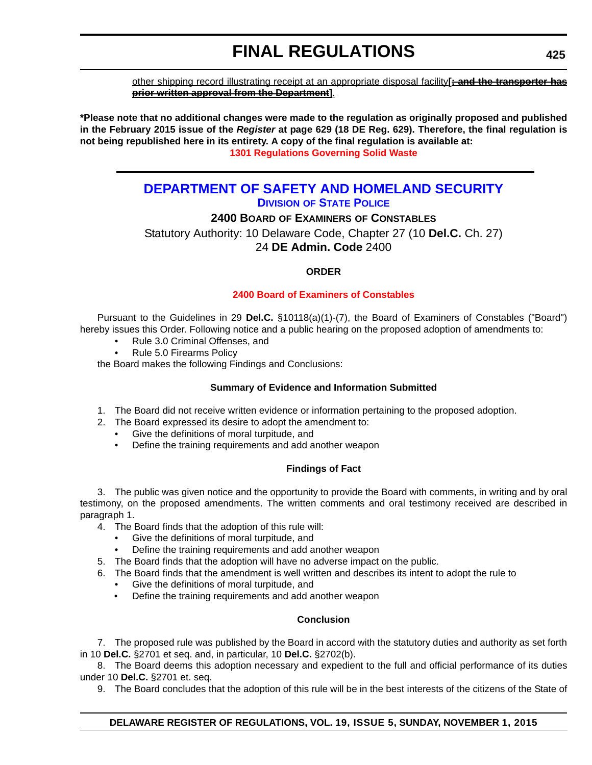other shipping record illustrating receipt at an appropriate disposal facility**[; and the transporter has prior written approval from the Department]**.

**\*Please note that no additional changes were made to the regulation as originally proposed and published in the February 2015 issue of the** *Register* **at page 629 (18 DE Reg. 629). Therefore, the final regulation is not being republished here in its entirety. A copy of the final regulation is available at: [1301 Regulations Governing Solid Waste](http://regulations.delaware.gov/register/november2015/final/19 DE Reg 422 11-01-15.htm)**

### **[DEPARTMENT OF SAFETY AND HOMELAND SECURITY](http://dsp.delaware.gov/) DIVISION OF STATE POLICE**

### **2400 BOARD OF EXAMINERS OF CONSTABLES**

Statutory Authority: 10 Delaware Code, Chapter 27 (10 **Del.C.** Ch. 27) 24 **DE Admin. Code** 2400

#### **ORDER**

#### **[2400 Board of Examiners of Constables](#page-4-0)**

Pursuant to the Guidelines in 29 **Del.C.** §10118(a)(1)-(7), the Board of Examiners of Constables ("Board") hereby issues this Order. Following notice and a public hearing on the proposed adoption of amendments to:

- Rule 3.0 Criminal Offenses, and
- Rule 5.0 Firearms Policy

the Board makes the following Findings and Conclusions:

#### **Summary of Evidence and Information Submitted**

- 1. The Board did not receive written evidence or information pertaining to the proposed adoption.
- 2. The Board expressed its desire to adopt the amendment to:
	- Give the definitions of moral turpitude, and
	- Define the training requirements and add another weapon

#### **Findings of Fact**

3. The public was given notice and the opportunity to provide the Board with comments, in writing and by oral testimony, on the proposed amendments. The written comments and oral testimony received are described in paragraph 1.

- 4. The Board finds that the adoption of this rule will:
	- Give the definitions of moral turpitude, and
	- Define the training requirements and add another weapon
- 5. The Board finds that the adoption will have no adverse impact on the public.
- 6. The Board finds that the amendment is well written and describes its intent to adopt the rule to
	- Give the definitions of moral turpitude, and
	- Define the training requirements and add another weapon

#### **Conclusion**

7. The proposed rule was published by the Board in accord with the statutory duties and authority as set forth in 10 **Del.C.** §2701 et seq. and, in particular, 10 **Del.C.** §2702(b).

8. The Board deems this adoption necessary and expedient to the full and official performance of its duties under 10 **Del.C.** §2701 et. seq.

9. The Board concludes that the adoption of this rule will be in the best interests of the citizens of the State of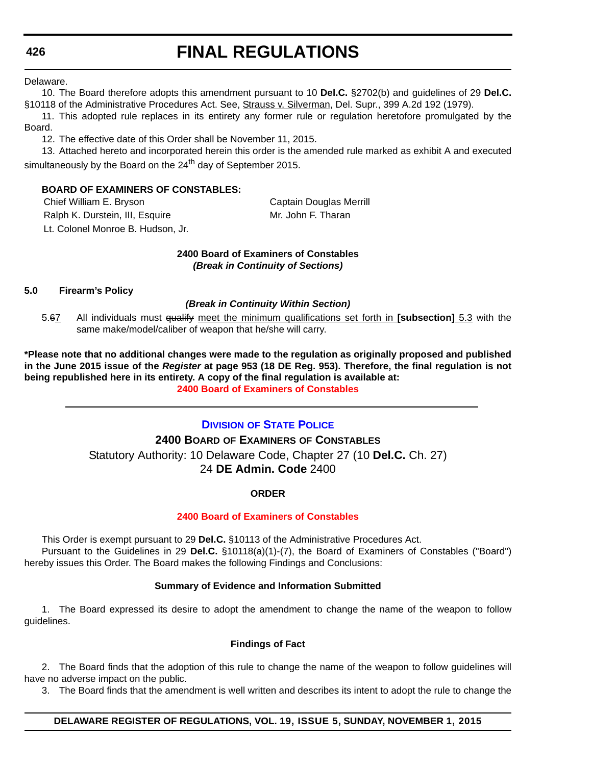Delaware.

10. The Board therefore adopts this amendment pursuant to 10 **Del.C.** §2702(b) and guidelines of 29 **Del.C.** §10118 of the Administrative Procedures Act. See, Strauss v. Silverman, Del. Supr., 399 A.2d 192 (1979).

11. This adopted rule replaces in its entirety any former rule or regulation heretofore promulgated by the Board.

12. The effective date of this Order shall be November 11, 2015.

13. Attached hereto and incorporated herein this order is the amended rule marked as exhibit A and executed simultaneously by the Board on the  $24<sup>th</sup>$  day of September 2015.

#### **BOARD OF EXAMINERS OF CONSTABLES:**

Chief William E. Bryson Chief William E. Bryson Ralph K. Durstein, III, Esquire Mr. John F. Tharan Lt. Colonel Monroe B. Hudson, Jr.

#### **2400 Board of Examiners of Constables** *(Break in Continuity of Sections)*

#### **5.0 Firearm's Policy**

#### *(Break in Continuity Within Section)*

5.67 All individuals must qualify meet the minimum qualifications set forth in **[subsection]** 5.3 with the same make/model/caliber of weapon that he/she will carry.

**\*Please note that no additional changes were made to the regulation as originally proposed and published in the June 2015 issue of the** *Register* **at page 953 (18 DE Reg. 953). Therefore, the final regulation is not being republished here in its entirety. A copy of the final regulation is available at: [2400 Board of Examiners of Constables](http://regulations.delaware.gov/register/november2015/final/19 DE Reg 425 11-01-15.htm)**

#### **DIVISION [OF STATE POLICE](http://dsp.delaware.gov/)**

#### **2400 BOARD OF EXAMINERS OF CONSTABLES**

Statutory Authority: 10 Delaware Code, Chapter 27 (10 **Del.C.** Ch. 27) 24 **DE Admin. Code** 2400

#### **ORDER**

#### **[2400 Board of Examiners of Constables](#page-4-0)**

This Order is exempt pursuant to 29 **Del.C.** §10113 of the Administrative Procedures Act. Pursuant to the Guidelines in 29 **Del.C.** §10118(a)(1)-(7), the Board of Examiners of Constables ("Board") hereby issues this Order. The Board makes the following Findings and Conclusions:

#### **Summary of Evidence and Information Submitted**

1. The Board expressed its desire to adopt the amendment to change the name of the weapon to follow guidelines.

#### **Findings of Fact**

2. The Board finds that the adoption of this rule to change the name of the weapon to follow guidelines will have no adverse impact on the public.

3. The Board finds that the amendment is well written and describes its intent to adopt the rule to change the

#### **DELAWARE REGISTER OF REGULATIONS, VOL. 19, ISSUE 5, SUNDAY, NOVEMBER 1, 2015**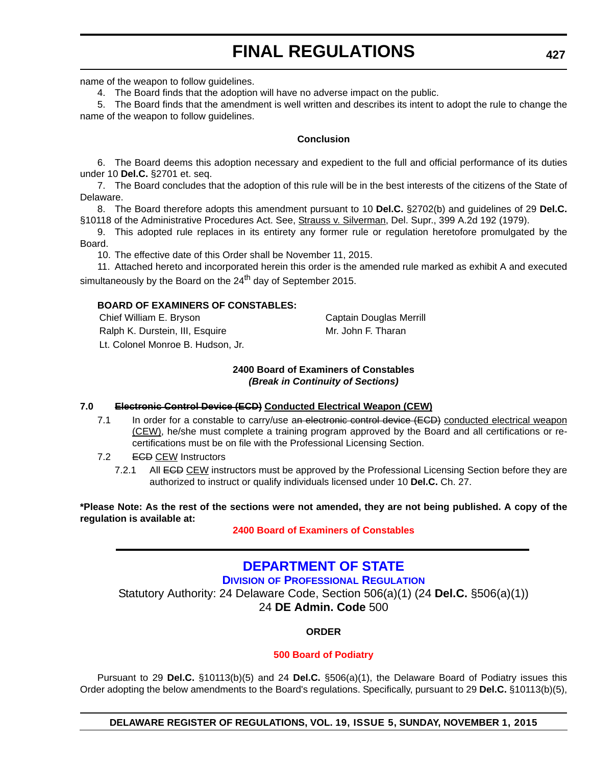name of the weapon to follow guidelines.

4. The Board finds that the adoption will have no adverse impact on the public.

5. The Board finds that the amendment is well written and describes its intent to adopt the rule to change the name of the weapon to follow guidelines.

#### **Conclusion**

6. The Board deems this adoption necessary and expedient to the full and official performance of its duties under 10 **Del.C.** §2701 et. seq.

7. The Board concludes that the adoption of this rule will be in the best interests of the citizens of the State of Delaware.

8. The Board therefore adopts this amendment pursuant to 10 **Del.C.** §2702(b) and guidelines of 29 **Del.C.** §10118 of the Administrative Procedures Act. See, Strauss v. Silverman, Del. Supr., 399 A.2d 192 (1979).

9. This adopted rule replaces in its entirety any former rule or regulation heretofore promulgated by the Board.

10. The effective date of this Order shall be November 11, 2015.

11. Attached hereto and incorporated herein this order is the amended rule marked as exhibit A and executed simultaneously by the Board on the 24<sup>th</sup> day of September 2015.

#### **BOARD OF EXAMINERS OF CONSTABLES:**

Chief William E. Bryson Chief William E. Bryson Ralph K. Durstein, III, Esquire Music Mr. John F. Tharan Lt. Colonel Monroe B. Hudson, Jr.

#### **2400 Board of Examiners of Constables** *(Break in Continuity of Sections)*

#### **7.0 Electronic Control Device (ECD) Conducted Electrical Weapon (CEW)**

- 7.1 In order for a constable to carry/use an electronic control device (ECD) conducted electrical weapon (CEW), he/she must complete a training program approved by the Board and all certifications or recertifications must be on file with the Professional Licensing Section.
- 7.2 ECD CEW Instructors
	- 7.2.1 All **ECD CEW** instructors must be approved by the Professional Licensing Section before they are authorized to instruct or qualify individuals licensed under 10 **Del.C.** Ch. 27.

**\*Please Note: As the rest of the sections were not amended, they are not being published. A copy of the regulation is available at:**

**[2400 Board of Examiners of Constables](http://regulations.delaware.gov/register/november2015/final/19 DE Reg 426 11-01-15.htm)**

### **[DEPARTMENT OF STATE](http://dpr.delaware.gov/) DIVISION OF PROFESSIONAL REGULATION** Statutory Authority: 24 Delaware Code, Section 506(a)(1) (24 **Del.C.** §506(a)(1)) 24 **DE Admin. Code** 500

**ORDER**

#### **[500 Board of Podiatry](#page-4-0)**

Pursuant to 29 **Del.C.** §10113(b)(5) and 24 **Del.C.** §506(a)(1), the Delaware Board of Podiatry issues this Order adopting the below amendments to the Board's regulations. Specifically, pursuant to 29 **Del.C.** §10113(b)(5),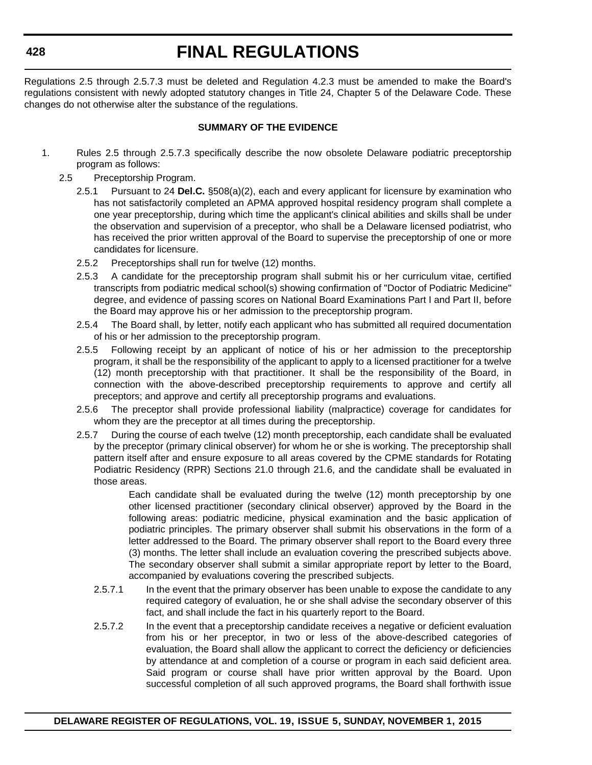Regulations 2.5 through 2.5.7.3 must be deleted and Regulation 4.2.3 must be amended to make the Board's regulations consistent with newly adopted statutory changes in Title 24, Chapter 5 of the Delaware Code. These changes do not otherwise alter the substance of the regulations.

#### **SUMMARY OF THE EVIDENCE**

- 1. Rules 2.5 through 2.5.7.3 specifically describe the now obsolete Delaware podiatric preceptorship program as follows:
	- 2.5 Preceptorship Program.
		- 2.5.1 Pursuant to 24 **Del.C.** §508(a)(2), each and every applicant for licensure by examination who has not satisfactorily completed an APMA approved hospital residency program shall complete a one year preceptorship, during which time the applicant's clinical abilities and skills shall be under the observation and supervision of a preceptor, who shall be a Delaware licensed podiatrist, who has received the prior written approval of the Board to supervise the preceptorship of one or more candidates for licensure.
		- 2.5.2 Preceptorships shall run for twelve (12) months.
		- 2.5.3 A candidate for the preceptorship program shall submit his or her curriculum vitae, certified transcripts from podiatric medical school(s) showing confirmation of "Doctor of Podiatric Medicine" degree, and evidence of passing scores on National Board Examinations Part I and Part II, before the Board may approve his or her admission to the preceptorship program.
		- 2.5.4 The Board shall, by letter, notify each applicant who has submitted all required documentation of his or her admission to the preceptorship program.
		- 2.5.5 Following receipt by an applicant of notice of his or her admission to the preceptorship program, it shall be the responsibility of the applicant to apply to a licensed practitioner for a twelve (12) month preceptorship with that practitioner. It shall be the responsibility of the Board, in connection with the above-described preceptorship requirements to approve and certify all preceptors; and approve and certify all preceptorship programs and evaluations.
		- 2.5.6 The preceptor shall provide professional liability (malpractice) coverage for candidates for whom they are the preceptor at all times during the preceptorship.
		- 2.5.7 During the course of each twelve (12) month preceptorship, each candidate shall be evaluated by the preceptor (primary clinical observer) for whom he or she is working. The preceptorship shall pattern itself after and ensure exposure to all areas covered by the CPME standards for Rotating Podiatric Residency (RPR) Sections 21.0 through 21.6, and the candidate shall be evaluated in those areas.

Each candidate shall be evaluated during the twelve (12) month preceptorship by one other licensed practitioner (secondary clinical observer) approved by the Board in the following areas: podiatric medicine, physical examination and the basic application of podiatric principles. The primary observer shall submit his observations in the form of a letter addressed to the Board. The primary observer shall report to the Board every three (3) months. The letter shall include an evaluation covering the prescribed subjects above. The secondary observer shall submit a similar appropriate report by letter to the Board, accompanied by evaluations covering the prescribed subjects.

- 2.5.7.1 In the event that the primary observer has been unable to expose the candidate to any required category of evaluation, he or she shall advise the secondary observer of this fact, and shall include the fact in his quarterly report to the Board.
- 2.5.7.2 In the event that a preceptorship candidate receives a negative or deficient evaluation from his or her preceptor, in two or less of the above-described categories of evaluation, the Board shall allow the applicant to correct the deficiency or deficiencies by attendance at and completion of a course or program in each said deficient area. Said program or course shall have prior written approval by the Board. Upon successful completion of all such approved programs, the Board shall forthwith issue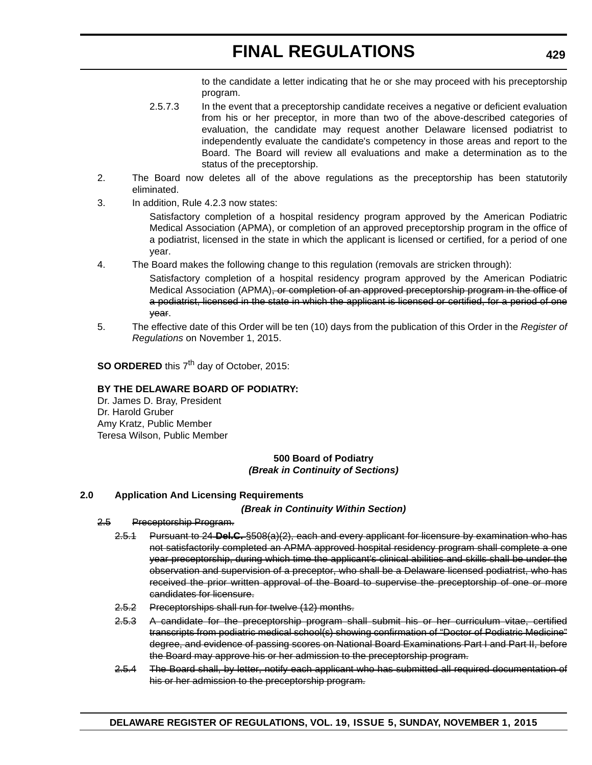to the candidate a letter indicating that he or she may proceed with his preceptorship program.

- 2.5.7.3 In the event that a preceptorship candidate receives a negative or deficient evaluation from his or her preceptor, in more than two of the above-described categories of evaluation, the candidate may request another Delaware licensed podiatrist to independently evaluate the candidate's competency in those areas and report to the Board. The Board will review all evaluations and make a determination as to the status of the preceptorship.
- 2. The Board now deletes all of the above regulations as the preceptorship has been statutorily eliminated.
- 3. In addition, Rule 4.2.3 now states:

Satisfactory completion of a hospital residency program approved by the American Podiatric Medical Association (APMA), or completion of an approved preceptorship program in the office of a podiatrist, licensed in the state in which the applicant is licensed or certified, for a period of one year.

4. The Board makes the following change to this regulation (removals are stricken through):

Satisfactory completion of a hospital residency program approved by the American Podiatric Medical Association (APMA)<del>, or completion of an approved preceptorship program in the office of</del> a podiatrist, licensed in the state in which the applicant is licensed or certified, for a period of one year.

5. The effective date of this Order will be ten (10) days from the publication of this Order in the *Register of Regulations* on November 1, 2015.

**SO ORDERED** this 7<sup>th</sup> day of October, 2015:

#### **BY THE DELAWARE BOARD OF PODIATRY:**

Dr. James D. Bray, President Dr. Harold Gruber Amy Kratz, Public Member Teresa Wilson, Public Member

#### **500 Board of Podiatry** *(Break in Continuity of Sections)*

#### **2.0 Application And Licensing Requirements**

*(Break in Continuity Within Section)*

- 2.5 Preceptorship Program.
	- 2.5.1 Pursuant to 24 **Del.C.** §508(a)(2), each and every applicant for licensure by examination who has not satisfactorily completed an APMA approved hospital residency program shall complete a one year preceptorship, during which time the applicant's clinical abilities and skills shall be under the observation and supervision of a preceptor, who shall be a Delaware licensed podiatrist, who has received the prior written approval of the Board to supervise the preceptorship of one or more candidates for licensure.
	- 2.5.2 Preceptorships shall run for twelve (12) months.
	- 2.5.3 A candidate for the preceptorship program shall submit his or her curriculum vitae, certified transcripts from podiatric medical school(s) showing confirmation of "Doctor of Podiatric Medicine" degree, and evidence of passing scores on National Board Examinations Part I and Part II, before the Board may approve his or her admission to the preceptorship program.
	- 2.5.4 The Board shall, by letter, notify each applicant who has submitted all required documentation of his or her admission to the preceptorship program.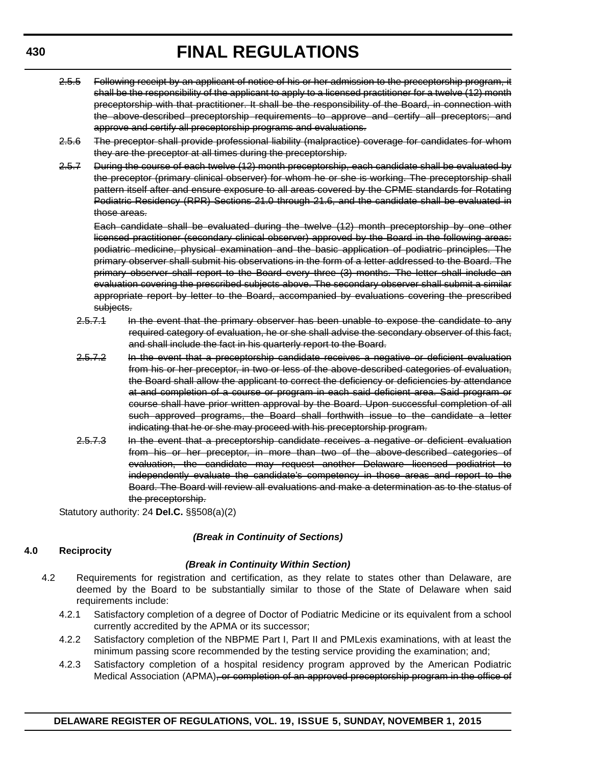- 2.5.5 Following receipt by an applicant of notice of his or her admission to the preceptorship program, it shall be the responsibility of the applicant to apply to a licensed practitioner for a twelve (12) month preceptorship with that practitioner. It shall be the responsibility of the Board, in connection with the above-described preceptorship requirements to approve and certify all preceptors; and approve and certify all preceptorship programs and evaluations.
- 2.5.6 The preceptor shall provide professional liability (malpractice) coverage for candidates for whom they are the preceptor at all times during the preceptorship.
- 2.5.7 During the course of each twelve (12) month preceptorship, each candidate shall be evaluated by the preceptor (primary clinical observer) for whom he or she is working. The preceptorship shall pattern itself after and ensure exposure to all areas covered by the CPME standards for Rotating Podiatric Residency (RPR) Sections 21.0 through 21.6, and the candidate shall be evaluated in those areas.

Each candidate shall be evaluated during the twelve (12) month preceptorship by one other licensed practitioner (secondary clinical observer) approved by the Board in the following areas: podiatric medicine, physical examination and the basic application of podiatric principles. The primary observer shall submit his observations in the form of a letter addressed to the Board. The primary observer shall report to the Board every three (3) months. The letter shall include an evaluation covering the prescribed subjects above. The secondary observer shall submit a similar appropriate report by letter to the Board, accompanied by evaluations covering the prescribed subjects.

- 2.5.7.1 In the event that the primary observer has been unable to expose the candidate to any required category of evaluation, he or she shall advise the secondary observer of this fact, and shall include the fact in his quarterly report to the Board.
- 2.5.7.2 In the event that a preceptorship candidate receives a negative or deficient evaluation from his or her preceptor, in two or less of the above-described categories of evaluation, the Board shall allow the applicant to correct the deficiency or deficiencies by attendance at and completion of a course or program in each said deficient area. Said program or course shall have prior written approval by the Board. Upon successful completion of all such approved programs, the Board shall forthwith issue to the candidate a letter indicating that he or she may proceed with his preceptorship program.
- 2.5.7.3 In the event that a preceptorship candidate receives a negative or deficient evaluation from his or her preceptor, in more than two of the above-described categories of evaluation, the candidate may request another Delaware licensed podiatrist to independently evaluate the candidate's competency in those areas and report to the Board. The Board will review all evaluations and make a determination as to the status of the preceptorship.

Statutory authority: 24 **Del.C.** §§508(a)(2)

#### *(Break in Continuity of Sections)*

#### **4.0 Reciprocity**

#### *(Break in Continuity Within Section)*

- 4.2 Requirements for registration and certification, as they relate to states other than Delaware, are deemed by the Board to be substantially similar to those of the State of Delaware when said requirements include:
	- 4.2.1 Satisfactory completion of a degree of Doctor of Podiatric Medicine or its equivalent from a school currently accredited by the APMA or its successor;
	- 4.2.2 Satisfactory completion of the NBPME Part I, Part II and PMLexis examinations, with at least the minimum passing score recommended by the testing service providing the examination; and;
	- 4.2.3 Satisfactory completion of a hospital residency program approved by the American Podiatric Medical Association (APMA), or completion of an approved preceptorship program in the office of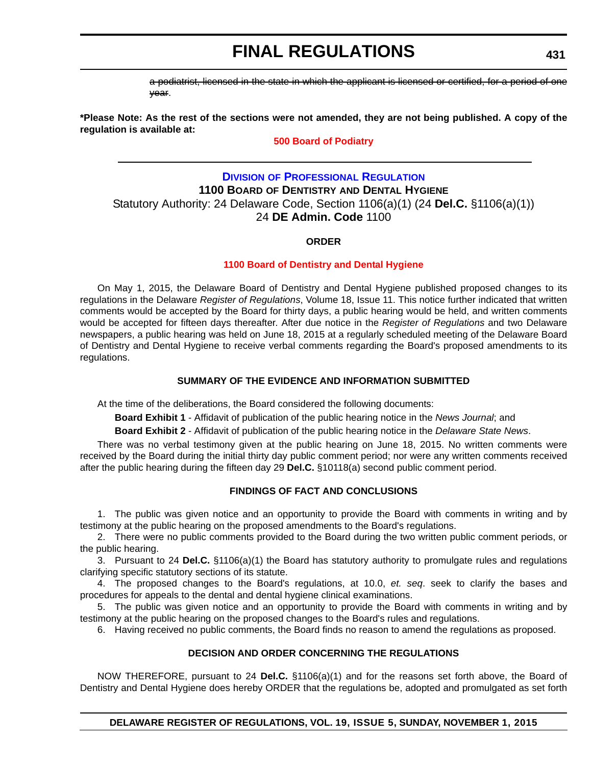a podiatrist, licensed in the state in which the applicant is licensed or certified, for a period of one year.

**\*Please Note: As the rest of the sections were not amended, they are not being published. A copy of the regulation is available at:**

#### **[500 Board of Podiatry](http://regulations.delaware.gov/register/november2015/final/19 DE Reg 427 11-01-15.htm)**

### **DIVISION [OF PROFESSIONAL REGULATION](http://dpr.delaware.gov/) 1100 BOARD OF DENTISTRY AND DENTAL HYGIENE** Statutory Authority: 24 Delaware Code, Section 1106(a)(1) (24 **Del.C.** §1106(a)(1)) 24 **DE Admin. Code** 1100

#### **ORDER**

#### **[1100 Board of Dentistry and Dental Hygiene](#page-4-0)**

On May 1, 2015, the Delaware Board of Dentistry and Dental Hygiene published proposed changes to its regulations in the Delaware *Register of Regulations*, Volume 18, Issue 11. This notice further indicated that written comments would be accepted by the Board for thirty days, a public hearing would be held, and written comments would be accepted for fifteen days thereafter. After due notice in the *Register of Regulations* and two Delaware newspapers, a public hearing was held on June 18, 2015 at a regularly scheduled meeting of the Delaware Board of Dentistry and Dental Hygiene to receive verbal comments regarding the Board's proposed amendments to its regulations.

#### **SUMMARY OF THE EVIDENCE AND INFORMATION SUBMITTED**

At the time of the deliberations, the Board considered the following documents:

**Board Exhibit 1** - Affidavit of publication of the public hearing notice in the *News Journal*; and

**Board Exhibit 2** - Affidavit of publication of the public hearing notice in the *Delaware State News*.

There was no verbal testimony given at the public hearing on June 18, 2015. No written comments were received by the Board during the initial thirty day public comment period; nor were any written comments received after the public hearing during the fifteen day 29 **Del.C.** §10118(a) second public comment period.

#### **FINDINGS OF FACT AND CONCLUSIONS**

1. The public was given notice and an opportunity to provide the Board with comments in writing and by testimony at the public hearing on the proposed amendments to the Board's regulations.

2. There were no public comments provided to the Board during the two written public comment periods, or the public hearing.

3. Pursuant to 24 **Del.C.** §1106(a)(1) the Board has statutory authority to promulgate rules and regulations clarifying specific statutory sections of its statute.

4. The proposed changes to the Board's regulations, at 10.0, *et. seq*. seek to clarify the bases and procedures for appeals to the dental and dental hygiene clinical examinations.

5. The public was given notice and an opportunity to provide the Board with comments in writing and by testimony at the public hearing on the proposed changes to the Board's rules and regulations.

6. Having received no public comments, the Board finds no reason to amend the regulations as proposed.

#### **DECISION AND ORDER CONCERNING THE REGULATIONS**

NOW THEREFORE, pursuant to 24 **Del.C.** §1106(a)(1) and for the reasons set forth above, the Board of Dentistry and Dental Hygiene does hereby ORDER that the regulations be, adopted and promulgated as set forth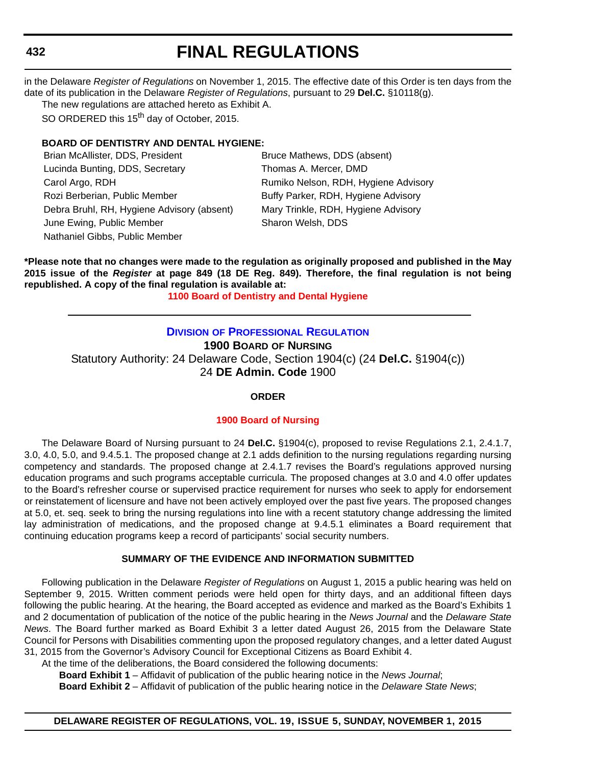in the Delaware *Register of Regulations* on November 1, 2015. The effective date of this Order is ten days from the date of its publication in the Delaware *Register of Regulations*, pursuant to 29 **Del.C.** §10118(g).

The new regulations are attached hereto as Exhibit A.

SO ORDERED this 15<sup>th</sup> day of October, 2015.

#### **BOARD OF DENTISTRY AND DENTAL HYGIENE:**

Brian McAllister, DDS, President Bruce Mathews, DDS (absent) Lucinda Bunting, DDS, Secretary Thomas A. Mercer, DMD Carol Argo, RDH **Rumiko Nelson, RDH, Hygiene Advisory** Rozi Berberian, Public Member Buffy Parker, RDH, Hygiene Advisory Debra Bruhl, RH, Hygiene Advisory (absent) Mary Trinkle, RDH, Hygiene Advisory June Ewing, Public Member Sharon Welsh, DDS Nathaniel Gibbs, Public Member

**\*Please note that no changes were made to the regulation as originally proposed and published in the May 2015 issue of the** *Register* **at page 849 (18 DE Reg. 849). Therefore, the final regulation is not being republished. A copy of the final regulation is available at:**

**[1100 Board of Dentistry and Dental Hygiene](http://regulations.delaware.gov/register/november2015/final/19 DE Reg 431 11-01-15.htm)**

### **DIVISION [OF PROFESSIONAL REGULATION](http://dpr.delaware.gov/)**

**1900 BOARD OF NURSING**

Statutory Authority: 24 Delaware Code, Section 1904(c) (24 **Del.C.** §1904(c)) 24 **DE Admin. Code** 1900

#### **ORDER**

#### **[1900 Board of Nursing](#page-4-0)**

The Delaware Board of Nursing pursuant to 24 **Del.C.** §1904(c), proposed to revise Regulations 2.1, 2.4.1.7, 3.0, 4.0, 5.0, and 9.4.5.1. The proposed change at 2.1 adds definition to the nursing regulations regarding nursing competency and standards. The proposed change at 2.4.1.7 revises the Board's regulations approved nursing education programs and such programs acceptable curricula. The proposed changes at 3.0 and 4.0 offer updates to the Board's refresher course or supervised practice requirement for nurses who seek to apply for endorsement or reinstatement of licensure and have not been actively employed over the past five years. The proposed changes at 5.0, et. seq. seek to bring the nursing regulations into line with a recent statutory change addressing the limited lay administration of medications, and the proposed change at 9.4.5.1 eliminates a Board requirement that continuing education programs keep a record of participants' social security numbers.

#### **SUMMARY OF THE EVIDENCE AND INFORMATION SUBMITTED**

Following publication in the Delaware *Register of Regulations* on August 1, 2015 a public hearing was held on September 9, 2015. Written comment periods were held open for thirty days, and an additional fifteen days following the public hearing. At the hearing, the Board accepted as evidence and marked as the Board's Exhibits 1 and 2 documentation of publication of the notice of the public hearing in the *News Journal* and the *Delaware State News*. The Board further marked as Board Exhibit 3 a letter dated August 26, 2015 from the Delaware State Council for Persons with Disabilities commenting upon the proposed regulatory changes, and a letter dated August 31, 2015 from the Governor's Advisory Council for Exceptional Citizens as Board Exhibit 4.

At the time of the deliberations, the Board considered the following documents:

**Board Exhibit 1** – Affidavit of publication of the public hearing notice in the *News Journal*;

**Board Exhibit 2** – Affidavit of publication of the public hearing notice in the *Delaware State News*;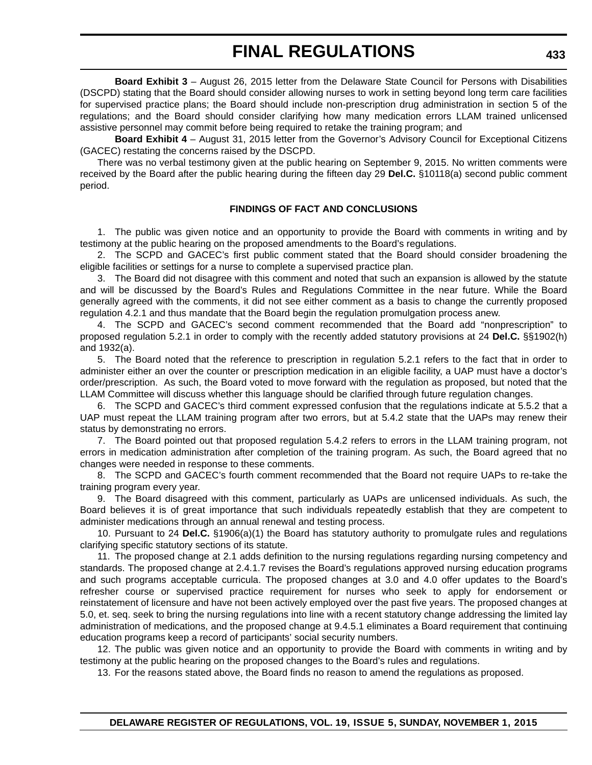**Board Exhibit 3** – August 26, 2015 letter from the Delaware State Council for Persons with Disabilities (DSCPD) stating that the Board should consider allowing nurses to work in setting beyond long term care facilities for supervised practice plans; the Board should include non-prescription drug administration in section 5 of the regulations; and the Board should consider clarifying how many medication errors LLAM trained unlicensed assistive personnel may commit before being required to retake the training program; and

**Board Exhibit 4** – August 31, 2015 letter from the Governor's Advisory Council for Exceptional Citizens (GACEC) restating the concerns raised by the DSCPD.

There was no verbal testimony given at the public hearing on September 9, 2015. No written comments were received by the Board after the public hearing during the fifteen day 29 **Del.C.** §10118(a) second public comment period.

#### **FINDINGS OF FACT AND CONCLUSIONS**

1. The public was given notice and an opportunity to provide the Board with comments in writing and by testimony at the public hearing on the proposed amendments to the Board's regulations.

2. The SCPD and GACEC's first public comment stated that the Board should consider broadening the eligible facilities or settings for a nurse to complete a supervised practice plan.

3. The Board did not disagree with this comment and noted that such an expansion is allowed by the statute and will be discussed by the Board's Rules and Regulations Committee in the near future. While the Board generally agreed with the comments, it did not see either comment as a basis to change the currently proposed regulation 4.2.1 and thus mandate that the Board begin the regulation promulgation process anew.

4. The SCPD and GACEC's second comment recommended that the Board add "nonprescription" to proposed regulation 5.2.1 in order to comply with the recently added statutory provisions at 24 **Del.C.** §§1902(h) and 1932(a).

5. The Board noted that the reference to prescription in regulation 5.2.1 refers to the fact that in order to administer either an over the counter or prescription medication in an eligible facility, a UAP must have a doctor's order/prescription. As such, the Board voted to move forward with the regulation as proposed, but noted that the LLAM Committee will discuss whether this language should be clarified through future regulation changes.

6. The SCPD and GACEC's third comment expressed confusion that the regulations indicate at 5.5.2 that a UAP must repeat the LLAM training program after two errors, but at 5.4.2 state that the UAPs may renew their status by demonstrating no errors.

7. The Board pointed out that proposed regulation 5.4.2 refers to errors in the LLAM training program, not errors in medication administration after completion of the training program. As such, the Board agreed that no changes were needed in response to these comments.

8. The SCPD and GACEC's fourth comment recommended that the Board not require UAPs to re-take the training program every year.

9. The Board disagreed with this comment, particularly as UAPs are unlicensed individuals. As such, the Board believes it is of great importance that such individuals repeatedly establish that they are competent to administer medications through an annual renewal and testing process.

10. Pursuant to 24 **Del.C.** §1906(a)(1) the Board has statutory authority to promulgate rules and regulations clarifying specific statutory sections of its statute.

11. The proposed change at 2.1 adds definition to the nursing regulations regarding nursing competency and standards. The proposed change at 2.4.1.7 revises the Board's regulations approved nursing education programs and such programs acceptable curricula. The proposed changes at 3.0 and 4.0 offer updates to the Board's refresher course or supervised practice requirement for nurses who seek to apply for endorsement or reinstatement of licensure and have not been actively employed over the past five years. The proposed changes at 5.0, et. seq. seek to bring the nursing regulations into line with a recent statutory change addressing the limited lay administration of medications, and the proposed change at 9.4.5.1 eliminates a Board requirement that continuing education programs keep a record of participants' social security numbers.

12. The public was given notice and an opportunity to provide the Board with comments in writing and by testimony at the public hearing on the proposed changes to the Board's rules and regulations.

13. For the reasons stated above, the Board finds no reason to amend the regulations as proposed.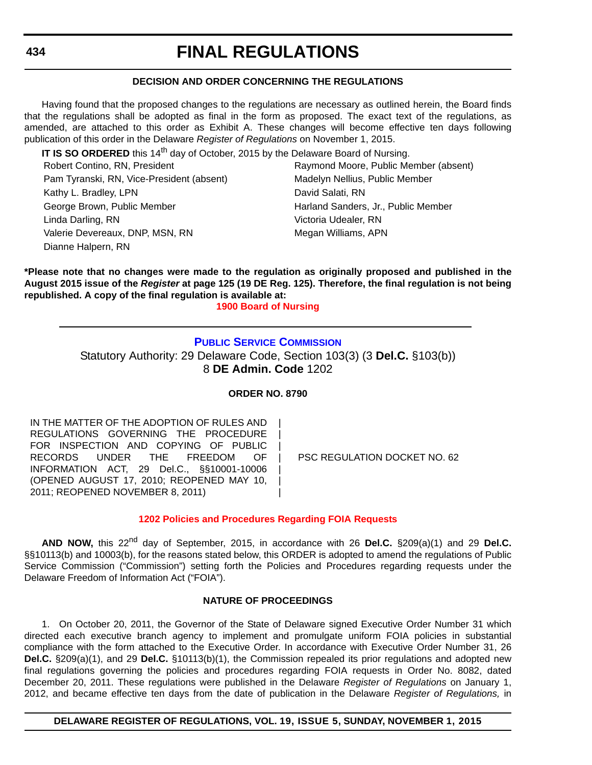#### **DECISION AND ORDER CONCERNING THE REGULATIONS**

Having found that the proposed changes to the regulations are necessary as outlined herein, the Board finds that the regulations shall be adopted as final in the form as proposed. The exact text of the regulations, as amended, are attached to this order as Exhibit A. These changes will become effective ten days following publication of this order in the Delaware *Register of Regulations* on November 1, 2015.

**IT IS SO ORDERED** this 14<sup>th</sup> day of October, 2015 by the Delaware Board of Nursing.

Pam Tyranski, RN, Vice-President (absent) Madelyn Nellius, Public Member Kathy L. Bradley, LPN David Salati, RN George Brown, Public Member **Harland Sanders, Jr., Public Member** Harland Sanders, Jr., Public Member Linda Darling, RN Victoria Udealer, RN Valerie Devereaux, DNP, MSN, RN Megan Williams, APN Dianne Halpern, RN

Robert Contino, RN, President **Raymond Moore, Public Member (absent)** 

**\*Please note that no changes were made to the regulation as originally proposed and published in the August 2015 issue of the** *Register* **at page 125 (19 DE Reg. 125). Therefore, the final regulation is not being republished. A copy of the final regulation is available at:**

**[1900 Board of Nursing](http://regulations.delaware.gov/register/november2015/final/19 DE Reg 432 11-01-15.htm)**

#### **[PUBLIC SERVICE COMMISSION](http://depsc.delaware.gov/)**

Statutory Authority: 29 Delaware Code, Section 103(3) (3 **Del.C.** §103(b)) 8 **DE Admin. Code** 1202

#### **ORDER NO. 8790**

| | | | | | |

IN THE MATTER OF THE ADOPTION OF RULES AND REGULATIONS GOVERNING THE PROCEDURE FOR INSPECTION AND COPYING OF PUBLIC RECORDS UNDER THE FREEDOM OF INFORMATION ACT, 29 Del.C., §§10001-10006 (OPENED AUGUST 17, 2010; REOPENED MAY 10, 2011; REOPENED NOVEMBER 8, 2011)

PSC REGULATION DOCKET NO. 62

#### **[1202 Policies and Procedures Regarding FOIA Requests](#page-4-0)**

**AND NOW,** this 22nd day of September, 2015, in accordance with 26 **Del.C.** §209(a)(1) and 29 **Del.C.** §§10113(b) and 10003(b), for the reasons stated below, this ORDER is adopted to amend the regulations of Public Service Commission ("Commission") setting forth the Policies and Procedures regarding requests under the Delaware Freedom of Information Act ("FOIA").

#### **NATURE OF PROCEEDINGS**

1. On October 20, 2011, the Governor of the State of Delaware signed Executive Order Number 31 which directed each executive branch agency to implement and promulgate uniform FOIA policies in substantial compliance with the form attached to the Executive Order. In accordance with Executive Order Number 31, 26 **Del.C.** §209(a)(1), and 29 **Del.C.** §10113(b)(1), the Commission repealed its prior regulations and adopted new final regulations governing the policies and procedures regarding FOIA requests in Order No. 8082, dated December 20, 2011. These regulations were published in the Delaware *Register of Regulations* on January 1, 2012, and became effective ten days from the date of publication in the Delaware *Register of Regulations,* in

#### **DELAWARE REGISTER OF REGULATIONS, VOL. 19, ISSUE 5, SUNDAY, NOVEMBER 1, 2015**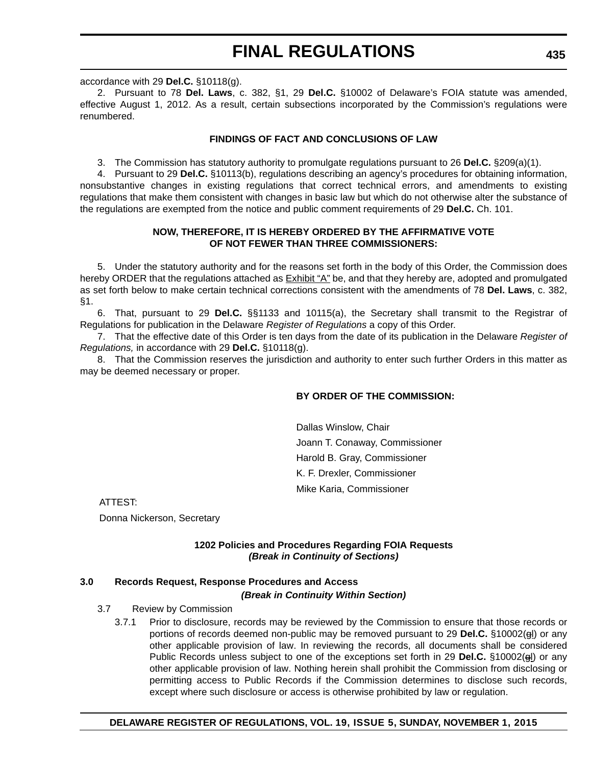accordance with 29 **Del.C.** §10118(g).

2. Pursuant to 78 **Del. Laws**, c. 382, §1, 29 **Del.C.** §10002 of Delaware's FOIA statute was amended, effective August 1, 2012. As a result, certain subsections incorporated by the Commission's regulations were renumbered.

#### **FINDINGS OF FACT AND CONCLUSIONS OF LAW**

3. The Commission has statutory authority to promulgate regulations pursuant to 26 **Del.C.** §209(a)(1).

4. Pursuant to 29 **Del.C.** §10113(b), regulations describing an agency's procedures for obtaining information, nonsubstantive changes in existing regulations that correct technical errors, and amendments to existing regulations that make them consistent with changes in basic law but which do not otherwise alter the substance of the regulations are exempted from the notice and public comment requirements of 29 **Del.C.** Ch. 101.

#### **NOW, THEREFORE, IT IS HEREBY ORDERED BY THE AFFIRMATIVE VOTE OF NOT FEWER THAN THREE COMMISSIONERS:**

5. Under the statutory authority and for the reasons set forth in the body of this Order, the Commission does hereby ORDER that the regulations attached as Exhibit "A" be, and that they hereby are, adopted and promulgated as set forth below to make certain technical corrections consistent with the amendments of 78 **Del. Laws**, c. 382, §1.

6. That, pursuant to 29 **Del.C.** §§1133 and 10115(a), the Secretary shall transmit to the Registrar of Regulations for publication in the Delaware *Register of Regulations* a copy of this Order.

7. That the effective date of this Order is ten days from the date of its publication in the Delaware *Register of Regulations,* in accordance with 29 **Del.C.** §10118(g).

8. That the Commission reserves the jurisdiction and authority to enter such further Orders in this matter as may be deemed necessary or proper.

#### **BY ORDER OF THE COMMISSION:**

Dallas Winslow, Chair Joann T. Conaway, Commissioner Harold B. Gray, Commissioner K. F. Drexler, Commissioner Mike Karia, Commissioner

ATTEST:

Donna Nickerson, Secretary

#### **1202 Policies and Procedures Regarding FOIA Requests** *(Break in Continuity of Sections)*

### **3.0 Records Request, Response Procedures and Access**

*(Break in Continuity Within Section)*

#### 3.7 Review by Commission

3.7.1 Prior to disclosure, records may be reviewed by the Commission to ensure that those records or portions of records deemed non-public may be removed pursuant to 29 **Del.C.** §10002(gl) or any other applicable provision of law. In reviewing the records, all documents shall be considered Public Records unless subject to one of the exceptions set forth in 29 **Del.C.** §10002(gl) or any other applicable provision of law. Nothing herein shall prohibit the Commission from disclosing or permitting access to Public Records if the Commission determines to disclose such records, except where such disclosure or access is otherwise prohibited by law or regulation.

#### **DELAWARE REGISTER OF REGULATIONS, VOL. 19, ISSUE 5, SUNDAY, NOVEMBER 1, 2015**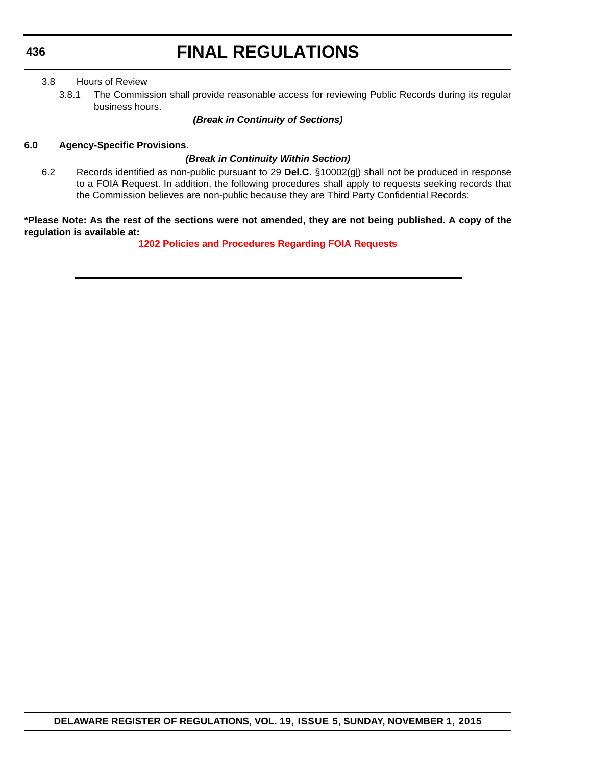#### 3.8 Hours of Review

3.8.1 The Commission shall provide reasonable access for reviewing Public Records during its regular business hours.

#### *(Break in Continuity of Sections)*

#### **6.0 Agency-Specific Provisions.**

#### *(Break in Continuity Within Section)*

6.2 Records identified as non-public pursuant to 29 **Del.C.** §10002(gl) shall not be produced in response to a FOIA Request. In addition, the following procedures shall apply to requests seeking records that the Commission believes are non-public because they are Third Party Confidential Records:

**\*Please Note: As the rest of the sections were not amended, they are not being published. A copy of the regulation is available at:**

**[1202 Policies and Procedures Regarding FOIA Requests](http://regulations.delaware.gov/register/november2015/final/19 DE Reg 434 11-01-15.htm)**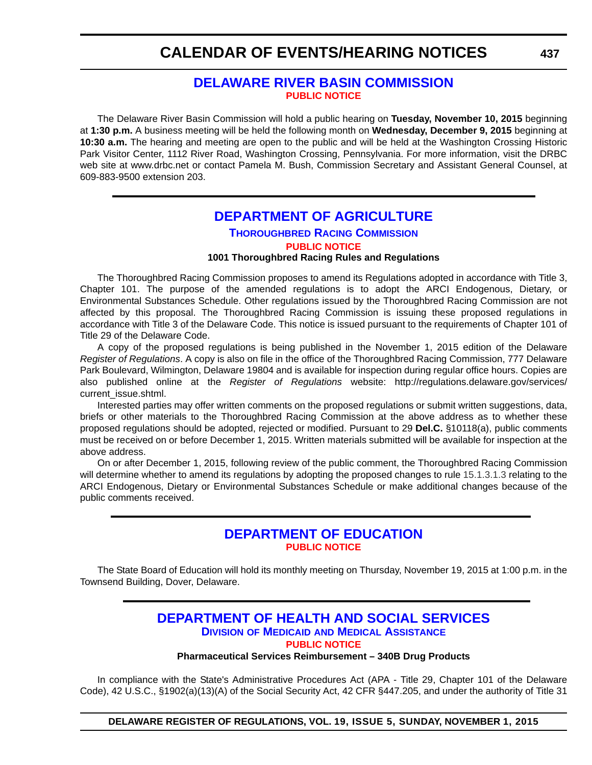### **[DELAWARE RIVER BASIN COMMISSION](http://www.state.nj.us/drbc/) [PUBLIC NOTICE](#page-4-0)**

The Delaware River Basin Commission will hold a public hearing on **Tuesday, November 10, 2015** beginning at **1:30 p.m.** A business meeting will be held the following month on **Wednesday, December 9, 2015** beginning at **10:30 a.m.** The hearing and meeting are open to the public and will be held at the Washington Crossing Historic Park Visitor Center, 1112 River Road, Washington Crossing, Pennsylvania. For more information, visit the DRBC web site at www.drbc.net or contact Pamela M. Bush, Commission Secretary and Assistant General Counsel, at 609-883-9500 extension 203.

### **[DEPARTMENT OF AGRICULTURE](http://dda.delaware.gov/thoroughbred/index.shtml)**

### **THOROUGHBRED RACING COMMISSION [PUBLIC NOTICE](#page-4-0)**

**1001 Thoroughbred Racing Rules and Regulations**

The Thoroughbred Racing Commission proposes to amend its Regulations adopted in accordance with Title 3, Chapter 101. The purpose of the amended regulations is to adopt the ARCI Endogenous, Dietary, or Environmental Substances Schedule. Other regulations issued by the Thoroughbred Racing Commission are not affected by this proposal. The Thoroughbred Racing Commission is issuing these proposed regulations in accordance with Title 3 of the Delaware Code. This notice is issued pursuant to the requirements of Chapter 101 of Title 29 of the Delaware Code.

A copy of the proposed regulations is being published in the November 1, 2015 edition of the Delaware *Register of Regulations*. A copy is also on file in the office of the Thoroughbred Racing Commission, 777 Delaware Park Boulevard, Wilmington, Delaware 19804 and is available for inspection during regular office hours. Copies are also published online at the *Register of Regulations* website: http://regulations.delaware.gov/services/ current\_issue.shtml.

Interested parties may offer written comments on the proposed regulations or submit written suggestions, data, briefs or other materials to the Thoroughbred Racing Commission at the above address as to whether these proposed regulations should be adopted, rejected or modified. Pursuant to 29 **Del.C.** §10118(a), public comments must be received on or before December 1, 2015. Written materials submitted will be available for inspection at the above address.

On or after December 1, 2015, following review of the public comment, the Thoroughbred Racing Commission will determine whether to amend its regulations by adopting the proposed changes to rule 15.1.3.1.3 relating to the ARCI Endogenous, Dietary or Environmental Substances Schedule or make additional changes because of the public comments received.

### **[DEPARTMENT OF EDUCATION](http://www.doe.k12.de.us/site/default.aspx?PageID=1) [PUBLIC NOTICE](#page-4-0)**

The State Board of Education will hold its monthly meeting on Thursday, November 19, 2015 at 1:00 p.m. in the Townsend Building, Dover, Delaware.

### **[DEPARTMENT OF HEALTH AND SOCIAL SERVICES](http://www.dhss.delaware.gov/dhss/dmma/) DIVISION OF MEDICAID AND MEDICAL ASSISTANCE**

**[PUBLIC NOTICE](#page-4-0)**

#### **Pharmaceutical Services Reimbursement – 340B Drug Products**

In compliance with the State's Administrative Procedures Act (APA - Title 29, Chapter 101 of the Delaware Code), 42 U.S.C., §1902(a)(13)(A) of the Social Security Act, 42 CFR §447.205, and under the authority of Title 31

**DELAWARE REGISTER OF REGULATIONS, VOL. 19, ISSUE 5, SUNDAY, NOVEMBER 1, 2015**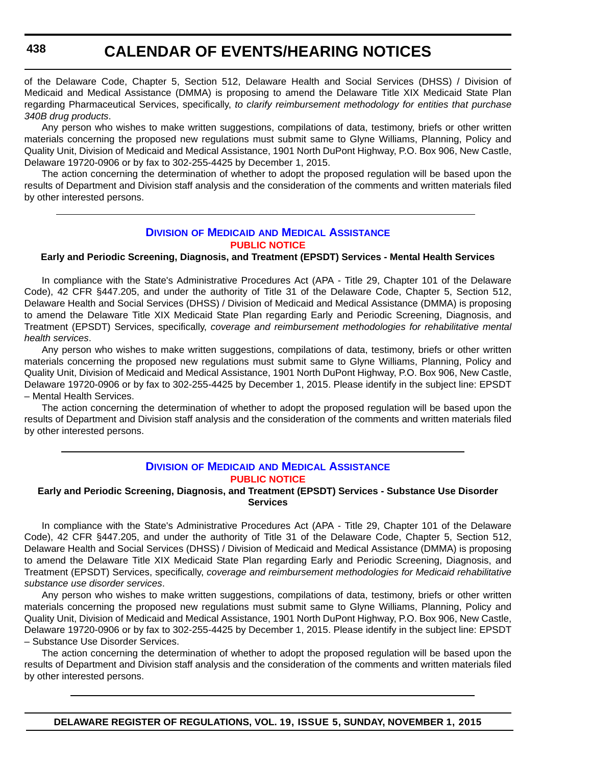of the Delaware Code, Chapter 5, Section 512, Delaware Health and Social Services (DHSS) / Division of Medicaid and Medical Assistance (DMMA) is proposing to amend the Delaware Title XIX Medicaid State Plan regarding Pharmaceutical Services, specifically, *to clarify reimbursement methodology for entities that purchase 340B drug products*.

Any person who wishes to make written suggestions, compilations of data, testimony, briefs or other written materials concerning the proposed new regulations must submit same to Glyne Williams, Planning, Policy and Quality Unit, Division of Medicaid and Medical Assistance, 1901 North DuPont Highway, P.O. Box 906, New Castle, Delaware 19720-0906 or by fax to 302-255-4425 by December 1, 2015.

The action concerning the determination of whether to adopt the proposed regulation will be based upon the results of Department and Division staff analysis and the consideration of the comments and written materials filed by other interested persons.

#### **DIVISION OF MEDICAID [AND MEDICAL ASSISTANCE](http://www.dhss.delaware.gov/dhss/dmma/) [PUBLIC NOTICE](#page-4-0)**

#### **Early and Periodic Screening, Diagnosis, and Treatment (EPSDT) Services - Mental Health Services**

In compliance with the State's Administrative Procedures Act (APA - Title 29, Chapter 101 of the Delaware Code), 42 CFR §447.205, and under the authority of Title 31 of the Delaware Code, Chapter 5, Section 512, Delaware Health and Social Services (DHSS) / Division of Medicaid and Medical Assistance (DMMA) is proposing to amend the Delaware Title XIX Medicaid State Plan regarding Early and Periodic Screening, Diagnosis, and Treatment (EPSDT) Services, specifically, *coverage and reimbursement methodologies for rehabilitative mental health services*.

Any person who wishes to make written suggestions, compilations of data, testimony, briefs or other written materials concerning the proposed new regulations must submit same to Glyne Williams, Planning, Policy and Quality Unit, Division of Medicaid and Medical Assistance, 1901 North DuPont Highway, P.O. Box 906, New Castle, Delaware 19720-0906 or by fax to 302-255-4425 by December 1, 2015. Please identify in the subject line: EPSDT – Mental Health Services.

The action concerning the determination of whether to adopt the proposed regulation will be based upon the results of Department and Division staff analysis and the consideration of the comments and written materials filed by other interested persons.

#### **DIVISION OF MEDICAID [AND MEDICAL ASSISTANCE](http://www.dhss.delaware.gov/dhss/dmma/) [PUBLIC NOTICE](#page-4-0)**

#### **Early and Periodic Screening, Diagnosis, and Treatment (EPSDT) Services - Substance Use Disorder Services**

In compliance with the State's Administrative Procedures Act (APA - Title 29, Chapter 101 of the Delaware Code), 42 CFR §447.205, and under the authority of Title 31 of the Delaware Code, Chapter 5, Section 512, Delaware Health and Social Services (DHSS) / Division of Medicaid and Medical Assistance (DMMA) is proposing to amend the Delaware Title XIX Medicaid State Plan regarding Early and Periodic Screening, Diagnosis, and Treatment (EPSDT) Services, specifically, *coverage and reimbursement methodologies for Medicaid rehabilitative substance use disorder services*.

Any person who wishes to make written suggestions, compilations of data, testimony, briefs or other written materials concerning the proposed new regulations must submit same to Glyne Williams, Planning, Policy and Quality Unit, Division of Medicaid and Medical Assistance, 1901 North DuPont Highway, P.O. Box 906, New Castle, Delaware 19720-0906 or by fax to 302-255-4425 by December 1, 2015. Please identify in the subject line: EPSDT – Substance Use Disorder Services.

The action concerning the determination of whether to adopt the proposed regulation will be based upon the results of Department and Division staff analysis and the consideration of the comments and written materials filed by other interested persons.

**DELAWARE REGISTER OF REGULATIONS, VOL. 19, ISSUE 5, SUNDAY, NOVEMBER 1, 2015**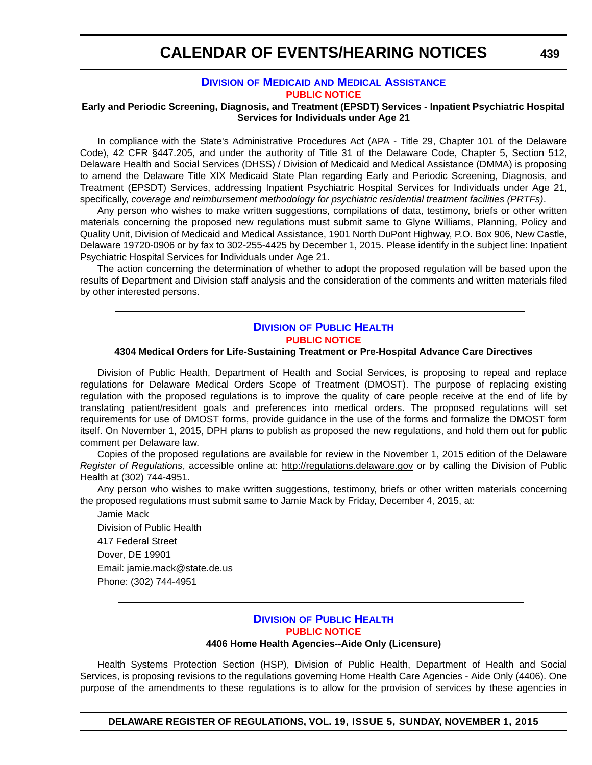#### **DIVISION OF MEDICAID [AND MEDICAL ASSISTANCE](http://www.dhss.delaware.gov/dhss/dmma/) [PUBLIC NOTICE](#page-4-0)**

#### **Early and Periodic Screening, Diagnosis, and Treatment (EPSDT) Services - Inpatient Psychiatric Hospital Services for Individuals under Age 21**

In compliance with the State's Administrative Procedures Act (APA - Title 29, Chapter 101 of the Delaware Code), 42 CFR §447.205, and under the authority of Title 31 of the Delaware Code, Chapter 5, Section 512, Delaware Health and Social Services (DHSS) / Division of Medicaid and Medical Assistance (DMMA) is proposing to amend the Delaware Title XIX Medicaid State Plan regarding Early and Periodic Screening, Diagnosis, and Treatment (EPSDT) Services, addressing Inpatient Psychiatric Hospital Services for Individuals under Age 21, specifically, *coverage and reimbursement methodology for psychiatric residential treatment facilities (PRTFs)*.

Any person who wishes to make written suggestions, compilations of data, testimony, briefs or other written materials concerning the proposed new regulations must submit same to Glyne Williams, Planning, Policy and Quality Unit, Division of Medicaid and Medical Assistance, 1901 North DuPont Highway, P.O. Box 906, New Castle, Delaware 19720-0906 or by fax to 302-255-4425 by December 1, 2015. Please identify in the subject line: Inpatient Psychiatric Hospital Services for Individuals under Age 21.

The action concerning the determination of whether to adopt the proposed regulation will be based upon the results of Department and Division staff analysis and the consideration of the comments and written materials filed by other interested persons.

#### **DIVISION [OF PUBLIC HEALTH](http://www.dhss.delaware.gov/dhss/dph/index.html) [PUBLIC NOTICE](#page-4-0)**

#### **4304 Medical Orders for Life-Sustaining Treatment or Pre-Hospital Advance Care Directives**

Division of Public Health, Department of Health and Social Services, is proposing to repeal and replace regulations for Delaware Medical Orders Scope of Treatment (DMOST). The purpose of replacing existing regulation with the proposed regulations is to improve the quality of care people receive at the end of life by translating patient/resident goals and preferences into medical orders. The proposed regulations will set requirements for use of DMOST forms, provide guidance in the use of the forms and formalize the DMOST form itself. On November 1, 2015, DPH plans to publish as proposed the new regulations, and hold them out for public comment per Delaware law.

Copies of the proposed regulations are available for review in the November 1, 2015 edition of the Delaware *Register of Regulations*, accessible online at: <http://regulations.delaware.gov>or by calling the Division of Public Health at (302) 744-4951.

Any person who wishes to make written suggestions, testimony, briefs or other written materials concerning the proposed regulations must submit same to Jamie Mack by Friday, December 4, 2015, at:

Jamie Mack Division of Public Health 417 Federal Street Dover, DE 19901 Email: jamie.mack@state.de.us Phone: (302) 744-4951

### **DIVISION [OF PUBLIC HEALTH](http://www.dhss.delaware.gov/dhss/dph/index.html) [PUBLIC NOTICE](#page-4-0)**

#### **4406 Home Health Agencies--Aide Only (Licensure)**

Health Systems Protection Section (HSP), Division of Public Health, Department of Health and Social Services, is proposing revisions to the regulations governing Home Health Care Agencies - Aide Only (4406). One purpose of the amendments to these regulations is to allow for the provision of services by these agencies in

**DELAWARE REGISTER OF REGULATIONS, VOL. 19, ISSUE 5, SUNDAY, NOVEMBER 1, 2015**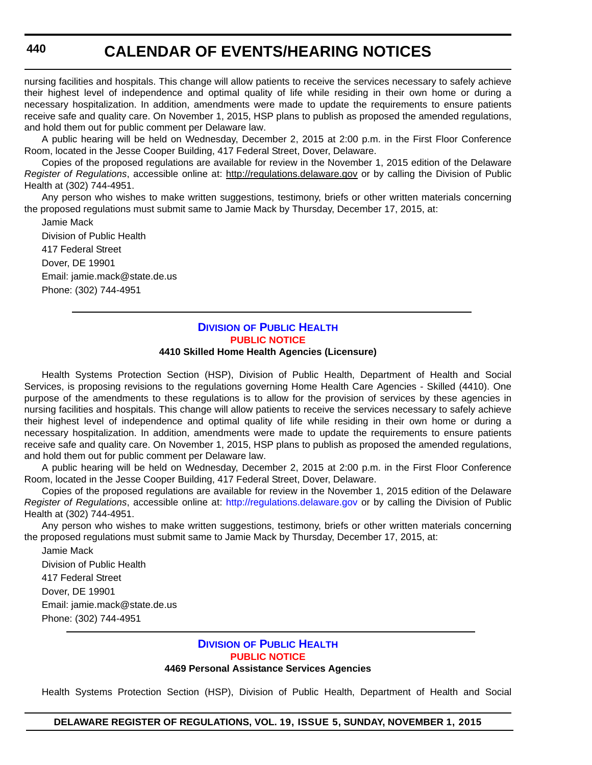nursing facilities and hospitals. This change will allow patients to receive the services necessary to safely achieve their highest level of independence and optimal quality of life while residing in their own home or during a necessary hospitalization. In addition, amendments were made to update the requirements to ensure patients receive safe and quality care. On November 1, 2015, HSP plans to publish as proposed the amended regulations, and hold them out for public comment per Delaware law.

A public hearing will be held on Wednesday, December 2, 2015 at 2:00 p.m. in the First Floor Conference Room, located in the Jesse Cooper Building, 417 Federal Street, Dover, Delaware.

Copies of the proposed regulations are available for review in the November 1, 2015 edition of the Delaware *Register of Regulations*, accessible online at: <http://regulations.delaware.gov> or by calling the Division of Public Health at (302) 744-4951.

Any person who wishes to make written suggestions, testimony, briefs or other written materials concerning the proposed regulations must submit same to Jamie Mack by Thursday, December 17, 2015, at:

Jamie Mack Division of Public Health 417 Federal Street Dover, DE 19901 Email: jamie.mack@state.de.us Phone: (302) 744-4951

### **DIVISION [OF PUBLIC HEALTH](http://www.dhss.delaware.gov/dhss/dph/index.html) [PUBLIC NOTICE](#page-4-0)**

#### **4410 Skilled Home Health Agencies (Licensure)**

Health Systems Protection Section (HSP), Division of Public Health, Department of Health and Social Services, is proposing revisions to the regulations governing Home Health Care Agencies - Skilled (4410). One purpose of the amendments to these regulations is to allow for the provision of services by these agencies in nursing facilities and hospitals. This change will allow patients to receive the services necessary to safely achieve their highest level of independence and optimal quality of life while residing in their own home or during a necessary hospitalization. In addition, amendments were made to update the requirements to ensure patients receive safe and quality care. On November 1, 2015, HSP plans to publish as proposed the amended regulations, and hold them out for public comment per Delaware law.

A public hearing will be held on Wednesday, December 2, 2015 at 2:00 p.m. in the First Floor Conference Room, located in the Jesse Cooper Building, 417 Federal Street, Dover, Delaware.

Copies of the proposed regulations are available for review in the November 1, 2015 edition of the Delaware *Register of Regulations*, accessible online at: <http://regulations.delaware.gov> or by calling the Division of Public Health at (302) 744-4951.

Any person who wishes to make written suggestions, testimony, briefs or other written materials concerning the proposed regulations must submit same to Jamie Mack by Thursday, December 17, 2015, at:

Jamie Mack Division of Public Health 417 Federal Street Dover, DE 19901 Email: jamie.mack@state.de.us Phone: (302) 744-4951

#### **DIVISION [OF PUBLIC HEALTH](http://www.dhss.delaware.gov/dhss/dph/index.html) [PUBLIC NOTICE](#page-4-0) 4469 Personal Assistance Services Agencies**

Health Systems Protection Section (HSP), Division of Public Health, Department of Health and Social

**DELAWARE REGISTER OF REGULATIONS, VOL. 19, ISSUE 5, SUNDAY, NOVEMBER 1, 2015**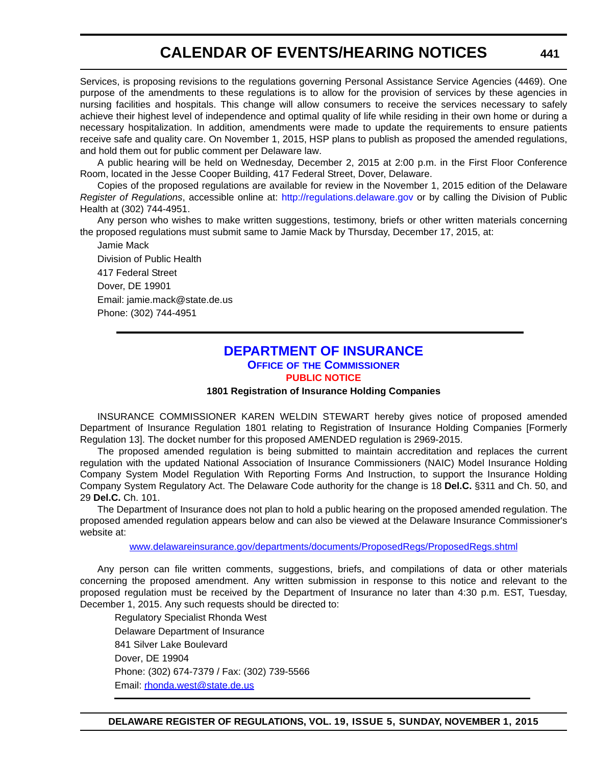Services, is proposing revisions to the regulations governing Personal Assistance Service Agencies (4469). One purpose of the amendments to these regulations is to allow for the provision of services by these agencies in nursing facilities and hospitals. This change will allow consumers to receive the services necessary to safely achieve their highest level of independence and optimal quality of life while residing in their own home or during a necessary hospitalization. In addition, amendments were made to update the requirements to ensure patients receive safe and quality care. On November 1, 2015, HSP plans to publish as proposed the amended regulations, and hold them out for public comment per Delaware law.

A public hearing will be held on Wednesday, December 2, 2015 at 2:00 p.m. in the First Floor Conference Room, located in the Jesse Cooper Building, 417 Federal Street, Dover, Delaware.

Copies of the proposed regulations are available for review in the November 1, 2015 edition of the Delaware *Register of Regulations*, accessible online at: <http://regulations.delaware.gov>or by calling the Division of Public Health at (302) 744-4951.

Any person who wishes to make written suggestions, testimony, briefs or other written materials concerning the proposed regulations must submit same to Jamie Mack by Thursday, December 17, 2015, at:

Jamie Mack Division of Public Health 417 Federal Street Dover, DE 19901 Email: jamie.mack@state.de.us Phone: (302) 744-4951

### **[DEPARTMENT OF INSURANCE](http://www.delawareinsurance.gov/) OFFICE OF THE COMMISSIONER [PUBLIC NOTICE](#page-4-0)**

#### **1801 Registration of Insurance Holding Companies**

INSURANCE COMMISSIONER KAREN WELDIN STEWART hereby gives notice of proposed amended Department of Insurance Regulation 1801 relating to Registration of Insurance Holding Companies [Formerly Regulation 13]. The docket number for this proposed AMENDED regulation is 2969-2015.

The proposed amended regulation is being submitted to maintain accreditation and replaces the current regulation with the updated National Association of Insurance Commissioners (NAIC) Model Insurance Holding Company System Model Regulation With Reporting Forms And Instruction, to support the Insurance Holding Company System Regulatory Act. The Delaware Code authority for the change is 18 **Del.C.** §311 and Ch. 50, and 29 **Del.C.** Ch. 101.

The Department of Insurance does not plan to hold a public hearing on the proposed amended regulation. The proposed amended regulation appears below and can also be viewed at the Delaware Insurance Commissioner's website at:

[www.delawareinsurance.gov/departments/documents/ProposedRegs/ProposedRegs.shtml](http://www.delawareinsurance.gov/departments/documents/ProposedRegs/ProposedRegs.shtml)

Any person can file written comments, suggestions, briefs, and compilations of data or other materials concerning the proposed amendment. Any written submission in response to this notice and relevant to the proposed regulation must be received by the Department of Insurance no later than 4:30 p.m. EST, Tuesday, December 1, 2015. Any such requests should be directed to:

Regulatory Specialist Rhonda West Delaware Department of Insurance 841 Silver Lake Boulevard Dover, DE 19904 Phone: (302) 674-7379 / Fax: (302) 739-5566 Email: r[honda.west@state.de.us](mailto:rhonda.west@state.de.us)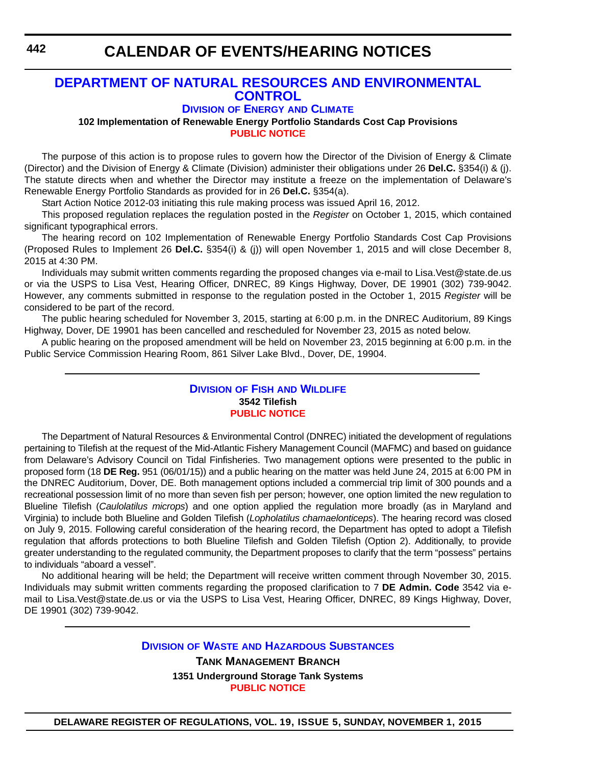### **[DEPARTMENT OF NATURAL RESOURCES AND ENVIRONMENTAL](http://www.dnrec.delaware.gov/energy/Pages/portal.aspx)  CONTROL**

**DIVISION OF ENERGY AND CLIMATE**

**102 Implementation of Renewable Energy Portfolio Standards Cost Cap Provisions [PUBLIC NOTICE](#page-4-0)**

The purpose of this action is to propose rules to govern how the Director of the Division of Energy & Climate (Director) and the Division of Energy & Climate (Division) administer their obligations under 26 **Del.C.** §354(i) & (j). The statute directs when and whether the Director may institute a freeze on the implementation of Delaware's Renewable Energy Portfolio Standards as provided for in 26 **Del.C.** §354(a).

Start Action Notice 2012-03 initiating this rule making process was issued April 16, 2012.

This proposed regulation replaces the regulation posted in the *Register* on October 1, 2015, which contained significant typographical errors.

The hearing record on 102 Implementation of Renewable Energy Portfolio Standards Cost Cap Provisions (Proposed Rules to Implement 26 **Del.C.** §354(i) & (j)) will open November 1, 2015 and will close December 8, 2015 at 4:30 PM.

Individuals may submit written comments regarding the proposed changes via e-mail to Lisa.Vest@state.de.us or via the USPS to Lisa Vest, Hearing Officer, DNREC, 89 Kings Highway, Dover, DE 19901 (302) 739-9042. However, any comments submitted in response to the regulation posted in the October 1, 2015 *Register* will be considered to be part of the record.

The public hearing scheduled for November 3, 2015, starting at 6:00 p.m. in the DNREC Auditorium, 89 Kings Highway, Dover, DE 19901 has been cancelled and rescheduled for November 23, 2015 as noted below.

A public hearing on the proposed amendment will be held on November 23, 2015 beginning at 6:00 p.m. in the Public Service Commission Hearing Room, 861 Silver Lake Blvd., Dover, DE, 19904.

#### **DIVISION OF FISH [AND WILDLIFE](http://www.dnrec.delaware.gov/fw/Pages/DFW-Portal.aspx) 3542 Tilefish [PUBLIC NOTICE](#page-4-0)**

The Department of Natural Resources & Environmental Control (DNREC) initiated the development of regulations pertaining to Tilefish at the request of the Mid-Atlantic Fishery Management Council (MAFMC) and based on guidance from Delaware's Advisory Council on Tidal Finfisheries. Two management options were presented to the public in proposed form (18 **DE Reg.** 951 (06/01/15)) and a public hearing on the matter was held June 24, 2015 at 6:00 PM in the DNREC Auditorium, Dover, DE. Both management options included a commercial trip limit of 300 pounds and a recreational possession limit of no more than seven fish per person; however, one option limited the new regulation to Blueline Tilefish (*Caulolatilus microps*) and one option applied the regulation more broadly (as in Maryland and Virginia) to include both Blueline and Golden Tilefish (*Lopholatilus chamaelonticeps*). The hearing record was closed on July 9, 2015. Following careful consideration of the hearing record, the Department has opted to adopt a Tilefish regulation that affords protections to both Blueline Tilefish and Golden Tilefish (Option 2). Additionally, to provide greater understanding to the regulated community, the Department proposes to clarify that the term "possess" pertains to individuals "aboard a vessel".

No additional hearing will be held; the Department will receive written comment through November 30, 2015. Individuals may submit written comments regarding the proposed clarification to 7 **DE Admin. Code** 3542 via email to Lisa.Vest@state.de.us or via the USPS to Lisa Vest, Hearing Officer, DNREC, 89 Kings Highway, Dover, DE 19901 (302) 739-9042.

#### **DIVISION OF WASTE [AND HAZARDOUS SUBSTANCES](http://www.dnrec.delaware.gov/dwhs/Pages/default.aspx)**

**TANK MANAGEMENT BRANCH 1351 Underground Storage Tank Systems [PUBLIC NOTICE](#page-4-0)**

**DELAWARE REGISTER OF REGULATIONS, VOL. 19, ISSUE 5, SUNDAY, NOVEMBER 1, 2015**